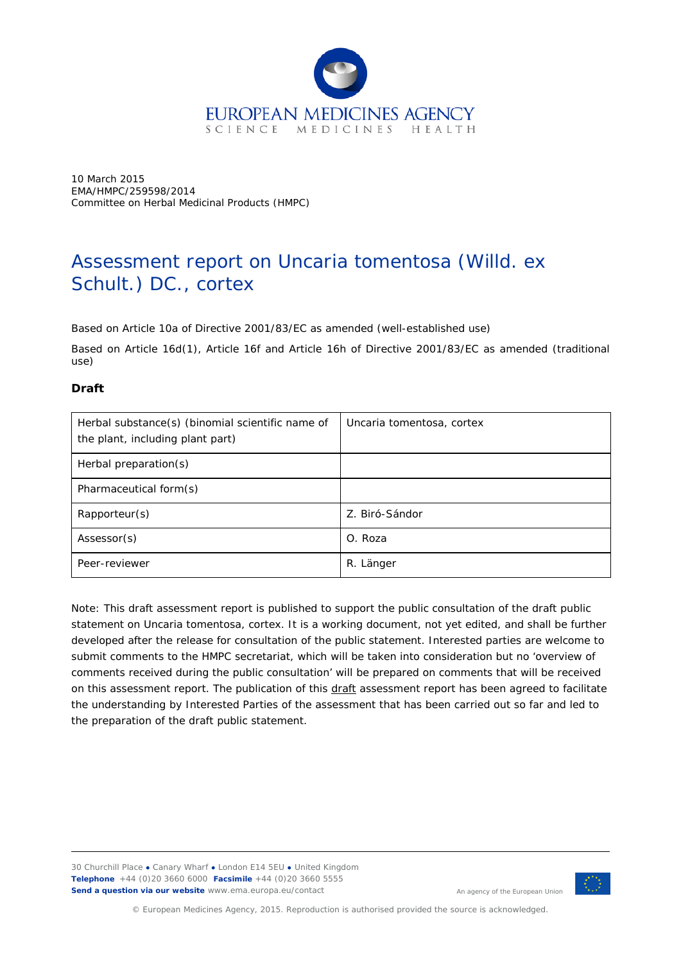

10 March 2015 EMA/HMPC/259598/2014 Committee on Herbal Medicinal Products (HMPC)

# Assessment report on *Uncaria tomentosa* (Willd. ex Schult.) DC., cortex

Based on Article 10a of Directive 2001/83/EC as amended (well-established use)

Based on Article 16d(1), Article 16f and Article 16h of Directive 2001/83/EC as amended (traditional use)

# **Draft**

| Herbal substance(s) (binomial scientific name of<br>the plant, including plant part) | Uncaria tomentosa, cortex |
|--------------------------------------------------------------------------------------|---------------------------|
| Herbal preparation(s)                                                                |                           |
| Pharmaceutical form(s)                                                               |                           |
| Rapporteur(s)                                                                        | Z. Biró-Sándor            |
| Assessor(s)                                                                          | O. Roza                   |
| Peer-reviewer                                                                        | R. Länger                 |

Note: This draft assessment report is published to support the public consultation of the draft public statement on *Uncaria tomentosa*, cortex. It is a working document, not yet edited, and shall be further developed after the release for consultation of the public statement. Interested parties are welcome to submit comments to the HMPC secretariat, which will be taken into consideration but no 'overview of comments received during the public consultation' will be prepared on comments that will be received on this assessment report. The publication of this draft assessment report has been agreed to facilitate the understanding by Interested Parties of the assessment that has been carried out so far and led to the preparation of the draft public statement.

30 Churchill Place **●** Canary Wharf **●** London E14 5EU **●** United Kingdom **Telephone** +44 (0)20 3660 6000 **Facsimile** +44 (0)20 3660 5555 **Send a question via our website** www.ema.europa.eu/contact



An agency of the European Union

© European Medicines Agency, 2015. Reproduction is authorised provided the source is acknowledged.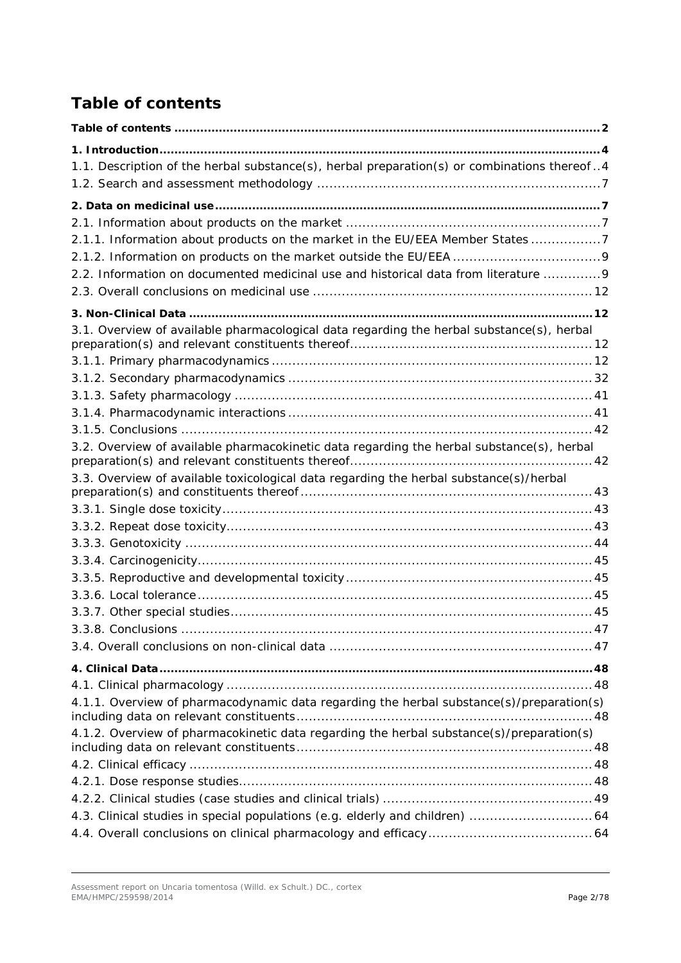# <span id="page-1-0"></span>*Table of contents*

| 1.1. Description of the herbal substance(s), herbal preparation(s) or combinations thereof4 |  |
|---------------------------------------------------------------------------------------------|--|
|                                                                                             |  |
|                                                                                             |  |
|                                                                                             |  |
| 2.1.1. Information about products on the market in the EU/EEA Member States 7               |  |
|                                                                                             |  |
| 2.2. Information on documented medicinal use and historical data from literature  9         |  |
|                                                                                             |  |
|                                                                                             |  |
| 3.1. Overview of available pharmacological data regarding the herbal substance(s), herbal   |  |
|                                                                                             |  |
|                                                                                             |  |
|                                                                                             |  |
|                                                                                             |  |
|                                                                                             |  |
|                                                                                             |  |
| 3.2. Overview of available pharmacokinetic data regarding the herbal substance(s), herbal   |  |
|                                                                                             |  |
| 3.3. Overview of available toxicological data regarding the herbal substance(s)/herbal      |  |
|                                                                                             |  |
|                                                                                             |  |
|                                                                                             |  |
|                                                                                             |  |
|                                                                                             |  |
|                                                                                             |  |
|                                                                                             |  |
|                                                                                             |  |
|                                                                                             |  |
|                                                                                             |  |
|                                                                                             |  |
|                                                                                             |  |
| 4.1.1. Overview of pharmacodynamic data regarding the herbal substance(s)/preparation(s)    |  |
| 4.1.2. Overview of pharmacokinetic data regarding the herbal substance(s)/preparation(s)    |  |
|                                                                                             |  |
|                                                                                             |  |
|                                                                                             |  |
| 4.3. Clinical studies in special populations (e.g. elderly and children)  64                |  |
|                                                                                             |  |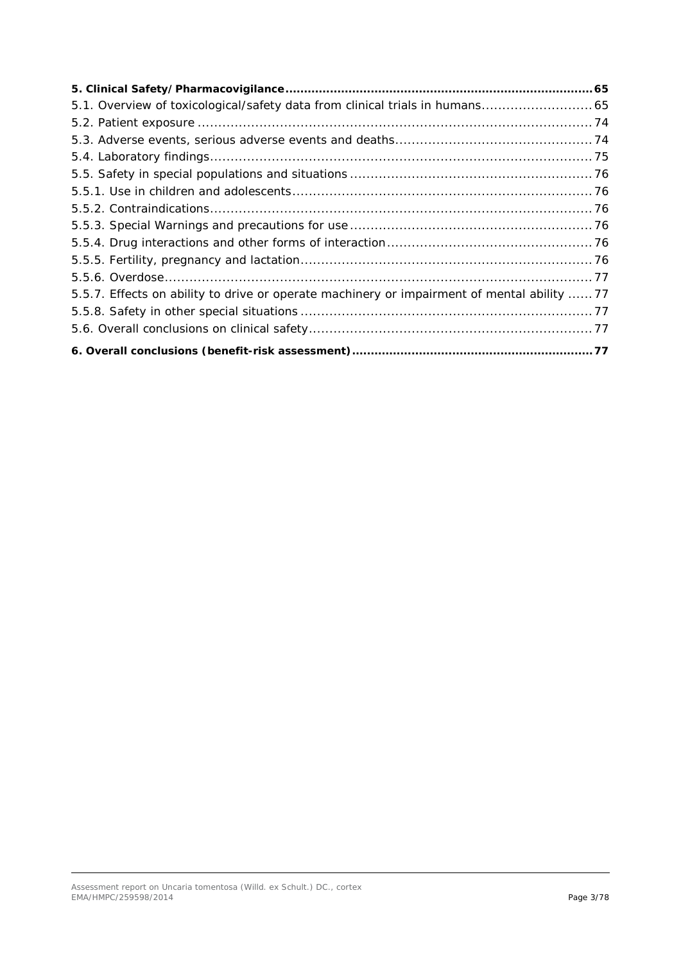| 5.5.7. Effects on ability to drive or operate machinery or impairment of mental ability 77 |  |
|--------------------------------------------------------------------------------------------|--|
|                                                                                            |  |
|                                                                                            |  |
|                                                                                            |  |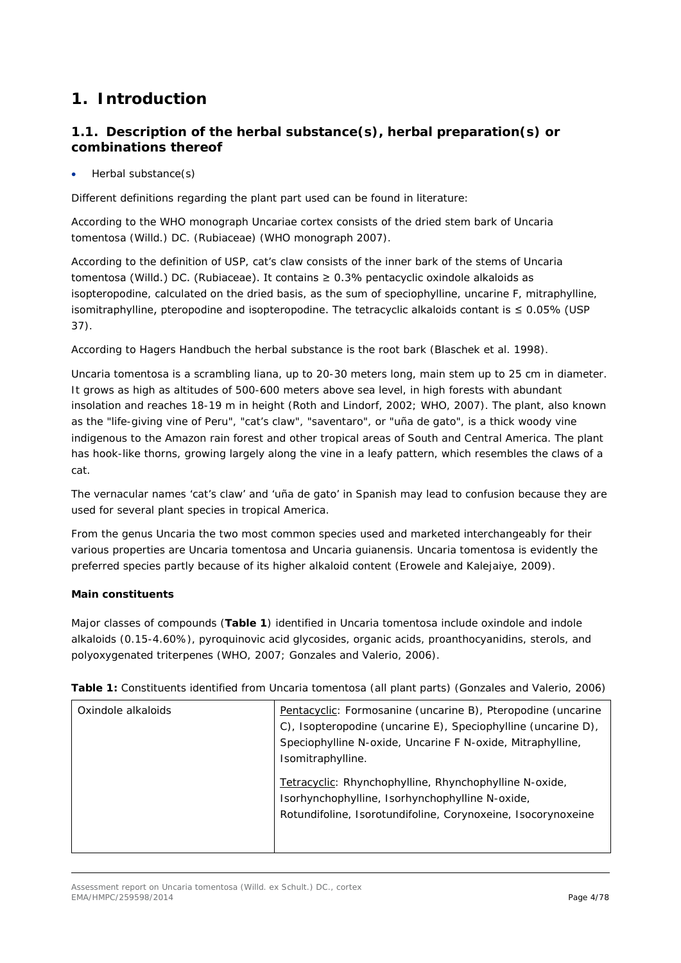# <span id="page-3-0"></span>**1. Introduction**

# <span id="page-3-1"></span>*1.1. Description of the herbal substance(s), herbal preparation(s) or combinations thereof*

# • Herbal substance(s)

Different definitions regarding the plant part used can be found in literature:

According to the WHO monograph Uncariae cortex consists of the dried stem bark of Uncaria tomentosa (Willd.) DC. (Rubiaceae) (WHO monograph 2007).

According to the definition of USP, cat's claw consists of the inner bark of the stems of Uncaria tomentosa (Willd.) DC. (Rubiaceae). It contains  $\geq 0.3\%$  pentacyclic oxindole alkaloids as isopteropodine, calculated on the dried basis, as the sum of speciophylline, uncarine F, mitraphylline, isomitraphylline, pteropodine and isopteropodine. The tetracyclic alkaloids contant is  $\leq 0.05\%$  (USP 37).

According to Hagers Handbuch the herbal substance is the root bark (Blaschek et al. 1998).

Uncaria tomentosa is a scrambling liana, up to 20-30 meters long, main stem up to 25 cm in diameter. It grows as high as altitudes of 500-600 meters above sea level, in high forests with abundant insolation and reaches 18-19 m in height (Roth and Lindorf, 2002; WHO, 2007). The plant, also known as the "life-giving vine of Peru", "cat's claw", "saventaro", or "uña de gato", is a thick woody vine indigenous to the Amazon rain forest and other tropical areas of South and Central America. The plant has hook-like thorns, growing largely along the vine in a leafy pattern, which resembles the claws of a cat.

The vernacular names 'cat's claw' and 'uña de gato' in Spanish may lead to confusion because they are used for several plant species in tropical America.

From the genus Uncaria the two most common species used and marketed interchangeably for their various properties are Uncaria tomentosa and Uncaria guianensis. Uncaria tomentosa is evidently the preferred species partly because of its higher alkaloid content (Erowele and Kalejaiye, 2009).

# **Main constituents**

Major classes of compounds (**Table 1**) identified in *Uncaria tomentosa* include oxindole and indole alkaloids (0.15-4.60%), pyroquinovic acid glycosides, organic acids, proanthocyanidins, sterols, and polyoxygenated triterpenes (WHO, 2007; Gonzales and Valerio, 2006).

| Oxindole alkaloids | Pentacyclic: Formosanine (uncarine B), Pteropodine (uncarine<br>C), Isopteropodine (uncarine E), Speciophylline (uncarine D),<br>Speciophylline N-oxide, Uncarine F N-oxide, Mitraphylline,<br>Isomitraphylline. |
|--------------------|------------------------------------------------------------------------------------------------------------------------------------------------------------------------------------------------------------------|
|                    | Tetracyclic: Rhynchophylline, Rhynchophylline N-oxide,<br>Isorhynchophylline, Isorhynchophylline N-oxide,<br>Rotundifoline, Isorotundifoline, Corynoxeine, Isocorynoxeine                                        |

**Table 1:** Constituents identified from *Uncaria tomentosa* (all plant parts) (Gonzales and Valerio, 2006)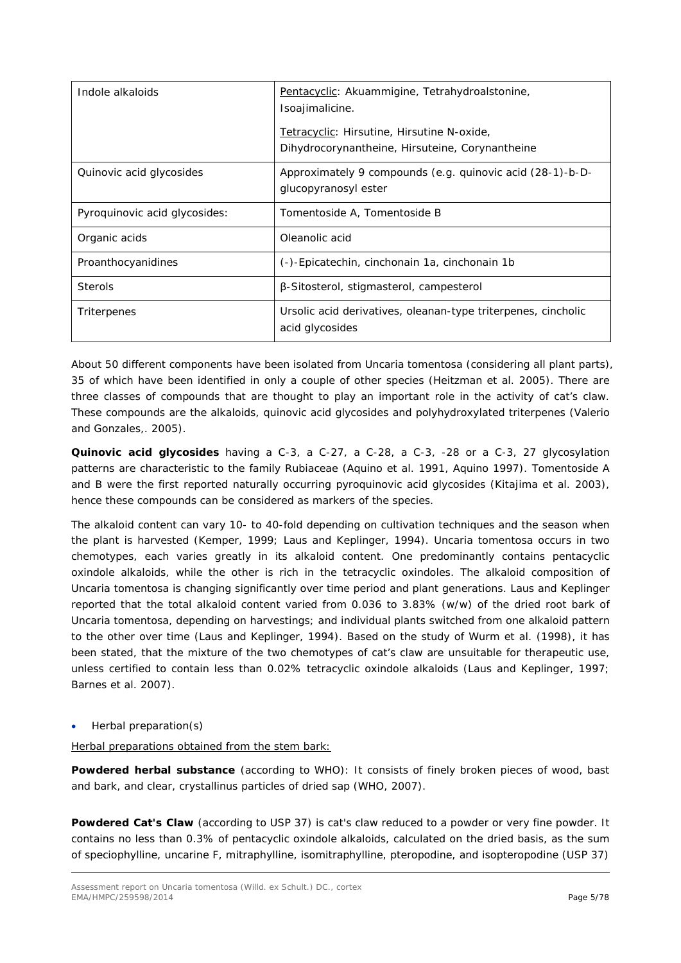| Indole alkaloids              | Pentacyclic: Akuammigine, Tetrahydroalstonine,<br>Isoajimalicine.<br>Tetracyclic: Hirsutine, Hirsutine N-oxide,<br>Dihydrocorynantheine, Hirsuteine, Corynantheine |  |
|-------------------------------|--------------------------------------------------------------------------------------------------------------------------------------------------------------------|--|
| Quinovic acid glycosides      | Approximately 9 compounds (e.g. quinovic acid (28-1)-b-D-<br>glucopyranosyl ester                                                                                  |  |
| Pyroquinovic acid glycosides: | Tomentoside A, Tomentoside B                                                                                                                                       |  |
| Organic acids                 | Oleanolic acid                                                                                                                                                     |  |
| Proanthocyanidines            | (-)-Epicatechin, cinchonain 1a, cinchonain 1b                                                                                                                      |  |
| <b>Sterols</b>                | β-Sitosterol, stigmasterol, campesterol                                                                                                                            |  |
| Triterpenes                   | Ursolic acid derivatives, oleanan-type triterpenes, cincholic<br>acid glycosides                                                                                   |  |

About 50 different components have been isolated from *Uncaria tomentosa* (considering all plant parts), 35 of which have been identified in only a couple of other species (Heitzman *et al.* 2005). There are three classes of compounds that are thought to play an important role in the activity of cat's claw. These compounds are the alkaloids, quinovic acid glycosides and polyhydroxylated triterpenes (Valerio and Gonzales*,.* 2005).

**Quinovic acid glycosides** having a C-3, a C-27, a C-28, a C-3, -28 or a C-3, 27 glycosylation patterns are characteristic to the family Rubiaceae (Aquino *et al.* 1991, Aquino 1997). Tomentoside A and B were the first reported naturally occurring pyroquinovic acid glycosides (Kitajima *et al.* 2003), hence these compounds can be considered as markers of the species.

The alkaloid content can vary 10- to 40-fold depending on cultivation techniques and the season when the plant is harvested (Kemper, 1999; Laus and Keplinger, 1994). *Uncaria tomentosa* occurs in two chemotypes, each varies greatly in its alkaloid content. One predominantly contains pentacyclic oxindole alkaloids, while the other is rich in the tetracyclic oxindoles. The alkaloid composition of *Uncaria tomentosa* is changing significantly over time period and plant generations. Laus and Keplinger reported that the total alkaloid content varied from 0.036 to 3.83% (w/w) of the dried root bark of *Uncaria tomentosa*, depending on harvestings; and individual plants switched from one alkaloid pattern to the other over time (Laus and Keplinger, 1994). Based on the study of Wurm *et al.* (1998), it has been stated, that the mixture of the two chemotypes of cat's claw are unsuitable for therapeutic use, unless certified to contain less than 0.02% tetracyclic oxindole alkaloids (Laus and Keplinger, 1997; Barnes *et al.* 2007).

# • Herbal preparation(s)

Herbal preparations obtained from the stem bark:

**Powdered herbal substance** (according to WHO): It consists of finely broken pieces of wood, bast and bark, and clear, crystallinus particles of dried sap (WHO, 2007).

Powdered Cat's Claw (according to USP 37) is cat's claw reduced to a powder or very fine powder. It contains no less than 0.3% of pentacyclic oxindole alkaloids, calculated on the dried basis, as the sum of speciophylline, uncarine F, mitraphylline, isomitraphylline, pteropodine, and isopteropodine (USP 37)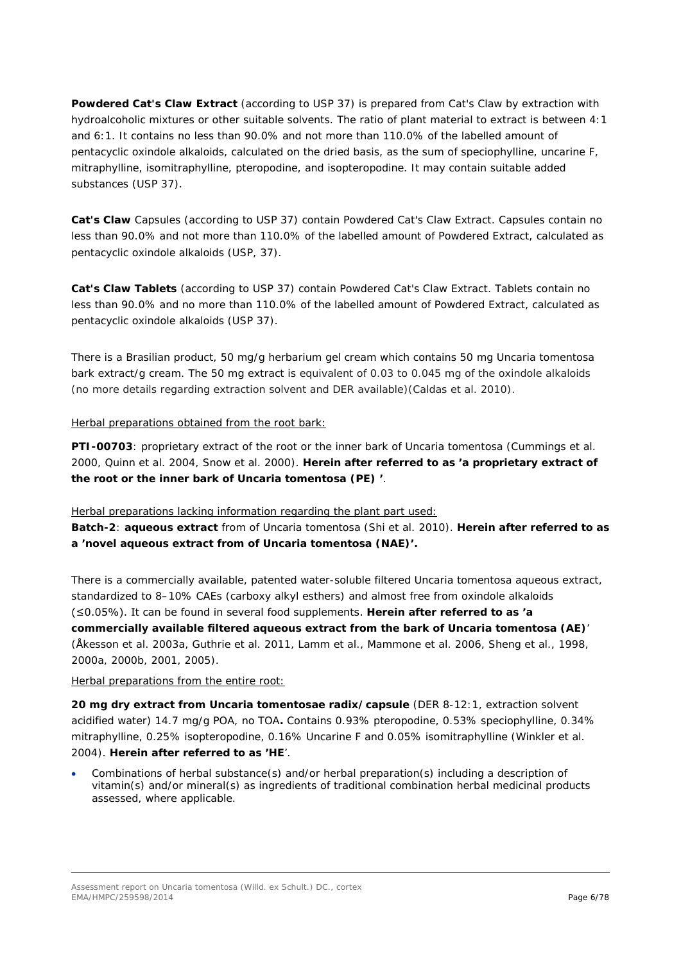**Powdered Cat's Claw Extract** (according to USP 37) is prepared from Cat's Claw by extraction with hydroalcoholic mixtures or other suitable solvents. The ratio of plant material to extract is between 4:1 and 6:1. It contains no less than 90.0% and not more than 110.0% of the labelled amount of pentacyclic oxindole alkaloids, calculated on the dried basis, as the sum of speciophylline, uncarine F, mitraphylline, isomitraphylline, pteropodine, and isopteropodine. It may contain suitable added substances (USP 37).

**Cat's Claw** Capsules (according to USP 37) contain Powdered Cat's Claw Extract. Capsules contain no less than 90.0% and not more than 110.0% of the labelled amount of Powdered Extract, calculated as pentacyclic oxindole alkaloids (USP, 37).

**Cat's Claw Tablets** (according to USP 37) contain Powdered Cat's Claw Extract. Tablets contain no less than 90.0% and no more than 110.0% of the labelled amount of Powdered Extract, calculated as pentacyclic oxindole alkaloids (USP 37).

There is a Brasilian product, 50 mg/g herbarium gel cream which contains 50 mg *Uncaria tomentosa*  bark extract/g cream. The 50 mg extract is equivalent of 0.03 to 0.045 mg of the oxindole alkaloids (no more details regarding extraction solvent and DER available)(Caldas *et al*. 2010).

Herbal preparations obtained from the root bark:

**PTI-00703**: proprietary extract of the root or the inner bark of *Uncaria tomentosa* (Cummings *et al.* 2000, Quinn *et al.* 2004, Snow *et al.* 2000). **Herein after referred to as 'a proprietary extract of the root or the inner bark of** *Uncaria tomentosa* **(PE) '**.

Herbal preparations lacking information regarding the plant part used:

**Batch-2**: **aqueous extract** from of *Uncaria tomentosa* (Shi *et al.* 2010). **Herein after referred to as a 'novel aqueous extract from of** *Uncaria tomentosa* **(NAE)'.**

There is a commercially available, patented water-soluble filtered *Uncaria tomentosa* aqueous extract, standardized to 8–10% CAEs (carboxy alkyl esthers) and almost free from oxindole alkaloids (≤0.05%). It can be found in several food supplements. **Herein after referred to as 'a commercially available filtered aqueous extract from the bark of** *Uncaria tomentosa* **(AE)**' (Åkesson *et al*. 2003a, Guthrie *et al.* 2011, Lamm *et al*., Mammone *et al*. 2006, Sheng *et al*., 1998, 2000a, 2000b, 2001, 2005).

Herbal preparations from the entire root:

**20 mg dry extract from** *Uncaria tomentosae radix***/capsule** (DER 8-12:1, extraction solvent acidified water) 14.7 mg/g POA, no TOA**.** Contains 0.93% pteropodine, 0.53% speciophylline, 0.34% mitraphylline, 0.25% isopteropodine, 0.16% Uncarine F and 0.05% isomitraphylline (Winkler *et al.* 2004). **Herein after referred to as 'HE**'.

• Combinations of herbal substance(s) and/or herbal preparation(s) including a description of vitamin(s) and/or mineral(s) as ingredients of traditional combination herbal medicinal products assessed, where applicable.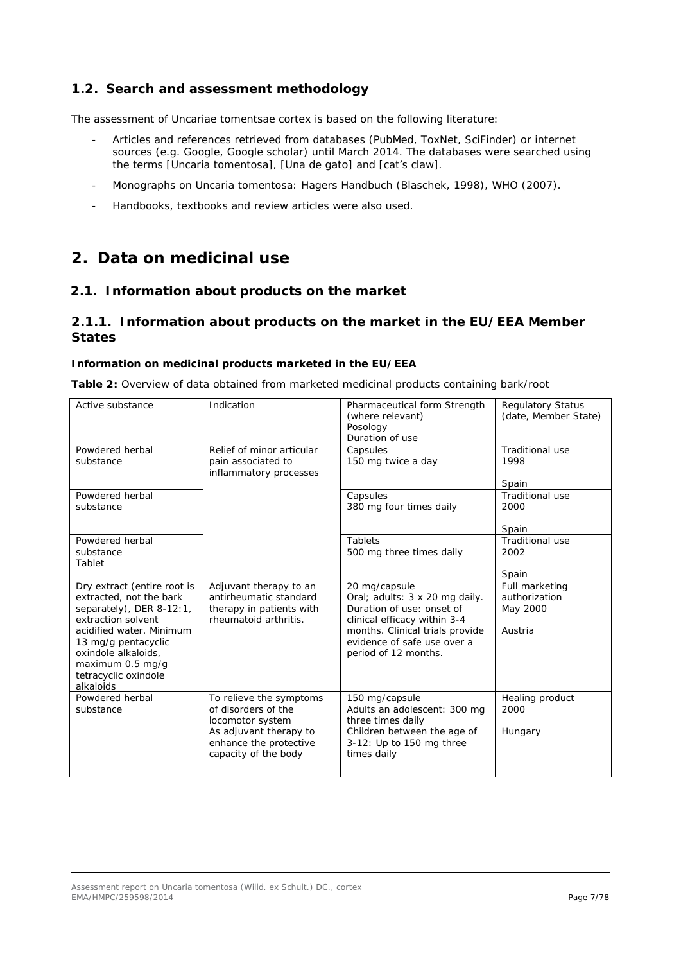# <span id="page-6-0"></span>*1.2. Search and assessment methodology*

The assessment of Uncariae tomentsae cortex is based on the following literature:

- Articles and references retrieved from databases (PubMed, ToxNet, SciFinder) or internet sources (e.g. Google, Google scholar) until March 2014. The databases were searched using the terms [*Uncaria tomentosa*], [Una de gato] and [cat's claw].
- Monographs on *Uncaria tomentosa*: Hagers Handbuch (Blaschek, 1998), WHO (2007).
- Handbooks, textbooks and review articles were also used.

# <span id="page-6-1"></span>**2. Data on medicinal use**

# <span id="page-6-2"></span>*2.1. Information about products on the market*

# <span id="page-6-3"></span>**2.1.1. Information about products on the market in the EU/EEA Member States**

### **Information on medicinal products marketed in the EU/EEA**

| Active substance                                                                                                                                                                                                                            | Indication                                                                                                                                     | Pharmaceutical form Strength<br>(where relevant)<br>Posology<br>Duration of use                                                                                                                        | <b>Regulatory Status</b><br>(date, Member State)       |
|---------------------------------------------------------------------------------------------------------------------------------------------------------------------------------------------------------------------------------------------|------------------------------------------------------------------------------------------------------------------------------------------------|--------------------------------------------------------------------------------------------------------------------------------------------------------------------------------------------------------|--------------------------------------------------------|
| Powdered herbal<br>substance                                                                                                                                                                                                                | Relief of minor articular<br>pain associated to<br>inflammatory processes                                                                      | Capsules<br>150 mg twice a day                                                                                                                                                                         | <b>Traditional use</b><br>1998<br>Spain                |
| Powdered herbal<br>substance                                                                                                                                                                                                                |                                                                                                                                                | Capsules<br>380 mg four times daily                                                                                                                                                                    | <b>Traditional use</b><br>2000<br>Spain                |
| Powdered herbal<br>substance<br>Tablet                                                                                                                                                                                                      |                                                                                                                                                | Tablets<br>500 mg three times daily                                                                                                                                                                    | <b>Traditional use</b><br>2002<br>Spain                |
| Dry extract (entire root is<br>extracted, not the bark<br>separately), DER 8-12:1,<br>extraction solvent<br>acidified water. Minimum<br>13 mg/g pentacyclic<br>oxindole alkaloids,<br>maximum 0.5 mg/g<br>tetracyclic oxindole<br>alkaloids | Adjuvant therapy to an<br>antirheumatic standard<br>therapy in patients with<br>rheumatoid arthritis.                                          | 20 mg/capsule<br>Oral; adults: 3 x 20 mg daily.<br>Duration of use: onset of<br>clinical efficacy within 3-4<br>months. Clinical trials provide<br>evidence of safe use over a<br>period of 12 months. | Full marketing<br>authorization<br>May 2000<br>Austria |
| Powdered herbal<br>substance                                                                                                                                                                                                                | To relieve the symptoms<br>of disorders of the<br>locomotor system<br>As adjuvant therapy to<br>enhance the protective<br>capacity of the body | 150 mg/capsule<br>Adults an adolescent: 300 mg<br>three times daily<br>Children between the age of<br>3-12: Up to 150 mg three<br>times daily                                                          | Healing product<br>2000<br>Hungary                     |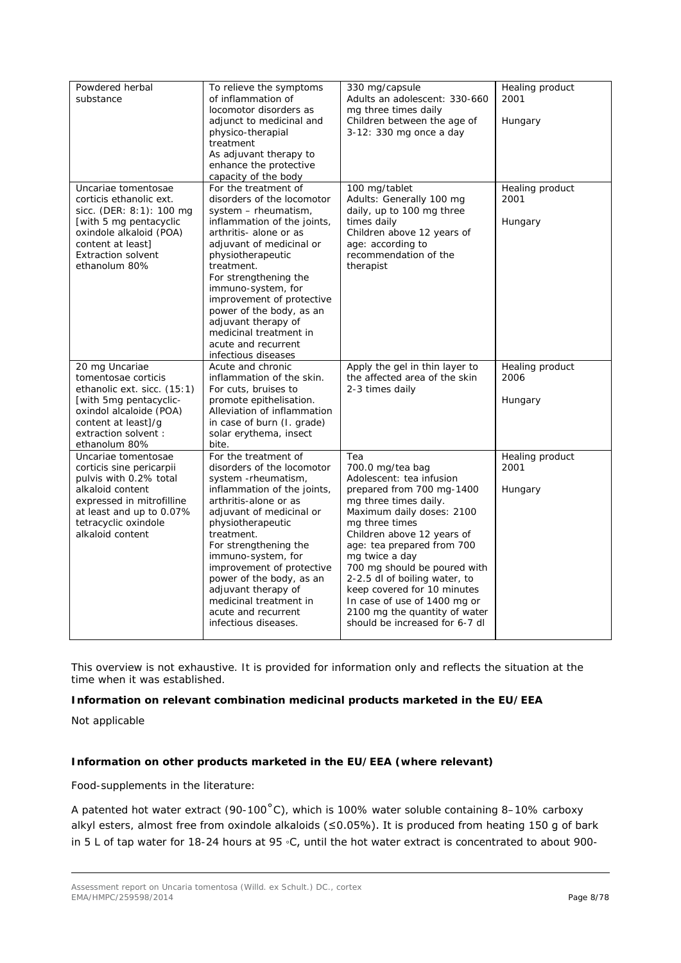| Powdered herbal<br>substance                                                                                                                                                                       | To relieve the symptoms<br>of inflammation of<br>locomotor disorders as<br>adjunct to medicinal and<br>physico-therapial<br>treatment<br>As adjuvant therapy to<br>enhance the protective<br>capacity of the body                                                                                                                                                                                         | 330 mg/capsule<br>Adults an adolescent: 330-660<br>mg three times daily<br>Children between the age of<br>3-12: 330 mg once a day                                                                                                                                                                                                                                                                                                         | Healing product<br>2001<br>Hungary |
|----------------------------------------------------------------------------------------------------------------------------------------------------------------------------------------------------|-----------------------------------------------------------------------------------------------------------------------------------------------------------------------------------------------------------------------------------------------------------------------------------------------------------------------------------------------------------------------------------------------------------|-------------------------------------------------------------------------------------------------------------------------------------------------------------------------------------------------------------------------------------------------------------------------------------------------------------------------------------------------------------------------------------------------------------------------------------------|------------------------------------|
| Uncariae tomentosae<br>corticis ethanolic ext.<br>sicc. (DER: 8:1): 100 mg<br>[with 5 mg pentacyclic<br>oxindole alkaloid (POA)<br>content at least]<br><b>Extraction solvent</b><br>ethanolum 80% | For the treatment of<br>disorders of the locomotor<br>system - rheumatism,<br>inflammation of the joints,<br>arthritis- alone or as<br>adjuvant of medicinal or<br>physiotherapeutic<br>treatment.<br>For strengthening the<br>immuno-system, for<br>improvement of protective<br>power of the body, as an<br>adjuvant therapy of<br>medicinal treatment in<br>acute and recurrent<br>infectious diseases | 100 mg/tablet<br>Adults: Generally 100 mg<br>daily, up to 100 mg three<br>times daily<br>Children above 12 years of<br>age: according to<br>recommendation of the<br>therapist                                                                                                                                                                                                                                                            | Healing product<br>2001<br>Hungary |
| 20 mg Uncariae<br>tomentosae corticis<br>ethanolic ext. sicc. (15:1)<br>[with 5mg pentacyclic-<br>oxindol alcaloide (POA)<br>content at least]/g<br>extraction solvent:<br>ethanolum 80%           | Acute and chronic<br>inflammation of the skin.<br>For cuts, bruises to<br>promote epithelisation.<br>Alleviation of inflammation<br>in case of burn (I. grade)<br>solar erythema, insect<br>bite.                                                                                                                                                                                                         | Apply the gel in thin layer to<br>the affected area of the skin<br>2-3 times daily                                                                                                                                                                                                                                                                                                                                                        | Healing product<br>2006<br>Hungary |
| Uncariae tomentosae<br>corticis sine pericarpii<br>pulvis with 0.2% total<br>alkaloid content<br>expressed in mitrofilline<br>at least and up to 0.07%<br>tetracyclic oxindole<br>alkaloid content | For the treatment of<br>disorders of the locomotor<br>system -rheumatism,<br>inflammation of the joints,<br>arthritis-alone or as<br>adjuvant of medicinal or<br>physiotherapeutic<br>treatment.<br>For strengthening the<br>immuno-system, for<br>improvement of protective<br>power of the body, as an<br>adjuvant therapy of<br>medicinal treatment in<br>acute and recurrent<br>infectious diseases.  | Tea<br>700.0 mg/tea bag<br>Adolescent: tea infusion<br>prepared from 700 mg-1400<br>mg three times daily.<br>Maximum daily doses: 2100<br>mg three times<br>Children above 12 years of<br>age: tea prepared from 700<br>mg twice a day<br>700 mg should be poured with<br>2-2.5 dl of boiling water, to<br>keep covered for 10 minutes<br>In case of use of 1400 mg or<br>2100 mg the quantity of water<br>should be increased for 6-7 dl | Healing product<br>2001<br>Hungary |

This overview is not exhaustive. It is provided for information only and reflects the situation at the time when it was established.

# **Information on relevant combination medicinal products marketed in the EU/EEA**

Not applicable

# **Information on other products marketed in the EU/EEA (where relevant)**

Food-supplements in the literature:

A patented hot water extract (90-100˚C), which is 100% water soluble containing 8–10% carboxy alkyl esters, almost free from oxindole alkaloids (≤0.05%). It is produced from heating 150 g of bark in 5 L of tap water for 18-24 hours at 95 ◦C, until the hot water extract is concentrated to about 900-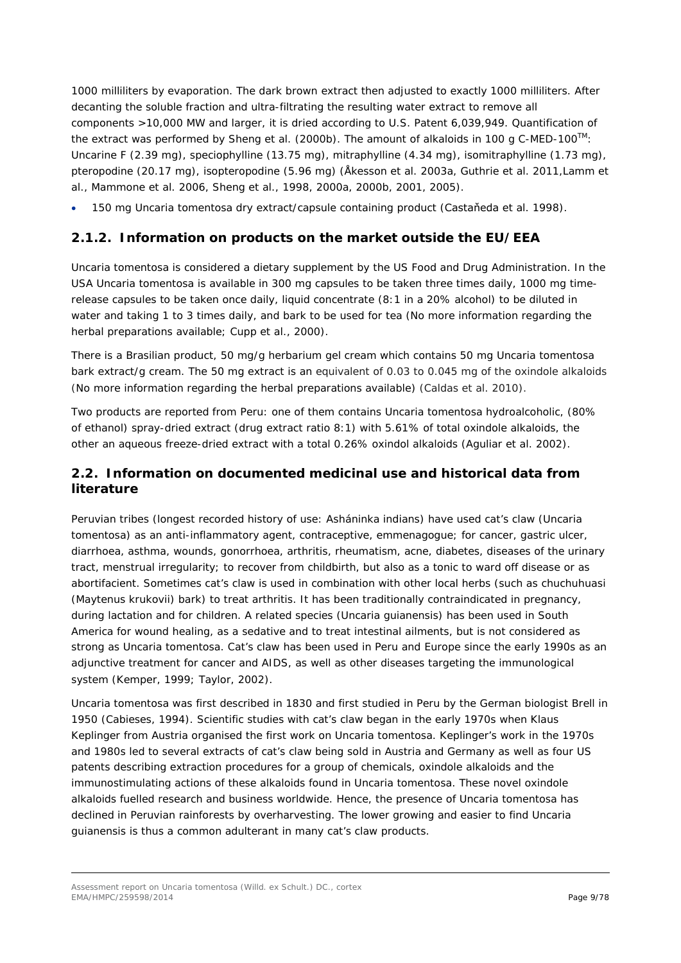1000 milliliters by evaporation. The dark brown extract then adjusted to exactly 1000 milliliters. After decanting the soluble fraction and ultra-filtrating the resulting water extract to remove all components >10,000 MW and larger, it is dried according to U.S. Patent 6,039,949. Quantification of the extract was performed by Sheng *et al.* (2000b). The amount of alkaloids in 100 g C-MED-100TM: Uncarine F (2.39 mg), speciophylline (13.75 mg), mitraphylline (4.34 mg), isomitraphylline (1.73 mg), pteropodine (20.17 mg), isopteropodine (5.96 mg) (Åkesson *et al.* 2003a, Guthrie *et al.* 2011,Lamm *et al*., Mammone *et al*. 2006, Sheng *et al*., 1998, 2000a, 2000b, 2001, 2005).

<span id="page-8-0"></span>• 150 mg *Uncaria tomentosa* dry extract/capsule containing product (Castaňeda *et al*. 1998).

# **2.1.2. Information on products on the market outside the EU/EEA**

*Uncaria tomentosa* is considered a dietary supplement by the US Food and Drug Administration. In the USA *Uncaria tomentosa* is available in 300 mg capsules to be taken three times daily, 1000 mg timerelease capsules to be taken once daily, liquid concentrate (8:1 in a 20% alcohol) to be diluted in water and taking 1 to 3 times daily, and bark to be used for tea (No more information regarding the herbal preparations available; Cupp *et al*., 2000).

There is a Brasilian product, 50 mg/g herbarium gel cream which contains 50 mg *Uncaria tomentosa*  bark extract/g cream. The 50 mg extract is an equivalent of 0.03 to 0.045 mg of the oxindole alkaloids (No more information regarding the herbal preparations available) (Caldas *et al.* 2010).

Two products are reported from Peru: one of them contains *Uncaria tomentosa* hydroalcoholic, (80% of ethanol) spray-dried extract (drug extract ratio 8:1) with 5.61% of total oxindole alkaloids, the other an aqueous freeze-dried extract with a total 0.26% oxindol alkaloids (Aguliar *et al*. 2002).

# <span id="page-8-1"></span>*2.2. Information on documented medicinal use and historical data from literature*

Peruvian tribes (longest recorded history of use: Asháninka indians) have used cat's claw (*Uncaria tomentosa*) as an anti-inflammatory agent, contraceptive, emmenagogue; for cancer, gastric ulcer, diarrhoea, asthma, wounds, gonorrhoea, arthritis, rheumatism, acne, diabetes, diseases of the urinary tract, menstrual irregularity; to recover from childbirth, but also as a tonic to ward off disease or as abortifacient. Sometimes cat's claw is used in combination with other local herbs (such as chuchuhuasi (*Maytenus krukovii*) bark) to treat arthritis. It has been traditionally contraindicated in pregnancy, during lactation and for children. A related species (*Uncaria guianensis*) has been used in South America for wound healing, as a sedative and to treat intestinal ailments, but is not considered as strong as *Uncaria tomentosa.* Cat's claw has been used in Peru and Europe since the early 1990s as an adjunctive treatment for cancer and AIDS, as well as other diseases targeting the immunological system (Kemper, 1999; Taylor, 2002).

*Uncaria tomentosa* was first described in 1830 and first studied in Peru by the German biologist Brell in 1950 (Cabieses, 1994). Scientific studies with cat's claw began in the early 1970s when Klaus Keplinger from Austria organised the first work on *Uncaria tomentosa*. Keplinger's work in the 1970s and 1980s led to several extracts of cat's claw being sold in Austria and Germany as well as four US patents describing extraction procedures for a group of chemicals, oxindole alkaloids and the immunostimulating actions of these alkaloids found in *Uncaria tomentosa*. These novel oxindole alkaloids fuelled research and business worldwide. Hence, the presence of *Uncaria tomentosa* has declined in Peruvian rainforests by overharvesting. The lower growing and easier to find *Uncaria guianensis* is thus a common adulterant in many cat's claw products.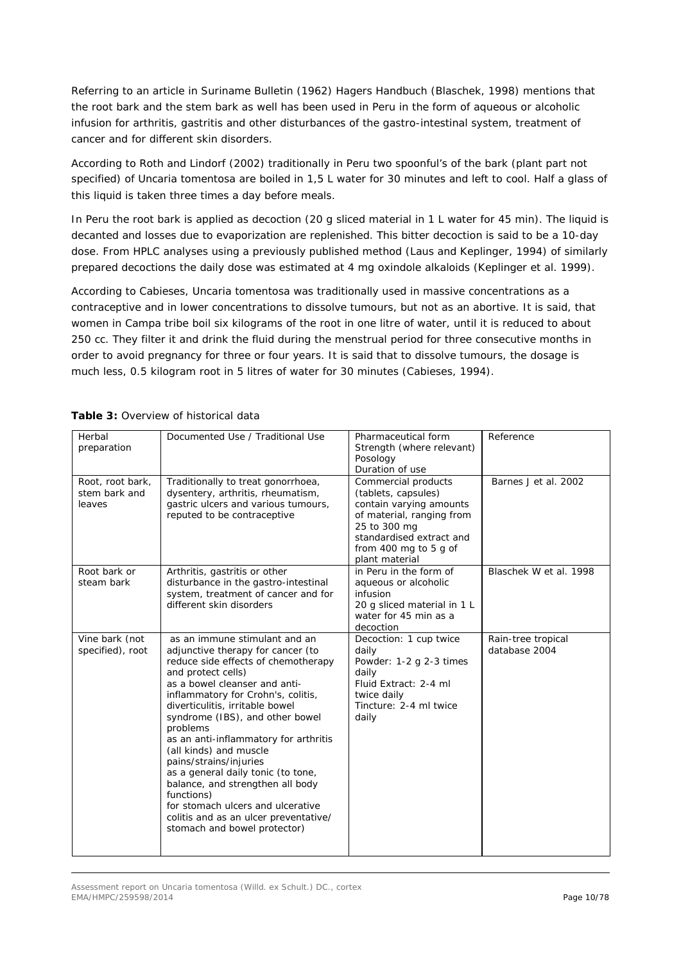Referring to an article in Suriname Bulletin (1962) Hagers Handbuch (Blaschek, 1998) mentions that the root bark and the stem bark as well has been used in Peru in the form of aqueous or alcoholic infusion for arthritis, gastritis and other disturbances of the gastro-intestinal system, treatment of cancer and for different skin disorders.

According to Roth and Lindorf (2002) traditionally in Peru two spoonful's of the bark (plant part not specified) of *Uncaria tomentosa* are boiled in 1,5 L water for 30 minutes and left to cool. Half a glass of this liquid is taken three times a day before meals.

In Peru the root bark is applied as decoction (20 g sliced material in 1 L water for 45 min). The liquid is decanted and losses due to evaporization are replenished. This bitter decoction is said to be a 10-day dose. From HPLC analyses using a previously published method (Laus and Keplinger, 1994) of similarly prepared decoctions the daily dose was estimated at 4 mg oxindole alkaloids (Keplinger *et al.* 1999).

According to Cabieses, *Uncaria tomentosa* was traditionally used in massive concentrations as a contraceptive and in lower concentrations to dissolve tumours, but not as an abortive. It is said, that women in Campa tribe boil six kilograms of the root in one litre of water, until it is reduced to about 250 cc. They filter it and drink the fluid during the menstrual period for three consecutive months in order to avoid pregnancy for three or four years. It is said that to dissolve tumours, the dosage is much less, 0.5 kilogram root in 5 litres of water for 30 minutes (Cabieses, 1994).

| Herbal<br>preparation                       | Documented Use / Traditional Use                                                                                                                                                                                                                                                                                                                                                                                                                                                                                                                                                            | Pharmaceutical form<br>Strength (where relevant)<br>Posology<br>Duration of use                                                                                                           | Reference                           |
|---------------------------------------------|---------------------------------------------------------------------------------------------------------------------------------------------------------------------------------------------------------------------------------------------------------------------------------------------------------------------------------------------------------------------------------------------------------------------------------------------------------------------------------------------------------------------------------------------------------------------------------------------|-------------------------------------------------------------------------------------------------------------------------------------------------------------------------------------------|-------------------------------------|
| Root, root bark,<br>stem bark and<br>leaves | Traditionally to treat gonorrhoea,<br>dysentery, arthritis, rheumatism,<br>gastric ulcers and various tumours,<br>reputed to be contraceptive                                                                                                                                                                                                                                                                                                                                                                                                                                               | Commercial products<br>(tablets, capsules)<br>contain varying amounts<br>of material, ranging from<br>25 to 300 mg<br>standardised extract and<br>from 400 mg to 5 g of<br>plant material | Barnes J et al. 2002                |
| Root bark or<br>steam bark                  | Arthritis, gastritis or other<br>disturbance in the gastro-intestinal<br>system, treatment of cancer and for<br>different skin disorders                                                                                                                                                                                                                                                                                                                                                                                                                                                    | in Peru in the form of<br>aqueous or alcoholic<br>infusion<br>20 g sliced material in 1 L<br>water for 45 min as a<br>decoction                                                           | Blaschek W et al. 1998              |
| Vine bark (not<br>specified), root          | as an immune stimulant and an<br>adjunctive therapy for cancer (to<br>reduce side effects of chemotherapy<br>and protect cells)<br>as a bowel cleanser and anti-<br>inflammatory for Crohn's, colitis,<br>diverticulitis, irritable bowel<br>syndrome (IBS), and other bowel<br>problems<br>as an anti-inflammatory for arthritis<br>(all kinds) and muscle<br>pains/strains/injuries<br>as a general daily tonic (to tone,<br>balance, and strengthen all body<br>functions)<br>for stomach ulcers and ulcerative<br>colitis and as an ulcer preventative/<br>stomach and bowel protector) | Decoction: 1 cup twice<br>daily<br>Powder: 1-2 g 2-3 times<br>daily<br>Fluid Extract: 2-4 ml<br>twice daily<br>Tincture: 2-4 ml twice<br>daily                                            | Rain-tree tropical<br>database 2004 |

# **Table 3:** Overview of historical data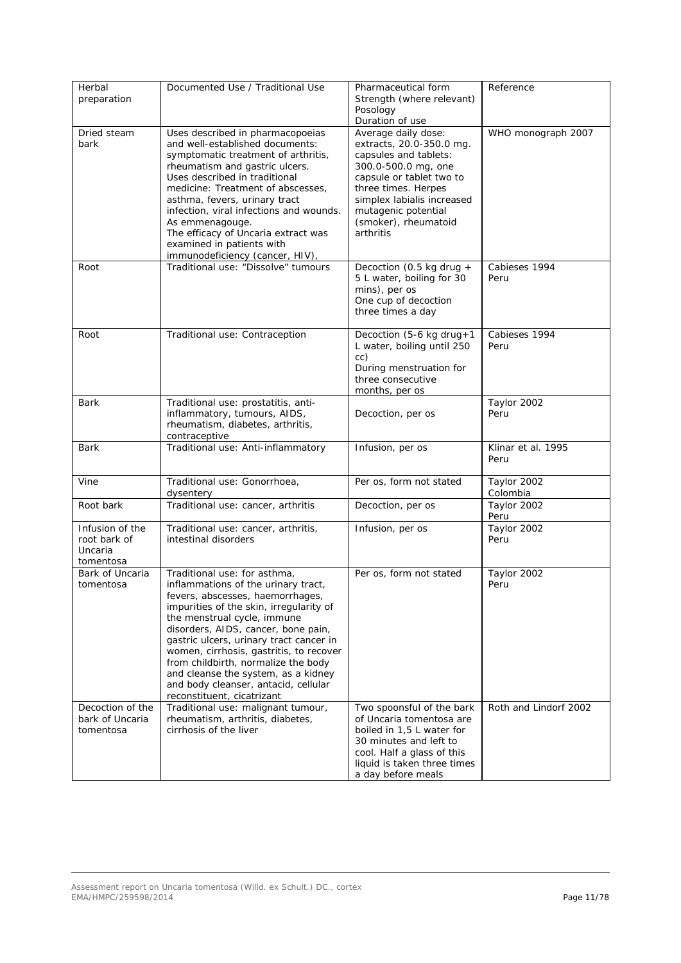| Herbal<br>preparation                                   | Documented Use / Traditional Use                                                                                                                                                                                                                                                                                                                                                                                                                                   | Pharmaceutical form<br>Strength (where relevant)<br>Posology<br>Duration of use                                                                                                                                                              | Reference                  |
|---------------------------------------------------------|--------------------------------------------------------------------------------------------------------------------------------------------------------------------------------------------------------------------------------------------------------------------------------------------------------------------------------------------------------------------------------------------------------------------------------------------------------------------|----------------------------------------------------------------------------------------------------------------------------------------------------------------------------------------------------------------------------------------------|----------------------------|
| Dried steam<br>bark                                     | Uses described in pharmacopoeias<br>and well-established documents:<br>symptomatic treatment of arthritis,<br>rheumatism and gastric ulcers.<br>Uses described in traditional<br>medicine: Treatment of abscesses,<br>asthma, fevers, urinary tract<br>infection, viral infections and wounds.<br>As emmenagouge.<br>The efficacy of Uncaria extract was<br>examined in patients with<br>immunodeficiency (cancer, HIV),                                           | Average daily dose:<br>extracts, 20.0-350.0 mg.<br>capsules and tablets:<br>300.0-500.0 mg, one<br>capsule or tablet two to<br>three times. Herpes<br>simplex labialis increased<br>mutagenic potential<br>(smoker), rheumatoid<br>arthritis | WHO monograph 2007         |
| Root                                                    | Traditional use: "Dissolve" tumours<br>Decoction (0.5 kg drug +<br>5 L water, boiling for 30<br>mins), per os<br>One cup of decoction<br>three times a day                                                                                                                                                                                                                                                                                                         |                                                                                                                                                                                                                                              | Cabieses 1994<br>Peru      |
| Root                                                    | Traditional use: Contraception                                                                                                                                                                                                                                                                                                                                                                                                                                     | Decoction (5-6 kg drug+1<br>L water, boiling until 250<br>cc)<br>During menstruation for<br>three consecutive<br>months, per os                                                                                                              | Cabieses 1994<br>Peru      |
| Bark                                                    | Traditional use: prostatitis, anti-<br>inflammatory, tumours, AIDS,<br>rheumatism, diabetes, arthritis,<br>contraceptive                                                                                                                                                                                                                                                                                                                                           | Decoction, per os                                                                                                                                                                                                                            | Taylor 2002<br>Peru        |
| Bark                                                    | Traditional use: Anti-inflammatory                                                                                                                                                                                                                                                                                                                                                                                                                                 | Infusion, per os                                                                                                                                                                                                                             | Klinar et al. 1995<br>Peru |
| Vine                                                    | Traditional use: Gonorrhoea,<br>dysentery                                                                                                                                                                                                                                                                                                                                                                                                                          | Per os, form not stated                                                                                                                                                                                                                      | Taylor 2002<br>Colombia    |
| Root bark                                               | Traditional use: cancer, arthritis                                                                                                                                                                                                                                                                                                                                                                                                                                 | Decoction, per os                                                                                                                                                                                                                            | Taylor 2002<br>Peru        |
| Infusion of the<br>root bark of<br>Uncaria<br>tomentosa | Traditional use: cancer, arthritis,<br>intestinal disorders                                                                                                                                                                                                                                                                                                                                                                                                        | Infusion, per os                                                                                                                                                                                                                             | Taylor 2002<br>Peru        |
| Bark of Uncaria<br>tomentosa                            | Traditional use: for asthma,<br>inflammations of the urinary tract,<br>fevers, abscesses, haemorrhages,<br>impurities of the skin, irregularity of<br>the menstrual cycle, immune<br>disorders, AIDS, cancer, bone pain,<br>gastric ulcers, urinary tract cancer in<br>women, cirrhosis, gastritis, to recover<br>from childbirth, normalize the body<br>and cleanse the system, as a kidney<br>and body cleanser, antacid, cellular<br>reconstituent, cicatrizant | Per os, form not stated                                                                                                                                                                                                                      | Taylor 2002<br>Peru        |
| Decoction of the<br>bark of Uncaria<br>tomentosa        | Traditional use: malignant tumour,<br>rheumatism, arthritis, diabetes,<br>cirrhosis of the liver                                                                                                                                                                                                                                                                                                                                                                   | Two spoonsful of the bark<br>of Uncaria tomentosa are<br>boiled in 1,5 L water for<br>30 minutes and left to<br>cool. Half a glass of this<br>liquid is taken three times<br>a day before meals                                              | Roth and Lindorf 2002      |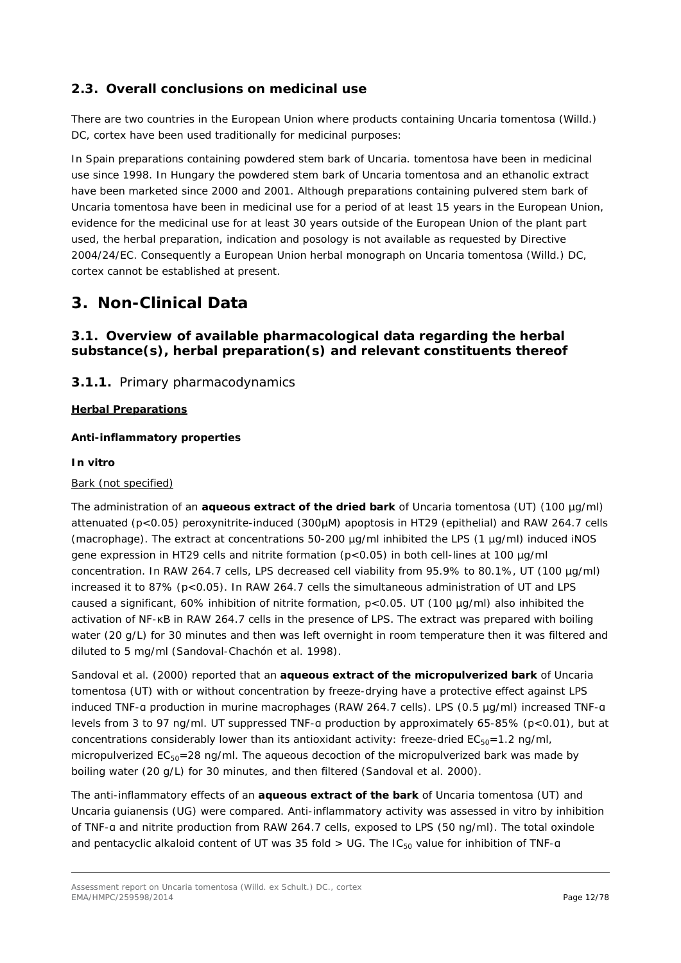# <span id="page-11-0"></span>*2.3. Overall conclusions on medicinal use*

There are two countries in the European Union where products containing *Uncaria tomentosa* (Willd.) DC, cortex have been used traditionally for medicinal purposes:

In Spain preparations containing powdered stem bark of *Uncaria. tomentosa* have been in medicinal use since 1998. In Hungary the powdered stem bark of *Uncaria tomentosa* and an ethanolic extract have been marketed since 2000 and 2001. Although preparations containing pulvered stem bark of *Uncaria tomentosa* have been in medicinal use for a period of at least 15 years in the European Union, evidence for the medicinal use for at least 30 years outside of the European Union of the plant part used, the herbal preparation, indication and posology is not available as requested by Directive 2004/24/EC. Consequently a European Union herbal monograph on *Uncaria tomentosa* (Willd.) DC, cortex cannot be established at present.

# <span id="page-11-1"></span>**3. Non-Clinical Data**

# <span id="page-11-2"></span>*3.1. Overview of available pharmacological data regarding the herbal substance(s), herbal preparation(s) and relevant constituents thereof*

# <span id="page-11-3"></span>**3.1.1.** Primary pharmacodynamics

# **Herbal Preparations**

### *Anti-inflammatory properties*

### *In vitro*

#### Bark (not specified)

The administration of an **aqueous extract of the dried bark** of *Uncaria tomentosa* (UT) (100 µg/ml) attenuated (p<0.05) peroxynitrite-induced (300µM) apoptosis in HT29 (epithelial) and RAW 264.7 cells (macrophage). The extract at concentrations 50-200 µg/ml inhibited the LPS (1 µg/ml) induced iNOS gene expression in HT29 cells and nitrite formation (p<0.05) in both cell-lines at 100 µg/ml concentration. In RAW 264.7 cells, LPS decreased cell viability from 95.9% to 80.1%, UT (100 µg/ml) increased it to 87% (p<0.05). In RAW 264.7 cells the simultaneous administration of UT and LPS caused a significant, 60% inhibition of nitrite formation,  $p<0.05$ . UT (100  $\mu g/ml$ ) also inhibited the activation of NF-κB in RAW 264.7 cells in the presence of LPS. The extract was prepared with boiling water (20 g/L) for 30 minutes and then was left overnight in room temperature then it was filtered and diluted to 5 mg/ml (Sandoval-Chachón *et al.* 1998).

Sandoval *et al.* (2000) reported that an **aqueous extract of the micropulverized bark** of *Uncaria tomentosa* (UT) with or without concentration by freeze-drying have a protective effect against LPS induced TNF-α production in murine macrophages (RAW 264.7 cells). LPS (0.5 µg/ml) increased TNF-α levels from 3 to 97 ng/ml. UT suppressed TNF-α production by approximately 65-85% (p<0.01), but at concentrations considerably lower than its antioxidant activity: freeze-dried  $EC_{50}=1.2$  ng/ml, micropulverized  $EC_{50} = 28$  ng/ml. The aqueous decoction of the micropulverized bark was made by boiling water (20 g/L) for 30 minutes, and then filtered (Sandoval *et al.* 2000).

The anti-inflammatory effects of an **aqueous extract of the bark** of *Uncaria tomentosa* (UT) and *Uncaria guianensis* (UG) were compared. Anti-inflammatory activity was assessed *in vitro* by inhibition of TNF-α and nitrite production from RAW 264.7 cells, exposed to LPS (50 ng/ml). The total oxindole and pentacyclic alkaloid content of UT was 35 fold  $>$  UG. The IC<sub>50</sub> value for inhibition of TNF-a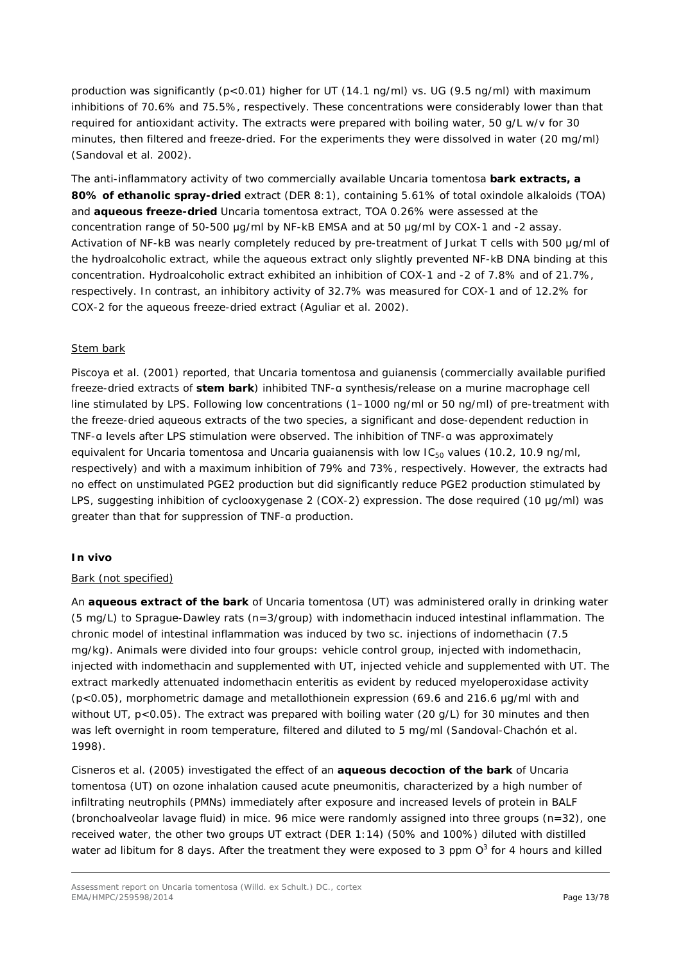production was significantly (p<0.01) higher for UT (14.1 ng/ml) vs. UG (9.5 ng/ml) with maximum inhibitions of 70.6% and 75.5%, respectively. These concentrations were considerably lower than that required for antioxidant activity. The extracts were prepared with boiling water, 50 g/L w/v for 30 minutes, then filtered and freeze-dried. For the experiments they were dissolved in water (20 mg/ml) (Sandoval *et al.* 2002).

The anti-inflammatory activity of two commercially available *Uncaria tomentosa* **bark extracts, a 80% of ethanolic spray-dried** extract (DER 8:1), containing 5.61% of total oxindole alkaloids (TOA) and **aqueous freeze-dried** *Uncaria tomentosa* extract, TOA 0.26% were assessed at the concentration range of 50-500 μg/ml by NF-kB EMSA and at 50 μg/ml by COX-1 and -2 assay. Activation of NF-kB was nearly completely reduced by pre-treatment of Jurkat T cells with 500 μg/ml of the hydroalcoholic extract, while the aqueous extract only slightly prevented NF-kB DNA binding at this concentration. Hydroalcoholic extract exhibited an inhibition of COX-1 and -2 of 7.8% and of 21.7%, respectively. In contrast, an inhibitory activity of 32.7% was measured for COX-1 and of 12.2% for COX-2 for the aqueous freeze-dried extract (Aguliar *et al.* 2002).

#### Stem bark

Piscoya *et al.* (2001) reported, that *Uncaria tomentosa* and *guianensis* (commercially available purified freeze-dried extracts of **stem bark**) inhibited TNF-α synthesis/release on a murine macrophage cell line stimulated by LPS. Following low concentrations (1–1000 ng/ml or 50 ng/ml) of pre-treatment with the freeze-dried aqueous extracts of the two species, a significant and dose-dependent reduction in TNF-α levels after LPS stimulation were observed. The inhibition of TNF-α was approximately equivalent *for Uncaria tomentosa* and *Uncaria quaianensis* with low IC<sub>50</sub> values (10.2, 10.9 ng/ml, respectively) and with a maximum inhibition of 79% and 73%, respectively. However, the extracts had no effect on unstimulated PGE2 production but did significantly reduce PGE2 production stimulated by LPS, suggesting inhibition of cyclooxygenase 2 (COX-2) expression. The dose required (10 μg/ml) was greater than that for suppression of TNF-α production.

#### *In vivo*

#### Bark (not specified)

An **aqueous extract of the bark** of *Uncaria tomentosa* (UT) was administered orally in drinking water (5 mg/L) to Sprague-Dawley rats (n=3/group) with indomethacin induced intestinal inflammation. The chronic model of intestinal inflammation was induced by two sc. injections of indomethacin (7.5 mg/kg). Animals were divided into four groups: vehicle control group, injected with indomethacin, injected with indomethacin and supplemented with UT, injected vehicle and supplemented with UT. The extract markedly attenuated indomethacin enteritis as evident by reduced myeloperoxidase activity  $(p<0.05)$ , morphometric damage and metallothionein expression (69.6 and 216.6  $\mu q/ml$  with and without UT, p<0.05). The extract was prepared with boiling water (20 g/L) for 30 minutes and then was left overnight in room temperature, filtered and diluted to 5 mg/ml (Sandoval-Chachón *et al.* 1998).

Cisneros *et al.* (2005) investigated the effect of an **aqueous decoction of the bark** of *Uncaria tomentosa* (UT) on ozone inhalation caused acute pneumonitis, characterized by a high number of infiltrating neutrophils (PMNs) immediately after exposure and increased levels of protein in BALF (bronchoalveolar lavage fluid) in mice. 96 mice were randomly assigned into three groups (n=32), one received water, the other two groups UT extract (DER 1:14) (50% and 100%) diluted with distilled water *ad libitum* for 8 days. After the treatment they were exposed to 3 ppm O<sup>3</sup> for 4 hours and killed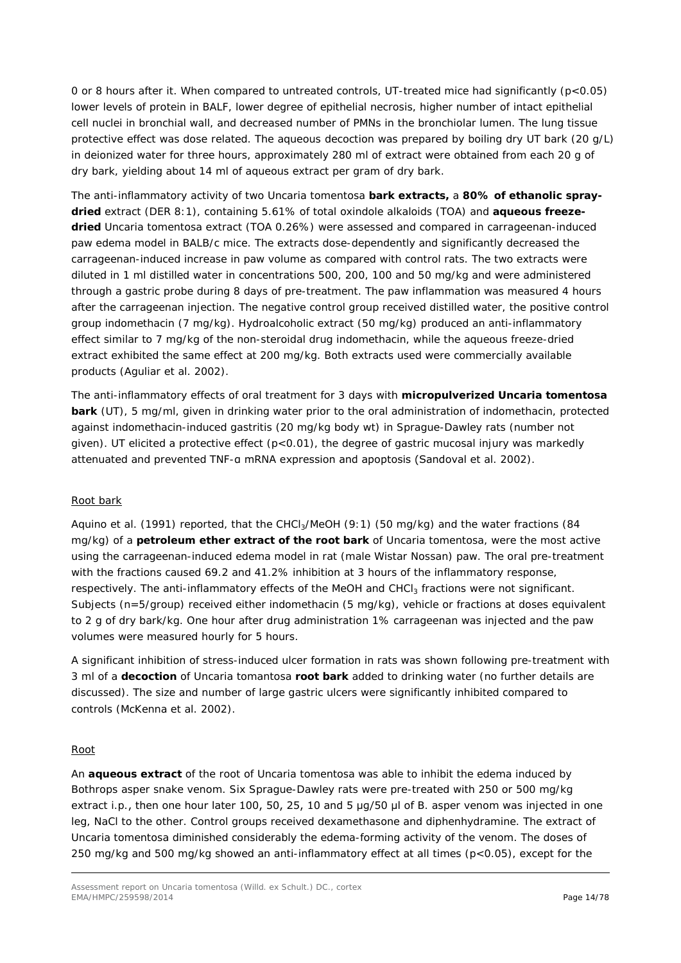0 or 8 hours after it. When compared to untreated controls, UT-treated mice had significantly (p<0.05) lower levels of protein in BALF, lower degree of epithelial necrosis, higher number of intact epithelial cell nuclei in bronchial wall, and decreased number of PMNs in the bronchiolar lumen. The lung tissue protective effect was dose related. The aqueous decoction was prepared by boiling dry UT bark (20 g/L) in deionized water for three hours, approximately 280 ml of extract were obtained from each 20 g of dry bark, yielding about 14 ml of aqueous extract per gram of dry bark.

The anti-inflammatory activity of two *Uncaria tomentosa* **bark extracts,** a **80% of ethanolic spraydried** extract (DER 8:1), containing 5.61% of total oxindole alkaloids (TOA) and **aqueous freezedried** *Uncaria tomentosa* extract (TOA 0.26%) were assessed and compared in carrageenan-induced paw edema model in BALB/c mice. The extracts dose-dependently and significantly decreased the carrageenan-induced increase in paw volume as compared with control rats. The two extracts were diluted in 1 ml distilled water in concentrations 500, 200, 100 and 50 mg/kg and were administered through a gastric probe during 8 days of pre-treatment. The paw inflammation was measured 4 hours after the carrageenan injection. The negative control group received distilled water, the positive control group indomethacin (7 mg/kg). Hydroalcoholic extract (50 mg/kg) produced an anti-inflammatory effect similar to 7 mg/kg of the non-steroidal drug indomethacin, while the aqueous freeze-dried extract exhibited the same effect at 200 mg/kg. Both extracts used were commercially available products (Aguliar *et al.* 2002).

The anti-inflammatory effects of oral treatment for 3 days with **micropulverized** *Uncaria tomentosa*  **bark** (UT), 5 mg/ml, given in drinking water prior to the oral administration of indomethacin, protected against indomethacin-induced gastritis (20 mg/kg body wt) in Sprague-Dawley rats (number not given). UT elicited a protective effect (p<0.01), the degree of gastric mucosal injury was markedly attenuated and prevented TNF-α mRNA expression and apoptosis (Sandoval *et al.* 2002).

#### Root bark

Aquino *et al.* (1991) reported, that the CHCl<sub>3</sub>/MeOH (9:1) (50 mg/kg) and the water fractions (84 mg/kg) of a **petroleum ether extract of the root bark** of *Uncaria tomentosa*, were the most active using the carrageenan-induced edema model in rat (male Wistar Nossan) paw. The oral pre-treatment with the fractions caused 69.2 and 41.2% inhibition at 3 hours of the inflammatory response, respectively. The anti-inflammatory effects of the MeOH and CHCl<sub>3</sub> fractions were not significant. Subjects (n=5/group) received either indomethacin (5 mg/kg), vehicle or fractions at doses equivalent to 2 g of dry bark/kg. One hour after drug administration 1% carrageenan was injected and the paw volumes were measured hourly for 5 hours.

A significant inhibition of stress-induced ulcer formation in rats was shown following pre-treatment with 3 ml of a **decoction** of *Uncaria tomantosa* **root bark** added to drinking water (no further details are discussed). The size and number of large gastric ulcers were significantly inhibited compared to controls (McKenna *et al.* 2002).

#### Root

An **aqueous extract** of the root of *Uncaria tomentosa* was able to inhibit the edema induced by *Bothrops asper* snake venom. Six Sprague-Dawley rats were pre-treated with 250 or 500 mg/kg extract *i.p.*, then one hour later 100, 50, 25, 10 and 5 μg/50 μl of *B. asper* venom was injected in one leg, NaCl to the other. Control groups received dexamethasone and diphenhydramine. The extract of *Uncaria tomentosa* diminished considerably the edema-forming activity of the venom. The doses of 250 mg/kg and 500 mg/kg showed an anti-inflammatory effect at all times (p<0.05), except for the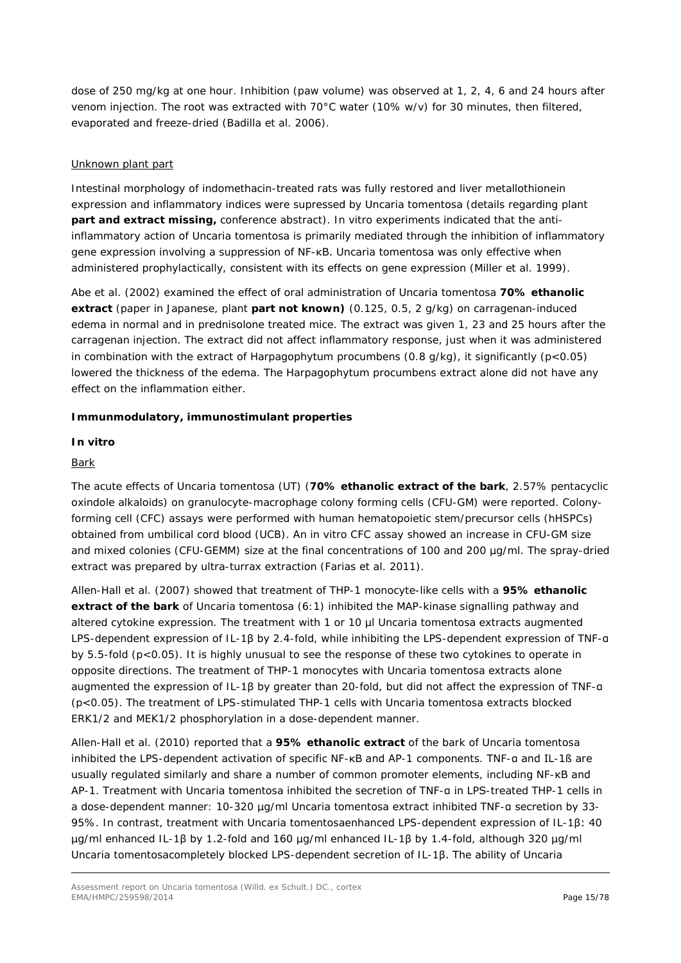dose of 250 mg/kg at one hour. Inhibition (paw volume) was observed at 1, 2, 4, 6 and 24 hours after venom injection. The root was extracted with 70°C water (10% w/v) for 30 minutes, then filtered, evaporated and freeze-dried (Badilla *et al.* 2006).

### Unknown plant part

Intestinal morphology of indomethacin-treated rats was fully restored and liver metallothionein expression and inflammatory indices were supressed by *Uncaria tomentosa* (details regarding plant **part and extract missing,** conference abstract). *In vitro* experiments indicated that the antiinflammatory action of *Uncaria tomentosa* is primarily mediated through the inhibition of inflammatory gene expression involving a suppression of NF-κB. *Uncaria tomentosa* was only effective when administered prophylactically, consistent with its effects on gene expression (Miller *et al.* 1999).

Abe *et al.* (2002) examined the effect of oral administration of *Uncaria tomentosa* **70% ethanolic extract** (paper in Japanese, plant **part not known)** (0.125, 0.5, 2 g/kg) on carragenan-induced edema in normal and in prednisolone treated mice. The extract was given 1, 23 and 25 hours after the carragenan injection. The extract did not affect inflammatory response, just when it was administered in combination with the extract of *Harpagophytum procumbens* (0.8 g/kg), it significantly (p<0.05) lowered the thickness of the edema. The *Harpagophytum procumbens* extract alone did not have any effect on the inflammation either.

### *Immunmodulatory, immunostimulant properties*

#### *In vitro*

### Bark

The acute effects of *Uncaria tomentosa* (UT) (**70% ethanolic extract of the bark**, 2.57% pentacyclic oxindole alkaloids) on granulocyte-macrophage colony forming cells (CFU-GM) were reported. Colonyforming cell (CFC) assays were performed with human hematopoietic stem/precursor cells (hHSPCs) obtained from umbilical cord blood (UCB). An *in vitro* CFC assay showed an increase in CFU-GM size and mixed colonies (CFU-GEMM) size at the final concentrations of 100 and 200 µg/ml. The spray-dried extract was prepared by ultra-turrax extraction (Farias *et al.* 2011).

Allen-Hall *et al.* (2007) showed that treatment of THP-1 monocyte-like cells with a **95% ethanolic extract of the bark** of *Uncaria tomentosa* (6:1) inhibited the MAP-kinase signalling pathway and altered cytokine expression. The treatment with 1 or 10 µl *Uncaria tomentosa* extracts augmented LPS-dependent expression of IL-1β by 2.4-fold, while inhibiting the LPS-dependent expression of TNF-α by 5.5-fold (p<0.05). It is highly unusual to see the response of these two cytokines to operate in opposite directions. The treatment of THP-1 monocytes with *Uncaria tomentosa* extracts alone augmented the expression of IL-1β by greater than 20-fold, but did not affect the expression of TNF-α (p<0.05). The treatment of LPS-stimulated THP-1 cells with *Uncaria tomentosa* extracts blocked ERK1/2 and MEK1/2 phosphorylation in a dose-dependent manner.

Allen-Hall *et al*. (2010) reported that a **95% ethanolic extract** of the bark of *Uncaria tomentosa*  inhibited the LPS-dependent activation of specific NF-κB and AP-1 components. TNF-α and IL-1ß are usually regulated similarly and share a number of common promoter elements, including NF-κB and AP-1. Treatment with *Uncaria tomentosa* inhibited the secretion of TNF-α in LPS-treated THP-1 cells in a dose-dependent manner: 10-320 µg/ml *Uncaria tomentosa* extract inhibited TNF-α secretion by 33- 95%. In contrast, treatment with *Uncaria tomentosa*enhanced LPS-dependent expression of IL-1β: 40 µg/ml enhanced IL-1β by 1.2-fold and 160 µg/ml enhanced IL-1β by 1.4-fold, although 320 µg/ml *Uncaria tomentosa*completely blocked LPS-dependent secretion of IL-1β. The ability of *Uncaria*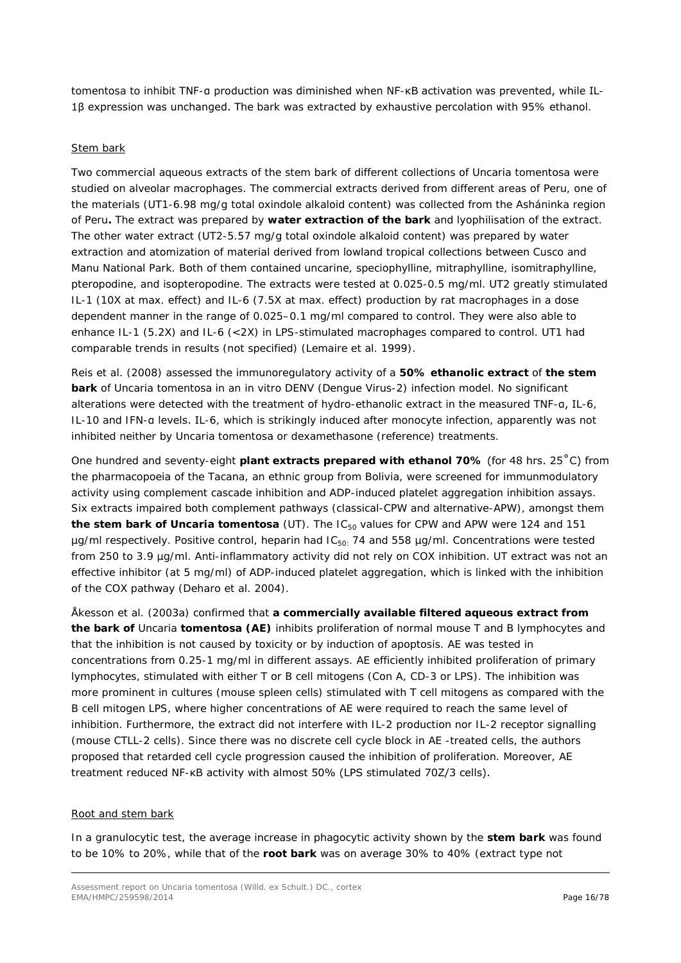*tomentosa* to inhibit TNF-α production was diminished when NF-κB activation was prevented, while IL-1β expression was unchanged. The bark was extracted by exhaustive percolation with 95% ethanol.

#### Stem bark

Two commercial aqueous extracts of the stem bark of different collections of *Uncaria tomentosa* were studied on alveolar macrophages. The commercial extracts derived from different areas of Peru, one of the materials (UT1-6.98 mg/g total oxindole alkaloid content) was collected from the Asháninka region of Peru**.** The extract was prepared by **water extraction of the bark** and lyophilisation of the extract. The other water extract (UT2-5.57 mg/g total oxindole alkaloid content) was prepared by water extraction and atomization of material derived from lowland tropical collections between Cusco and Manu National Park. Both of them contained uncarine, speciophylline, mitraphylline, isomitraphylline, pteropodine, and isopteropodine. The extracts were tested at 0.025-0.5 mg/ml. UT2 greatly stimulated IL-1 (10X at max. effect) and IL-6 (7.5X at max. effect) production by rat macrophages in a dose dependent manner in the range of 0.025–0.1 mg/ml compared to control. They were also able to enhance IL-1 (5.2X) and IL-6 (<2X) in LPS-stimulated macrophages compared to control. UT1 had comparable trends in results (not specified) (Lemaire *et al.* 1999).

Reis *et al.* (2008) assessed the immunoregulatory activity of a **50% ethanolic extract** of **the stem bark** of *Uncaria tomentosa* in an *in vitro* DENV (*Dengue* Virus-2) infection model. No significant alterations were detected with the treatment of hydro-ethanolic extract in the measured TNF-α, IL-6, IL-10 and IFN-α levels. IL-6, which is strikingly induced after monocyte infection, apparently was not inhibited neither by *Uncaria tomentosa* or dexamethasone (reference) treatments.

One hundred and seventy-eight **plant extracts prepared with ethanol 70%** (for 48 hrs. 25˚C) from the pharmacopoeia of the Tacana, an ethnic group from Bolivia, were screened for immunmodulatory activity using complement cascade inhibition and ADP-induced platelet aggregation inhibition assays. Six extracts impaired both complement pathways (classical-CPW and alternative-APW), amongst them the stem bark of *Uncaria tomentosa* (UT). The IC<sub>50</sub> values for CPW and APW were 124 and 151  $\mu$ g/ml respectively. Positive control, heparin had IC<sub>50:</sub> 74 and 558  $\mu$ g/ml. Concentrations were tested from 250 to 3.9 µg/ml. Anti-inflammatory activity did not rely on COX inhibition. UT extract was not an effective inhibitor (at 5 mg/ml) of ADP-induced platelet aggregation, which is linked with the inhibition of the COX pathway (Deharo *et al.* 2004).

Åkesson *et al.* (2003a) confirmed that **a commercially available filtered aqueous extract from the bark of** *Uncaria tomentosa* **(AE)** inhibits proliferation of normal mouse T and B lymphocytes and that the inhibition is not caused by toxicity or by induction of apoptosis. AE was tested in concentrations from 0.25-1 mg/ml in different assays. AE efficiently inhibited proliferation of primary lymphocytes, stimulated with either T or B cell mitogens (Con A, CD-3 or LPS). The inhibition was more prominent in cultures (mouse spleen cells) stimulated with T cell mitogens as compared with the B cell mitogen LPS, where higher concentrations of AE were required to reach the same level of inhibition. Furthermore, the extract did not interfere with IL-2 production nor IL-2 receptor signalling (mouse CTLL-2 cells). Since there was no discrete cell cycle block in AE -treated cells, the authors proposed that retarded cell cycle progression caused the inhibition of proliferation. Moreover, AE treatment reduced NF-κB activity with almost 50% (LPS stimulated 70Z/3 cells).

#### Root and stem bark

In a granulocytic test, the average increase in phagocytic activity shown by the **stem bark** was found to be 10% to 20%, while that of the **root bark** was on average 30% to 40% (extract type not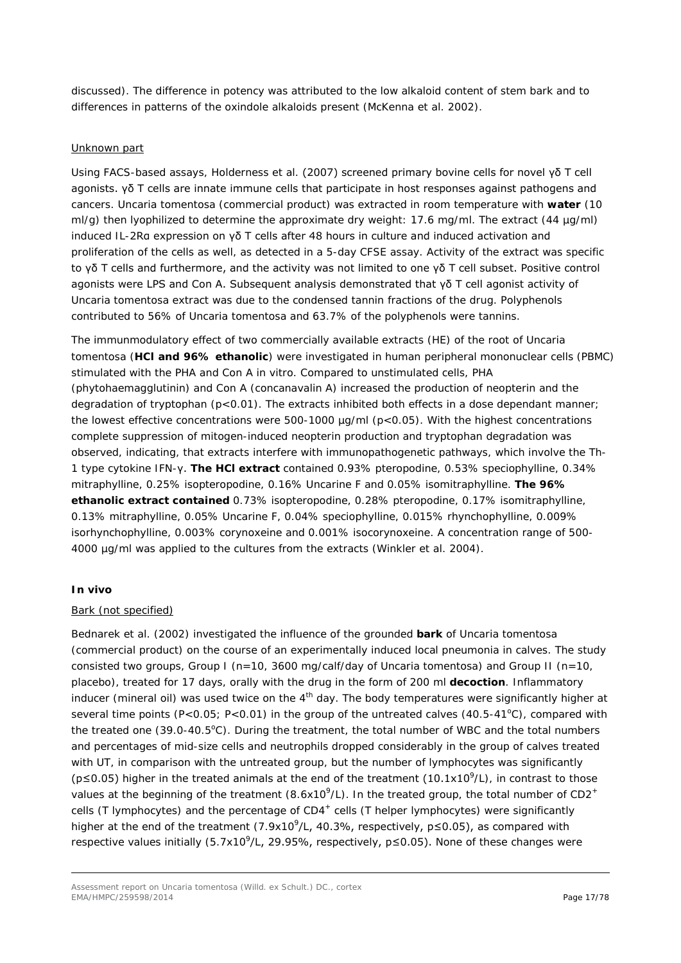discussed). The difference in potency was attributed to the low alkaloid content of stem bark and to differences in patterns of the oxindole alkaloids present (McKenna *et al.* 2002).

#### Unknown part

Using FACS-based assays, Holderness *et al.* (2007) screened primary bovine cells for novel γδ T cell agonists. γδ T cells are innate immune cells that participate in host responses against pathogens and cancers. *Uncaria tomentosa* (commercial product) was extracted in room temperature with **water** (10 ml/g) then lyophilized to determine the approximate dry weight: 17.6 mg/ml. The extract (44 µg/ml) induced IL-2Rα expression on γδ T cells after 48 hours in culture and induced activation and proliferation of the cells as well, as detected in a 5-day CFSE assay. Activity of the extract was specific to γδ T cells and furthermore, and the activity was not limited to one γδ T cell subset. Positive control agonists were LPS and Con A. Subsequent analysis demonstrated that γδ T cell agonist activity of *Uncaria tomentosa* extract was due to the condensed tannin fractions of the drug. Polyphenols contributed to 56% of *Uncaria tomentosa* and 63.7% of the polyphenols were tannins.

The immunmodulatory effect of two commercially available extracts (HE) of the root of *Uncaria tomentosa* (**HCl and 96% ethanolic**) were investigated in human peripheral mononuclear cells (PBMC) stimulated with the PHA and Con A *in vitro*. Compared to unstimulated cells, PHA (phytohaemagglutinin) and Con A (concanavalin A) increased the production of neopterin and the degradation of tryptophan (p<0.01). The extracts inhibited both effects in a dose dependant manner; the lowest effective concentrations were 500-1000  $\mu$ g/ml (p < 0.05). With the highest concentrations complete suppression of mitogen-induced neopterin production and tryptophan degradation was observed, indicating, that extracts interfere with immunopathogenetic pathways, which involve the Th-1 type cytokine IFN-γ. **The HCl extract** contained 0.93% pteropodine, 0.53% speciophylline, 0.34% mitraphylline, 0.25% isopteropodine, 0.16% Uncarine F and 0.05% isomitraphylline. **The 96% ethanolic extract contained** 0.73% isopteropodine, 0.28% pteropodine, 0.17% isomitraphylline, 0.13% mitraphylline, 0.05% Uncarine F, 0.04% speciophylline, 0.015% rhynchophylline, 0.009% isorhynchophylline, 0.003% corynoxeine and 0.001% isocorynoxeine. A concentration range of 500- 4000 µg/ml was applied to the cultures from the extracts (Winkler *et al.* 2004).

# *In vivo*

#### Bark (not specified)

Bednarek *et al.* (2002) investigated the influence of the grounded **bark** of *Uncaria tomentosa* (commercial product*)* on the course of an experimentally induced local pneumonia in calves. The study consisted two groups, Group I (n=10, 3600 mg/calf/day of *Uncaria tomentosa*) and Group II (n=10, placebo), treated for 17 days, orally with the drug in the form of 200 ml **decoction**. Inflammatory inducer (mineral oil) was used twice on the  $4<sup>th</sup>$  day. The body temperatures were significantly higher at several time points (P<0.05; P<0.01) in the group of the untreated calves (40.5-41 $^{\circ}$ C), compared with the treated one (39.0-40.5°C). During the treatment, the total number of WBC and the total numbers and percentages of mid-size cells and neutrophils dropped considerably in the group of calves treated with UT, in comparison with the untreated group, but the number of lymphocytes was significantly  $(p \le 0.05)$  higher in the treated animals at the end of the treatment  $(10.1x10^9/L)$ , in contrast to those values at the beginning of the treatment (8.6x10<sup>9</sup>/L). In the treated group, the total number of CD2<sup>+</sup> cells (T lymphocytes) and the percentage of CD4<sup>+</sup> cells (T helper lymphocytes) were significantly higher at the end of the treatment  $(7.9x10<sup>9</sup>/L, 40.3%,$  respectively,  $p \le 0.05$ ), as compared with respective values initially (5.7x10<sup>9</sup>/L, 29.95%, respectively, p≤0.05). None of these changes were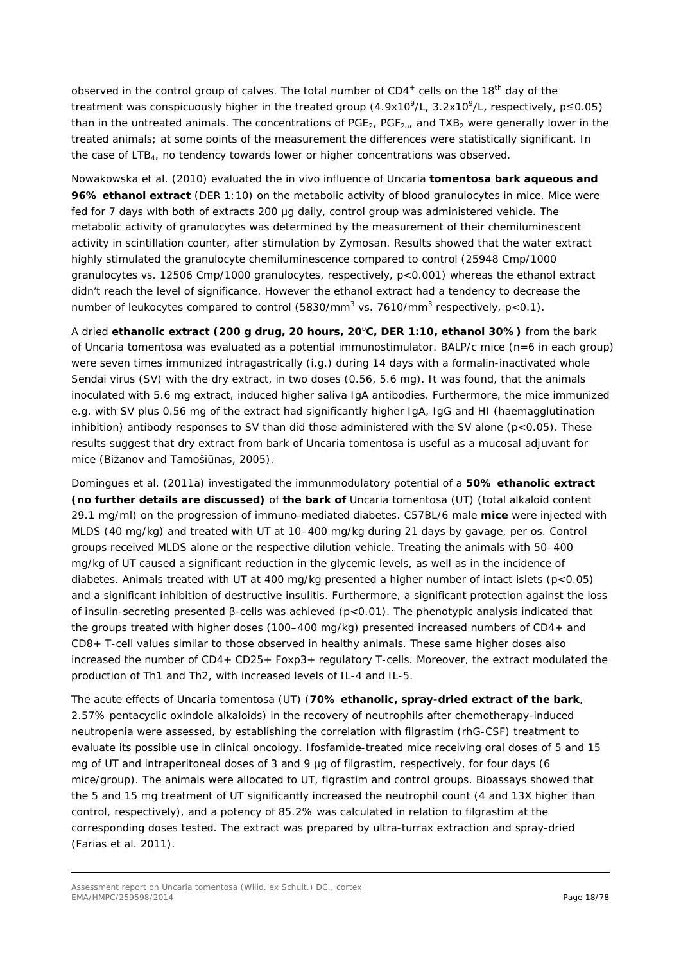observed in the control group of calves. The total number of  $CD4^+$  cells on the 18<sup>th</sup> day of the treatment was conspicuously higher in the treated group (4.9x10<sup>9</sup>/L, 3.2x10<sup>9</sup>/L, respectively, p < 0.05) than in the untreated animals. The concentrations of PGE<sub>2</sub>, PGF<sub>2a</sub>, and TXB<sub>2</sub> were generally lower in the treated animals; at some points of the measurement the differences were statistically significant. In the case of LTB<sub>4</sub>, no tendency towards lower or higher concentrations was observed.

Nowakowska *et al.* (2010) evaluated the *in vivo* influence of *Uncaria tomentosa* **bark aqueous and 96% ethanol extract** (DER 1:10) on the metabolic activity of blood granulocytes in mice. Mice were fed for 7 days with both of extracts 200 μg daily, control group was administered vehicle. The metabolic activity of granulocytes was determined by the measurement of their chemiluminescent activity in scintillation counter, after stimulation by Zymosan. Results showed that the water extract highly stimulated the granulocyte chemiluminescence compared to control (25948 Cmp/1000 granulocytes vs. 12506 Cmp/1000 granulocytes, respectively, p<0.001) whereas the ethanol extract didn't reach the level of significance. However the ethanol extract had a tendency to decrease the number of leukocytes compared to control (5830/mm<sup>3</sup> vs. 7610/mm<sup>3</sup> respectively, p<0.1).

A dried ethanolic extract (200 g drug, 20 hours, 20<sup>°</sup>C, DER 1:10, ethanol 30%) from the bark of *Uncaria tomentosa* was evaluated as a potential immunostimulator. BALP/c mice (n=6 in each group) were seven times immunized intragastrically (i.g.) during 14 days with a formalin-inactivated whole *Sendai* virus (SV) with the dry extract, in two doses (0.56, 5.6 mg). It was found, that the animals inoculated with 5.6 mg extract*,* induced higher saliva IgA antibodies. Furthermore, the mice immunized e.g. with SV plus 0.56 mg of the extract had significantly higher IgA, IgG and HI (haemagglutination inhibition) antibody responses to SV than did those administered with the SV alone  $(p<0.05)$ . These results suggest that dry extract from bark of *Uncaria tomentosa* is useful as a mucosal adjuvant for mice (Bižanov and Tamošiūnas, 2005).

Domingues *et al.* (2011a) investigated the immunmodulatory potential of a **50% ethanolic extract (no further details are discussed)** of **the bark of** *Uncaria tomentosa* (UT) (total alkaloid content 29.1 mg/ml) on the progression of immuno-mediated diabetes. C57BL/6 male **mice** were injected with MLDS (40 mg/kg) and treated with UT at 10–400 mg/kg during 21 days by gavage, *per os*. Control groups received MLDS alone or the respective dilution vehicle. Treating the animals with 50–400 mg/kg of UT caused a significant reduction in the glycemic levels, as well as in the incidence of diabetes. Animals treated with UT at 400 mg/kg presented a higher number of intact islets (p<0.05) and a significant inhibition of destructive insulitis. Furthermore, a significant protection against the loss of insulin-secreting presented β-cells was achieved (p<0.01). The phenotypic analysis indicated that the groups treated with higher doses (100–400 mg/kg) presented increased numbers of CD4+ and CD8+ T-cell values similar to those observed in healthy animals. These same higher doses also increased the number of CD4+ CD25+ Foxp3+ regulatory T-cells. Moreover, the extract modulated the production of Th1 and Th2, with increased levels of IL-4 and IL-5.

The acute effects of *Uncaria tomentosa* (UT) (**70% ethanolic, spray-dried extract of the bark**, 2.57% pentacyclic oxindole alkaloids) in the recovery of neutrophils after chemotherapy-induced neutropenia were assessed, by establishing the correlation with filgrastim (rhG-CSF) treatment to evaluate its possible use in clinical oncology. Ifosfamide-treated mice receiving oral doses of 5 and 15 mg of UT and intraperitoneal doses of 3 and 9 µg of filgrastim, respectively, for four days (6 mice/group). The animals were allocated to UT, figrastim and control groups. Bioassays showed that the 5 and 15 mg treatment of UT significantly increased the neutrophil count (4 and 13X higher than control, respectively), and a potency of 85.2% was calculated in relation to filgrastim at the corresponding doses tested. The extract was prepared by ultra-turrax extraction and spray-dried (Farias *et al.* 2011).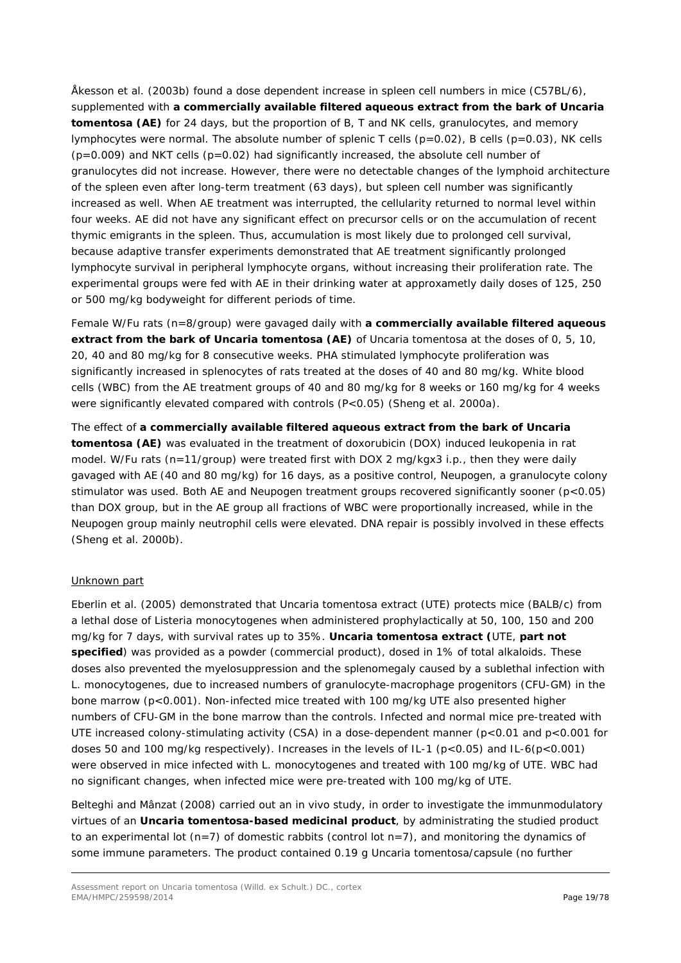Åkesson *et al.* (2003b) found a dose dependent increase in spleen cell numbers in mice (C57BL/6), supplemented with **a commercially available filtered aqueous extract from the bark of** *Uncaria tomentosa* **(AE)** for 24 days, but the proportion of B, T and NK cells, granulocytes, and memory lymphocytes were normal. The absolute number of splenic T cells ( $p=0.02$ ), B cells ( $p=0.03$ ), NK cells  $(p=0.009)$  and NKT cells  $(p=0.02)$  had significantly increased, the absolute cell number of granulocytes did not increase. However, there were no detectable changes of the lymphoid architecture of the spleen even after long-term treatment (63 days), but spleen cell number was significantly increased as well. When AE treatment was interrupted, the cellularity returned to normal level within four weeks. AE did not have any significant effect on precursor cells or on the accumulation of recent thymic emigrants in the spleen. Thus, accumulation is most likely due to prolonged cell survival, because adaptive transfer experiments demonstrated that AE treatment significantly prolonged lymphocyte survival in peripheral lymphocyte organs, without increasing their proliferation rate. The experimental groups were fed with AE in their drinking water at approxametly daily doses of 125, 250 or 500 mg/kg bodyweight for different periods of time.

Female W/Fu rats (n=8/group) were gavaged daily with **a commercially available filtered aqueous extract from the bark of** *Uncaria tomentosa* **(AE)** of *Uncaria tomentosa* at the doses of 0, 5, 10, 20, 40 and 80 mg/kg for 8 consecutive weeks. PHA stimulated lymphocyte proliferation was significantly increased in splenocytes of rats treated at the doses of 40 and 80 mg/kg. White blood cells (WBC) from the AE treatment groups of 40 and 80 mg/kg for 8 weeks or 160 mg/kg for 4 weeks were significantly elevated compared with controls (P<0.05) (Sheng *et al.* 2000a).

The effect of **a commercially available filtered aqueous extract from the bark of** *Uncaria tomentosa* **(AE)** was evaluated in the treatment of doxorubicin (DOX) induced leukopenia in rat model. W/Fu rats (n=11/group) were treated first with DOX 2 mg/kgx3 *i.p.*, then they were daily gavaged with AE (40 and 80 mg/kg) for 16 days, as a positive control, Neupogen, a granulocyte colony stimulator was used. Both AE and Neupogen treatment groups recovered significantly sooner (p<0.05) than DOX group, but in the AE group all fractions of WBC were proportionally increased, while in the Neupogen group mainly neutrophil cells were elevated. DNA repair is possibly involved in these effects (Sheng *et al.* 2000b).

#### Unknown part

Eberlin *et al.* (2005) demonstrated that *Uncaria tomentosa* extract (UTE) protects mice (BALB/c) from a lethal dose of *Listeria monocytogenes* when administered prophylactically at 50, 100, 150 and 200 mg/kg for 7 days, with survival rates up to 35%. *Uncaria tomentosa* **extract (**UTE, **part not specified**) was provided as a powder (commercial product), dosed in 1% of total alkaloids. These doses also prevented the myelosuppression and the splenomegaly caused by a sublethal infection with *L. monocytogenes*, due to increased numbers of granulocyte-macrophage progenitors (CFU-GM) in the bone marrow (p<0.001). Non-infected mice treated with 100 mg/kg UTE also presented higher numbers of CFU-GM in the bone marrow than the controls. Infected and normal mice pre-treated with UTE increased colony-stimulating activity (CSA) in a dose-dependent manner (p<0.01 and p<0.001 for doses 50 and 100 mg/kg respectively). Increases in the levels of IL-1 (p<0.05) and IL-6(p<0.001) were observed in mice infected with *L. monocytogenes* and treated with 100 mg/kg of UTE. WBC had no significant changes, when infected mice were pre-treated with 100 mg/kg of UTE.

Belteghi and Mânzat (2008) carried out an *in vivo* study, in order to investigate the immunmodulatory virtues of an *Uncaria tomentosa***-based medicinal product**, by administrating the studied product to an experimental lot ( $n=7$ ) of domestic rabbits (control lot  $n=7$ ), and monitoring the dynamics of some immune parameters. The product contained 0.19 g *Uncaria tomentosa*/capsule (no further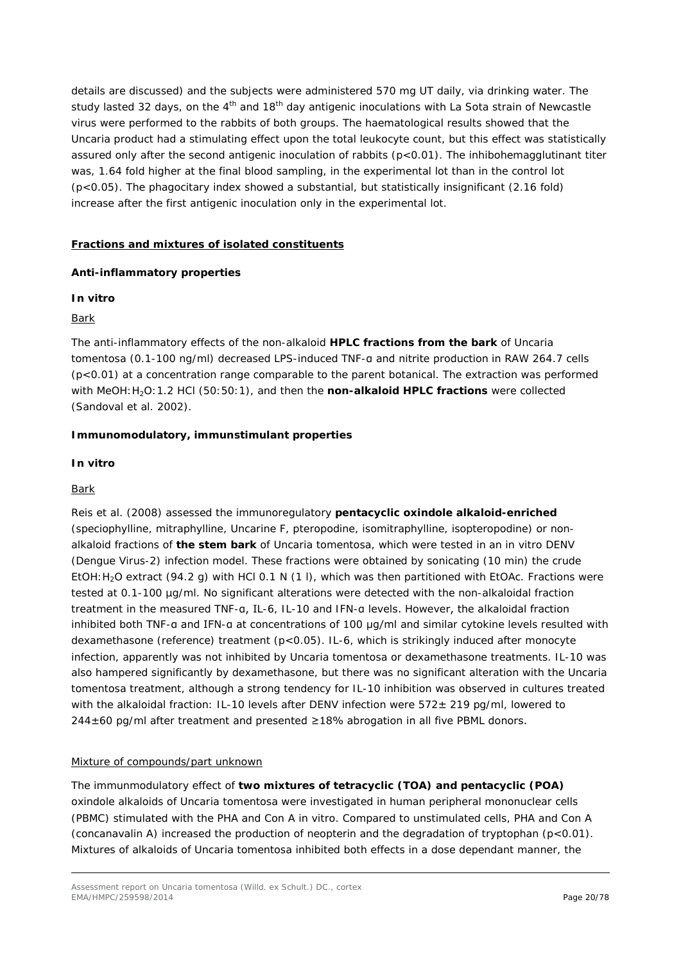details are discussed) and the subjects were administered 570 mg UT daily, via drinking water. The study lasted 32 days, on the 4<sup>th</sup> and 18<sup>th</sup> day antigenic inoculations with La Sota strain of *Newcastle* virus were performed to the rabbits of both groups. The haematological results showed that the *Uncaria* product had a stimulating effect upon the total leukocyte count, but this effect was statistically assured only after the second antigenic inoculation of rabbits (p<0.01). The inhibohemagglutinant titer was, 1.64 fold higher at the final blood sampling, in the experimental lot than in the control lot (p<0.05). The phagocitary index showed a substantial, but statistically insignificant (2.16 fold) increase after the first antigenic inoculation only in the experimental lot.

# **Fractions and mixtures of isolated constituents**

### *Anti-inflammatory properties*

### *In vitro*

### Bark

The anti-inflammatory effects of the non-alkaloid **HPLC fractions from the bark** of *Uncaria tomentosa* (0.1-100 ng/ml) decreased LPS-induced TNF-α and nitrite production in RAW 264.7 cells (p<0.01) at a concentration range comparable to the parent botanical. The extraction was performed with MeOH:H2O:1.2 HCl (50:50:1), and then the **non-alkaloid HPLC fractions** were collected (Sandoval *et al.* 2002).

### *Immunomodulatory, immunstimulant properties*

### *In vitro*

## Bark

Reis *et al.* (2008) assessed the immunoregulatory **pentacyclic oxindole alkaloid-enriched** (speciophylline, mitraphylline, Uncarine F, pteropodine, isomitraphylline, isopteropodine) or nonalkaloid fractions of **the stem bark** of *Uncaria tomentosa*, which were tested in an *in vitro* DENV (*Dengue* Virus-2) infection model. These fractions were obtained by sonicating (10 min) the crude EtOH:H2O extract (94.2 g) with HCl 0.1 N (1 l), which was then partitioned with EtOAc. Fractions were tested at 0.1-100 µg/ml. No significant alterations were detected with the non-alkaloidal fraction treatment in the measured TNF-α, IL-6, IL-10 and IFN-α levels. However, the alkaloidal fraction inhibited both TNF-α and IFN-α at concentrations of 100 μg/ml and similar cytokine levels resulted with dexamethasone (reference) treatment (p<0.05). IL-6, which is strikingly induced after monocyte infection, apparently was not inhibited by *Uncaria tomentosa* or dexamethasone treatments. IL-10 was also hampered significantly by dexamethasone, but there was no significant alteration with the *Uncaria tomentosa* treatment, although a strong tendency for IL-10 inhibition was observed in cultures treated with the alkaloidal fraction: IL-10 levels after DENV infection were  $572 \pm 219$  pg/ml, lowered to  $244±60$  pg/ml after treatment and presented  $≥18%$  abrogation in all five PBML donors.

#### Mixture of compounds/part unknown

The immunmodulatory effect of **two mixtures of tetracyclic (TOA) and pentacyclic (POA)** oxindole alkaloids of *Uncaria tomentosa* were investigated in human peripheral mononuclear cells (PBMC) stimulated with the PHA and Con A *in vitro.* Compared to unstimulated cells, PHA and Con A (concanavalin A) increased the production of neopterin and the degradation of tryptophan  $(p<0.01)$ . Mixtures of alkaloids of *Uncaria tomentosa* inhibited both effects in a dose dependant manner, the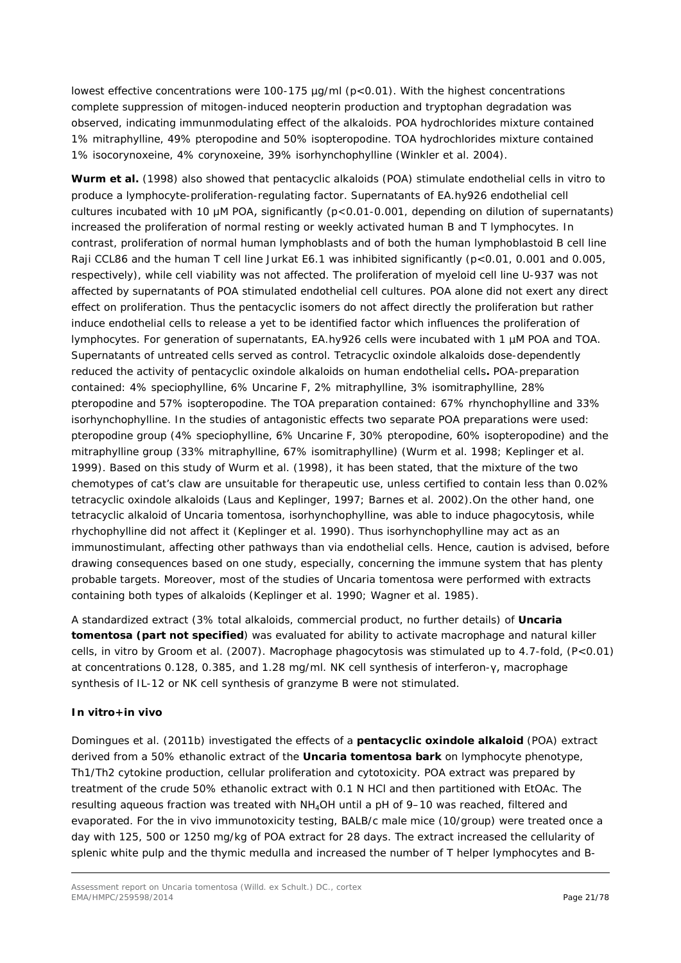lowest effective concentrations were 100-175 µg/ml (p<0.01). With the highest concentrations complete suppression of mitogen-induced neopterin production and tryptophan degradation was observed, indicating immunmodulating effect of the alkaloids. POA hydrochlorides mixture contained 1% mitraphylline, 49% pteropodine and 50% isopteropodine. TOA hydrochlorides mixture contained 1% isocorynoxeine, 4% corynoxeine, 39% isorhynchophylline (Winkler *et al.* 2004).

**Wurm** *et al.* (1998) also showed that pentacyclic alkaloids (POA) stimulate endothelial cells *in vitro* to produce a lymphocyte-proliferation-regulating factor. Supernatants of EA.hy926 endothelial cell cultures incubated with 10 μM POA, significantly (p<0.01-0.001, depending on dilution of supernatants) increased the proliferation of normal resting or weekly activated human B and T lymphocytes. In contrast, proliferation of normal human lymphoblasts and of both the human lymphoblastoid B cell line Raji CCL86 and the human T cell line Jurkat E6.1 was inhibited significantly (p<0.01, 0.001 and 0.005, respectively), while cell viability was not affected. The proliferation of myeloid cell line U-937 was not affected by supernatants of POA stimulated endothelial cell cultures. POA alone did not exert any direct effect on proliferation. Thus the pentacyclic isomers do not affect directly the proliferation but rather induce endothelial cells to release a yet to be identified factor which influences the proliferation of lymphocytes. For generation of supernatants, EA.hy926 cells were incubated with 1 µM POA and TOA. Supernatants of untreated cells served as control. Tetracyclic oxindole alkaloids dose-dependently reduced the activity of pentacyclic oxindole alkaloids on human endothelial cells**.** POA-preparation contained: 4% speciophylline, 6% Uncarine F, 2% mitraphylline, 3% isomitraphylline, 28% pteropodine and 57% isopteropodine. The TOA preparation contained: 67% rhynchophylline and 33% isorhynchophylline. In the studies of antagonistic effects two separate POA preparations were used: pteropodine group (4% speciophylline, 6% Uncarine F, 30% pteropodine, 60% isopteropodine) and the mitraphylline group (33% mitraphylline, 67% isomitraphylline) (Wurm *et al.* 1998; Keplinger *et al.* 1999). Based on this study of Wurm *et al.* (1998), it has been stated, that the mixture of the two chemotypes of cat's claw are unsuitable for therapeutic use, unless certified to contain less than 0.02% tetracyclic oxindole alkaloids (Laus and Keplinger, 1997; Barnes *et al.* 2002).On the other hand, one tetracyclic alkaloid of *Uncaria tomentosa*, isorhynchophylline, was able to induce phagocytosis, while rhychophylline did not affect it (Keplinger *et al.* 1990). Thus isorhynchophylline may act as an immunostimulant, affecting other pathways than via endothelial cells. Hence, caution is advised, before drawing consequences based on one study, especially, concerning the immune system that has plenty probable targets. Moreover, most of the studies of *Uncaria tomentosa* were performed with extracts containing both types of alkaloids (Keplinger *et al.* 1990; Wagner *et al.* 1985).

A standardized extract (3% total alkaloids, commercial product, no further details) of *Uncaria tomentosa* **(part not specified**) was evaluated for ability to activate macrophage and natural killer cells, *in vitro* by Groom *et al.* (2007). Macrophage phagocytosis was stimulated up to 4.7-fold, (P<0.01) at concentrations 0.128, 0.385, and 1.28 mg/ml. NK cell synthesis of interferon-γ, macrophage synthesis of IL-12 or NK cell synthesis of granzyme B were not stimulated.

# *In vitro+in vivo*

Domingues *et al.* (2011b) investigated the effects of a **pentacyclic oxindole alkaloid** (POA) extract derived from a 50% ethanolic extract of the *Uncaria tomentosa* **bark** on lymphocyte phenotype, Th1/Th2 cytokine production, cellular proliferation and cytotoxicity. POA extract was prepared by treatment of the crude 50% ethanolic extract with 0.1 N HCl and then partitioned with EtOAc. The resulting aqueous fraction was treated with NH4OH until a pH of 9–10 was reached, filtered and evaporated. For the *in vivo* immunotoxicity testing, BALB/c male mice (10/group) were treated once a day with 125, 500 or 1250 mg/kg of POA extract for 28 days. The extract increased the cellularity of splenic white pulp and the thymic medulla and increased the number of T helper lymphocytes and B-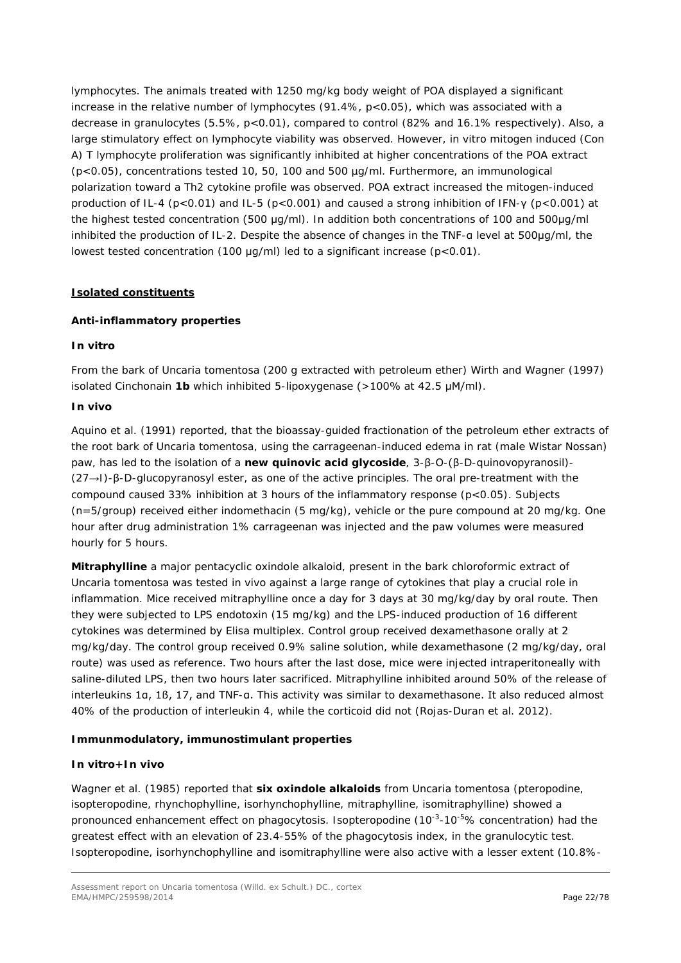lymphocytes. The animals treated with 1250 mg/kg body weight of POA displayed a significant increase in the relative number of lymphocytes (91.4%, p<0.05), which was associated with a decrease in granulocytes (5.5%, p<0.01), compared to control (82% and 16.1% respectively). Also, a large stimulatory effect on lymphocyte viability was observed. However, *in vitro* mitogen induced (Con A) T lymphocyte proliferation was significantly inhibited at higher concentrations of the POA extract (p<0.05), concentrations tested 10, 50, 100 and 500 µg/ml. Furthermore, an immunological polarization toward a Th2 cytokine profile was observed. POA extract increased the mitogen-induced production of IL-4 (p<0.01) and IL-5 (p<0.001) and caused a strong inhibition of IFN-γ (p<0.001) at the highest tested concentration (500 μg/ml). In addition both concentrations of 100 and 500μg/ml inhibited the production of IL-2. Despite the absence of changes in the TNF-α level at 500μg/ml, the lowest tested concentration (100 μg/ml) led to a significant increase (p<0.01).

### **Isolated constituents**

#### *Anti-inflammatory properties*

#### *In vitro*

From the bark of *Uncaria tomentosa* (200 g extracted with petroleum ether) Wirth and Wagner (1997) isolated Cinchonain **1b** which inhibited 5-lipoxygenase (>100% at 42.5 μM/ml).

### *In vivo*

Aquino *et al.* (1991) reported, that the bioassay-guided fractionation of the petroleum ether extracts of the root bark of *Uncaria tomentosa*, using the carrageenan-induced edema in rat (male Wistar Nossan) paw, has led to the isolation of a **new quinovic acid glycoside**, 3-β-*O*-(β-D-quinovopyranosil)- (27→I)-β-D-glucopyranosyl ester, as one of the active principles. The oral pre-treatment with the compound caused 33% inhibition at 3 hours of the inflammatory response (p<0.05). Subjects (n=5/group) received either indomethacin (5 mg/kg), vehicle or the pure compound at 20 mg/kg. One hour after drug administration 1% carrageenan was injected and the paw volumes were measured hourly for 5 hours.

**Mitraphylline** a major pentacyclic oxindole alkaloid, present in the bark chloroformic extract of *Uncaria tomentosa* was tested *in vivo* against a large range of cytokines that play a crucial role in inflammation. Mice received mitraphylline once a day for 3 days at 30 mg/kg/day by oral route. Then they were subjected to LPS endotoxin (15 mg/kg) and the LPS-induced production of 16 different cytokines was determined by Elisa multiplex. Control group received dexamethasone orally at 2 mg/kg/day. The control group received 0.9% saline solution, while dexamethasone (2 mg/kg/day, oral route) was used as reference. Two hours after the last dose, mice were injected intraperitoneally with saline-diluted LPS, then two hours later sacrificed. Mitraphylline inhibited around 50% of the release of interleukins 1α, 1ß, 17, and TNF-α. This activity was similar to dexamethasone. It also reduced almost 40% of the production of interleukin 4, while the corticoid did not (Rojas-Duran *et al.* 2012).

# *Immunmodulatory, immunostimulant properties*

# *In vitro+In vivo*

Wagner *et al.* (1985) reported that **six oxindole alkaloids** from *Uncaria tomentosa* (pteropodine, isopteropodine, rhynchophylline, isorhynchophylline, mitraphylline, isomitraphylline) showed a pronounced enhancement effect on phagocytosis. Isopteropodine (10<sup>-3</sup>-10<sup>-5</sup>% concentration) had the greatest effect with an elevation of 23.4-55% of the phagocytosis index, in the granulocytic test. Isopteropodine, isorhynchophylline and isomitraphylline were also active with a lesser extent (10.8%-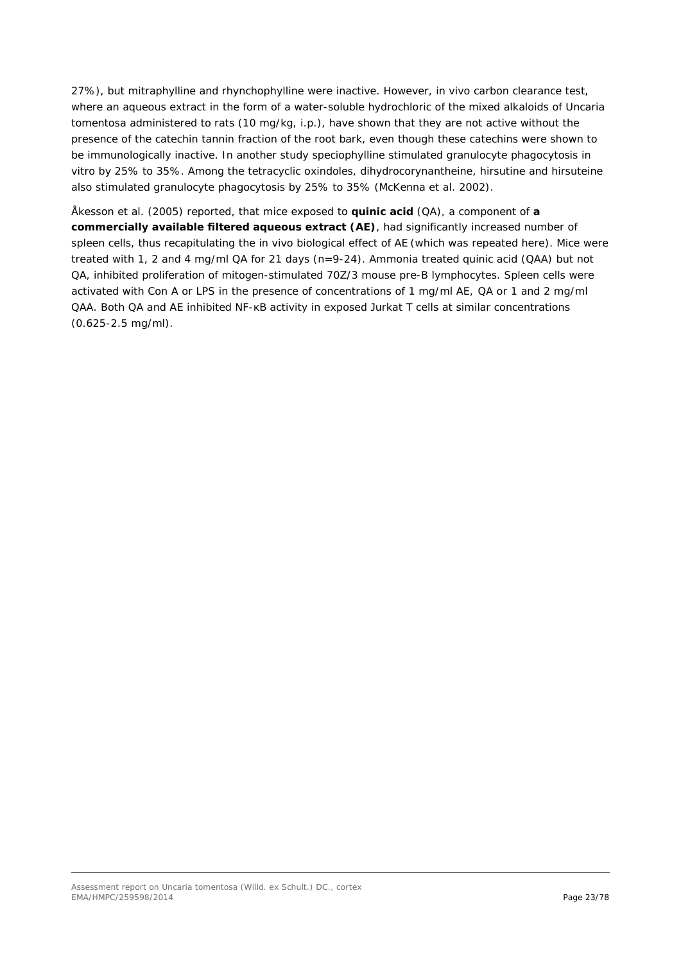27%), but mitraphylline and rhynchophylline were inactive. However, *in vivo* carbon clearance test, where an aqueous extract in the form of a water-soluble hydrochloric of the mixed alkaloids of *Uncaria tomentosa* administered to rats (10 mg/kg, i.p.), have shown that they are not active without the presence of the catechin tannin fraction of the root bark, even though these catechins were shown to be immunologically inactive. In another study speciophylline stimulated granulocyte phagocytosis *in vitro* by 25% to 35%. Among the tetracyclic oxindoles, dihydrocorynantheine, hirsutine and hirsuteine also stimulated granulocyte phagocytosis by 25% to 35% (McKenna *et al.* 2002).

Åkesson *et al.* (2005) reported, that mice exposed to **quinic acid** (QA), a component of **a commercially available filtered aqueous extract (AE)**, had significantly increased number of spleen cells, thus recapitulating the *in vivo* biological effect of AE (which was repeated here). Mice were treated with 1, 2 and 4 mg/ml QA for 21 days (n=9-24). Ammonia treated quinic acid (QAA) but not QA, inhibited proliferation of mitogen-stimulated 70Z/3 mouse pre-B lymphocytes. Spleen cells were activated with Con A or LPS in the presence of concentrations of 1 mg/ml AE, QA or 1 and 2 mg/ml QAA. Both QA and AE inhibited NF-κB activity in exposed Jurkat T cells at similar concentrations (0.625-2.5 mg/ml).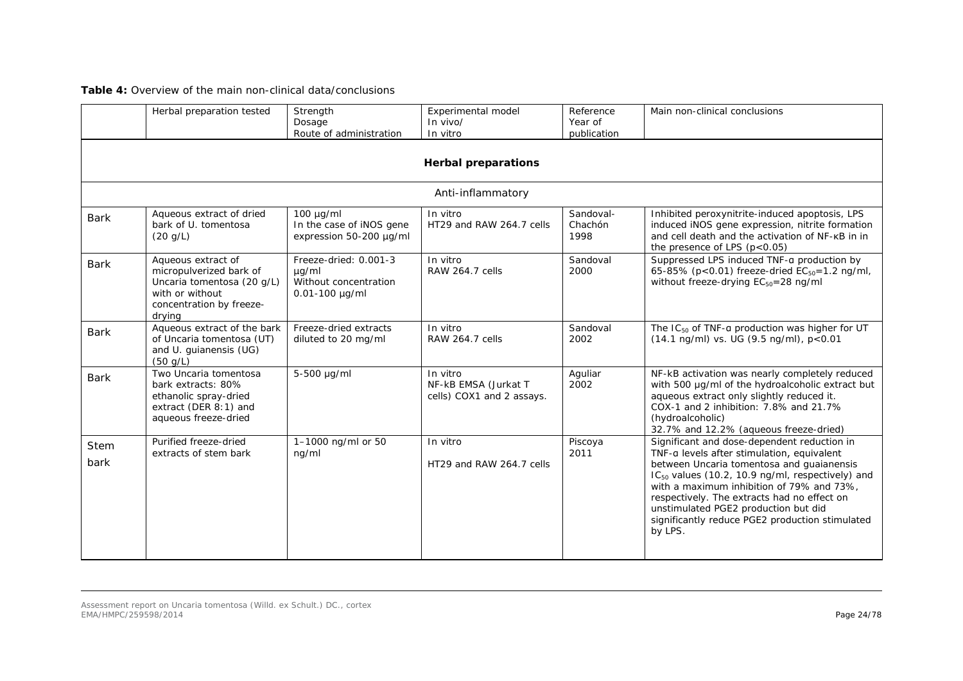# **Table 4:** Overview of the main non-clinical data/conclusions

|                     | Herbal preparation tested                                                                                                            | Strength<br>Dosage<br>Route of administration                                  | Experimental model<br>$In$ vivo/<br>In vitro                  | Reference<br>Year of<br>publication | Main non-clinical conclusions                                                                                                                                                                                                                                                                                                                                                                            |
|---------------------|--------------------------------------------------------------------------------------------------------------------------------------|--------------------------------------------------------------------------------|---------------------------------------------------------------|-------------------------------------|----------------------------------------------------------------------------------------------------------------------------------------------------------------------------------------------------------------------------------------------------------------------------------------------------------------------------------------------------------------------------------------------------------|
|                     |                                                                                                                                      |                                                                                | <b>Herbal preparations</b>                                    |                                     |                                                                                                                                                                                                                                                                                                                                                                                                          |
|                     |                                                                                                                                      |                                                                                | Anti-inflammatory                                             |                                     |                                                                                                                                                                                                                                                                                                                                                                                                          |
| <b>Bark</b>         | Aqueous extract of dried<br>bark of U. tomentosa<br>(20 q/L)                                                                         | $100 \mu g/ml$<br>In the case of iNOS gene<br>expression 50-200 µg/ml          | In vitro<br>HT29 and RAW 264.7 cells                          | Sandoval-<br>Chachón<br>1998        | Inhibited peroxynitrite-induced apoptosis, LPS<br>induced iNOS gene expression, nitrite formation<br>and cell death and the activation of NF-KB in in<br>the presence of LPS $(p<0.05)$                                                                                                                                                                                                                  |
| <b>Bark</b>         | Aqueous extract of<br>micropulverized bark of<br>Uncaria tomentosa (20 g/L)<br>with or without<br>concentration by freeze-<br>drying | Freeze-dried: 0.001-3<br>$\mu$ g/ml<br>Without concentration<br>0.01-100 µg/ml | In vitro<br>RAW 264.7 cells                                   | Sandoval<br>2000                    | Suppressed LPS induced TNF-a production by<br>65-85% ( $p < 0.01$ ) freeze-dried $EC_{50} = 1.2$ ng/ml,<br>without freeze-drying EC <sub>50</sub> =28 ng/ml                                                                                                                                                                                                                                              |
| <b>Bark</b>         | Aqueous extract of the bark<br>of Uncaria tomentosa (UT)<br>and U. guianensis (UG)<br>(50 g/L)                                       | Freeze-dried extracts<br>diluted to 20 mg/ml                                   | In vitro<br>RAW 264.7 cells                                   | Sandoval<br>2002                    | The $IC_{50}$ of TNF-a production was higher for UT<br>(14.1 ng/ml) vs. UG (9.5 ng/ml), p<0.01                                                                                                                                                                                                                                                                                                           |
| <b>Bark</b>         | Two Uncaria tomentosa<br>bark extracts: 80%<br>ethanolic spray-dried<br>extract (DER 8:1) and<br>aqueous freeze-dried                | 5-500 µg/ml                                                                    | In vitro<br>NF-kB EMSA (Jurkat T<br>cells) COX1 and 2 assays. | Aguliar<br>2002                     | NF-kB activation was nearly completely reduced<br>with 500 µg/ml of the hydroalcoholic extract but<br>aqueous extract only slightly reduced it.<br>COX-1 and 2 inhibition: 7.8% and 21.7%<br>(hydroalcoholic)<br>32.7% and 12.2% (aqueous freeze-dried)                                                                                                                                                  |
| <b>Stem</b><br>bark | Purified freeze-dried<br>extracts of stem bark                                                                                       | 1-1000 ng/ml or 50<br>nq/ml                                                    | In vitro<br>HT29 and RAW 264.7 cells                          | Piscoya<br>2011                     | Significant and dose-dependent reduction in<br>TNF-a levels after stimulation, equivalent<br>between Uncaria tomentosa and guaianensis<br>IC <sub>50</sub> values (10.2, 10.9 ng/ml, respectively) and<br>with a maximum inhibition of 79% and 73%,<br>respectively. The extracts had no effect on<br>unstimulated PGE2 production but did<br>significantly reduce PGE2 production stimulated<br>by LPS. |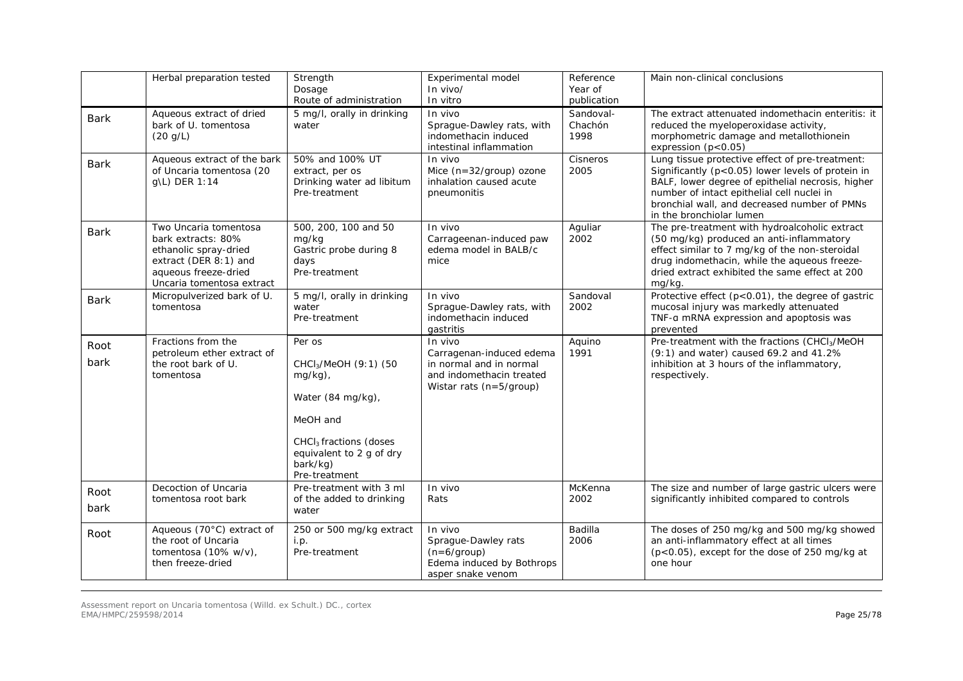|              | Herbal preparation tested                                                                                                                          | Strength<br>Dosage<br>Route of administration                                                                                                                                             | Experimental model<br>In vivo/<br>In vitro                                                                               | Reference<br>Year of<br>publication | Main non-clinical conclusions                                                                                                                                                                                                                                                       |
|--------------|----------------------------------------------------------------------------------------------------------------------------------------------------|-------------------------------------------------------------------------------------------------------------------------------------------------------------------------------------------|--------------------------------------------------------------------------------------------------------------------------|-------------------------------------|-------------------------------------------------------------------------------------------------------------------------------------------------------------------------------------------------------------------------------------------------------------------------------------|
| <b>Bark</b>  | Aqueous extract of dried<br>bark of U. tomentosa<br>(20 g/L)                                                                                       | 5 mg/l, orally in drinking<br>water                                                                                                                                                       | In vivo<br>Sprague-Dawley rats, with<br>indomethacin induced<br>intestinal inflammation                                  | Sandoval-<br>Chachón<br>1998        | The extract attenuated indomethacin enteritis: it<br>reduced the myeloperoxidase activity,<br>morphometric damage and metallothionein<br>expression (p<0.05)                                                                                                                        |
| <b>Bark</b>  | Aqueous extract of the bark<br>of Uncaria tomentosa (20<br>g\L) DER 1:14                                                                           | 50% and 100% UT<br>extract, per os<br>Drinking water ad libitum<br>Pre-treatment                                                                                                          | In vivo<br>Mice $(n=32/group)$ ozone<br>inhalation caused acute<br>pneumonitis                                           | Cisneros<br>2005                    | Lung tissue protective effect of pre-treatment:<br>Significantly (p<0.05) lower levels of protein in<br>BALF, lower degree of epithelial necrosis, higher<br>number of intact epithelial cell nuclei in<br>bronchial wall, and decreased number of PMNs<br>in the bronchiolar lumen |
| <b>Bark</b>  | Two Uncaria tomentosa<br>bark extracts: 80%<br>ethanolic spray-dried<br>extract (DER 8:1) and<br>aqueous freeze-dried<br>Uncaria tomentosa extract | 500, 200, 100 and 50<br>mg/kg<br>Gastric probe during 8<br>days<br>Pre-treatment                                                                                                          | In vivo<br>Carrageenan-induced paw<br>edema model in BALB/c<br>mice                                                      | Aguliar<br>2002                     | The pre-treatment with hydroalcoholic extract<br>(50 mg/kg) produced an anti-inflammatory<br>effect similar to 7 mg/kg of the non-steroidal<br>drug indomethacin, while the aqueous freeze-<br>dried extract exhibited the same effect at 200<br>mg/kg.                             |
| <b>Bark</b>  | Micropulverized bark of U.<br>tomentosa                                                                                                            | 5 mg/l, orally in drinking<br>water<br>Pre-treatment                                                                                                                                      | $In$ $Vivo$<br>Sprague-Dawley rats, with<br>indomethacin induced<br>gastritis                                            | Sandoval<br>2002                    | Protective effect (p<0.01), the degree of gastric<br>mucosal injury was markedly attenuated<br>TNF-a mRNA expression and apoptosis was<br>prevented                                                                                                                                 |
| Root<br>bark | Fractions from the<br>petroleum ether extract of<br>the root bark of U.<br>tomentosa                                                               | Per os<br>CHCl <sub>3</sub> /MeOH (9:1) (50<br>$mg/kg$ ),<br>Water (84 mg/kg),<br>MeOH and<br>CHCl <sub>3</sub> fractions (doses<br>equivalent to 2 g of dry<br>bark/kg)<br>Pre-treatment | In vivo<br>Carragenan-induced edema<br>in normal and in normal<br>and indomethacin treated<br>Wistar rats $(n=5/$ group) | Aquino<br>1991                      | Pre-treatment with the fractions (CHCl <sub>3</sub> /MeOH<br>$(9:1)$ and water) caused 69.2 and 41.2%<br>inhibition at 3 hours of the inflammatory,<br>respectively.                                                                                                                |
| Root<br>bark | Decoction of Uncaria<br>tomentosa root bark                                                                                                        | Pre-treatment with 3 ml<br>of the added to drinking<br>water                                                                                                                              | In vivo<br>Rats                                                                                                          | McKenna<br>2002                     | The size and number of large gastric ulcers were<br>significantly inhibited compared to controls                                                                                                                                                                                    |
| Root         | Aqueous (70°C) extract of<br>the root of Uncaria<br>tomentosa $(10\% \text{ w/v})$ .<br>then freeze-dried                                          | 250 or 500 mg/kg extract<br>i.p.<br>Pre-treatment                                                                                                                                         | In vivo<br>Sprague-Dawley rats<br>$(n=6/$ group)<br>Edema induced by Bothrops<br>asper snake venom                       | Badilla<br>2006                     | The doses of 250 mg/kg and 500 mg/kg showed<br>an anti-inflammatory effect at all times<br>$(p<0.05)$ , except for the dose of 250 mg/kg at<br>one hour                                                                                                                             |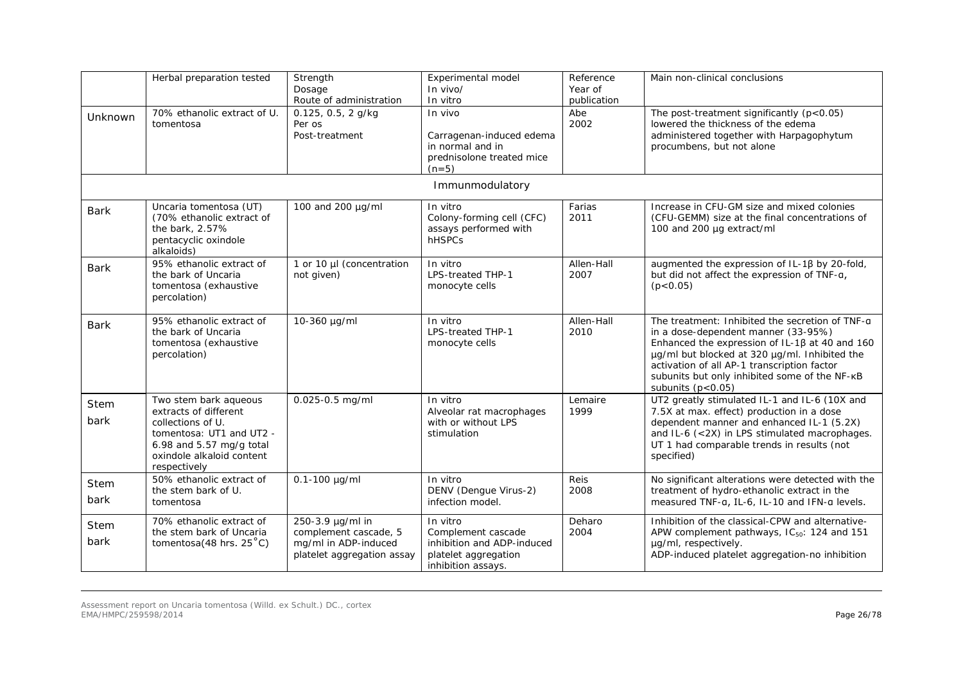|                     | Herbal preparation tested                                                                                                                                                  | Strength<br>Dosage<br>Route of administration                                                   | Experimental model<br>In vivo/<br>In vitro                                                                 | Reference<br>Year of<br>publication | Main non-clinical conclusions                                                                                                                                                                                                                                                                                           |
|---------------------|----------------------------------------------------------------------------------------------------------------------------------------------------------------------------|-------------------------------------------------------------------------------------------------|------------------------------------------------------------------------------------------------------------|-------------------------------------|-------------------------------------------------------------------------------------------------------------------------------------------------------------------------------------------------------------------------------------------------------------------------------------------------------------------------|
| Unknown             | 70% ethanolic extract of U.<br>tomentosa                                                                                                                                   | 0.125, 0.5, 2 g/kg<br>Per os<br>Post-treatment                                                  | In vivo<br>Carragenan-induced edema<br>in normal and in<br>prednisolone treated mice<br>$(n=5)$            | Abe<br>2002                         | The post-treatment significantly $(p<0.05)$<br>lowered the thickness of the edema<br>administered together with Harpagophytum<br>procumbens, but not alone                                                                                                                                                              |
|                     |                                                                                                                                                                            |                                                                                                 | Immunmodulatory                                                                                            |                                     |                                                                                                                                                                                                                                                                                                                         |
| Bark                | Uncaria tomentosa (UT)<br>(70% ethanolic extract of<br>the bark, 2.57%<br>pentacyclic oxindole<br>alkaloids)                                                               | 100 and 200 µg/ml                                                                               | In vitro<br>Colony-forming cell (CFC)<br>assays performed with<br><b>hHSPCs</b>                            | Farias<br>2011                      | Increase in CFU-GM size and mixed colonies<br>(CFU-GEMM) size at the final concentrations of<br>100 and 200 µg extract/ml                                                                                                                                                                                               |
| <b>Bark</b>         | 95% ethanolic extract of<br>the bark of Uncaria<br>tomentosa (exhaustive<br>percolation)                                                                                   | 1 or 10 µl (concentration<br>not given)                                                         | In vitro<br>LPS-treated THP-1<br>monocyte cells                                                            | Allen-Hall<br>2007                  | augmented the expression of IL-1ß by 20-fold,<br>but did not affect the expression of TNF-a,<br>(p < 0.05)                                                                                                                                                                                                              |
| <b>Bark</b>         | 95% ethanolic extract of<br>the bark of Uncaria<br>tomentosa (exhaustive<br>percolation)                                                                                   | 10-360 µg/ml                                                                                    | In vitro<br><b>LPS-treated THP-1</b><br>monocyte cells                                                     | Allen-Hall<br>2010                  | The treatment: Inhibited the secretion of TNF-a<br>in a dose-dependent manner (33-95%)<br>Enhanced the expression of IL-1 $\beta$ at 40 and 160<br>µg/ml but blocked at 320 µg/ml. Inhibited the<br>activation of all AP-1 transcription factor<br>subunits but only inhibited some of the NF-KB<br>subunits $(p<0.05)$ |
| Stem<br>bark        | Two stem bark aqueous<br>extracts of different<br>collections of U.<br>tomentosa: UT1 and UT2 -<br>6.98 and $5.57$ mg/g total<br>oxindole alkaloid content<br>respectively | 0.025-0.5 mg/ml                                                                                 | In vitro<br>Alveolar rat macrophages<br>with or without LPS<br>stimulation                                 | Lemaire<br>1999                     | UT2 greatly stimulated IL-1 and IL-6 (10X and<br>7.5X at max. effect) production in a dose<br>dependent manner and enhanced IL-1 (5.2X)<br>and IL-6 (<2X) in LPS stimulated macrophages.<br>UT 1 had comparable trends in results (not<br>specified)                                                                    |
| Stem<br>bark        | 50% ethanolic extract of<br>the stem bark of U.<br>tomentosa                                                                                                               | $0.1 - 100$ µg/ml                                                                               | In vitro<br>DENV (Dengue Virus-2)<br>infection model.                                                      | Reis<br>2008                        | No significant alterations were detected with the<br>treatment of hydro-ethanolic extract in the<br>measured TNF-a, IL-6, IL-10 and IFN-a levels.                                                                                                                                                                       |
| <b>Stem</b><br>bark | 70% ethanolic extract of<br>the stem bark of Uncaria<br><i>tomentosa</i> (48 hrs. $25^{\circ}$ C)                                                                          | 250-3.9 µg/ml in<br>complement cascade, 5<br>mg/ml in ADP-induced<br>platelet aggregation assay | In vitro<br>Complement cascade<br>inhibition and ADP-induced<br>platelet aggregation<br>inhibition assays. | Deharo<br>2004                      | Inhibition of the classical-CPW and alternative-<br>APW complement pathways, IC <sub>50</sub> : 124 and 151<br>µg/ml, respectively.<br>ADP-induced platelet aggregation-no inhibition                                                                                                                                   |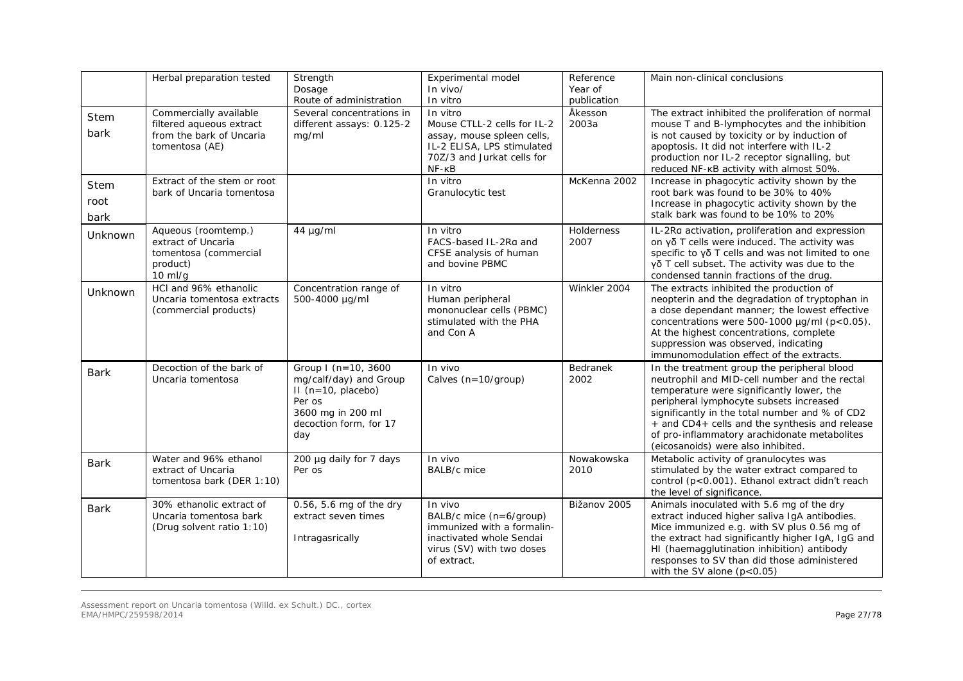|                             | Herbal preparation tested                                                                        | Strength<br>Dosage<br>Route of administration                                                                                         | Experimental model<br>In vivo/<br>In vitro                                                                                                     | Reference<br>Year of<br>publication | Main non-clinical conclusions                                                                                                                                                                                                                                                                                                                                                  |
|-----------------------------|--------------------------------------------------------------------------------------------------|---------------------------------------------------------------------------------------------------------------------------------------|------------------------------------------------------------------------------------------------------------------------------------------------|-------------------------------------|--------------------------------------------------------------------------------------------------------------------------------------------------------------------------------------------------------------------------------------------------------------------------------------------------------------------------------------------------------------------------------|
| Stem<br>bark                | Commercially available<br>filtered aqueous extract<br>from the bark of Uncaria<br>tomentosa (AE) | Several concentrations in<br>different assays: 0.125-2<br>mg/ml                                                                       | In vitro<br>Mouse CTLL-2 cells for IL-2<br>assay, mouse spleen cells,<br>IL-2 ELISA, LPS stimulated<br>70Z/3 and Jurkat cells for<br>$NF - KB$ | Åkesson<br>2003a                    | The extract inhibited the proliferation of normal<br>mouse T and B-lymphocytes and the inhibition<br>is not caused by toxicity or by induction of<br>apoptosis. It did not interfere with IL-2<br>production nor IL-2 receptor signalling, but<br>reduced NF-KB activity with almost 50%.                                                                                      |
| <b>Stem</b><br>root<br>bark | Extract of the stem or root<br>bark of Uncaria tomentosa                                         |                                                                                                                                       | In vitro<br>Granulocytic test                                                                                                                  | McKenna 2002                        | Increase in phagocytic activity shown by the<br>root bark was found to be 30% to 40%<br>Increase in phagocytic activity shown by the<br>stalk bark was found to be 10% to 20%                                                                                                                                                                                                  |
| Unknown                     | Aqueous (roomtemp.)<br>extract of Uncaria<br>tomentosa (commercial<br>product)<br>$10$ ml/g      | $44 \mu g/ml$                                                                                                                         | In vitro<br>FACS-based IL-2Ra and<br>CFSE analysis of human<br>and bovine PBMC                                                                 | Holderness<br>2007                  | IL-2Ra activation, proliferation and expression<br>on γδ T cells were induced. The activity was<br>specific to $\gamma\delta$ T cells and was not limited to one<br>$γδ T$ cell subset. The activity was due to the<br>condensed tannin fractions of the drug.                                                                                                                 |
| Unknown                     | HCI and 96% ethanolic<br>Uncaria tomentosa extracts<br>(commercial products)                     | Concentration range of<br>500-4000 µg/ml                                                                                              | In vitro<br>Human peripheral<br>mononuclear cells (PBMC)<br>stimulated with the PHA<br>and Con A                                               | Winkler 2004                        | The extracts inhibited the production of<br>neopterin and the degradation of tryptophan in<br>a dose dependant manner; the lowest effective<br>concentrations were 500-1000 $\mu$ g/ml (p<0.05).<br>At the highest concentrations, complete<br>suppression was observed, indicating<br>immunomodulation effect of the extracts.                                                |
| <b>Bark</b>                 | Decoction of the bark of<br>Uncaria tomentosa                                                    | Group I (n=10, 3600<br>mg/calf/day) and Group<br>$II$ (n=10, placebo)<br>Per os<br>3600 mg in 200 ml<br>decoction form, for 17<br>day | In vivo<br>Calves (n=10/group)                                                                                                                 | Bedranek<br>2002                    | In the treatment group the peripheral blood<br>neutrophil and MID-cell number and the rectal<br>temperature were significantly lower, the<br>peripheral lymphocyte subsets increased<br>significantly in the total number and % of CD2<br>+ and CD4+ cells and the synthesis and release<br>of pro-inflammatory arachidonate metabolites<br>(eicosanoids) were also inhibited. |
| <b>Bark</b>                 | Water and 96% ethanol<br>extract of Uncaria<br>tomentosa bark (DER 1:10)                         | 200 µg daily for 7 days<br>Per os                                                                                                     | $In$ $Vivo$<br>BALB/c mice                                                                                                                     | Nowakowska<br>2010                  | Metabolic activity of granulocytes was<br>stimulated by the water extract compared to<br>control (p<0.001). Ethanol extract didn't reach<br>the level of significance.                                                                                                                                                                                                         |
| <b>Bark</b>                 | 30% ethanolic extract of<br>Uncaria tomentosa bark<br>(Drug solvent ratio 1:10)                  | 0.56, 5.6 mg of the dry<br>extract seven times<br>Intragasrically                                                                     | In vivo<br>BALB/c mice (n=6/group)<br>immunized with a formalin-<br>inactivated whole Sendai<br>virus (SV) with two doses<br>of extract.       | Bižanov 2005                        | Animals inoculated with 5.6 mg of the dry<br>extract induced higher saliva IgA antibodies.<br>Mice immunized e.g. with SV plus 0.56 mg of<br>the extract had significantly higher IgA, IgG and<br>HI (haemagglutination inhibition) antibody<br>responses to SV than did those administered<br>with the SV alone $(p<0.05)$                                                    |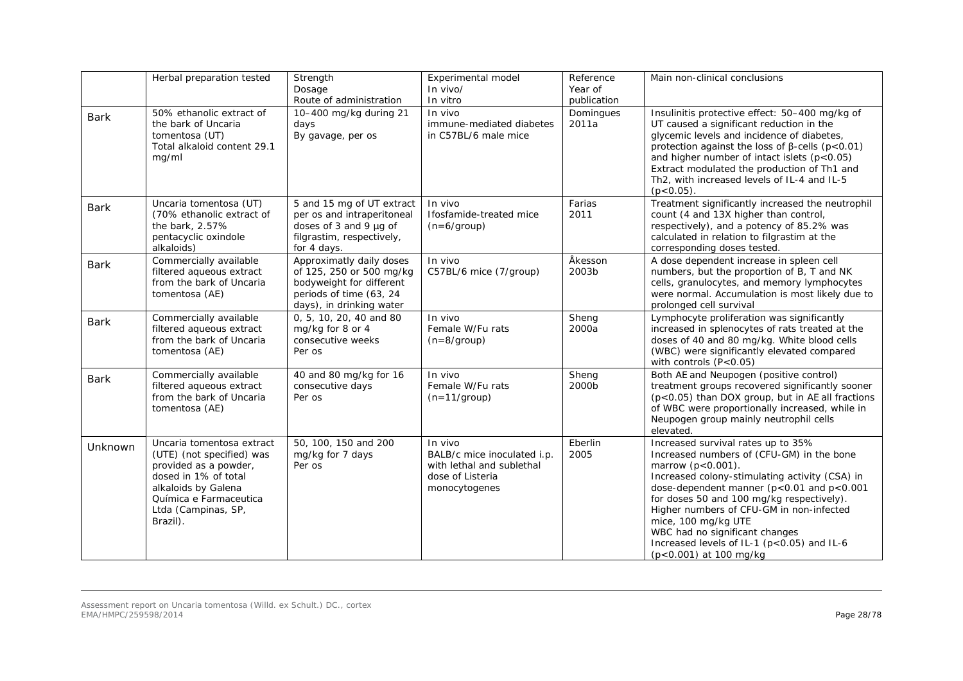|             | Herbal preparation tested                                                                                                                                                                   | Strength<br>Dosage<br>Route of administration                                                                                           | Experimental model<br>$In$ vivo/<br>In vitro                                                             | Reference<br>Year of<br>publication | Main non-clinical conclusions                                                                                                                                                                                                                                                                                                                                                                                                           |
|-------------|---------------------------------------------------------------------------------------------------------------------------------------------------------------------------------------------|-----------------------------------------------------------------------------------------------------------------------------------------|----------------------------------------------------------------------------------------------------------|-------------------------------------|-----------------------------------------------------------------------------------------------------------------------------------------------------------------------------------------------------------------------------------------------------------------------------------------------------------------------------------------------------------------------------------------------------------------------------------------|
| <b>Bark</b> | 50% ethanolic extract of<br>the bark of Uncaria<br>tomentosa (UT)<br>Total alkaloid content 29.1<br>mq/ml                                                                                   | 10-400 mg/kg during 21<br>days<br>By gavage, per os                                                                                     | In vivo<br>immune-mediated diabetes<br>in C57BL/6 male mice                                              | Domingues<br>2011a                  | Insulinitis protective effect: 50-400 mg/kg of<br>UT caused a significant reduction in the<br>glycemic levels and incidence of diabetes,<br>protection against the loss of $\beta$ -cells (p<0.01)<br>and higher number of intact islets $(p<0.05)$<br>Extract modulated the production of Th1 and<br>Th2, with increased levels of IL-4 and IL-5<br>$(p<0.05)$ .                                                                       |
| <b>Bark</b> | Uncaria tomentosa (UT)<br>(70% ethanolic extract of<br>the bark, 2.57%<br>pentacyclic oxindole<br>alkaloids)                                                                                | 5 and 15 mg of UT extract<br>per os and intraperitoneal<br>doses of 3 and 9 µg of<br>filgrastim, respectively,<br>for 4 days.           | In vivo<br>Ifosfamide-treated mice<br>$(n=6/$ group)                                                     | Farias<br>2011                      | Treatment significantly increased the neutrophil<br>count (4 and 13X higher than control,<br>respectively), and a potency of 85.2% was<br>calculated in relation to filgrastim at the<br>corresponding doses tested.                                                                                                                                                                                                                    |
| <b>Bark</b> | Commercially available<br>filtered aqueous extract<br>from the bark of Uncaria<br>tomentosa (AE)                                                                                            | Approximatly daily doses<br>of 125, 250 or 500 mg/kg<br>bodyweight for different<br>periods of time (63, 24<br>days), in drinking water | In vivo<br>C57BL/6 mice (7/group)                                                                        | Åkesson<br>2003b                    | A dose dependent increase in spleen cell<br>numbers, but the proportion of B, T and NK<br>cells, granulocytes, and memory lymphocytes<br>were normal. Accumulation is most likely due to<br>prolonged cell survival                                                                                                                                                                                                                     |
| <b>Bark</b> | Commercially available<br>filtered aqueous extract<br>from the bark of Uncaria<br>tomentosa (AE)                                                                                            | 0, 5, 10, 20, 40 and 80<br>mg/kg for 8 or 4<br>consecutive weeks<br>Per os                                                              | In vivo<br>Female W/Fu rats<br>$(n=8/group)$                                                             | Sheng<br>2000a                      | Lymphocyte proliferation was significantly<br>increased in splenocytes of rats treated at the<br>doses of 40 and 80 mg/kg. White blood cells<br>(WBC) were significantly elevated compared<br>with controls $(P<0.05)$                                                                                                                                                                                                                  |
| <b>Bark</b> | Commercially available<br>filtered aqueous extract<br>from the bark of Uncaria<br>tomentosa (AE)                                                                                            | 40 and 80 mg/kg for 16<br>consecutive days<br>Per os                                                                                    | In vivo<br>Female W/Fu rats<br>$(n=11/group)$                                                            | Sheng<br>2000b                      | Both AE and Neupogen (positive control)<br>treatment groups recovered significantly sooner<br>(p<0.05) than DOX group, but in AE all fractions<br>of WBC were proportionally increased, while in<br>Neupogen group mainly neutrophil cells<br>elevated.                                                                                                                                                                                 |
| Unknown     | Uncaria tomentosa extract<br>(UTE) (not specified) was<br>provided as a powder,<br>dosed in 1% of total<br>alkaloids by Galena<br>Química e Farmaceutica<br>Ltda (Campinas, SP,<br>Brazil). | 50, 100, 150 and 200<br>mg/kg for 7 days<br>Per os                                                                                      | In vivo<br>BALB/c mice inoculated i.p.<br>with lethal and sublethal<br>dose of Listeria<br>monocytogenes | Eberlin<br>2005                     | Increased survival rates up to 35%<br>Increased numbers of (CFU-GM) in the bone<br>marrow $(p < 0.001)$ .<br>Increased colony-stimulating activity (CSA) in<br>dose-dependent manner ( $p<0.01$ and $p<0.001$<br>for doses 50 and 100 mg/kg respectively).<br>Higher numbers of CFU-GM in non-infected<br>mice, 100 mg/kg UTE<br>WBC had no significant changes<br>Increased levels of IL-1 (p<0.05) and IL-6<br>(p<0.001) at 100 mg/kg |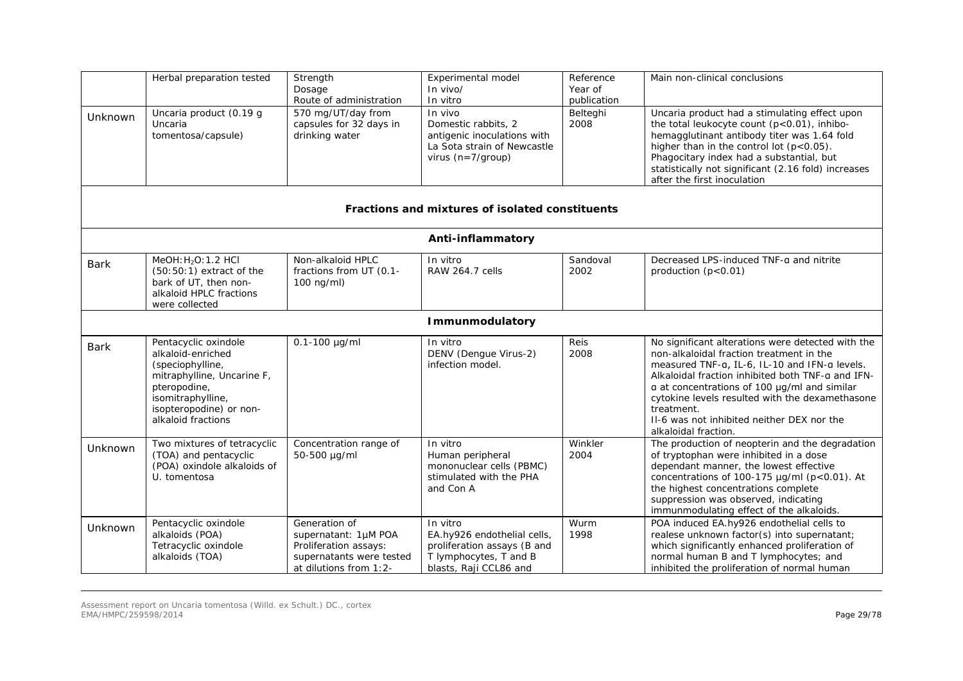|             | Herbal preparation tested                                                                                                                                                         | Strength<br>Dosage<br>Route of administration                                                                        | Experimental model<br>In vivo/<br>In vitro                                                                                 | Reference<br>Year of<br>publication | Main non-clinical conclusions                                                                                                                                                                                                                                                                                                                                                              |
|-------------|-----------------------------------------------------------------------------------------------------------------------------------------------------------------------------------|----------------------------------------------------------------------------------------------------------------------|----------------------------------------------------------------------------------------------------------------------------|-------------------------------------|--------------------------------------------------------------------------------------------------------------------------------------------------------------------------------------------------------------------------------------------------------------------------------------------------------------------------------------------------------------------------------------------|
| Unknown     | Uncaria product (0.19 g<br>Uncaria<br>tomentosa/capsule)                                                                                                                          | 570 mg/UT/day from<br>capsules for 32 days in<br>drinking water                                                      | In vivo<br>Domestic rabbits, 2<br>antigenic inoculations with<br>La Sota strain of Newcastle<br>virus $(n=7/qroup)$        | Belteghi<br>2008                    | Uncaria product had a stimulating effect upon<br>the total leukocyte count (p<0.01), inhibo-<br>hemagglutinant antibody titer was 1.64 fold<br>higher than in the control lot $(p<0.05)$ .<br>Phagocitary index had a substantial, but<br>statistically not significant (2.16 fold) increases<br>after the first inoculation                                                               |
|             |                                                                                                                                                                                   |                                                                                                                      | Fractions and mixtures of isolated constituents                                                                            |                                     |                                                                                                                                                                                                                                                                                                                                                                                            |
|             |                                                                                                                                                                                   |                                                                                                                      | Anti-inflammatory                                                                                                          |                                     |                                                                                                                                                                                                                                                                                                                                                                                            |
| <b>Bark</b> | MeOH: H <sub>2</sub> O: 1.2 HCl<br>$(50:50:1)$ extract of the<br>bark of UT, then non-<br>alkaloid HPLC fractions<br>were collected                                               | Non-alkaloid HPLC<br>fractions from UT (0.1-<br>$100 \text{ ng/ml}$                                                  | In vitro<br><b>RAW 264.7 cells</b>                                                                                         | Sandoval<br>2002                    | Decreased LPS-induced TNF-a and nitrite<br>production $(p<0.01)$                                                                                                                                                                                                                                                                                                                           |
|             |                                                                                                                                                                                   |                                                                                                                      | <b>Immunmodulatory</b>                                                                                                     |                                     |                                                                                                                                                                                                                                                                                                                                                                                            |
| <b>Bark</b> | Pentacyclic oxindole<br>alkaloid-enriched<br>(speciophylline,<br>mitraphylline, Uncarine F,<br>pteropodine,<br>isomitraphylline,<br>isopteropodine) or non-<br>alkaloid fractions | $0.1 - 100$ µg/ml                                                                                                    | In vitro<br>DENV (Dengue Virus-2)<br>infection model.                                                                      | Reis<br>2008                        | No significant alterations were detected with the<br>non-alkaloidal fraction treatment in the<br>measured TNF-a, IL-6, IL-10 and IFN-a levels.<br>Alkaloidal fraction inhibited both TNF-a and IFN-<br>a at concentrations of 100 µg/ml and similar<br>cytokine levels resulted with the dexamethasone<br>treatment.<br>II-6 was not inhibited neither DEX nor the<br>alkaloidal fraction. |
| Unknown     | Two mixtures of tetracyclic<br>(TOA) and pentacyclic<br>(POA) oxindole alkaloids of<br>U. tomentosa                                                                               | Concentration range of<br>50-500 µg/ml                                                                               | In vitro<br>Human peripheral<br>mononuclear cells (PBMC)<br>stimulated with the PHA<br>and Con A                           | Winkler<br>2004                     | The production of neopterin and the degradation<br>of tryptophan were inhibited in a dose<br>dependant manner, the lowest effective<br>concentrations of 100-175 µg/ml (p<0.01). At<br>the highest concentrations complete<br>suppression was observed, indicating<br>immunmodulating effect of the alkaloids.                                                                             |
| Unknown     | Pentacyclic oxindole<br>alkaloids (POA)<br>Tetracyclic oxindole<br>alkaloids (TOA)                                                                                                | Generation of<br>supernatant: 1µM POA<br>Proliferation assays:<br>supernatants were tested<br>at dilutions from 1:2- | In vitro<br>EA.hy926 endothelial cells,<br>proliferation assays (B and<br>T lymphocytes, T and B<br>blasts, Raji CCL86 and | Wurm<br>1998                        | POA induced EA.hy926 endothelial cells to<br>realese unknown factor(s) into supernatant;<br>which significantly enhanced proliferation of<br>normal human B and T lymphocytes; and<br>inhibited the proliferation of normal human                                                                                                                                                          |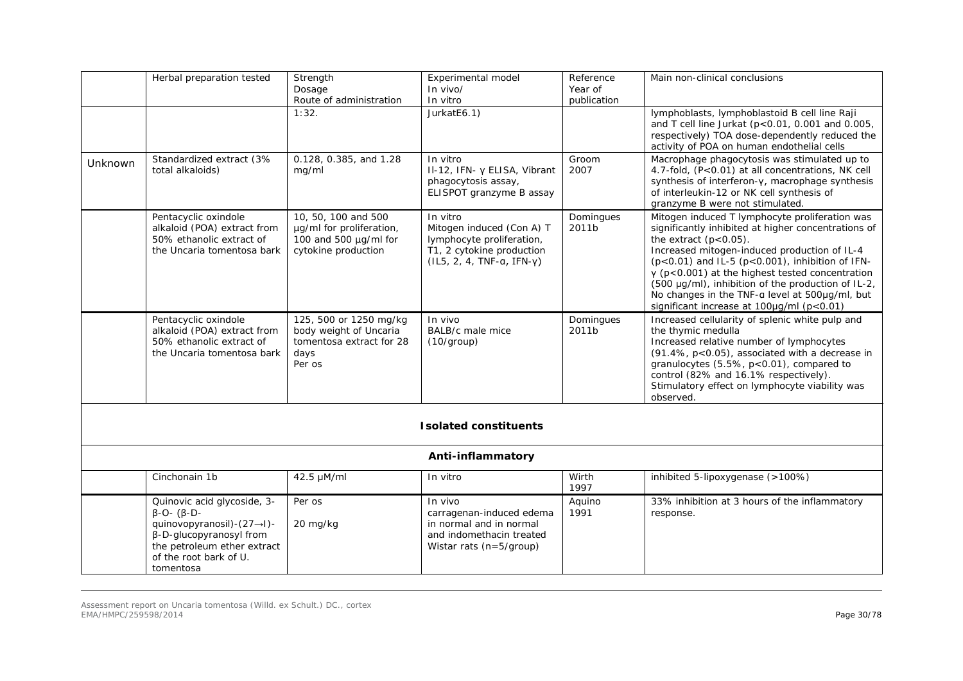|                              | Herbal preparation tested                                                                                                                                                             | Strength<br>Dosage<br>Route of administration                                                   | Experimental model<br>In vivo/<br>In vitro                                                                                     | Reference<br>Year of<br>publication | Main non-clinical conclusions                                                                                                                                                                                                                                                                                                                                                                                                                            |  |  |  |
|------------------------------|---------------------------------------------------------------------------------------------------------------------------------------------------------------------------------------|-------------------------------------------------------------------------------------------------|--------------------------------------------------------------------------------------------------------------------------------|-------------------------------------|----------------------------------------------------------------------------------------------------------------------------------------------------------------------------------------------------------------------------------------------------------------------------------------------------------------------------------------------------------------------------------------------------------------------------------------------------------|--|--|--|
|                              |                                                                                                                                                                                       | 1:32.                                                                                           | JurkatE6.1)                                                                                                                    |                                     | lymphoblasts, lymphoblastoid B cell line Raji<br>and T cell line Jurkat ( $p<0.01$ , 0.001 and 0.005,<br>respectively) TOA dose-dependently reduced the<br>activity of POA on human endothelial cells                                                                                                                                                                                                                                                    |  |  |  |
| Unknown                      | Standardized extract (3%<br>total alkaloids)                                                                                                                                          | 0.128, 0.385, and 1.28<br>mg/ml                                                                 | In vitro<br>II-12, IFN- y ELISA, Vibrant<br>phagocytosis assay,<br>ELISPOT granzyme B assay                                    | Groom<br>2007                       | Macrophage phagocytosis was stimulated up to<br>4.7-fold, (P<0.01) at all concentrations, NK cell<br>synthesis of interferon-y, macrophage synthesis<br>of interleukin-12 or NK cell synthesis of<br>granzyme B were not stimulated.                                                                                                                                                                                                                     |  |  |  |
|                              | Pentacyclic oxindole<br>alkaloid (POA) extract from<br>50% ethanolic extract of<br>the Uncaria tomentosa bark                                                                         | 10, 50, 100 and 500<br>µg/ml for proliferation,<br>100 and 500 µg/ml for<br>cytokine production | In vitro<br>Mitogen induced (Con A) T<br>lymphocyte proliferation,<br>T1, 2 cytokine production<br>$(IL5, 2, 4, TNF-a, IFN-Y)$ | Domingues<br>2011b                  | Mitogen induced T lymphocyte proliferation was<br>significantly inhibited at higher concentrations of<br>the extract $(p<0.05)$ .<br>Increased mitogen-induced production of IL-4<br>$(p<0.01)$ and IL-5 $(p<0.001)$ , inhibition of IFN-<br>$\gamma$ (p<0.001) at the highest tested concentration<br>(500 µg/ml), inhibition of the production of IL-2,<br>No changes in the TNF-a level at 500µg/ml, but<br>significant increase at 100µg/ml (p<0.01) |  |  |  |
|                              | Pentacyclic oxindole<br>alkaloid (POA) extract from<br>50% ethanolic extract of<br>the Uncaria tomentosa bark                                                                         | 125, 500 or 1250 mg/kg<br>body weight of Uncaria<br>tomentosa extract for 28<br>days<br>Per os  | In vivo<br>BALB/c male mice<br>(10/group)                                                                                      | Domingues<br>2011b                  | Increased cellularity of splenic white pulp and<br>the thymic medulla<br>Increased relative number of lymphocytes<br>(91.4%, p<0.05), associated with a decrease in<br>granulocytes (5.5%, p<0.01), compared to<br>control (82% and 16.1% respectively).<br>Stimulatory effect on lymphocyte viability was<br>observed.                                                                                                                                  |  |  |  |
| <b>Isolated constituents</b> |                                                                                                                                                                                       |                                                                                                 |                                                                                                                                |                                     |                                                                                                                                                                                                                                                                                                                                                                                                                                                          |  |  |  |
|                              | Anti-inflammatory                                                                                                                                                                     |                                                                                                 |                                                                                                                                |                                     |                                                                                                                                                                                                                                                                                                                                                                                                                                                          |  |  |  |
|                              | Cinchonain 1b                                                                                                                                                                         | 42.5 µM/ml                                                                                      | In vitro                                                                                                                       | Wirth<br>1997                       | inhibited 5-lipoxygenase (>100%)                                                                                                                                                                                                                                                                                                                                                                                                                         |  |  |  |
|                              | Quinovic acid glycoside, 3-<br>$\beta$ -O- $(\beta$ -D-<br>quinovopyranosil)-(27→I)-<br>β-D-glucopyranosyl from<br>the petroleum ether extract<br>of the root bark of U.<br>tomentosa | Per os<br>20 mg/kg                                                                              | In vivo<br>carragenan-induced edema<br>in normal and in normal<br>and indomethacin treated<br>Wistar rats (n=5/group)          | Aquino<br>1991                      | 33% inhibition at 3 hours of the inflammatory<br>response.                                                                                                                                                                                                                                                                                                                                                                                               |  |  |  |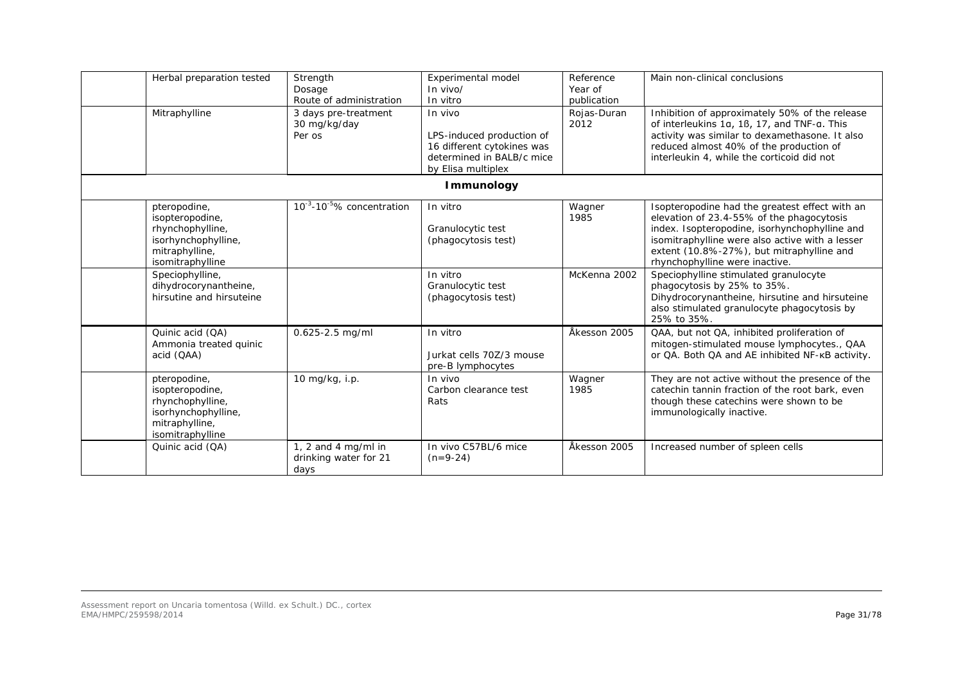| Herbal preparation tested<br>Mitraphylline                                                                       | Strength<br>Dosage<br>Route of administration<br>3 days pre-treatment<br>30 mg/kg/day<br>Per os | <b>Experimental model</b><br>$In$ vivo/<br>In vitro<br>In vivo<br>LPS-induced production of<br>16 different cytokines was<br>determined in BALB/c mice<br>by Elisa multiplex | Reference<br>Year of<br>publication<br>Rojas-Duran<br>2012 | Main non-clinical conclusions<br>Inhibition of approximately 50% of the release<br>of interleukins 1a, 1ß, 17, and TNF-a. This<br>activity was similar to dexamethasone. It also<br>reduced almost 40% of the production of<br>interleukin 4, while the corticoid did not      |
|------------------------------------------------------------------------------------------------------------------|-------------------------------------------------------------------------------------------------|------------------------------------------------------------------------------------------------------------------------------------------------------------------------------|------------------------------------------------------------|--------------------------------------------------------------------------------------------------------------------------------------------------------------------------------------------------------------------------------------------------------------------------------|
|                                                                                                                  |                                                                                                 | <b>Immunology</b>                                                                                                                                                            |                                                            |                                                                                                                                                                                                                                                                                |
| pteropodine,<br>isopteropodine,<br>rhynchophylline,<br>isorhynchophylline,<br>mitraphylline,<br>isomitraphylline | 10 <sup>-3</sup> -10 <sup>-5</sup> % concentration                                              | In vitro<br>Granulocytic test<br>(phagocytosis test)                                                                                                                         | Wagner<br>1985                                             | Isopteropodine had the greatest effect with an<br>elevation of 23.4-55% of the phagocytosis<br>index. Isopteropodine, isorhynchophylline and<br>isomitraphylline were also active with a lesser<br>extent (10.8%-27%), but mitraphylline and<br>rhynchophylline were inactive. |
| Speciophylline,<br>dihydrocorynantheine,<br>hirsutine and hirsuteine                                             |                                                                                                 | In vitro<br>Granulocytic test<br>(phagocytosis test)                                                                                                                         | McKenna 2002                                               | Speciophylline stimulated granulocyte<br>phagocytosis by 25% to 35%.<br>Dihydrocorynantheine, hirsutine and hirsuteine<br>also stimulated granulocyte phagocytosis by<br>25% to 35%.                                                                                           |
| Quinic acid (QA)<br>Ammonia treated quinic<br>acid (QAA)                                                         | 0.625-2.5 mg/ml                                                                                 | In vitro<br>Jurkat cells 70Z/3 mouse<br>pre-B lymphocytes                                                                                                                    | Åkesson 2005                                               | QAA, but not QA, inhibited proliferation of<br>mitogen-stimulated mouse lymphocytes., QAA<br>or QA. Both QA and AE inhibited NF-KB activity.                                                                                                                                   |
| pteropodine,<br>isopteropodine,<br>rhynchophylline,<br>isorhynchophylline,<br>mitraphylline,<br>isomitraphylline | 10 mg/kg, i.p.                                                                                  | In vivo<br>Carbon clearance test<br>Rats                                                                                                                                     | Wagner<br>1985                                             | They are not active without the presence of the<br>catechin tannin fraction of the root bark, even<br>though these catechins were shown to be<br>immunologically inactive.                                                                                                     |
| Quinic acid (QA)                                                                                                 | 1, 2 and 4 mg/ml in<br>drinking water for 21<br>days                                            | In vivo C57BL/6 mice<br>$(n=9-24)$                                                                                                                                           | Åkesson 2005                                               | Increased number of spleen cells                                                                                                                                                                                                                                               |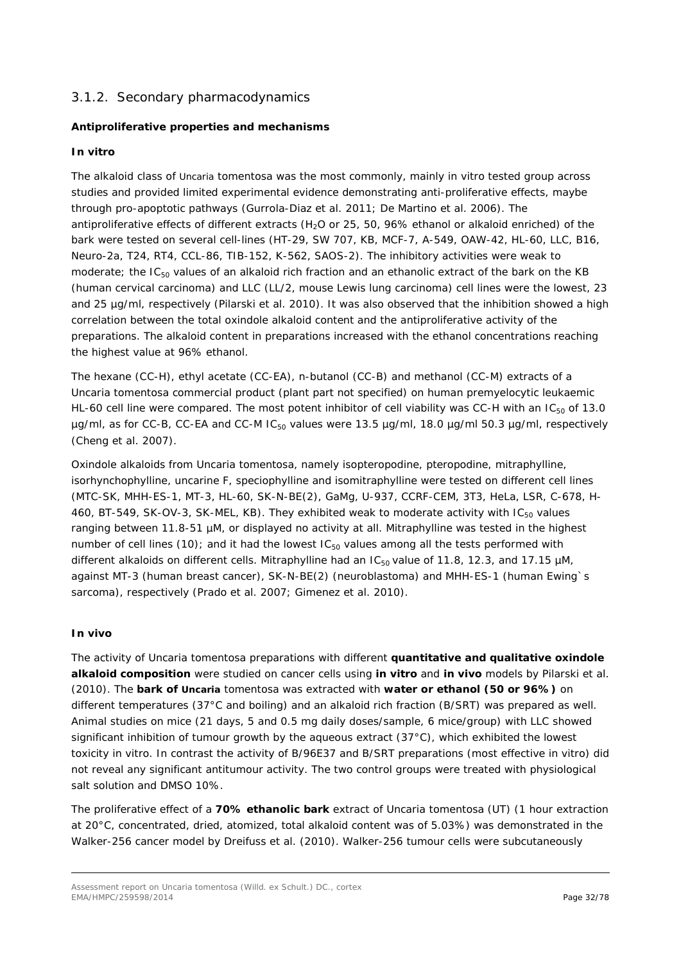# <span id="page-31-0"></span>3.1.2. Secondary pharmacodynamics

## *Antiproliferative properties and mechanisms*

### *In vitro*

The alkaloid class of *Uncaria tomentosa* was the most commonly, mainly *in vitro* tested group across studies and provided limited experimental evidence demonstrating anti-proliferative effects, maybe through pro-apoptotic pathways (Gurrola-Diaz *et al.* 2011; De Martino *et al.* 2006). The antiproliferative effects of different extracts (H<sub>2</sub>O or 25, 50, 96% ethanol or alkaloid enriched) of the bark were tested on several cell-lines (HT-29, SW 707, KB, MCF-7, A-549, OAW-42, HL-60, LLC, B16, Neuro-2a, T24, RT4, CCL-86, TIB-152, K-562, SAOS-2). The inhibitory activities were weak to moderate; the IC<sub>50</sub> values of an alkaloid rich fraction and an ethanolic extract of the bark on the KB (human cervical carcinoma) and LLC (LL/2, mouse Lewis lung carcinoma) cell lines were the lowest, 23 and 25 µg/ml, respectively (Pilarski *et al.* 2010). It was also observed that the inhibition showed a high correlation between the total oxindole alkaloid content and the antiproliferative activity of the preparations. The alkaloid content in preparations increased with the ethanol concentrations reaching the highest value at 96% ethanol.

The hexane (CC-H), ethyl acetate (CC-EA), n-butanol (CC-B) and methanol (CC-M) extracts of a *Uncaria tomentosa* commercial product (plant part not specified) on human premyelocytic leukaemic HL-60 cell line were compared. The most potent inhibitor of cell viability was CC-H with an  $IC_{50}$  of 13.0  $\mu$ g/ml, as for CC-B, CC-EA and CC-M IC<sub>50</sub> values were 13.5  $\mu$ g/ml, 18.0  $\mu$ g/ml 50.3  $\mu$ g/ml, respectively (Cheng *et al.* 2007).

Oxindole alkaloids from *Uncaria tomentosa,* namely isopteropodine, pteropodine, mitraphylline, isorhynchophylline, uncarine F, speciophylline and isomitraphylline were tested on different cell lines (MTC-SK, MHH-ES-1, MT-3, HL-60, SK-N-BE(2), GaMg, U-937, CCRF-CEM, 3T3, HeLa, LSR, C-678, H-460, BT-549, SK-OV-3, SK-MEL, KB). They exhibited weak to moderate activity with IC<sub>50</sub> values ranging between 11.8-51 µM, or displayed no activity at all. Mitraphylline was tested in the highest number of cell lines (10); and it had the lowest  $IC_{50}$  values among all the tests performed with different alkaloids on different cells. Mitraphylline had an  $IC_{50}$  value of 11.8, 12.3, and 17.15  $\mu$ M, against MT-3 (human breast cancer), SK-N-BE(2) (neuroblastoma) and MHH-ES-1 (human Ewing`s sarcoma), respectively (Prado *et al.* 2007; Gimenez *et al.* 2010).

#### *In vivo*

The activity of *Uncaria tomentosa* preparations with different **quantitative and qualitative oxindole alkaloid composition** were studied on cancer cells using *in vitro* and *in vivo* models by Pilarski *et al.* (2010). The **bark of** *Uncaria tomentosa* was extracted with **water or ethanol (50 or 96%)** on different temperatures (37°C and boiling) and an alkaloid rich fraction (B/SRT) was prepared as well. Animal studies on mice (21 days, 5 and 0.5 mg daily doses/sample, 6 mice/group) with LLC showed significant inhibition of tumour growth by the aqueous extract (37°C), which exhibited the lowest toxicity *in vitro*. In contrast the activity of B/96E37 and B/SRT preparations (most effective *in vitro*) did not reveal any significant antitumour activity. The two control groups were treated with physiological salt solution and DMSO 10%.

The proliferative effect of a **70% ethanolic bark** extract of *Uncaria tomentosa* (UT) (1 hour extraction at 20°C, concentrated, dried, atomized, total alkaloid content was of 5.03%) was demonstrated in the Walker-256 cancer model by Dreifuss *et al.* (2010). Walker-256 tumour cells were subcutaneously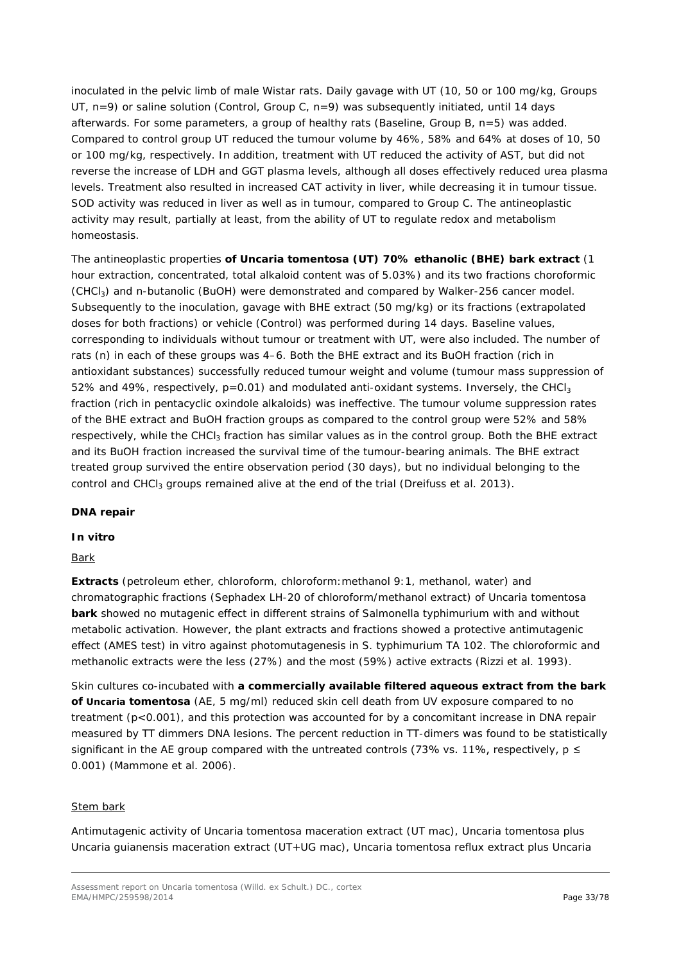inoculated in the pelvic limb of male Wistar rats. Daily gavage with UT (10, 50 or 100 mg/kg, Groups UT, n=9) or saline solution (Control, Group C, n=9) was subsequently initiated, until 14 days afterwards. For some parameters, a group of healthy rats (Baseline, Group B, n=5) was added. Compared to control group UT reduced the tumour volume by 46%, 58% and 64% at doses of 10, 50 or 100 mg/kg, respectively. In addition, treatment with UT reduced the activity of AST, but did not reverse the increase of LDH and GGT plasma levels, although all doses effectively reduced urea plasma levels. Treatment also resulted in increased CAT activity in liver, while decreasing it in tumour tissue. SOD activity was reduced in liver as well as in tumour, compared to Group C. The antineoplastic activity may result, partially at least, from the ability of UT to regulate redox and metabolism homeostasis.

The antineoplastic properties **of** *Uncaria tomentosa* **(UT) 70% ethanolic (BHE) bark extract** (1 hour extraction, concentrated, total alkaloid content was of 5.03%) and its two fractions choroformic (CHCl3) and n-butanolic (BuOH) were demonstrated and compared by Walker-256 cancer model. Subsequently to the inoculation, gavage with BHE extract (50 mg/kg) or its fractions (extrapolated doses for both fractions) or vehicle (Control) was performed during 14 days. Baseline values, corresponding to individuals without tumour or treatment with UT, were also included. The number of rats (n) in each of these groups was 4–6. Both the BHE extract and its BuOH fraction (rich in antioxidant substances) successfully reduced tumour weight and volume (tumour mass suppression of 52% and 49%, respectively,  $p=0.01$ ) and modulated anti-oxidant systems. Inversely, the CHCl<sub>3</sub> fraction (rich in pentacyclic oxindole alkaloids) was ineffective. The tumour volume suppression rates of the BHE extract and BuOH fraction groups as compared to the control group were 52% and 58% respectively, while the CHCl<sub>3</sub> fraction has similar values as in the control group. Both the BHE extract and its BuOH fraction increased the survival time of the tumour-bearing animals. The BHE extract treated group survived the entire observation period (30 days), but no individual belonging to the control and CHCl<sub>3</sub> groups remained alive at the end of the trial (Dreifuss *et al.* 2013).

# *DNA repair*

#### *In vitro*

#### Bark

**Extracts** (petroleum ether, chloroform, chloroform:methanol 9:1, methanol, water) and chromatographic fractions (Sephadex LH-20 of chloroform/methanol extract) of *Uncaria tomentosa* **bark** showed no mutagenic effect in different strains of *Salmonella typhimurium* with and without metabolic activation. However, the plant extracts and fractions showed a protective antimutagenic effect (AMES test) *in vitro* against photomutagenesis in *S. typhimurium* TA 102. The chloroformic and methanolic extracts were the less (27%) and the most (59%) active extracts (Rizzi *et al.* 1993).

Skin cultures co-incubated with **a commercially available filtered aqueous extract from the bark of** *Uncaria tomentosa* (AE, 5 mg/ml) reduced skin cell death from UV exposure compared to no treatment (p<0.001), and this protection was accounted for by a concomitant increase in DNA repair measured by TT dimmers DNA lesions. The percent reduction in TT-dimers was found to be statistically significant in the AE group compared with the untreated controls (73% vs. 11%, respectively,  $p \le$ 0.001) (Mammone *et al.* 2006).

#### **Stem bark**

Antimutagenic activity of *Uncaria tomentosa* maceration extract (UT mac), *Uncaria tomentosa* plus *Uncaria guianensis* maceration extract (UT+UG mac), *Uncaria tomentosa* reflux extract plus *Uncaria*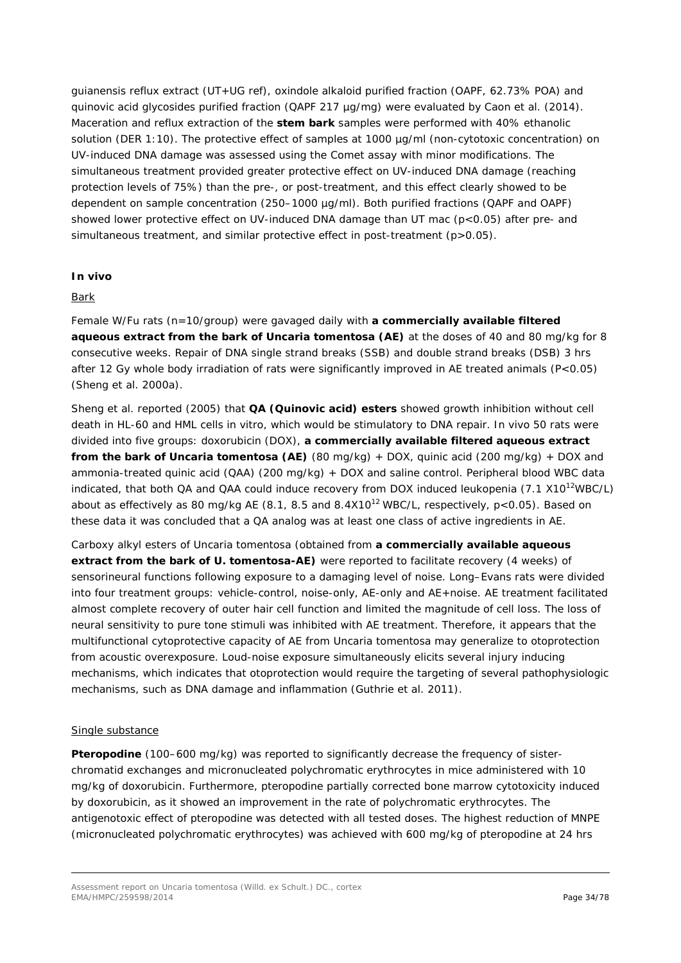*guianensis* reflux extract (UT+UG ref), oxindole alkaloid purified fraction (OAPF, 62.73% POA) and quinovic acid glycosides purified fraction (QAPF 217 µg/mg) were evaluated by Caon *et al.* (2014). Maceration and reflux extraction of the **stem bark** samples were performed with 40% ethanolic solution (DER 1:10). The protective effect of samples at 1000 µg/ml (non-cytotoxic concentration) on UV-induced DNA damage was assessed using the Comet assay with minor modifications. The simultaneous treatment provided greater protective effect on UV-induced DNA damage (reaching protection levels of 75%) than the pre-, or post-treatment, and this effect clearly showed to be dependent on sample concentration (250–1000 µg/ml). Both purified fractions (QAPF and OAPF) showed lower protective effect on UV-induced DNA damage than UT mac (p<0.05) after pre- and simultaneous treatment, and similar protective effect in post-treatment (p>0.05).

### *In vivo*

### Bark

Female W/Fu rats (n=10/group) were gavaged daily with **a commercially available filtered aqueous extract from the bark of** *Uncaria tomentosa* **(AE)** at the doses of 40 and 80 mg/kg for 8 consecutive weeks. Repair of DNA single strand breaks (SSB) and double strand breaks (DSB) 3 hrs after 12 Gy whole body irradiation of rats were significantly improved in AE treated animals (P<0.05) (Sheng *et al.* 2000a).

Sheng *et al.* reported (2005) that **QA (Quinovic acid) esters** showed growth inhibition without cell death in HL-60 and HML cells *in vitro*, which would be stimulatory to DNA repair. *In vivo* 50 rats were divided into five groups: doxorubicin (DOX), **a commercially available filtered aqueous extract from the bark of** *Uncaria tomentosa* **(AE)** (80 mg/kg) + DOX, quinic acid (200 mg/kg) + DOX and ammonia-treated quinic acid (QAA) (200 mg/kg) + DOX and saline control. Peripheral blood WBC data indicated, that both QA and QAA could induce recovery from DOX induced leukopenia (7.1 X10<sup>12</sup>WBC/L) about as effectively as 80 mg/kg AE (8.1, 8.5 and 8.4X10<sup>12</sup> WBC/L, respectively,  $p < 0.05$ ). Based on these data it was concluded that a QA analog was at least one class of active ingredients in AE.

Carboxy alkyl esters of *Uncaria tomentosa* (obtained from **a commercially available aqueous extract from the bark of** *U. tomentosa***-AE)** were reported to facilitate recovery (4 weeks) of sensorineural functions following exposure to a damaging level of noise. Long–Evans rats were divided into four treatment groups: vehicle-control, noise-only, AE-only and AE+noise. AE treatment facilitated almost complete recovery of outer hair cell function and limited the magnitude of cell loss. The loss of neural sensitivity to pure tone stimuli was inhibited with AE treatment. Therefore, it appears that the multifunctional cytoprotective capacity of AE from *Uncaria tomentosa* may generalize to otoprotection from acoustic overexposure. Loud-noise exposure simultaneously elicits several injury inducing mechanisms, which indicates that otoprotection would require the targeting of several pathophysiologic mechanisms, such as DNA damage and inflammation (Guthrie *et al.* 2011).

#### Single substance

**Pteropodine** (100–600 mg/kg) was reported to significantly decrease the frequency of sisterchromatid exchanges and micronucleated polychromatic erythrocytes in mice administered with 10 mg/kg of doxorubicin. Furthermore, pteropodine partially corrected bone marrow cytotoxicity induced by doxorubicin, as it showed an improvement in the rate of polychromatic erythrocytes. The antigenotoxic effect of pteropodine was detected with all tested doses. The highest reduction of MNPE (micronucleated polychromatic erythrocytes) was achieved with 600 mg/kg of pteropodine at 24 hrs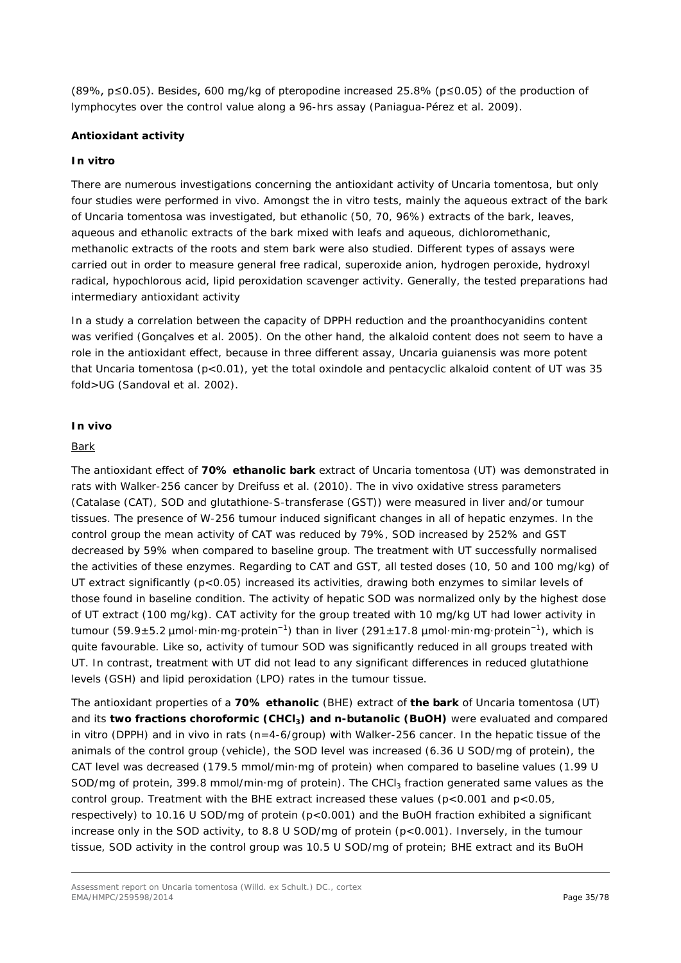(89%, p≤0.05). Besides, 600 mg/kg of pteropodine increased 25.8% (p≤0.05) of the production of lymphocytes over the control value along a 96-hrs assay (Paniagua-Pérez *et al.* 2009).

### *Antioxidant activity*

#### *In vitro*

There are numerous investigations concerning the antioxidant activity of *Uncaria tomentosa,* but only four studies were performed *in vivo.* Amongst the *in vitro* tests, mainly the aqueous extract of the bark of *Uncaria tomentosa* was investigated, but ethanolic (50, 70, 96%) extracts of the bark, leaves, aqueous and ethanolic extracts of the bark mixed with leafs and aqueous, dichloromethanic, methanolic extracts of the roots and stem bark were also studied. Different types of assays were carried out in order to measure general free radical, superoxide anion, hydrogen peroxide, hydroxyl radical, hypochlorous acid, lipid peroxidation scavenger activity. Generally, the tested preparations had intermediary antioxidant activity

In a study a correlation between the capacity of DPPH reduction and the proanthocyanidins content was verified (Gonçalves *et al*. 2005). On the other hand, the alkaloid content does not seem to have a role in the antioxidant effect, because in three different assay, *Uncaria guianensis* was more potent that *Uncaria tomentosa* (p<0.01), yet the total oxindole and pentacyclic alkaloid content of UT was 35 fold>UG (Sandoval *et al.* 2002).

#### *In vivo*

#### Bark

The antioxidant effect of **70% ethanolic bark** extract of *Uncaria tomentosa* (UT) was demonstrated in rats with Walker-256 cancer by Dreifuss *et al.* (2010). The *in vivo* oxidative stress parameters (Catalase (CAT), SOD and glutathione-S-transferase (GST)) were measured in liver and/or tumour tissues. The presence of W-256 tumour induced significant changes in all of hepatic enzymes. In the control group the mean activity of CAT was reduced by 79%, SOD increased by 252% and GST decreased by 59% when compared to baseline group. The treatment with UT successfully normalised the activities of these enzymes. Regarding to CAT and GST, all tested doses (10, 50 and 100 mg/kg) of UT extract significantly (p<0.05) increased its activities, drawing both enzymes to similar levels of those found in baseline condition. The activity of hepatic SOD was normalized only by the highest dose of UT extract (100 mg/kg). CAT activity for the group treated with 10 mg/kg UT had lower activity in tumour (59.9±5.2 μmol·min·mg·protein<sup>-1</sup>) than in liver (291±17.8 μmol·min·mg·protein<sup>-1</sup>), which is quite favourable. Like so, activity of tumour SOD was significantly reduced in all groups treated with UT. In contrast, treatment with UT did not lead to any significant differences in reduced glutathione levels (GSH) and lipid peroxidation (LPO) rates in the tumour tissue.

The antioxidant properties of a **70% ethanolic** (BHE) extract of **the bark** of *Uncaria tomentosa* (UT) and its **two fractions choroformic (CHCl<sub>3</sub>) and n-butanolic (BuOH)** were evaluated and compared *in vitro* (DPPH) and *in vivo* in rats (n=4-6/group) with Walker-256 cancer. In the hepatic tissue of the animals of the control group (vehicle), the SOD level was increased (6.36 U SOD/mg of protein), the CAT level was decreased (179.5 mmol/min·mg of protein) when compared to baseline values (1.99 U SOD/mg of protein, 399.8 mmol/min·mg of protein). The CHCl<sub>3</sub> fraction generated same values as the control group. Treatment with the BHE extract increased these values ( $p < 0.001$  and  $p < 0.05$ , respectively) to 10.16 U SOD/mg of protein (p<0.001) and the BuOH fraction exhibited a significant increase only in the SOD activity, to 8.8 U SOD/mg of protein (p<0.001). Inversely, in the tumour tissue, SOD activity in the control group was 10.5 U SOD/mg of protein; BHE extract and its BuOH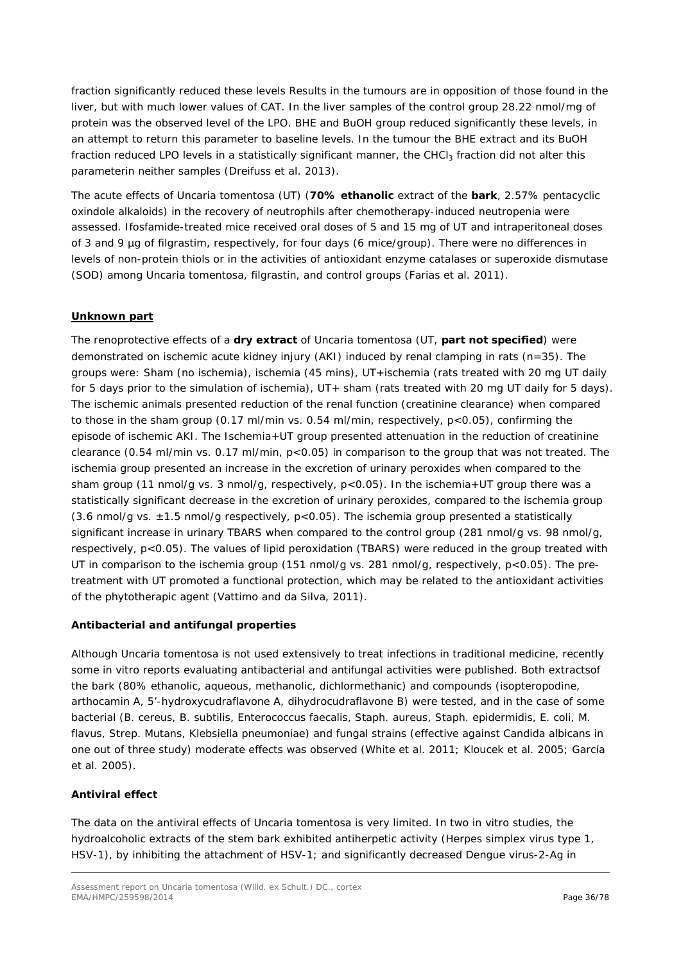fraction significantly reduced these levels Results in the tumours are in opposition of those found in the liver, but with much lower values of CAT. In the liver samples of the control group 28.22 nmol/mg of protein was the observed level of the LPO. BHE and BuOH group reduced significantly these levels, in an attempt to return this parameter to baseline levels. In the tumour the BHE extract and its BuOH fraction reduced LPO levels in a statistically significant manner, the CHCl<sub>3</sub> fraction did not alter this parameterin neither samples (Dreifuss *et al.* 2013).

The acute effects of *Uncaria tomentosa* (UT) (**70% ethanolic** extract of the **bark**, 2.57% pentacyclic oxindole alkaloids) in the recovery of neutrophils after chemotherapy-induced neutropenia were assessed. Ifosfamide-treated mice received oral doses of 5 and 15 mg of UT and intraperitoneal doses of 3 and 9 µg of filgrastim, respectively, for four days (6 mice/group). There were no differences in levels of non-protein thiols or in the activities of antioxidant enzyme catalases or superoxide dismutase (SOD) among *Uncaria tomentosa*, filgrastin, and control groups (Farias *et al.* 2011).

# **Unknown part**

The renoprotective effects of a **dry extract** of *Uncaria tomentosa* (UT, **part not specified**) were demonstrated on ischemic acute kidney injury (AKI) induced by renal clamping in rats (n=35). The groups were: Sham (no ischemia), ischemia (45 mins), UT+ischemia (rats treated with 20 mg UT daily for 5 days prior to the simulation of ischemia), UT+ sham (rats treated with 20 mg UT daily for 5 days). The ischemic animals presented reduction of the renal function (creatinine clearance) when compared to those in the sham group (0.17 ml/min vs. 0.54 ml/min, respectively, p<0.05), confirming the episode of ischemic AKI. The Ischemia+UT group presented attenuation in the reduction of creatinine clearance (0.54 ml/min vs. 0.17 ml/min, p<0.05) in comparison to the group that was not treated. The ischemia group presented an increase in the excretion of urinary peroxides when compared to the sham group (11 nmol/g vs. 3 nmol/g, respectively, p<0.05). In the ischemia+UT group there was a statistically significant decrease in the excretion of urinary peroxides, compared to the ischemia group  $(3.6 \text{ nmol/q vs. } \pm 1.5 \text{ nmol/q respectively, } p < 0.05)$ . The ischemia group presented a statistically significant increase in urinary TBARS when compared to the control group (281 nmol/g vs. 98 nmol/g, respectively, p<0.05). The values of lipid peroxidation (TBARS) were reduced in the group treated with UT in comparison to the ischemia group (151 nmol/g vs. 281 nmol/g, respectively,  $p < 0.05$ ). The pretreatment with UT promoted a functional protection, which may be related to the antioxidant activities of the phytotherapic agent (Vattimo and da Silva, 2011).

# *Antibacterial and antifungal properties*

Although *Uncaria tomentosa* is not used extensively to treat infections in traditional medicine, recently some *in vitro* reports evaluating antibacterial and antifungal activities were published. Both extractsof the bark (80% ethanolic, aqueous, methanolic, dichlormethanic) and compounds (isopteropodine, arthocamin A, 5'-hydroxycudraflavone A, dihydrocudraflavone B) were tested, and in the case of some bacterial (*B. cereus, B. subtilis, Enterococcus faecalis, Staph. aureus, Staph. epidermidis*, *E. coli, M. flavus, Strep. Mutans, Klebsiella pneumoniae*) and fungal strains (effective against *Candida albicans* in one out of three study) moderate effects was observed (White *et al.* 2011; Kloucek *et al.* 2005; García *et al.* 2005).

# *Antiviral effect*

The data on the antiviral effects of *Uncaria tomentosa* is very limited. In two *in vitro* studies, the hydroalcoholic extracts of the stem bark exhibited antiherpetic activity (Herpes simplex virus type 1, HSV-1), by inhibiting the attachment of HSV-1; and significantly decreased Dengue virus-2-Ag in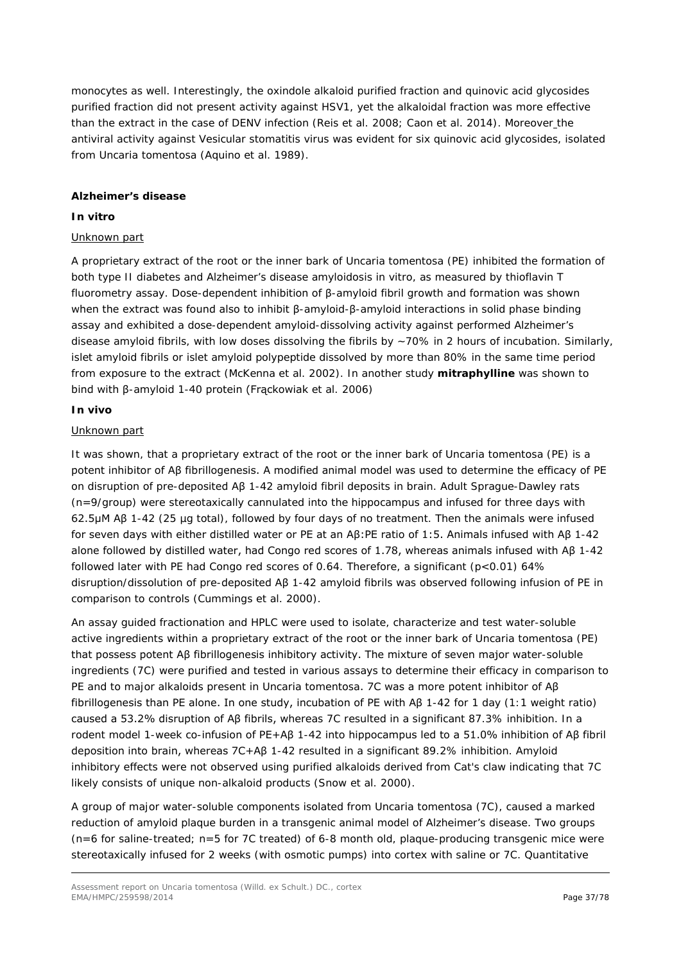monocytes as well. Interestingly, the oxindole alkaloid purified fraction and quinovic acid glycosides purified fraction did not present activity against HSV1, yet the alkaloidal fraction was more effective than the extract in the case of DENV infection (Reis *et al.* 2008; Caon *et al.* 2014). Moreover the antiviral activity against Vesicular stomatitis virus was evident for six quinovic acid glycosides, isolated from *Uncaria tomentosa* (Aquino *et al.* 1989)*.*

### **Alzheimer's disease**

### *In vitro*

### Unknown part

A proprietary extract of the root or the inner bark of *Uncaria tomentosa* (PE) inhibited the formation of both type II diabetes and Alzheimer's disease amyloidosis *in vitro,* as measured by thioflavin T fluorometry assay. Dose-dependent inhibition of β-amyloid fibril growth and formation was shown when the extract was found also to inhibit β-amyloid-β-amyloid interactions in solid phase binding assay and exhibited a dose-dependent amyloid-dissolving activity against performed Alzheimer's disease amyloid fibrils, with low doses dissolving the fibrils by ~70% in 2 hours of incubation. Similarly, islet amyloid fibrils or islet amyloid polypeptide dissolved by more than 80% in the same time period from exposure to the extract (McKenna *et al.* 2002). In another study **mitraphylline** was shown to bind with β-amyloid 1-40 protein (Frąckowiak *et al.* 2006)

### *In vivo*

### Unknown part

It was shown, that a proprietary extract of the root or the inner bark of *Uncaria tomentosa* (PE) is a potent inhibitor of Aβ fibrillogenesis. A modified animal model was used to determine the efficacy of PE on disruption of pre-deposited Aβ 1-42 amyloid fibril deposits in brain. Adult Sprague-Dawley rats (n=9/group) were stereotaxically cannulated into the hippocampus and infused for three days with 62.5μM Aβ 1-42 (25 µg total), followed by four days of no treatment. Then the animals were infused for seven days with either distilled water or PE at an Aβ:PE ratio of 1:5. Animals infused with Aβ 1-42 alone followed by distilled water, had Congo red scores of 1.78, whereas animals infused with Aβ 1-42 followed later with PE had Congo red scores of 0.64. Therefore, a significant  $(p<0.01)$  64% disruption/dissolution of pre-deposited Aβ 1-42 amyloid fibrils was observed following infusion of PE in comparison to controls (Cummings *et al.* 2000).

An assay guided fractionation and HPLC were used to isolate, characterize and test water-soluble active ingredients within a proprietary extract of the root or the inner bark of *Uncaria tomentosa* (PE) that possess potent Aβ fibrillogenesis inhibitory activity. The mixture of seven major water-soluble ingredients (7C) were purified and tested in various assays to determine their efficacy in comparison to PE and to major alkaloids present in *Uncaria tomentosa*. 7C was a more potent inhibitor of Aβ fibrillogenesis than PE alone. In one study, incubation of PE with Aβ 1-42 for 1 day (1:1 weight ratio) caused a 53.2% disruption of Aβ fibrils, whereas 7C resulted in a significant 87.3% inhibition. In a rodent model 1-week co-infusion of PE+Aβ 1-42 into hippocampus led to a 51.0% inhibition of Aβ fibril deposition into brain, whereas 7C+Aβ 1-42 resulted in a significant 89.2% inhibition. Amyloid inhibitory effects were not observed using purified alkaloids derived from Cat's claw indicating that 7C likely consists of unique non-alkaloid products (Snow *et al.* 2000).

A group of major water-soluble components isolated from *Uncaria tomentosa* (7C), caused a marked reduction of amyloid plaque burden in a transgenic animal model of Alzheimer's disease. Two groups (n=6 for saline-treated; n=5 for 7C treated) of 6-8 month old, plaque-producing transgenic mice were stereotaxically infused for 2 weeks (with osmotic pumps) into cortex with saline or 7C. Quantitative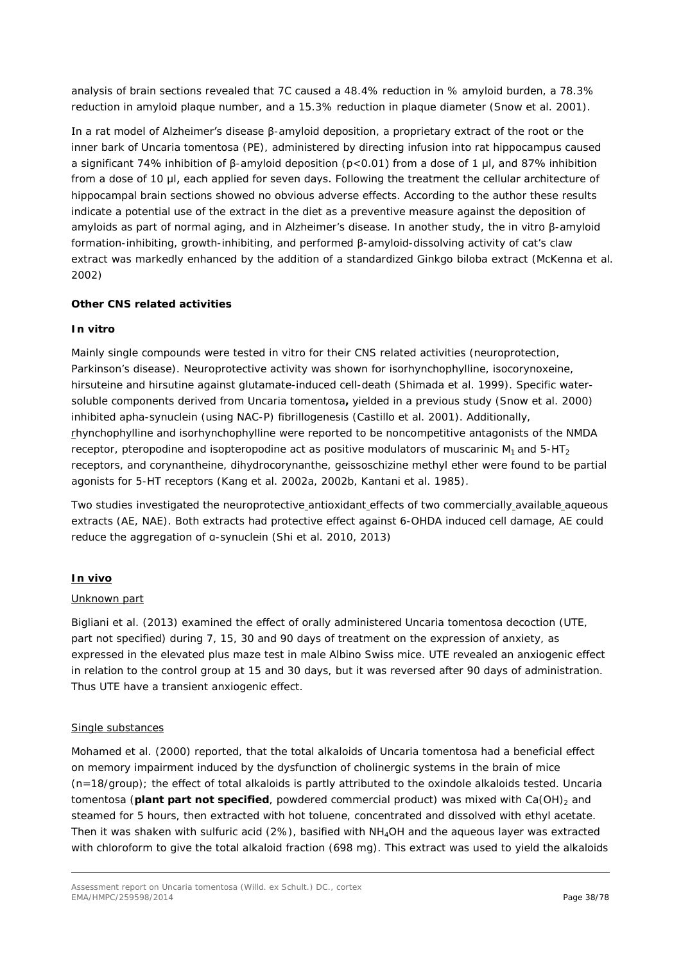analysis of brain sections revealed that 7C caused a 48.4% reduction in % amyloid burden, a 78.3% reduction in amyloid plaque number, and a 15.3% reduction in plaque diameter (Snow *et al.* 2001).

In a rat model of Alzheimer's disease β-amyloid deposition, a proprietary extract of the root or the inner bark of *Uncaria tomentosa* (PE), administered by directing infusion into rat hippocampus caused a significant 74% inhibition of β-amyloid deposition (p<0.01) from a dose of 1 μl, and 87% inhibition from a dose of 10 μl, each applied for seven days. Following the treatment the cellular architecture of hippocampal brain sections showed no obvious adverse effects. According to the author these results indicate a potential use of the extract in the diet as a preventive measure against the deposition of amyloids as part of normal aging, and in Alzheimer's disease. In another study, the *in vitro* β-amyloid formation-inhibiting, growth-inhibiting, and performed β-amyloid-dissolving activity of cat's claw extract was markedly enhanced by the addition of a standardized *Ginkgo biloba* extract (McKenna *et al.* 2002)

### **Other** *CNS related activities*

### *In vitro*

Mainly single compounds were tested *in vitro* for their CNS related activities (neuroprotection, Parkinson's disease). Neuroprotective activity was shown for isorhynchophylline, isocorynoxeine, hirsuteine and hirsutine against glutamate-induced cell-death (Shimada *et al.* 1999). Specific watersoluble components derived from *Uncaria tomentosa***,** yielded in a previous study (Snow *et al.* 2000) inhibited apha-synuclein (using NAC-P) fibrillogenesis (Castillo *et al.* 2001). Additionally, rhynchophylline and isorhynchophylline were reported to be noncompetitive antagonists of the NMDA receptor, pteropodine and isopteropodine act as positive modulators of muscarinic  $M_1$  and  $5-HT_2$ receptors, and corynantheine, dihydrocorynanthe, geissoschizine methyl ether were found to be partial agonists for 5-HT receptors (Kang *et al.* 2002a, 2002b, Kantani *et al.* 1985).

Two studies investigated the neuroprotective antioxidant effects of two commercially available aqueous extracts (AE, NAE). Both extracts had protective effect against 6-OHDA induced cell damage, AE could reduce the aggregation of α-synuclein (Shi *et al.* 2010, 2013)

### *In vivo*

#### Unknown part

Bigliani *et al.* (2013) examined the effect of orally administered *Uncaria tomentosa* decoction (UTE, part not specified) during 7, 15, 30 and 90 days of treatment on the expression of anxiety, as expressed in the elevated plus maze test in male Albino Swiss mice. UTE revealed an anxiogenic effect in relation to the control group at 15 and 30 days, but it was reversed after 90 days of administration. Thus UTE have a transient anxiogenic effect.

#### Single substances

Mohamed *et al.* (2000) reported, that the total alkaloids of *Uncaria tomentosa* had a beneficial effect on memory impairment induced by the dysfunction of cholinergic systems in the brain of mice (n=18/group); the effect of total alkaloids is partly attributed to the oxindole alkaloids tested. *Uncaria tomentosa* (**plant part not specified**, powdered commercial product) was mixed with Ca(OH)<sub>2</sub> and steamed for 5 hours, then extracted with hot toluene, concentrated and dissolved with ethyl acetate. Then it was shaken with sulfuric acid (2%), basified with  $NH<sub>4</sub>OH$  and the aqueous layer was extracted with chloroform to give the total alkaloid fraction (698 mg). This extract was used to yield the alkaloids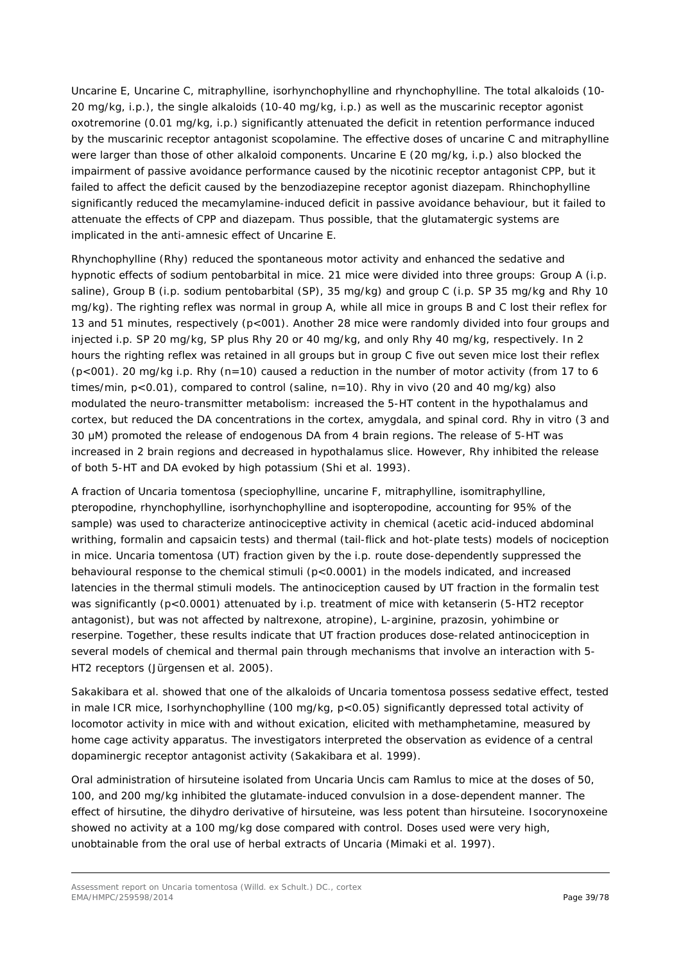Uncarine E, Uncarine C, mitraphylline, isorhynchophylline and rhynchophylline. The total alkaloids (10- 20 mg/kg, *i.p.*), the single alkaloids (10-40 mg/kg, i.p.) as well as the muscarinic receptor agonist oxotremorine (0.01 mg/kg, i.p.) significantly attenuated the deficit in retention performance induced by the muscarinic receptor antagonist scopolamine. The effective doses of uncarine C and mitraphylline were larger than those of other alkaloid components. Uncarine E (20 mg/kg, i.p.) also blocked the impairment of passive avoidance performance caused by the nicotinic receptor antagonist CPP, but it failed to affect the deficit caused by the benzodiazepine receptor agonist diazepam. Rhinchophylline significantly reduced the mecamylamine-induced deficit in passive avoidance behaviour, but it failed to attenuate the effects of CPP and diazepam. Thus possible, that the glutamatergic systems are implicated in the anti-amnesic effect of Uncarine E.

Rhynchophylline (Rhy) reduced the spontaneous motor activity and enhanced the sedative and hypnotic effects of sodium pentobarbital in mice. 21 mice were divided into three groups: Group A (*i.p.* saline), Group B (*i.p.* sodium pentobarbital (SP), 35 mg/kg) and group C (*i.p.* SP 35 mg/kg and Rhy 10 mg/kg). The righting reflex was normal in group A, while all mice in groups B and C lost their reflex for 13 and 51 minutes, respectively (p<001). Another 28 mice were randomly divided into four groups and injected *i.p.* SP 20 mg/kg, SP plus Rhy 20 or 40 mg/kg, and only Rhy 40 mg/kg, respectively. In 2 hours the righting reflex was retained in all groups but in group C five out seven mice lost their reflex (p<001). 20 mg/kg *i.p.* Rhy (n=10) caused a reduction in the number of motor activity (from 17 to 6 times/min, p<0.01), compared to control (saline, n=10). Rhy *in vivo* (20 and 40 mg/kg) also modulated the neuro-transmitter metabolism: increased the 5-HT content in the hypothalamus and cortex, but reduced the DA concentrations in the cortex, amygdala, and spinal cord. Rhy *in vitro* (3 and 30 μM) promoted the release of endogenous DA from 4 brain regions. The release of 5-HT was increased in 2 brain regions and decreased in hypothalamus slice. However, Rhy inhibited the release of both 5-HT and DA evoked by high potassium (Shi *et al.* 1993).

A fraction of *Uncaria tomentosa* (speciophylline, uncarine F, mitraphylline, isomitraphylline, pteropodine, rhynchophylline, isorhynchophylline and isopteropodine, accounting for 95% of the sample) was used to characterize antinociceptive activity in chemical (acetic acid-induced abdominal writhing, formalin and capsaicin tests) and thermal (tail-flick and hot-plate tests) models of nociception in mice. *Uncaria tomentosa* (UT) fraction given by the *i.p*. route dose-dependently suppressed the behavioural response to the chemical stimuli (p<0.0001) in the models indicated, and increased latencies in the thermal stimuli models. The antinociception caused by UT fraction in the formalin test was significantly (p<0.0001) attenuated by *i.p*. treatment of mice with ketanserin (5-HT2 receptor antagonist), but was not affected by naltrexone, atropine), L-arginine, prazosin, yohimbine or reserpine. Together, these results indicate that UT fraction produces dose-related antinociception in several models of chemical and thermal pain through mechanisms that involve an interaction with 5- HT2 receptors (Jürgensen *et al.* 2005).

Sakakibara *et al.* showed that one of the alkaloids of *Uncaria tomentosa* possess sedative effect, tested in male ICR mice, Isorhynchophylline (100 mg/kg, p<0.05) significantly depressed total activity of locomotor activity in mice with and without exication, elicited with methamphetamine, measured by home cage activity apparatus. The investigators interpreted the observation as evidence of a central dopaminergic receptor antagonist activity (Sakakibara *et al.* 1999).

Oral administration of hirsuteine isolated from Uncaria Uncis cam Ramlus to mice at the doses of 50, 100, and 200 mg/kg inhibited the glutamate-induced convulsion in a dose-dependent manner. The effect of hirsutine, the dihydro derivative of hirsuteine, was less potent than hirsuteine. Isocorynoxeine showed no activity at a 100 mg/kg dose compared with control. Doses used were very high, unobtainable from the oral use of herbal extracts of *Uncaria* (Mimaki *et al.* 1997).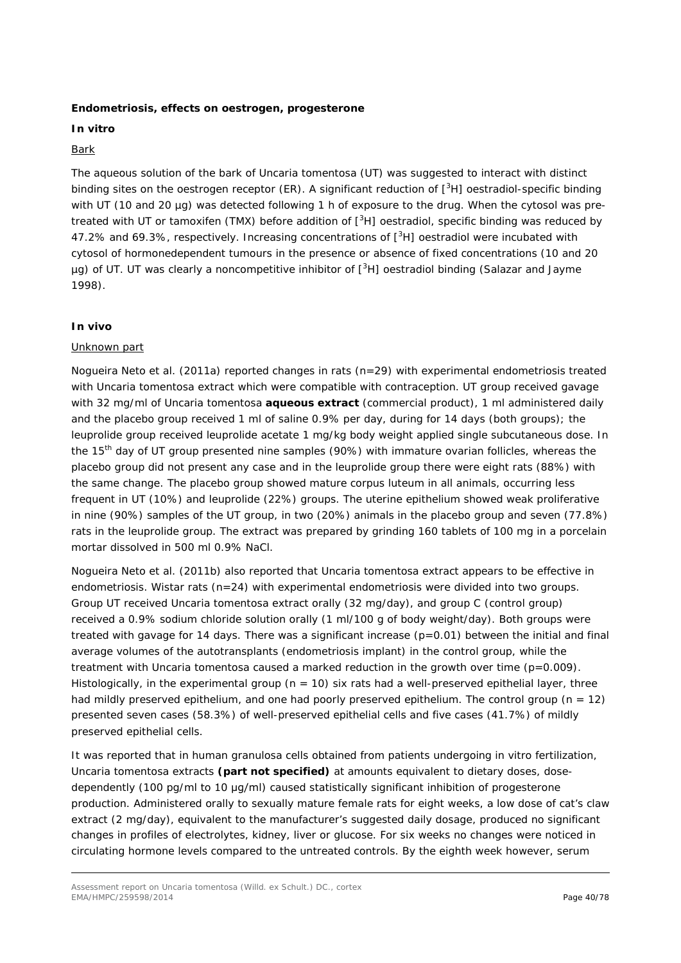### **Endometriosis, effects on oestrogen, progesterone**

### **I***n vitro*

### Bark

The aqueous solution of the bark of *Uncaria tomentosa* (UT) was suggested to interact with distinct binding sites on the oestrogen receptor (ER). A significant reduction of [<sup>3</sup>H] oestradiol-specific binding with UT (10 and 20 µg) was detected following 1 h of exposure to the drug. When the cytosol was pretreated with UT or tamoxifen (TMX) before addition of  $[^{3}H]$  oestradiol, specific binding was reduced by 47.2% and 69.3%, respectively. Increasing concentrations of [<sup>3</sup>H] oestradiol were incubated with cytosol of hormonedependent tumours in the presence or absence of fixed concentrations (10 and 20 µg) of UT. UT was clearly a noncompetitive inhibitor of [<sup>3</sup>H] oestradiol binding (Salazar and Jayme 1998).

### *In vivo*

### Unknown part

Nogueira Neto *et al.* (2011a) reported changes in rats (n=29) with experimental endometriosis treated with *Uncaria tomentosa* extract which were compatible with contraception. UT group received gavage with 32 mg/ml of *Uncaria tomentosa* **aqueous extract** (commercial product), 1 ml administered daily and the placebo group received 1 ml of saline 0.9% per day, during for 14 days (both groups); the leuprolide group received leuprolide acetate 1 mg/kg body weight applied single subcutaneous dose. In the 15<sup>th</sup> day of UT group presented nine samples (90%) with immature ovarian follicles, whereas the placebo group did not present any case and in the leuprolide group there were eight rats (88%) with the same change. The placebo group showed mature corpus luteum in all animals, occurring less frequent in UT (10%) and leuprolide (22%) groups. The uterine epithelium showed weak proliferative in nine (90%) samples of the UT group, in two (20%) animals in the placebo group and seven (77.8%) rats in the leuprolide group. The extract was prepared by grinding 160 tablets of 100 mg in a porcelain mortar dissolved in 500 ml 0.9% NaCl.

Nogueira Neto *et al.* (2011b) also reported that *Uncaria tomentosa* extract appears to be effective in endometriosis. Wistar rats  $(n=24)$  with experimental endometriosis were divided into two groups. Group UT received *Uncaria tomentosa* extract orally (32 mg/day), and group C (control group) received a 0.9% sodium chloride solution orally (1 ml/100 g of body weight/day). Both groups were treated with gavage for 14 days. There was a significant increase  $(p=0.01)$  between the initial and final average volumes of the autotransplants (endometriosis implant) in the control group, while the treatment with *Uncaria tomentosa* caused a marked reduction in the growth over time (p=0.009). Histologically, in the experimental group ( $n = 10$ ) six rats had a well-preserved epithelial layer, three had mildly preserved epithelium, and one had poorly preserved epithelium. The control group ( $n = 12$ ) presented seven cases (58.3%) of well-preserved epithelial cells and five cases (41.7%) of mildly preserved epithelial cells.

It was reported that in human granulosa cells obtained from patients undergoing *in vitro* fertilization, *Uncaria tomentosa* extracts **(part not specified)** at amounts equivalent to dietary doses, dosedependently (100 pg/ml to 10 μg/ml) caused statistically significant inhibition of progesterone production. Administered orally to sexually mature female rats for eight weeks, a low dose of cat's claw extract (2 mg/day), equivalent to the manufacturer's suggested daily dosage, produced no significant changes in profiles of electrolytes, kidney, liver or glucose. For six weeks no changes were noticed in circulating hormone levels compared to the untreated controls. By the eighth week however, serum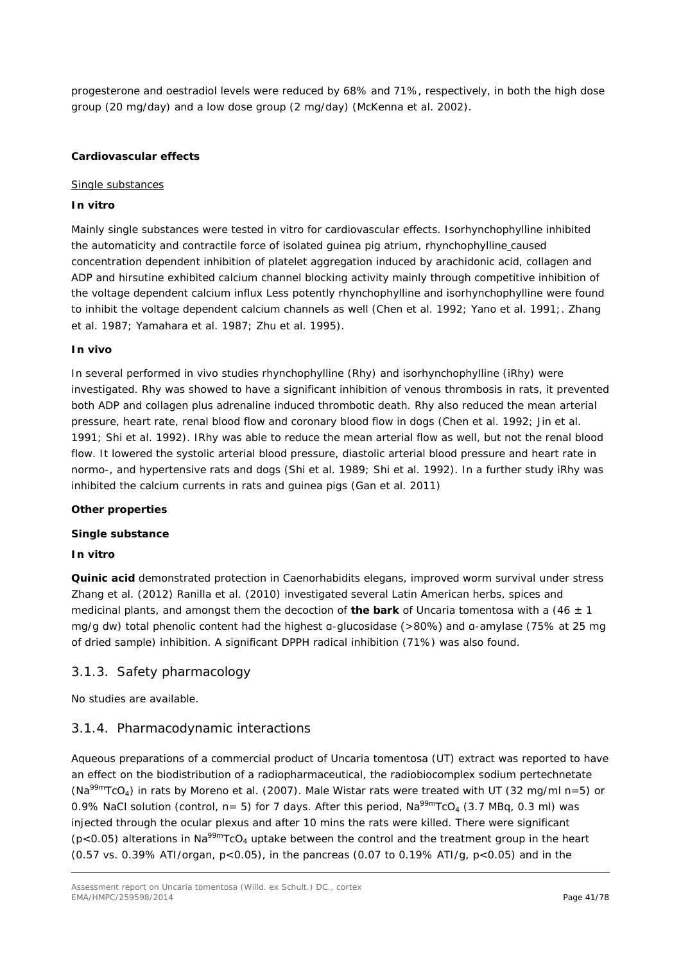progesterone and oestradiol levels were reduced by 68% and 71%, respectively, in both the high dose group (20 mg/day) and a low dose group (2 mg/day) (McKenna *et al.* 2002).

### *Cardiovascular effects*

#### Single substances

### *In vitro*

Mainly single substances were tested *in vitro* for cardiovascular effects. Isorhynchophylline inhibited the automaticity and contractile force of isolated guinea pig atrium, rhynchophylline caused concentration dependent inhibition of platelet aggregation induced by arachidonic acid, collagen and ADP and hirsutine exhibited calcium channel blocking activity mainly through competitive inhibition of the voltage dependent calcium influx Less potently rhynchophylline and isorhynchophylline were found to inhibit the voltage dependent calcium channels as well (Chen *et al.* 1992; Yano *et al.* 1991;*.* Zhang *et al.* 1987; Yamahara *et al.* 1987; Zhu *et al.* 1995).

### *In vivo*

In several performed *in vivo* studies rhynchophylline (Rhy) and isorhynchophylline (iRhy) were investigated. Rhy was showed to have a significant inhibition of venous thrombosis in rats, it prevented both ADP and collagen plus adrenaline induced thrombotic death. Rhy also reduced the mean arterial pressure, heart rate, renal blood flow and coronary blood flow in dogs (Chen *et al.* 1992; Jin *et al.*  1991; Shi *et al.* 1992). IRhy was able to reduce the mean arterial flow as well, but not the renal blood flow. It lowered the systolic arterial blood pressure, diastolic arterial blood pressure and heart rate in normo-, and hypertensive rats and dogs (Shi *et al.* 1989; Shi *et al.* 1992). In a further study iRhy was inhibited the calcium currents in rats and guinea pigs (Gan *et al.* 2011*)*

### *Other properties*

### *Single substance*

### *In vitro*

**Quinic acid** demonstrated protection in *Caenorhabidits elegans*, improved worm survival under stress Zhang *et al.* (2012) Ranilla *et al.* (2010) investigated several Latin American herbs, spices and medicinal plants, and amongst them the decoction of **the bark** of *Uncaria tomentosa* with a (46 ± 1 mg/g dw) total phenolic content had the highest α-glucosidase (>80%) and α-amylase (75% at 25 mg of dried sample) inhibition. A significant DPPH radical inhibition (71%) was also found.

### 3.1.3. Safety pharmacology

No studies are available.

### 3.1.4. Pharmacodynamic interactions

Aqueous preparations of a commercial product of *Uncaria tomentosa* (UT) extract was reported to have an effect on the biodistribution of a radiopharmaceutical, the radiobiocomplex sodium pertechnetate (Na99mTcO4) in rats by Moreno *et al.* (2007). Male Wistar rats were treated with UT (32 mg/ml n=5) or 0.9% NaCl solution (control,  $n= 5$ ) for 7 days. After this period, Na<sup>99m</sup>TcO<sub>4</sub> (3.7 MBq, 0.3 ml) was injected through the ocular plexus and after 10 mins the rats were killed. There were significant ( $p$ <0.05) alterations in Na<sup>99m</sup>TcO<sub>4</sub> uptake between the control and the treatment group in the heart (0.57 vs. 0.39% ATI/organ,  $p < 0.05$ ), in the pancreas (0.07 to 0.19% ATI/g,  $p < 0.05$ ) and in the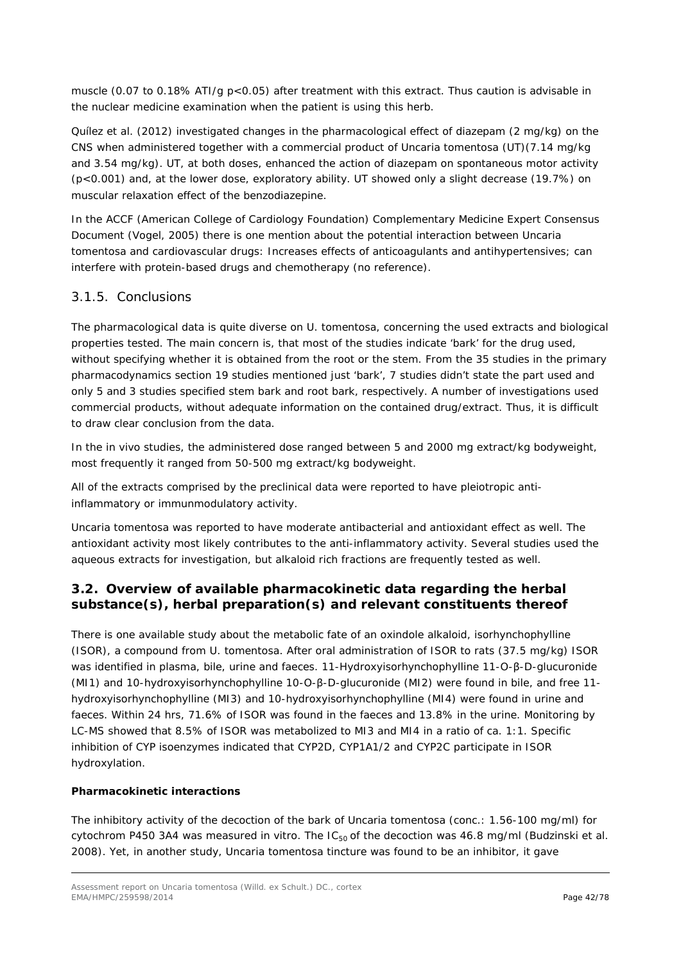muscle (0.07 to 0.18% ATI/g p<0.05) after treatment with this extract. Thus caution is advisable in the nuclear medicine examination when the patient is using this herb.

Quílez *et al.* (2012) investigated changes in the pharmacological effect of diazepam (2 mg/kg) on the CNS when administered together with a commercial product of *Uncaria tomentosa* (UT)(7.14 mg/kg and 3.54 mg/kg). UT, at both doses, enhanced the action of diazepam on spontaneous motor activity (p<0.001) and, at the lower dose, exploratory ability. UT showed only a slight decrease (19.7%) on muscular relaxation effect of the benzodiazepine.

In the ACCF (American College of Cardiology Foundation) Complementary Medicine Expert Consensus Document (Vogel, 2005) there is one mention about the potential interaction between *Uncaria tomentosa* and cardiovascular drugs: Increases effects of anticoagulants and antihypertensives; can interfere with protein-based drugs and chemotherapy (no reference).

# 3.1.5. Conclusions

The pharmacological data is quite diverse on *U. tomentosa*, concerning the used extracts and biological properties tested. The main concern is, that most of the studies indicate 'bark' for the drug used, without specifying whether it is obtained from the root or the stem. From the 35 studies in the primary pharmacodynamics section 19 studies mentioned just 'bark', 7 studies didn't state the part used and only 5 and 3 studies specified stem bark and root bark, respectively. A number of investigations used commercial products, without adequate information on the contained drug/extract. Thus, it is difficult to draw clear conclusion from the data.

In the *in vivo* studies, the administered dose ranged between 5 and 2000 mg extract/kg bodyweight, most frequently it ranged from 50-500 mg extract/kg bodyweight.

All of the extracts comprised by the preclinical data were reported to have pleiotropic antiinflammatory or immunmodulatory activity.

*Uncaria tomentosa* was reported to have moderate antibacterial and antioxidant effect as well. The antioxidant activity most likely contributes to the anti-inflammatory activity. Several studies used the aqueous extracts for investigation, but alkaloid rich fractions are frequently tested as well.

# *3.2. Overview of available pharmacokinetic data regarding the herbal substance(s), herbal preparation(s) and relevant constituents thereof*

There is one available study about the metabolic fate of an oxindole alkaloid, isorhynchophylline (ISOR), a compound from *U. tomentosa*. After oral administration of ISOR to rats (37.5 mg/kg) ISOR was identified in plasma, bile, urine and faeces. 11-Hydroxyisorhynchophylline 11-O-β-D-glucuronide (MI1) and 10-hydroxyisorhynchophylline 10-O-β-D-glucuronide (MI2) were found in bile, and free 11 hydroxyisorhynchophylline (MI3) and 10-hydroxyisorhynchophylline (MI4) were found in urine and faeces. Within 24 hrs, 71.6% of ISOR was found in the faeces and 13.8% in the urine. Monitoring by LC-MS showed that 8.5% of ISOR was metabolized to MI3 and MI4 in a ratio of ca. 1:1. Specific inhibition of CYP isoenzymes indicated that CYP2D, CYP1A1/2 and CYP2C participate in ISOR hydroxylation.

### *Pharmacokinetic interactions*

The inhibitory activity of the decoction of the bark of *Uncaria tomentosa* (conc.: 1.56-100 mg/ml) for cytochrom P450 3A4 was measured *in vitro.* The IC<sub>50</sub> of the decoction was 46.8 mg/ml (Budzinski *et al.* 2008). Yet, in another study, *Uncaria tomentosa* tincture was found to be an inhibitor, it gave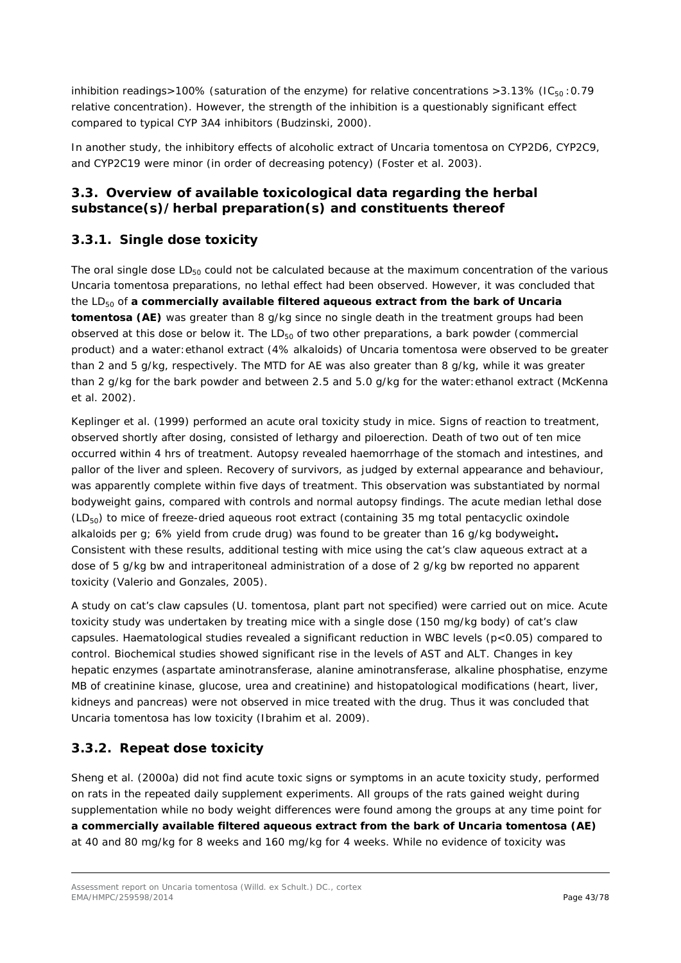inhibition readings>100% (saturation of the enzyme) for relative concentrations >3.13% ( $IC_{50}$ :0.79 relative concentration). However, the strength of the inhibition is a questionably significant effect compared to typical CYP 3A4 inhibitors (Budzinski, 2000).

In another study, the inhibitory effects of alcoholic extract of *Uncaria tomentosa* on CYP2D6, CYP2C9, and CYP2C19 were minor (in order of decreasing potency) (Foster *et al.* 2003).

# *3.3. Overview of available toxicological data regarding the herbal substance(s)/herbal preparation(s) and constituents thereof*

# **3.3.1. Single dose toxicity**

The oral single dose  $LD_{50}$  could not be calculated because at the maximum concentration of the various *Uncaria tomentosa* preparations, no lethal effect had been observed. However, it was concluded that the LD<sub>50</sub> of a commercially available filtered aqueous extract from the bark of *Uncaria* **tomentosa (AE)** was greater than 8 g/kg since no single death in the treatment groups had been observed at this dose or below it. The  $LD_{50}$  of two other preparations, a bark powder (commercial product) and a water:ethanol extract (4% alkaloids) of *Uncaria tomentosa* were observed to be greater than 2 and 5 g/kg, respectively. The MTD for AE was also greater than 8 g/kg, while it was greater than 2 g/kg for the bark powder and between 2.5 and 5.0 g/kg for the water:ethanol extract (McKenna *et al.* 2002).

Keplinger *et al.* (1999) performed an acute oral toxicity study in mice. Signs of reaction to treatment, observed shortly after dosing, consisted of lethargy and piloerection. Death of two out of ten mice occurred within 4 hrs of treatment. Autopsy revealed haemorrhage of the stomach and intestines, and pallor of the liver and spleen. Recovery of survivors, as judged by external appearance and behaviour, was apparently complete within five days of treatment. This observation was substantiated by normal bodyweight gains, compared with controls and normal autopsy findings. The acute median lethal dose  $(LD_{50})$  to mice of freeze-dried aqueous root extract (containing 35 mg total pentacyclic oxindole alkaloids per g; 6% yield from crude drug) was found to be greater than 16 g/kg bodyweight**.** Consistent with these results, additional testing with mice using the cat's claw aqueous extract at a dose of 5 g/kg bw and intraperitoneal administration of a dose of 2 g/kg bw reported no apparent toxicity (Valerio and Gonzales, 2005).

A study on cat's claw capsules (*U. tomentosa*, plant part not specified) were carried out on mice. Acute toxicity study was undertaken by treating mice with a single dose (150 mg/kg body) of cat's claw capsules. Haematological studies revealed a significant reduction in WBC levels (p<0.05) compared to control. Biochemical studies showed significant rise in the levels of AST and ALT. Changes in key hepatic enzymes (aspartate aminotransferase, alanine aminotransferase, alkaline phosphatise, enzyme MB of creatinine kinase, glucose, urea and creatinine) and histopatological modifications (heart, liver, kidneys and pancreas) were not observed in mice treated with the drug. Thus it was concluded that *Uncaria tomentosa* has low toxicity (Ibrahim *et al.* 2009).

# **3.3.2. Repeat dose toxicity**

Sheng *et al.* (2000a) did not find acute toxic signs or symptoms in an acute toxicity study, performed on rats in the repeated daily supplement experiments. All groups of the rats gained weight during supplementation while no body weight differences were found among the groups at any time point for **a commercially available filtered aqueous extract from the bark of** *Uncaria tomentosa* **(AE)**  at 40 and 80 mg/kg for 8 weeks and 160 mg/kg for 4 weeks. While no evidence of toxicity was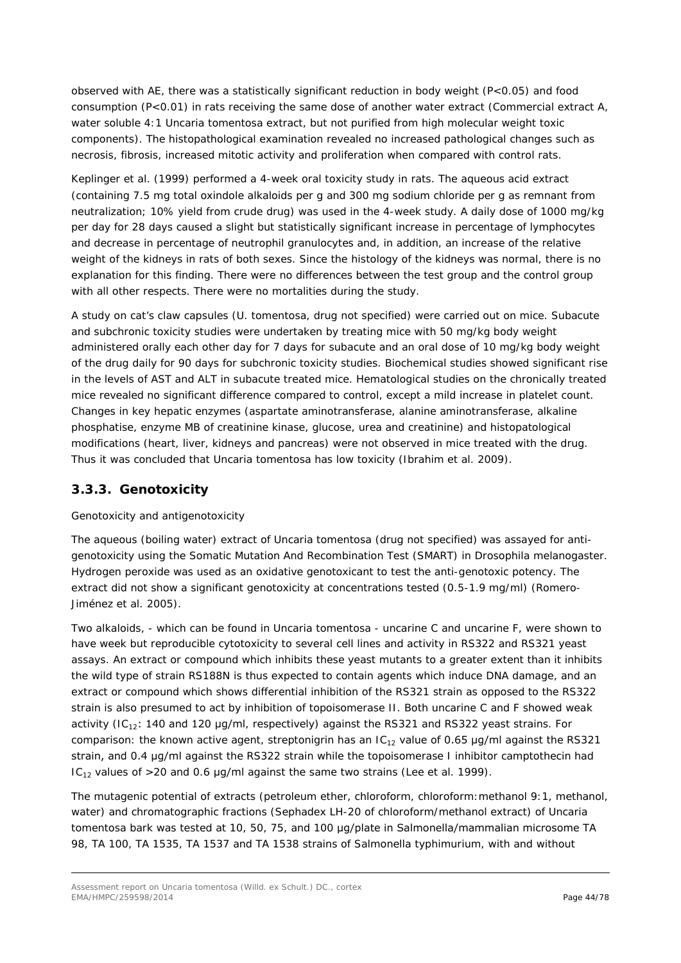observed with AE, there was a statistically significant reduction in body weight (P<0.05) and food consumption (P<0.01) in rats receiving the same dose of another water extract (Commercial extract A, water soluble 4:1 *Uncaria tomentosa* extract, but not purified from high molecular weight toxic components). The histopathological examination revealed no increased pathological changes such as necrosis, fibrosis, increased mitotic activity and proliferation when compared with control rats.

Keplinger *et al.* (1999) performed a 4-week oral toxicity study in rats. The aqueous acid extract (containing 7.5 mg total oxindole alkaloids per g and 300 mg sodium chloride per g as remnant from neutralization; 10% yield from crude drug) was used in the 4-week study. A daily dose of 1000 mg/kg per day for 28 days caused a slight but statistically significant increase in percentage of lymphocytes and decrease in percentage of neutrophil granulocytes and, in addition, an increase of the relative weight of the kidneys in rats of both sexes. Since the histology of the kidneys was normal, there is no explanation for this finding. There were no differences between the test group and the control group with all other respects. There were no mortalities during the study.

A study on cat's claw capsules (*U. tomentosa*, drug not specified) were carried out on mice. Subacute and subchronic toxicity studies were undertaken by treating mice with 50 mg/kg body weight administered orally each other day for 7 days for subacute and an oral dose of 10 mg/kg body weight of the drug daily for 90 days for subchronic toxicity studies. Biochemical studies showed significant rise in the levels of AST and ALT in subacute treated mice. Hematological studies on the chronically treated mice revealed no significant difference compared to control, except a mild increase in platelet count. Changes in key hepatic enzymes (aspartate aminotransferase, alanine aminotransferase, alkaline phosphatise, enzyme MB of creatinine kinase, glucose, urea and creatinine) and histopatological modifications (heart, liver, kidneys and pancreas) were not observed in mice treated with the drug. Thus it was concluded that *Uncaria tomentosa* has low toxicity (Ibrahim *et al.* 2009).

# **3.3.3. Genotoxicity**

### Genotoxicity and antigenotoxicity

The aqueous (boiling water) extract of *Uncaria tomentosa* (drug not specified) was assayed for antigenotoxicity using the Somatic Mutation And Recombination Test (SMART) in *Drosophila melanogaster*. Hydrogen peroxide was used as an oxidative genotoxicant to test the anti-genotoxic potency. The extract did not show a significant genotoxicity at concentrations tested (0.5-1.9 mg/ml) (Romero-Jiménez *et al.* 2005).

Two alkaloids, - which can be found in *Uncaria tomentosa -* uncarine C and uncarine F, were shown to have week but reproducible cytotoxicity to several cell lines and activity in RS322 and RS321 yeast assays. An extract or compound which inhibits these yeast mutants to a greater extent than it inhibits the wild type of strain RS188N is thus expected to contain agents which induce DNA damage, and an extract or compound which shows differential inhibition of the RS321 strain as opposed to the RS322 strain is also presumed to act by inhibition of topoisomerase II. Both uncarine C and F showed weak activity (IC<sub>12</sub>: 140 and 120 μg/ml, respectively) against the RS321 and RS322 yeast strains. For comparison: the known active agent, streptonigrin has an  $IC_{12}$  value of 0.65 µg/ml against the RS321 strain, and 0.4 μg/ml against the RS322 strain while the topoisomerase I inhibitor camptothecin had IC<sub>12</sub> values of >20 and 0.6 μg/ml against the same two strains (Lee *et al.* 1999).

The mutagenic potential of extracts (petroleum ether, chloroform, chloroform:methanol 9:1, methanol, water) and chromatographic fractions (Sephadex LH-20 of chloroform/methanol extract) of *Uncaria tomentosa* bark was tested at 10, 50, 75, and 100 μg/plate in Salmonella/mammalian microsome TA 98, TA 100, TA 1535, TA 1537 and TA 1538 strains of *Salmonella typhimurium*, with and without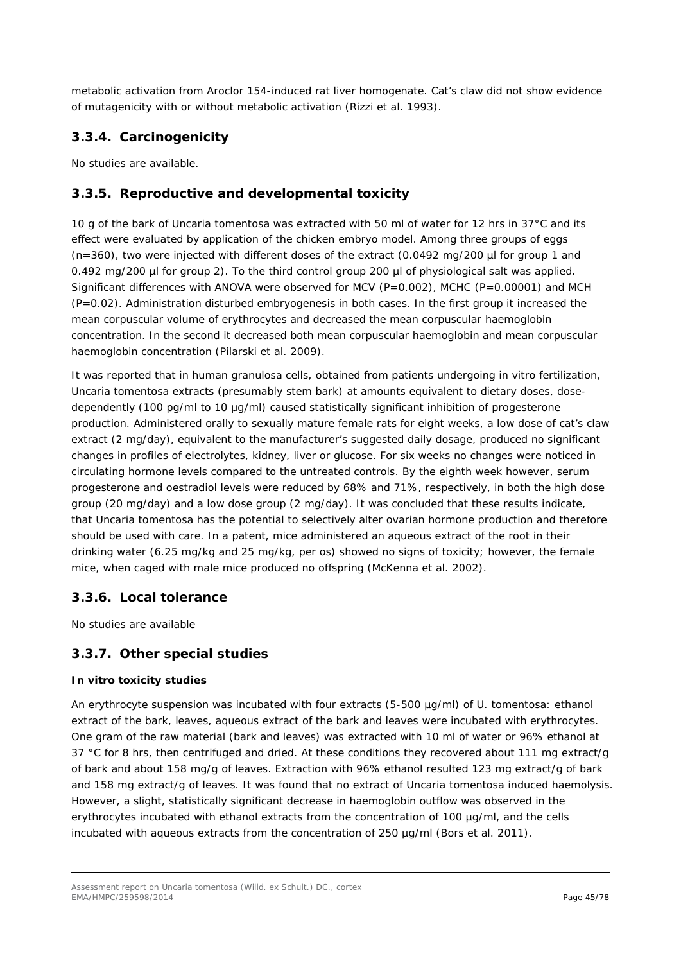metabolic activation from Aroclor 154-induced rat liver homogenate. Cat's claw did not show evidence of mutagenicity with or without metabolic activation (Rizzi *et al.* 1993).

# **3.3.4. Carcinogenicity**

No studies are available.

# **3.3.5. Reproductive and developmental toxicity**

10 g of the bark of *Uncaria tomentosa* was extracted with 50 ml of water for 12 hrs in 37°C and its effect were evaluated by application of the chicken embryo model. Among three groups of eggs  $(n=360)$ , two were injected with different doses of the extract  $(0.0492 \text{ mg}/200 \text{ µ}$  for group 1 and 0.492 mg/200 µl for group 2). To the third control group 200 µl of physiological salt was applied. Significant differences with ANOVA were observed for MCV (P=0.002), MCHC (P=0.00001) and MCH (P=0.02). Administration disturbed embryogenesis in both cases. In the first group it increased the mean corpuscular volume of erythrocytes and decreased the mean corpuscular haemoglobin concentration. In the second it decreased both mean corpuscular haemoglobin and mean corpuscular haemoglobin concentration (Pilarski *et al.* 2009).

It was reported that in human granulosa cells, obtained from patients undergoing *in vitro* fertilization, *Uncaria tomentosa* extracts (presumably stem bark) at amounts equivalent to dietary doses, dosedependently (100 pg/ml to 10 μg/ml) caused statistically significant inhibition of progesterone production. Administered orally to sexually mature female rats for eight weeks, a low dose of cat's claw extract (2 mg/day), equivalent to the manufacturer's suggested daily dosage, produced no significant changes in profiles of electrolytes, kidney, liver or glucose. For six weeks no changes were noticed in circulating hormone levels compared to the untreated controls. By the eighth week however, serum progesterone and oestradiol levels were reduced by 68% and 71%, respectively, in both the high dose group (20 mg/day) and a low dose group (2 mg/day). It was concluded that these results indicate, that *Uncaria tomentosa* has the potential to selectively alter ovarian hormone production and therefore should be used with care. In a patent, mice administered an aqueous extract of the root in their drinking water (6.25 mg/kg and 25 mg/kg, *per os*) showed no signs of toxicity; however, the female mice, when caged with male mice produced no offspring (McKenna *et al.* 2002).

### **3.3.6. Local tolerance**

No studies are available

### **3.3.7. Other special studies**

### *In vitro* **toxicity studies**

An erythrocyte suspension was incubated with four extracts (5-500 µg/ml) of *U. tomentosa*: ethanol extract of the bark, leaves, aqueous extract of the bark and leaves were incubated with erythrocytes. One gram of the raw material (bark and leaves) was extracted with 10 ml of water or 96% ethanol at 37 °C for 8 hrs, then centrifuged and dried. At these conditions they recovered about 111 mg extract/g of bark and about 158 mg/g of leaves. Extraction with 96% ethanol resulted 123 mg extract/g of bark and 158 mg extract/g of leaves. It was found that no extract of *Uncaria tomentosa* induced haemolysis. However, a slight, statistically significant decrease in haemoglobin outflow was observed in the erythrocytes incubated with ethanol extracts from the concentration of 100 µg/ml, and the cells incubated with aqueous extracts from the concentration of 250 µg/ml (Bors *et al.* 2011).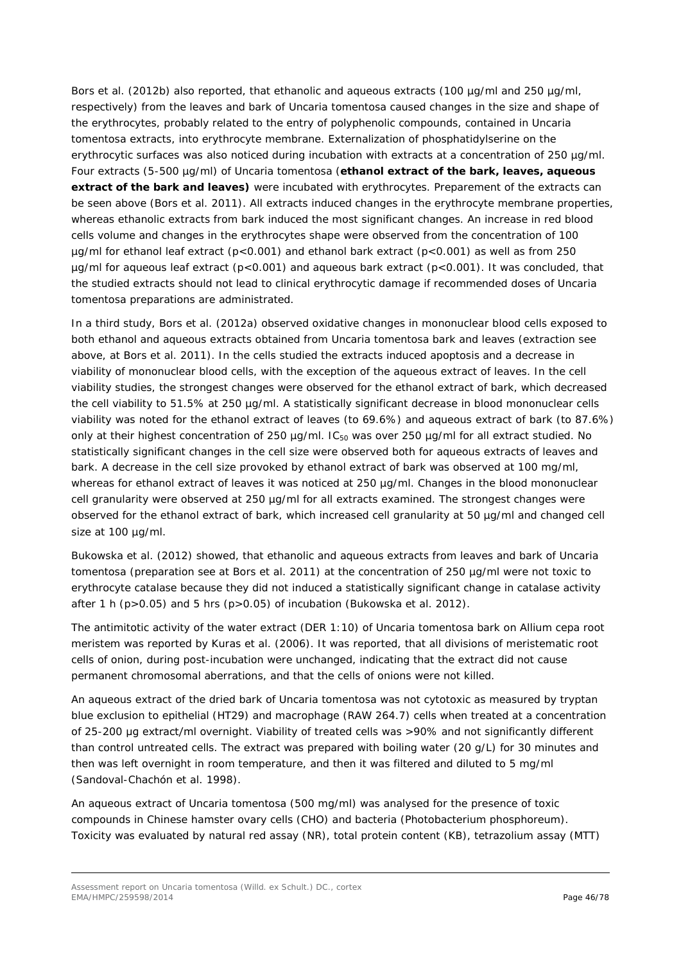Bors *et al.* (2012b) also reported, that ethanolic and aqueous extracts (100 µg/ml and 250 µg/ml, respectively) from the leaves and bark of *Uncaria tomentosa* caused changes in the size and shape of the erythrocytes, probably related to the entry of polyphenolic compounds, contained in *Uncaria tomentosa* extracts, into erythrocyte membrane. Externalization of phosphatidylserine on the erythrocytic surfaces was also noticed during incubation with extracts at a concentration of 250 µg/ml. Four extracts (5-500 µg/ml) of *Uncaria tomentosa* (**ethanol extract of the bark, leaves, aqueous extract of the bark and leaves)** were incubated with erythrocytes. Preparement of the extracts can be seen above (Bors *et al.* 2011). All extracts induced changes in the erythrocyte membrane properties, whereas ethanolic extracts from bark induced the most significant changes. An increase in red blood cells volume and changes in the erythrocytes shape were observed from the concentration of 100 µg/ml for ethanol leaf extract (p<0.001) and ethanol bark extract (p<0.001) as well as from 250 µg/ml for aqueous leaf extract (p<0.001) and aqueous bark extract (p<0.001). It was concluded, that the studied extracts should not lead to clinical erythrocytic damage if recommended doses of *Uncaria tomentosa* preparations are administrated.

In a third study, Bors *et al.* (2012a) observed oxidative changes in mononuclear blood cells exposed to both ethanol and aqueous extracts obtained from *Uncaria tomentosa* bark and leaves (extraction see above, at Bors *et al.* 2011). In the cells studied the extracts induced apoptosis and a decrease in viability of mononuclear blood cells, with the exception of the aqueous extract of leaves. In the cell viability studies, the strongest changes were observed for the ethanol extract of bark, which decreased the cell viability to 51.5% at 250 µg/ml. A statistically significant decrease in blood mononuclear cells viability was noted for the ethanol extract of leaves (to 69.6%) and aqueous extract of bark (to 87.6%) only at their highest concentration of 250  $\mu$ g/ml. IC<sub>50</sub> was over 250  $\mu$ g/ml for all extract studied. No statistically significant changes in the cell size were observed both for aqueous extracts of leaves and bark. A decrease in the cell size provoked by ethanol extract of bark was observed at 100 mg/ml, whereas for ethanol extract of leaves it was noticed at 250 µg/ml. Changes in the blood mononuclear cell granularity were observed at 250 µg/ml for all extracts examined. The strongest changes were observed for the ethanol extract of bark, which increased cell granularity at 50 µg/ml and changed cell size at 100 µg/ml.

Bukowska *et al.* (2012) showed, that ethanolic and aqueous extracts from leaves and bark of *Uncaria tomentosa* (preparation see at Bors *et al.* 2011) at the concentration of 250 µg/ml were not toxic to erythrocyte catalase because they did not induced a statistically significant change in catalase activity after 1 h (p>0.05) and 5 hrs (p>0.05) of incubation (Bukowska *et al.* 2012).

The antimitotic activity of the water extract (DER 1:10) of *Uncaria tomentosa* bark on *Allium cepa* root meristem was reported by *Kuras et al.* (2006). It was reported, that all divisions of meristematic root cells of onion, during post-incubation were unchanged, indicating that the extract did not cause permanent chromosomal aberrations, and that the cells of onions were not killed.

An aqueous extract of the dried bark of *Uncaria tomentosa* was not cytotoxic as measured by tryptan blue exclusion to epithelial (HT29) and macrophage (RAW 264.7) cells when treated at a concentration of 25-200 μg extract/ml overnight. Viability of treated cells was >90% and not significantly different than control untreated cells. The extract was prepared with boiling water (20 g/L) for 30 minutes and then was left overnight in room temperature, and then it was filtered and diluted to 5 mg/ml (Sandoval-Chachón *et al.* 1998).

An aqueous extract of *Uncaria tomentosa* (500 mg/ml) was analysed for the presence of toxic compounds in Chinese hamster ovary cells (CHO) and bacteria (*Photobacterium phosphoreum*). Toxicity was evaluated by natural red assay (NR), total protein content (KB), tetrazolium assay (MTT)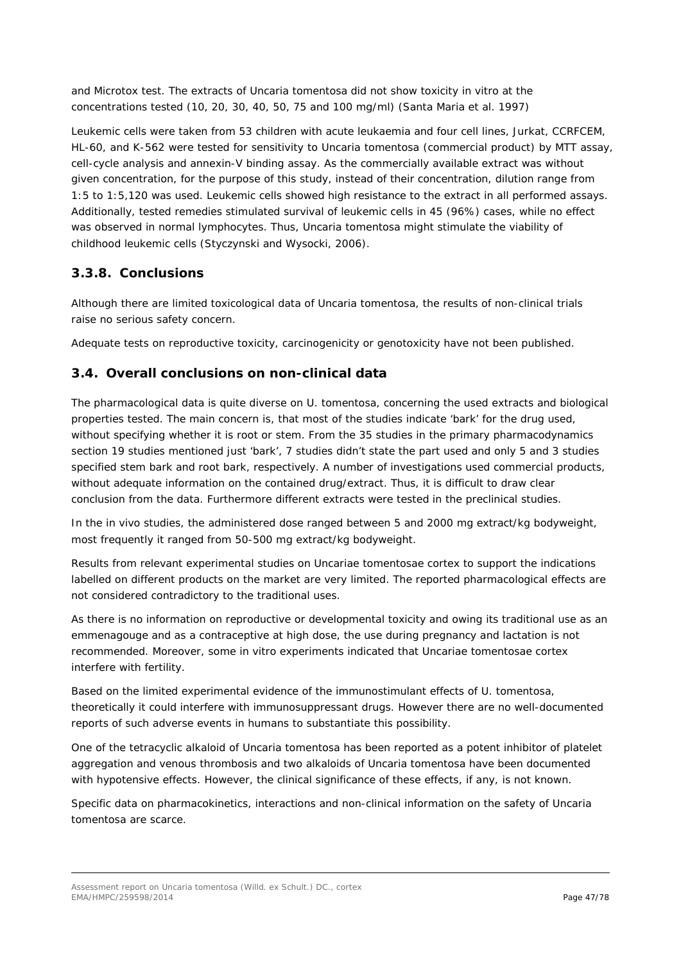and Microtox test. The extracts of *Uncaria tomentosa* did not show toxicity *in vitro* at the concentrations tested (10, 20, 30, 40, 50, 75 and 100 mg/ml) (Santa Maria *et al.* 1997)

Leukemic cells were taken from 53 children with acute leukaemia and four cell lines, Jurkat, CCRFCEM, HL-60, and K-562 were tested for sensitivity to *Uncaria tomentosa* (commercial product) by MTT assay, cell-cycle analysis and annexin-V binding assay. As the commercially available extract was without given concentration, for the purpose of this study, instead of their concentration, dilution range from 1:5 to 1:5,120 was used. Leukemic cells showed high resistance to the extract in all performed assays. Additionally, tested remedies stimulated survival of leukemic cells in 45 (96%) cases, while no effect was observed in normal lymphocytes. Thus, *Uncaria tomentosa* might stimulate the viability of childhood leukemic cells (Styczynski and Wysocki, 2006).

# **3.3.8. Conclusions**

Although there are limited toxicological data of *Uncaria tomentosa*, the results of non-clinical trials raise no serious safety concern.

Adequate tests on reproductive toxicity, carcinogenicity or genotoxicity have not been published.

# *3.4. Overall conclusions on non-clinical data*

The pharmacological data is quite diverse on *U. tomentosa*, concerning the used extracts and biological properties tested. The main concern is, that most of the studies indicate 'bark' for the drug used, without specifying whether it is root or stem. From the 35 studies in the primary pharmacodynamics section 19 studies mentioned just 'bark', 7 studies didn't state the part used and only 5 and 3 studies specified stem bark and root bark, respectively. A number of investigations used commercial products, without adequate information on the contained drug/extract. Thus, it is difficult to draw clear conclusion from the data. Furthermore different extracts were tested in the preclinical studies.

In the *in vivo* studies, the administered dose ranged between 5 and 2000 mg extract/kg bodyweight, most frequently it ranged from 50-500 mg extract/kg bodyweight.

Results from relevant experimental studies on Uncariae tomentosae cortex to support the indications labelled on different products on the market are very limited. The reported pharmacological effects are not considered contradictory to the traditional uses.

As there is no information on reproductive or developmental toxicity and owing its traditional use as an emmenagouge and as a contraceptive at high dose, the use during pregnancy and lactation is not recommended. Moreover, some *in vitro* experiments indicated that Uncariae tomentosae cortex interfere with fertility.

Based on the limited experimental evidence of the immunostimulant effects of *U. tomentosa*, theoretically it could interfere with immunosuppressant drugs. However there are no well-documented reports of such adverse events in humans to substantiate this possibility.

One of the tetracyclic alkaloid of *Uncaria tomentosa* has been reported as a potent inhibitor of platelet aggregation and venous thrombosis and two alkaloids of *Uncaria tomentosa* have been documented with hypotensive effects. However, the clinical significance of these effects, if any, is not known.

Specific data on pharmacokinetics, interactions and non-clinical information on the safety of *Uncaria tomentosa* are scarce.

Assessment report on *Uncaria tomentosa* (Willd. ex Schult.) DC., cortex EMA/HMPC/259598/2014 Page 47/78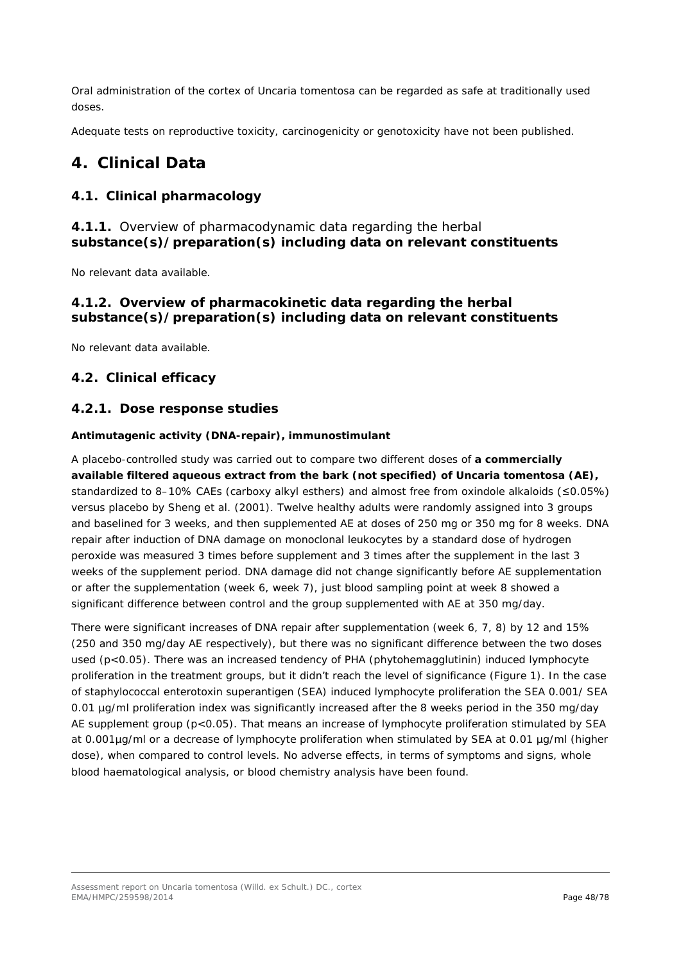Oral administration of the cortex of *Uncaria tomentosa* can be regarded as safe at traditionally used doses.

Adequate tests on reproductive toxicity, carcinogenicity or genotoxicity have not been published.

# **4. Clinical Data**

# *4.1. Clinical pharmacology*

# **4.1.1.** Overview of pharmacodynamic data regarding the herbal **substance(s)/preparation(s) including data on relevant constituents**

No relevant data available.

# **4.1.2. Overview of pharmacokinetic data regarding the herbal substance(s)/preparation(s) including data on relevant constituents**

No relevant data available.

# *4.2. Clinical efficacy*

# **4.2.1. Dose response studies**

### *Antimutagenic activity (DNA-repair), immunostimulant*

A placebo-controlled study was carried out to compare two different doses of **a commercially available filtered aqueous extract from the bark (not specified) of** *Uncaria tomentosa* **(AE),**  standardized to 8–10% CAEs (carboxy alkyl esthers) and almost free from oxindole alkaloids (≤0.05%) versus placebo by Sheng *et al.* (2001). Twelve healthy adults were randomly assigned into 3 groups and baselined for 3 weeks, and then supplemented AE at doses of 250 mg or 350 mg for 8 weeks. DNA repair after induction of DNA damage on monoclonal leukocytes by a standard dose of hydrogen peroxide was measured 3 times before supplement and 3 times after the supplement in the last 3 weeks of the supplement period. DNA damage did not change significantly before AE supplementation or after the supplementation (week 6, week 7), just blood sampling point at week 8 showed a significant difference between control and the group supplemented with AE at 350 mg/day.

There were significant increases of DNA repair after supplementation (week 6, 7, 8) by 12 and 15% (250 and 350 mg/day AE respectively), but there was no significant difference between the two doses used (p<0.05). There was an increased tendency of PHA (phytohemagglutinin) induced lymphocyte proliferation in the treatment groups, but it didn't reach the level of significance (Figure 1). In the case of staphylococcal enterotoxin superantigen (SEA) induced lymphocyte proliferation the SEA 0.001/ SEA 0.01 µg/ml proliferation index was significantly increased after the 8 weeks period in the 350 mg/day AE supplement group (p<0.05). That means an increase of lymphocyte proliferation stimulated by SEA at 0.001µg/ml or a decrease of lymphocyte proliferation when stimulated by SEA at 0.01 µg/ml (higher dose), when compared to control levels. No adverse effects, in terms of symptoms and signs, whole blood haematological analysis, or blood chemistry analysis have been found.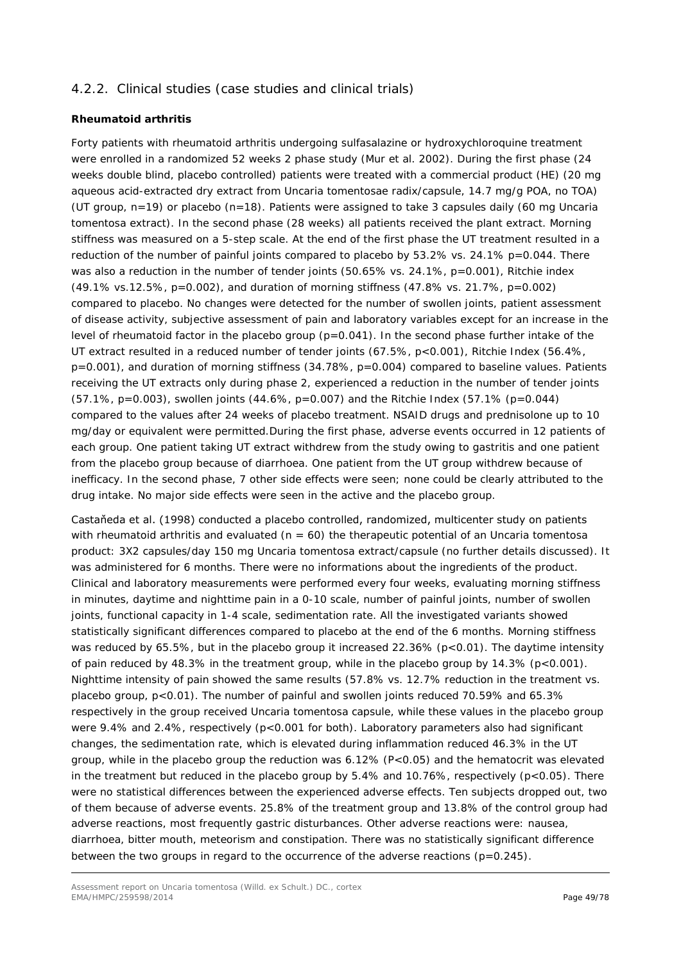# 4.2.2. Clinical studies (case studies and clinical trials)

### **Rheumatoid arthritis**

Forty patients with rheumatoid arthritis undergoing sulfasalazine or hydroxychloroquine treatment were enrolled in a randomized 52 weeks 2 phase study (Mur *et al*. 2002). During the first phase (24 weeks double blind, placebo controlled) patients were treated with a commercial product (HE) (20 mg aqueous acid-extracted dry extract from Uncaria tomentosae radix/capsule, 14.7 mg/g POA, no TOA) (UT group,  $n=19$ ) or placebo ( $n=18$ ). Patients were assigned to take 3 capsules daily (60 mg Uncaria tomentosa extract). In the second phase (28 weeks) all patients received the plant extract. Morning stiffness was measured on a 5-step scale. At the end of the first phase the UT treatment resulted in a reduction of the number of painful joints compared to placebo by 53.2% vs. 24.1% p=0.044. There was also a reduction in the number of tender joints (50.65% vs. 24.1%, p=0.001), Ritchie index (49.1% vs.12.5%, p=0.002), and duration of morning stiffness (47.8% vs. 21.7%, p=0.002) compared to placebo. No changes were detected for the number of swollen joints, patient assessment of disease activity, subjective assessment of pain and laboratory variables except for an increase in the level of rheumatoid factor in the placebo group  $(p=0.041)$ . In the second phase further intake of the UT extract resulted in a reduced number of tender joints (67.5%, p<0.001), Ritchie Index (56.4%, p=0.001), and duration of morning stiffness (34.78%, p=0.004) compared to baseline values. Patients receiving the UT extracts only during phase 2, experienced a reduction in the number of tender joints (57.1%, p=0.003), swollen joints (44.6%, p=0.007) and the Ritchie Index (57.1% (p=0.044) compared to the values after 24 weeks of placebo treatment. NSAID drugs and prednisolone up to 10 mg/day or equivalent were permitted.During the first phase, adverse events occurred in 12 patients of each group. One patient taking UT extract withdrew from the study owing to gastritis and one patient from the placebo group because of diarrhoea. One patient from the UT group withdrew because of inefficacy. In the second phase, 7 other side effects were seen; none could be clearly attributed to the drug intake. No major side effects were seen in the active and the placebo group.

Castaňeda et al. (1998) conducted a placebo controlled, randomized, multicenter study on patients with rheumatoid arthritis and evaluated ( $n = 60$ ) the therapeutic potential of an Uncaria tomentosa product: 3X2 capsules/day 150 mg Uncaria tomentosa extract/capsule (no further details discussed). It was administered for 6 months. There were no informations about the ingredients of the product. Clinical and laboratory measurements were performed every four weeks, evaluating morning stiffness in minutes, daytime and nighttime pain in a 0-10 scale, number of painful joints, number of swollen joints, functional capacity in 1-4 scale, sedimentation rate. All the investigated variants showed statistically significant differences compared to placebo at the end of the 6 months. Morning stiffness was reduced by 65.5%, but in the placebo group it increased 22.36% ( $p < 0.01$ ). The daytime intensity of pain reduced by 48.3% in the treatment group, while in the placebo group by 14.3% (p<0.001). Nighttime intensity of pain showed the same results (57.8% vs. 12.7% reduction in the treatment vs. placebo group, p<0.01). The number of painful and swollen joints reduced 70.59% and 65.3% respectively in the group received Uncaria tomentosa capsule, while these values in the placebo group were 9.4% and 2.4%, respectively (p<0.001 for both). Laboratory parameters also had significant changes, the sedimentation rate, which is elevated during inflammation reduced 46.3% in the UT group, while in the placebo group the reduction was 6.12% (P<0.05) and the hematocrit was elevated in the treatment but reduced in the placebo group by  $5.4\%$  and  $10.76\%$ , respectively ( $p<0.05$ ). There were no statistical differences between the experienced adverse effects. Ten subjects dropped out, two of them because of adverse events. 25.8% of the treatment group and 13.8% of the control group had adverse reactions, most frequently gastric disturbances. Other adverse reactions were: nausea, diarrhoea, bitter mouth, meteorism and constipation. There was no statistically significant difference between the two groups in regard to the occurrence of the adverse reactions  $(p=0.245)$ .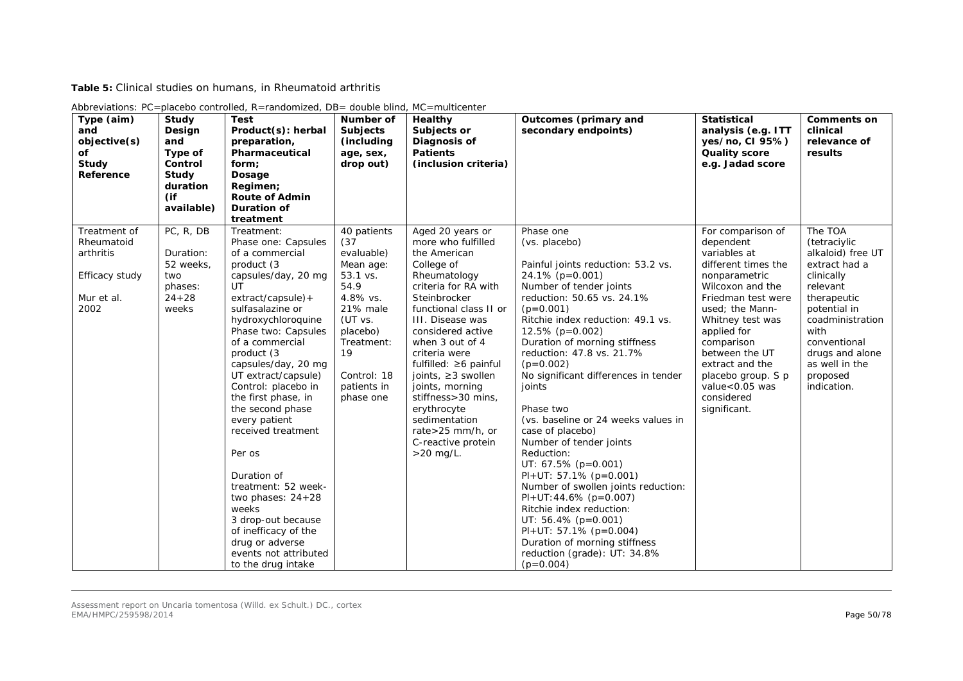**Table 5:** Clinical studies on humans, in Rheumatoid arthritis

| Type (aim)<br>and<br>objective(s)<br>Οf<br>Study<br>Reference                   | Study<br>Design<br>and<br>Type of<br>Control<br>Study<br>duration<br>(if<br>available) | <b>Test</b><br>Product(s): herbal<br>preparation,<br>Pharmaceutical<br>form;<br>Dosage<br>Regimen;<br><b>Route of Admin</b><br><b>Duration of</b><br>treatment                                                                                                                                                                                                                                                                                                                                                                                                                     | Number of<br><b>Subjects</b><br>(including<br>age, sex,<br>drop out)                                                                                                             | Healthy<br>Subjects or<br>Diagnosis of<br><b>Patients</b><br>(inclusion criteria)                                                                                                                                                                                                                                                                                                                                              | Outcomes (primary and<br>secondary endpoints)                                                                                                                                                                                                                                                                                                                                                                                                                                                                                                                                                                                                                                                                                                                       | <b>Statistical</b><br>analysis (e.g. ITT<br>yes/no, CI 95%)<br><b>Quality score</b><br>e.g. Jadad score                                                                                                                                                                                                         | <b>Comments on</b><br>clinical<br>relevance of<br>results                                                                                                                                                                          |
|---------------------------------------------------------------------------------|----------------------------------------------------------------------------------------|------------------------------------------------------------------------------------------------------------------------------------------------------------------------------------------------------------------------------------------------------------------------------------------------------------------------------------------------------------------------------------------------------------------------------------------------------------------------------------------------------------------------------------------------------------------------------------|----------------------------------------------------------------------------------------------------------------------------------------------------------------------------------|--------------------------------------------------------------------------------------------------------------------------------------------------------------------------------------------------------------------------------------------------------------------------------------------------------------------------------------------------------------------------------------------------------------------------------|---------------------------------------------------------------------------------------------------------------------------------------------------------------------------------------------------------------------------------------------------------------------------------------------------------------------------------------------------------------------------------------------------------------------------------------------------------------------------------------------------------------------------------------------------------------------------------------------------------------------------------------------------------------------------------------------------------------------------------------------------------------------|-----------------------------------------------------------------------------------------------------------------------------------------------------------------------------------------------------------------------------------------------------------------------------------------------------------------|------------------------------------------------------------------------------------------------------------------------------------------------------------------------------------------------------------------------------------|
| Treatment of<br>Rheumatoid<br>arthritis<br>Efficacy study<br>Mur et al.<br>2002 | PC, R, DB<br>Duration:<br>52 weeks,<br>two<br>phases:<br>$24 + 28$<br>weeks            | Treatment:<br>Phase one: Capsules<br>of a commercial<br>product (3)<br>capsules/day, 20 mg<br>UT<br>$extract/capsule$ ) +<br>sulfasalazine or<br>hydroxychloroquine<br>Phase two: Capsules<br>of a commercial<br>product (3<br>capsules/day, 20 mg<br>UT extract/capsule)<br>Control: placebo in<br>the first phase, in<br>the second phase<br>every patient<br>received treatment<br>Per os<br>Duration of<br>treatment: 52 week-<br>two phases: $24+28$<br>weeks<br>3 drop-out because<br>of inefficacy of the<br>drug or adverse<br>events not attributed<br>to the drug intake | 40 patients<br>(37)<br>evaluable)<br>Mean age:<br>53.1 vs.<br>54.9<br>4.8% vs.<br>21% male<br>(UT vs.<br>placebo)<br>Treatment:<br>19<br>Control: 18<br>patients in<br>phase one | Aged 20 years or<br>more who fulfilled<br>the American<br>College of<br>Rheumatology<br>criteria for RA with<br>Steinbrocker<br>functional class II or<br>III. Disease was<br>considered active<br>when 3 out of 4<br>criteria were<br>fulfilled: $\geq 6$ painful<br>joints, $\geq$ 3 swollen<br>joints, morning<br>stiffness>30 mins,<br>erythrocyte<br>sedimentation<br>rate>25 mm/h, or<br>C-reactive protein<br>>20 mg/L. | Phase one<br>(vs. placebo)<br>Painful joints reduction: 53.2 vs.<br>24.1% (p=0.001)<br>Number of tender joints<br>reduction: 50.65 vs. 24.1%<br>$(p=0.001)$<br>Ritchie index reduction: 49.1 vs.<br>$12.5\%$ (p=0.002)<br>Duration of morning stiffness<br>reduction: 47.8 vs. 21.7%<br>$(p=0.002)$<br>No significant differences in tender<br>joints<br>Phase two<br>(vs. baseline or 24 weeks values in<br>case of placebo)<br>Number of tender joints<br>Reduction:<br>UT: $67.5\%$ (p=0.001)<br>$PI+UT: 57.1\% (p=0.001)$<br>Number of swollen joints reduction:<br>$PI+UT:44.6\%$ (p=0.007)<br>Ritchie index reduction:<br>UT: $56.4\%$ (p=0.001)<br>$PI+UT: 57.1\% (p=0.004)$<br>Duration of morning stiffness<br>reduction (grade): UT: 34.8%<br>$(p=0.004)$ | For comparison of<br>dependent<br>variables at<br>different times the<br>nonparametric<br>Wilcoxon and the<br>Friedman test were<br>used: the Mann-<br>Whitney test was<br>applied for<br>comparison<br>between the UT<br>extract and the<br>placebo group. S p<br>value<0.05 was<br>considered<br>significant. | The TOA<br>(tetraciylic<br>alkaloid) free UT<br>extract had a<br>clinically<br>relevant<br>therapeutic<br>potential in<br>coadministration<br>with<br>conventional<br>drugs and alone<br>as well in the<br>proposed<br>indication. |

Abbreviations: PC=placebo controlled, R=randomized, DB= double blind, MC=multicenter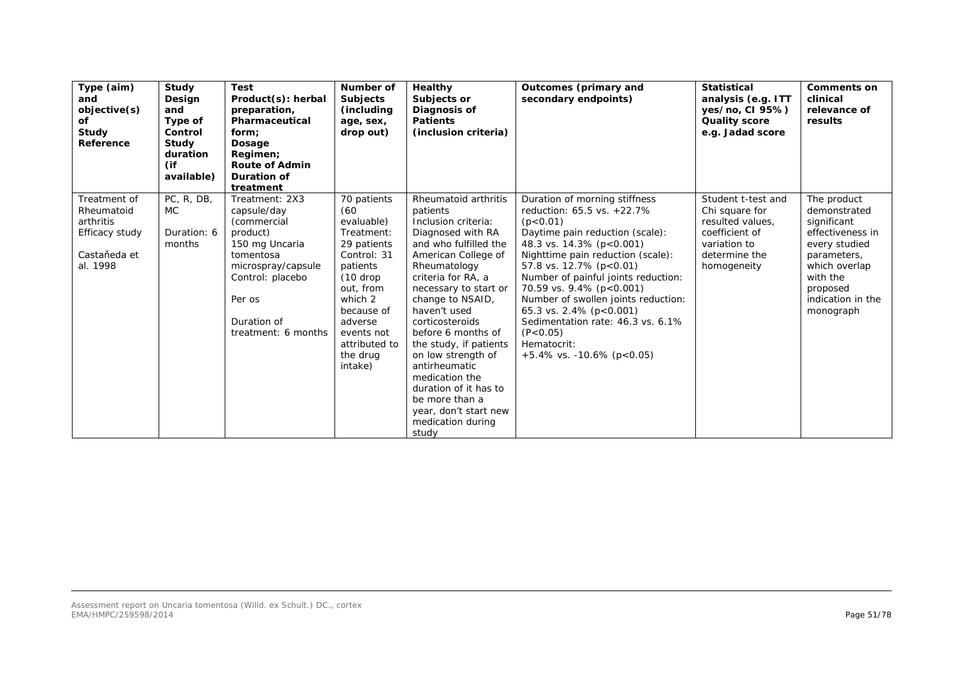| Type (aim)<br>and<br>objective(s)<br>of<br>Study<br>Reference                         | Study<br>Design<br>and<br>Type of<br>Control<br>Study<br>duration<br>(if<br>available) | <b>Test</b><br>Product(s): herbal<br>preparation,<br>Pharmaceutical<br>form:<br>Dosage<br>Regimen;<br><b>Route of Admin</b><br>Duration of<br>treatment                           | Number of<br><b>Subjects</b><br>(including<br>age, sex,<br>drop out)                                                                                                                                           | Healthy<br>Subjects or<br>Diagnosis of<br><b>Patients</b><br>(inclusion criteria)                                                                                                                                                                                                                                                                                                                                                                             | Outcomes (primary and<br>secondary endpoints)                                                                                                                                                                                                                                                                                                                                                                                                   | <b>Statistical</b><br>analysis (e.g. ITT<br>yes/no, CI 95%)<br><b>Quality score</b><br>e.g. Jadad score                    | <b>Comments on</b><br>clinical<br>relevance of<br>results                                                                                                                 |
|---------------------------------------------------------------------------------------|----------------------------------------------------------------------------------------|-----------------------------------------------------------------------------------------------------------------------------------------------------------------------------------|----------------------------------------------------------------------------------------------------------------------------------------------------------------------------------------------------------------|---------------------------------------------------------------------------------------------------------------------------------------------------------------------------------------------------------------------------------------------------------------------------------------------------------------------------------------------------------------------------------------------------------------------------------------------------------------|-------------------------------------------------------------------------------------------------------------------------------------------------------------------------------------------------------------------------------------------------------------------------------------------------------------------------------------------------------------------------------------------------------------------------------------------------|----------------------------------------------------------------------------------------------------------------------------|---------------------------------------------------------------------------------------------------------------------------------------------------------------------------|
| Treatment of<br>Rheumatoid<br>arthritis<br>Efficacy study<br>Castaňeda et<br>al. 1998 | PC, R, DB,<br>MC.<br>Duration: 6<br>months                                             | Treatment: 2X3<br>capsule/day<br>(commercial<br>product)<br>150 mg Uncaria<br>tomentosa<br>microspray/capsule<br>Control: placebo<br>Per os<br>Duration of<br>treatment: 6 months | 70 patients<br>(60)<br>evaluable)<br>Treatment:<br>29 patients<br>Control: 31<br>patients<br>$(10$ drop<br>out, from<br>which 2<br>because of<br>adverse<br>events not<br>attributed to<br>the drug<br>intake) | Rheumatoid arthritis<br>patients<br>Inclusion criteria:<br>Diagnosed with RA<br>and who fulfilled the<br>American College of<br>Rheumatology<br>criteria for RA, a<br>necessary to start or<br>change to NSAID,<br>haven't used<br>corticosteroids<br>before 6 months of<br>the study, if patients<br>on low strength of<br>antirheumatic<br>medication the<br>duration of it has to<br>be more than a<br>year, don't start new<br>medication during<br>study | Duration of morning stiffness<br>reduction: 65.5 vs. +22.7%<br>(p < 0.01)<br>Daytime pain reduction (scale):<br>48.3 vs. 14.3% (p<0.001)<br>Nighttime pain reduction (scale):<br>57.8 vs. 12.7% (p<0.01)<br>Number of painful joints reduction:<br>70.59 vs. 9.4% (p<0.001)<br>Number of swollen joints reduction:<br>65.3 vs. 2.4% (p<0.001)<br>Sedimentation rate: 46.3 vs. 6.1%<br>(P < 0.05)<br>Hematocrit:<br>$+5.4\%$ vs. -10.6% (p<0.05) | Student t-test and<br>Chi square for<br>resulted values.<br>coefficient of<br>variation to<br>determine the<br>homogeneity | The product<br>demonstrated<br>significant<br>effectiveness in<br>every studied<br>parameters,<br>which overlap<br>with the<br>proposed<br>indication in the<br>monograph |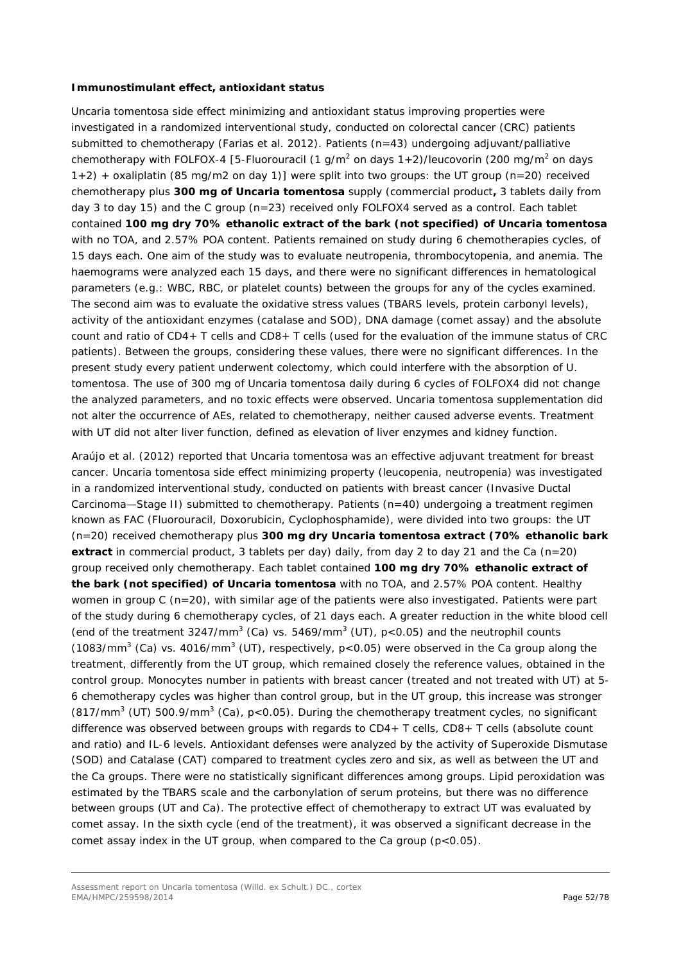#### *Immunostimulant effect, antioxidant status*

*Uncaria tomentosa* side effect minimizing and antioxidant status improving properties were investigated in a randomized interventional study, conducted on colorectal cancer (CRC) patients submitted to chemotherapy (Farias et al. 2012). Patients (n=43) undergoing adjuvant/palliative chemotherapy with FOLFOX-4 [5-Fluorouracil (1 g/m<sup>2</sup> on days  $1+2$ )/leucovorin (200 mg/m<sup>2</sup> on days 1+2) + oxaliplatin (85 mg/m2 on day 1)] were split into two groups: the UT group (n=20) received chemotherapy plus **300 mg of** *Uncaria tomentosa* supply (commercial product**,** 3 tablets daily from day 3 to day 15) and the C group (n=23) received only FOLFOX4 served as a control. Each tablet contained **100 mg dry 70% ethanolic extract of the bark (not specified) of** *Uncaria tomentosa*  with no TOA, and 2.57% POA content. Patients remained on study during 6 chemotherapies cycles, of 15 days each. One aim of the study was to evaluate neutropenia, thrombocytopenia, and anemia. The haemograms were analyzed each 15 days, and there were no significant differences in hematological parameters (e.g.: WBC, RBC, or platelet counts) between the groups for any of the cycles examined. The second aim was to evaluate the oxidative stress values (TBARS levels, protein carbonyl levels), activity of the antioxidant enzymes (catalase and SOD), DNA damage (comet assay) and the absolute count and ratio of CD4+ T cells and CD8+ T cells (used for the evaluation of the immune status of CRC patients). Between the groups, considering these values, there were no significant differences. In the present study every patient underwent colectomy, which could interfere with the absorption of *U. tomentosa*. The use of 300 mg of *Uncaria tomentosa* daily during 6 cycles of FOLFOX4 did not change the analyzed parameters, and no toxic effects were observed. *Uncaria tomentosa* supplementation did not alter the occurrence of AEs, related to chemotherapy, neither caused adverse events. Treatment with UT did not alter liver function, defined as elevation of liver enzymes and kidney function.

Araújo *et al.* (2012) reported that *Uncaria tomentosa* was an effective adjuvant treatment for breast cancer. *Uncaria tomentosa* side effect minimizing property (leucopenia, neutropenia) was investigated in a randomized interventional study, conducted on patients with breast cancer (Invasive Ductal Carcinoma—Stage II) submitted to chemotherapy. Patients (n=40) undergoing a treatment regimen known as FAC (Fluorouracil, Doxorubicin, Cyclophosphamide), were divided into two groups: the UT (n=20) received chemotherapy plus **300 mg dry** *Uncaria tomentosa* **extract (70% ethanolic bark extract** in commercial product, 3 tablets per day) daily, from day 2 to day 21 and the Ca (n=20) group received only chemotherapy. Each tablet contained **100 mg dry 70% ethanolic extract of the bark (not specified) of** *Uncaria tomentosa* with no TOA, and 2.57% POA content. Healthy women in group C (n=20), with similar age of the patients were also investigated. Patients were part of the study during 6 chemotherapy cycles, of 21 days each. A greater reduction in the white blood cell (end of the treatment  $3247/\text{mm}^3$  (Ca) vs.  $5469/\text{mm}^3$  (UT), p<0.05) and the neutrophil counts (1083/mm<sup>3</sup> (Ca) vs. 4016/mm<sup>3</sup> (UT), respectively,  $p < 0.05$ ) were observed in the Ca group along the treatment, differently from the UT group, which remained closely the reference values, obtained in the control group. Monocytes number in patients with breast cancer (treated and not treated with UT) at 5- 6 chemotherapy cycles was higher than control group, but in the UT group, this increase was stronger  $(817/mm<sup>3</sup>$  (UT) 500.9/mm<sup>3</sup> (Ca), p<0.05). During the chemotherapy treatment cycles, no significant difference was observed between groups with regards to CD4+ T cells, CD8+ T cells (absolute count and ratio) and IL-6 levels. Antioxidant defenses were analyzed by the activity of Superoxide Dismutase (SOD) and Catalase (CAT) compared to treatment cycles zero and six, as well as between the UT and the Ca groups. There were no statistically significant differences among groups. Lipid peroxidation was estimated by the TBARS scale and the carbonylation of serum proteins, but there was no difference between groups (UT and Ca). The protective effect of chemotherapy to extract UT was evaluated by comet assay. In the sixth cycle (end of the treatment), it was observed a significant decrease in the comet assay index in the UT group, when compared to the Ca group  $(p<0.05)$ .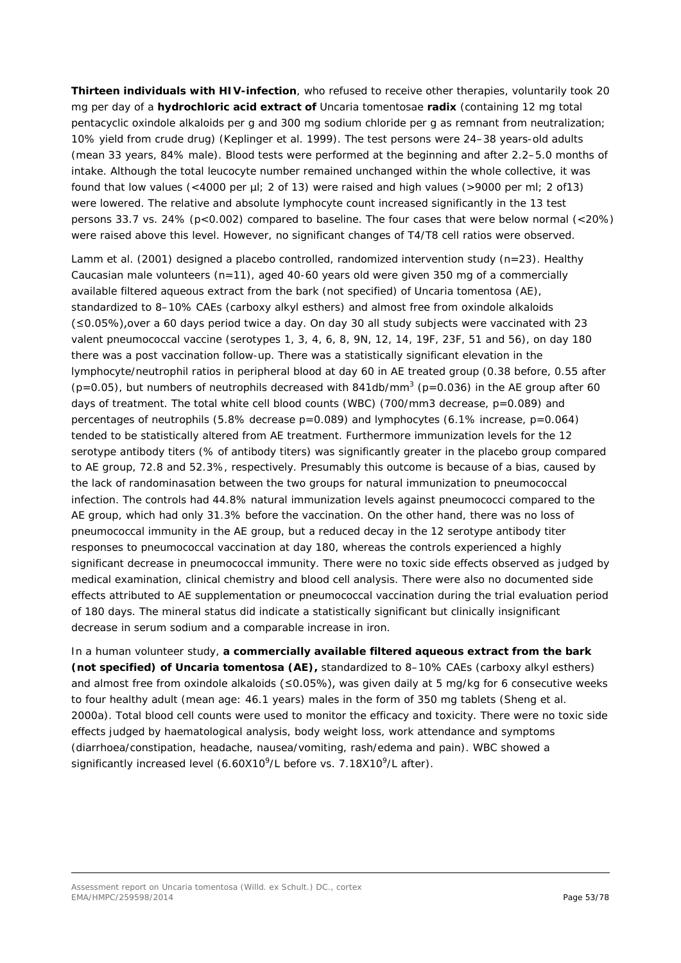**Thirteen individuals with HIV-infection**, who refused to receive other therapies, voluntarily took 20 mg per day of a **hydrochloric acid extract of** Uncaria tomentosae *radix* (containing 12 mg total pentacyclic oxindole alkaloids per g and 300 mg sodium chloride per g as remnant from neutralization; 10% yield from crude drug) (Keplinger *et al.* 1999). The test persons were 24–38 years-old adults (mean 33 years, 84% male). Blood tests were performed at the beginning and after 2.2–5.0 months of intake. Although the total leucocyte number remained unchanged within the whole collective, it was found that low values (<4000 per µl; 2 of 13) were raised and high values (>9000 per ml; 2 of13) were lowered. The relative and absolute lymphocyte count increased significantly in the 13 test persons 33.7 vs. 24% (p<0.002) compared to baseline. The four cases that were below normal (<20%) were raised above this level. However, no significant changes of T4/T8 cell ratios were observed.

Lamm *et al.* (2001) designed a placebo controlled, randomized intervention study (n=23). Healthy Caucasian male volunteers  $(n=11)$ , aged 40-60 years old were given 350 mg of a commercially available filtered aqueous extract from the bark (not specified) of *Uncaria tomentosa* (AE), standardized to 8–10% CAEs (carboxy alkyl esthers) and almost free from oxindole alkaloids (≤0.05%),over a 60 days period twice a day. On day 30 all study subjects were vaccinated with 23 valent pneumococcal vaccine (serotypes 1, 3, 4, 6, 8, 9N, 12, 14, 19F, 23F, 51 and 56), on day 180 there was a post vaccination follow-up. There was a statistically significant elevation in the lymphocyte/neutrophil ratios in peripheral blood at day 60 in AE treated group (0.38 before, 0.55 after ( $p=0.05$ ), but numbers of neutrophils decreased with 841db/mm<sup>3</sup> ( $p=0.036$ ) in the AE group after 60 days of treatment. The total white cell blood counts (WBC) (700/mm3 decrease,  $p=0.089$ ) and percentages of neutrophils (5.8% decrease p=0.089) and lymphocytes (6.1% increase, p=0.064) tended to be statistically altered from AE treatment. Furthermore immunization levels for the 12 serotype antibody titers (% of antibody titers) was significantly greater in the placebo group compared to AE group, 72.8 and 52.3%, respectively. Presumably this outcome is because of a bias, caused by the lack of randominasation between the two groups for natural immunization to pneumococcal infection. The controls had 44.8% natural immunization levels against pneumococci compared to the AE group, which had only 31.3% before the vaccination. On the other hand, there was no loss of pneumococcal immunity in the AE group, but a reduced decay in the 12 serotype antibody titer responses to pneumococcal vaccination at day 180, whereas the controls experienced a highly significant decrease in pneumococcal immunity. There were no toxic side effects observed as judged by medical examination, clinical chemistry and blood cell analysis. There were also no documented side effects attributed to AE supplementation or pneumococcal vaccination during the trial evaluation period of 180 days. The mineral status did indicate a statistically significant but clinically insignificant decrease in serum sodium and a comparable increase in iron.

In a human volunteer study, **a commercially available filtered aqueous extract from the bark (not specified) of** *Uncaria tomentosa* **(AE),** standardized to 8–10% CAEs (carboxy alkyl esthers) and almost free from oxindole alkaloids (≤0.05%), was given daily at 5 mg/kg for 6 consecutive weeks to four healthy adult (mean age: 46.1 years) males in the form of 350 mg tablets (Sheng *et al.* 2000a). Total blood cell counts were used to monitor the efficacy and toxicity. There were no toxic side effects judged by haematological analysis, body weight loss, work attendance and symptoms (diarrhoea/constipation, headache, nausea/vomiting, rash/edema and pain). WBC showed a significantly increased level (6.60X10<sup>9</sup>/L before vs. 7.18X10<sup>9</sup>/L after).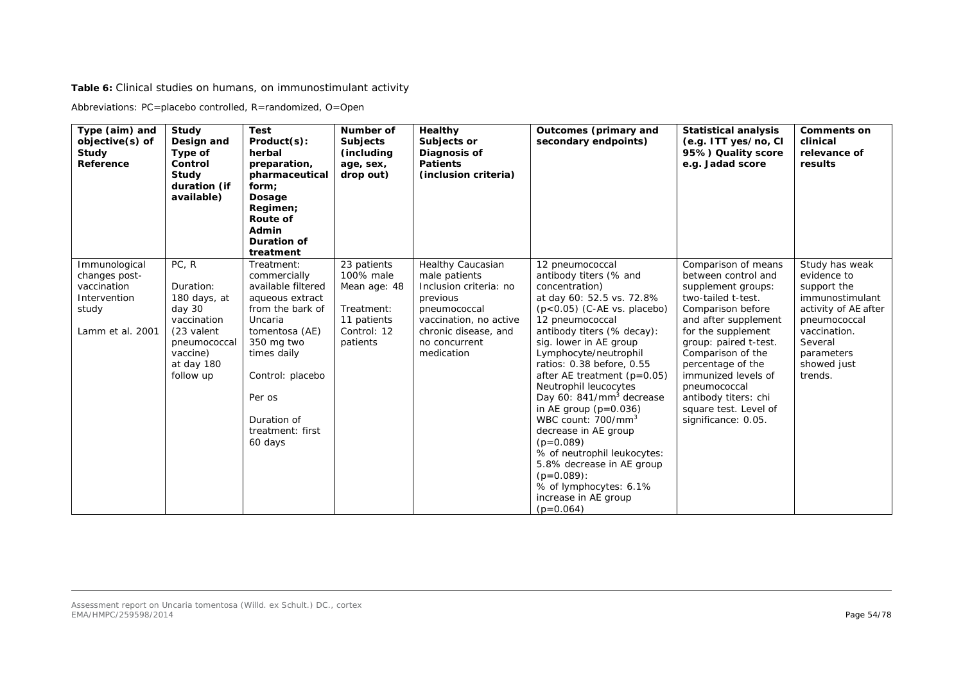**Table 6:** Clinical studies on humans, on immunostimulant activity

Abbreviations: PC=placebo controlled, R=randomized, O=Open

| Type (aim) and<br>objective(s) of<br>Study<br>Reference                                    | Study<br>Design and<br>Type of<br>Control<br>Study<br>duration (if<br>available)                                                 | <b>Test</b><br>Product(s):<br>herbal<br>preparation,<br>pharmaceutical<br>form;<br>Dosage<br>Regimen;<br>Route of<br>Admin<br>Duration of<br>treatment                                                                        | Number of<br><b>Subjects</b><br>(including<br>age, sex,<br>drop out)                             | Healthy<br>Subjects or<br>Diagnosis of<br><b>Patients</b><br>(inclusion criteria)                                                                                         | Outcomes (primary and<br>secondary endpoints)                                                                                                                                                                                                                                                                                                                                                                                                                                                                                                                                                                  | <b>Statistical analysis</b><br>(e.g. ITT yes/no, CI<br>95%) Quality score<br>e.g. Jadad score                                                                                                                                                                                                                                               | <b>Comments on</b><br>clinical<br>relevance of<br>results                                                                                                                  |
|--------------------------------------------------------------------------------------------|----------------------------------------------------------------------------------------------------------------------------------|-------------------------------------------------------------------------------------------------------------------------------------------------------------------------------------------------------------------------------|--------------------------------------------------------------------------------------------------|---------------------------------------------------------------------------------------------------------------------------------------------------------------------------|----------------------------------------------------------------------------------------------------------------------------------------------------------------------------------------------------------------------------------------------------------------------------------------------------------------------------------------------------------------------------------------------------------------------------------------------------------------------------------------------------------------------------------------------------------------------------------------------------------------|---------------------------------------------------------------------------------------------------------------------------------------------------------------------------------------------------------------------------------------------------------------------------------------------------------------------------------------------|----------------------------------------------------------------------------------------------------------------------------------------------------------------------------|
| Immunological<br>changes post-<br>vaccination<br>Intervention<br>study<br>Lamm et al. 2001 | PC, R<br>Duration:<br>180 days, at<br>day 30<br>vaccination<br>(23 valent<br>pneumococcal<br>vaccine)<br>at day 180<br>follow up | Treatment:<br>commercially<br>available filtered<br>aqueous extract<br>from the bark of<br>Uncaria<br>tomentosa (AE)<br>350 mg two<br>times daily<br>Control: placebo<br>Per os<br>Duration of<br>treatment: first<br>60 days | 23 patients<br>100% male<br>Mean age: 48<br>Treatment:<br>11 patients<br>Control: 12<br>patients | Healthy Caucasian<br>male patients<br>Inclusion criteria: no<br>previous<br>pneumococcal<br>vaccination, no active<br>chronic disease, and<br>no concurrent<br>medication | 12 pneumococcal<br>antibody titers (% and<br>concentration)<br>at day 60: 52.5 vs. 72.8%<br>$(p<0.05)$ (C-AE vs. placebo)<br>12 pneumococcal<br>antibody titers (% decay):<br>sig. lower in AE group<br>Lymphocyte/neutrophil<br>ratios: 0.38 before, 0.55<br>after AE treatment $(p=0.05)$<br>Neutrophil leucocytes<br>Day 60: 841/mm <sup>3</sup> decrease<br>in AE group $(p=0.036)$<br>WBC count: 700/mm <sup>3</sup><br>decrease in AE group<br>$(p=0.089)$<br>% of neutrophil leukocytes:<br>5.8% decrease in AE group<br>$(p=0.089)$ :<br>% of lymphocytes: 6.1%<br>increase in AE group<br>$(p=0.064)$ | Comparison of means<br>between control and<br>supplement groups:<br>two-tailed t-test.<br>Comparison before<br>and after supplement<br>for the supplement<br>group: paired t-test.<br>Comparison of the<br>percentage of the<br>immunized levels of<br>pneumococcal<br>antibody titers: chi<br>square test. Level of<br>significance: 0.05. | Study has weak<br>evidence to<br>support the<br>immunostimulant<br>activity of AE after<br>pneumococcal<br>vaccination.<br>Several<br>parameters<br>showed just<br>trends. |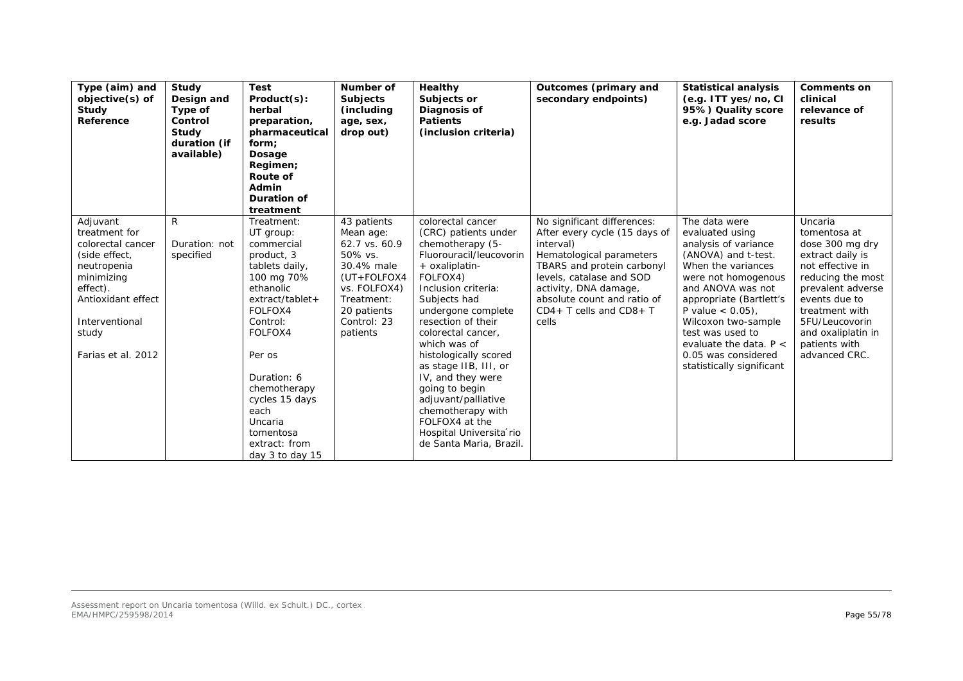| Type (aim) and<br>objective(s) of<br>Study<br>Reference                                                                                                                         | Study<br>Design and<br>Type of<br>Control<br>Study<br>duration (if<br>available) | <b>Test</b><br>Product(s):<br>herbal<br>preparation,<br>pharmaceutical<br>form:<br>Dosage<br>Regimen;<br><b>Route of</b><br>Admin<br>Duration of<br>treatment                                                                                                                        | Number of<br><b>Subjects</b><br>(including<br>age, sex,<br>drop out)                                                                                          | Healthy<br>Subjects or<br>Diagnosis of<br><b>Patients</b><br>(inclusion criteria)                                                                                                                                                                                                                                                                                                                                                                            | Outcomes (primary and<br>secondary endpoints)                                                                                                                                                                                                                 | <b>Statistical analysis</b><br>(e.g. ITT yes/no, CI<br>95%) Quality score<br>e.g. Jadad score                                                                                                                                                                                                                                  | <b>Comments on</b><br>clinical<br>relevance of<br>results                                                                                                                                                                                 |
|---------------------------------------------------------------------------------------------------------------------------------------------------------------------------------|----------------------------------------------------------------------------------|--------------------------------------------------------------------------------------------------------------------------------------------------------------------------------------------------------------------------------------------------------------------------------------|---------------------------------------------------------------------------------------------------------------------------------------------------------------|--------------------------------------------------------------------------------------------------------------------------------------------------------------------------------------------------------------------------------------------------------------------------------------------------------------------------------------------------------------------------------------------------------------------------------------------------------------|---------------------------------------------------------------------------------------------------------------------------------------------------------------------------------------------------------------------------------------------------------------|--------------------------------------------------------------------------------------------------------------------------------------------------------------------------------------------------------------------------------------------------------------------------------------------------------------------------------|-------------------------------------------------------------------------------------------------------------------------------------------------------------------------------------------------------------------------------------------|
| Adjuvant<br>treatment for<br>colorectal cancer<br>(side effect,<br>neutropenia<br>minimizing<br>effect).<br>Antioxidant effect<br>Interventional<br>study<br>Farias et al. 2012 | $\mathsf{R}$<br>Duration: not<br>specified                                       | Treatment:<br>UT group:<br>commercial<br>product, 3<br>tablets daily,<br>100 mg 70%<br>ethanolic<br>extract/tablet+<br>FOLFOX4<br>Control:<br>FOLFOX4<br>Per os<br>Duration: 6<br>chemotherapy<br>cycles 15 days<br>each<br>Uncaria<br>tomentosa<br>extract: from<br>day 3 to day 15 | 43 patients<br>Mean age:<br>62.7 vs. 60.9<br>50% vs.<br>30.4% male<br>$(UT + FOLFOX4$<br>vs. FOLFOX4)<br>Treatment:<br>20 patients<br>Control: 23<br>patients | colorectal cancer<br>(CRC) patients under<br>chemotherapy (5-<br>Fluorouracil/leucovorin<br>+ oxaliplatin-<br>FOLFOX4)<br>Inclusion criteria:<br>Subjects had<br>undergone complete<br>resection of their<br>colorectal cancer,<br>which was of<br>histologically scored<br>as stage IIB, III, or<br>IV, and they were<br>going to begin<br>adjuvant/palliative<br>chemotherapy with<br>FOLFOX4 at the<br>Hospital Universita rio<br>de Santa Maria, Brazil. | No significant differences:<br>After every cycle (15 days of<br>interval)<br>Hematological parameters<br>TBARS and protein carbonyl<br>levels, catalase and SOD<br>activity, DNA damage,<br>absolute count and ratio of<br>$CD4+T$ cells and $CD8+T$<br>cells | The data were<br>evaluated using<br>analysis of variance<br>(ANOVA) and t-test.<br>When the variances<br>were not homogenous<br>and ANOVA was not<br>appropriate (Bartlett's<br>P value $< 0.05$ ),<br>Wilcoxon two-sample<br>test was used to<br>evaluate the data. $P <$<br>0.05 was considered<br>statistically significant | Uncaria<br>tomentosa at<br>dose 300 mg dry<br>extract daily is<br>not effective in<br>reducing the most<br>prevalent adverse<br>events due to<br>treatment with<br>5FU/Leucovorin<br>and oxaliplatin in<br>patients with<br>advanced CRC. |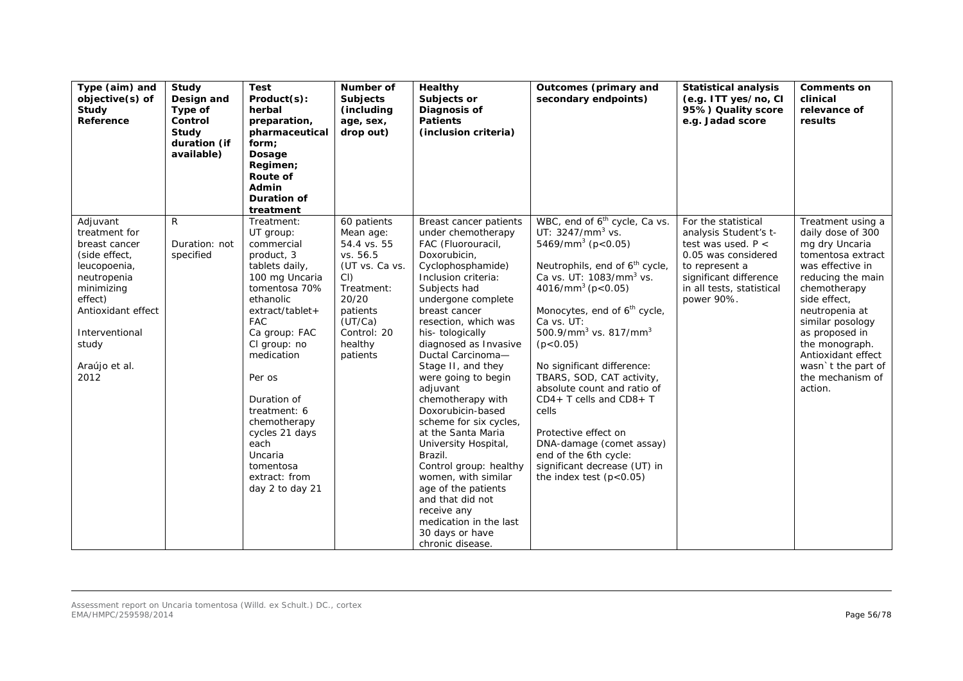| Type (aim) and<br>objective(s) of<br>Study<br>Reference                                                                                                                                            | Study<br>Design and<br>Type of<br>Control<br>Study<br>duration (if<br>available) | <b>Test</b><br>Product(s):<br>herbal<br>preparation,<br>pharmaceutical<br>form;<br>Dosage<br>Regimen;<br>Route of<br>Admin<br>Duration of<br>treatment                                                                                                                                                                                               | Number of<br><b>Subjects</b><br>(including<br>age, sex,<br>drop out)                                                                                                | Healthy<br>Subjects or<br>Diagnosis of<br><b>Patients</b><br>(inclusion criteria)                                                                                                                                                                                                                                                                                                                                                                                                                                                                                                                                                                | Outcomes (primary and<br>secondary endpoints)                                                                                                                                                                                                                                                                                                                                                                                                                                                                                                                                                                                         | <b>Statistical analysis</b><br>(e.g. ITT yes/no, CI<br>95%) Quality score<br>e.g. Jadad score                                                                                      | <b>Comments on</b><br>clinical<br>relevance of<br>results                                                                                                                                                                                                                                                   |
|----------------------------------------------------------------------------------------------------------------------------------------------------------------------------------------------------|----------------------------------------------------------------------------------|------------------------------------------------------------------------------------------------------------------------------------------------------------------------------------------------------------------------------------------------------------------------------------------------------------------------------------------------------|---------------------------------------------------------------------------------------------------------------------------------------------------------------------|--------------------------------------------------------------------------------------------------------------------------------------------------------------------------------------------------------------------------------------------------------------------------------------------------------------------------------------------------------------------------------------------------------------------------------------------------------------------------------------------------------------------------------------------------------------------------------------------------------------------------------------------------|---------------------------------------------------------------------------------------------------------------------------------------------------------------------------------------------------------------------------------------------------------------------------------------------------------------------------------------------------------------------------------------------------------------------------------------------------------------------------------------------------------------------------------------------------------------------------------------------------------------------------------------|------------------------------------------------------------------------------------------------------------------------------------------------------------------------------------|-------------------------------------------------------------------------------------------------------------------------------------------------------------------------------------------------------------------------------------------------------------------------------------------------------------|
| R<br>Adjuvant<br>treatment for<br>breast cancer<br>(side effect,<br>leucopoenia,<br>neutropenia<br>minimizing<br>effect)<br>Antioxidant effect<br>Interventional<br>study<br>Araújo et al.<br>2012 | Duration: not<br>specified                                                       | Treatment:<br>UT group:<br>commercial<br>product, 3<br>tablets daily,<br>100 mg Uncaria<br>tomentosa 70%<br>ethanolic<br>extract/tablet+<br><b>FAC</b><br>Ca group: FAC<br>CI group: no<br>medication<br>Per os<br>Duration of<br>treatment: 6<br>chemotherapy<br>cycles 21 days<br>each<br>Uncaria<br>tomentosa<br>extract: from<br>day 2 to day 21 | 60 patients<br>Mean age:<br>54.4 vs. 55<br>vs. 56.5<br>(UT vs. Ca vs.<br>$CI$ )<br>Treatment:<br>20/20<br>patients<br>(UT/Ca)<br>Control: 20<br>healthy<br>patients | Breast cancer patients<br>under chemotherapy<br>FAC (Fluorouracil,<br>Doxorubicin,<br>Cyclophosphamide)<br>Inclusion criteria:<br>Subjects had<br>undergone complete<br>breast cancer<br>resection, which was<br>his-tologically<br>diagnosed as Invasive<br>Ductal Carcinoma-<br>Stage II, and they<br>were going to begin<br>adjuvant<br>chemotherapy with<br>Doxorubicin-based<br>scheme for six cycles,<br>at the Santa Maria<br>University Hospital,<br>Brazil.<br>Control group: healthy<br>women, with similar<br>age of the patients<br>and that did not<br>receive any<br>medication in the last<br>30 days or have<br>chronic disease. | WBC, end of 6 <sup>th</sup> cycle, Ca vs.<br>UT: $3247/mm3$ vs.<br>5469/mm <sup>3</sup> ( $p < 0.05$ )<br>Neutrophils, end of 6 <sup>th</sup> cycle,<br>Ca vs. UT: 1083/mm <sup>3</sup> vs.<br>4016/mm <sup>3</sup> ( $p < 0.05$ )<br>Monocytes, end of 6 <sup>th</sup> cycle,<br>Ca vs. UT:<br>500.9/mm <sup>3</sup> vs. 817/mm <sup>3</sup><br>(p < 0.05)<br>No significant difference:<br>TBARS, SOD, CAT activity,<br>absolute count and ratio of<br>$CD4+T$ cells and $CD8+T$<br>cells<br>Protective effect on<br>DNA-damage (comet assay)<br>end of the 6th cycle:<br>significant decrease (UT) in<br>the index test $(p<0.05)$ | For the statistical<br>analysis Student's t-<br>test was used. $P <$<br>0.05 was considered<br>to represent a<br>significant difference<br>in all tests, statistical<br>power 90%. | Treatment using a<br>daily dose of 300<br>mg dry Uncaria<br>tomentosa extract<br>was effective in<br>reducing the main<br>chemotherapy<br>side effect,<br>neutropenia at<br>similar posology<br>as proposed in<br>the monograph.<br>Antioxidant effect<br>wasn't the part of<br>the mechanism of<br>action. |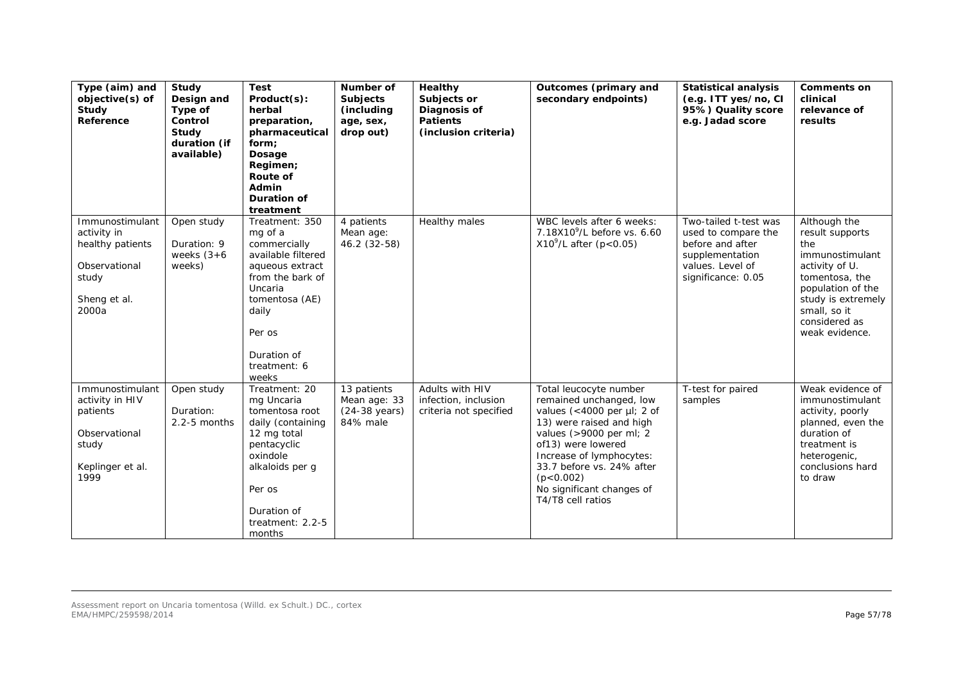| Type (aim) and<br>objective(s) of<br>Study<br>Reference                                               | Study<br>Design and<br>Type of<br>Control<br>Study<br>duration (if<br>available) | <b>Test</b><br>Product(s):<br>herbal<br>preparation,<br>pharmaceutical<br>form;<br>Dosage<br>Regimen;<br>Route of<br>Admin<br><b>Duration of</b><br>treatment                                  | Number of<br><b>Subjects</b><br>(including<br>age, sex,<br>drop out) | Healthy<br>Subjects or<br>Diagnosis of<br><b>Patients</b><br>(inclusion criteria) | Outcomes (primary and<br>secondary endpoints)                                                                                                                                                                                                                                               | <b>Statistical analysis</b><br>(e.g. ITT yes/no, CI<br>95%) Quality score<br>e.g. Jadad score                                 | <b>Comments on</b><br>clinical<br>relevance of<br>results                                                                                                                                   |
|-------------------------------------------------------------------------------------------------------|----------------------------------------------------------------------------------|------------------------------------------------------------------------------------------------------------------------------------------------------------------------------------------------|----------------------------------------------------------------------|-----------------------------------------------------------------------------------|---------------------------------------------------------------------------------------------------------------------------------------------------------------------------------------------------------------------------------------------------------------------------------------------|-------------------------------------------------------------------------------------------------------------------------------|---------------------------------------------------------------------------------------------------------------------------------------------------------------------------------------------|
| Immunostimulant<br>activity in<br>healthy patients<br>Observational<br>study<br>Sheng et al.<br>2000a | Open study<br>Duration: 9<br>weeks $(3+6)$<br>weeks)                             | Treatment: 350<br>mg of a<br>commercially<br>available filtered<br>aqueous extract<br>from the bark of<br>Uncaria<br>tomentosa (AE)<br>daily<br>Per os<br>Duration of<br>treatment: 6<br>weeks | 4 patients<br>Mean age:<br>46.2 (32-58)                              | Healthy males                                                                     | WBC levels after 6 weeks:<br>7.18X10 <sup>9</sup> /L before vs. 6.60<br>$X10^{9}$ /L after (p<0.05)                                                                                                                                                                                         | Two-tailed t-test was<br>used to compare the<br>before and after<br>supplementation<br>values. Level of<br>significance: 0.05 | Although the<br>result supports<br>the<br>immunostimulant<br>activity of U.<br>tomentosa, the<br>population of the<br>study is extremely<br>small, so it<br>considered as<br>weak evidence. |
| Immunostimulant<br>activity in HIV<br>patients<br>Observational<br>study<br>Keplinger et al.<br>1999  | Open study<br>Duration:<br>$2.2 - 5$ months                                      | Treatment: 20<br>mg Uncaria<br>tomentosa root<br>daily (containing<br>12 mg total<br>pentacyclic<br>oxindole<br>alkaloids per q<br>Per os<br>Duration of<br>treatment: 2.2-5<br>months         | 13 patients<br>Mean age: 33<br>$(24-38 \text{ years})$<br>84% male   | Adults with HIV<br>infection, inclusion<br>criteria not specified                 | Total leucocyte number<br>remained unchanged, low<br>values (<4000 per $\mu$ I; 2 of<br>13) were raised and high<br>values (>9000 per ml; 2<br>of13) were lowered<br>Increase of lymphocytes:<br>33.7 before vs. 24% after<br>(p < 0.002)<br>No significant changes of<br>T4/T8 cell ratios | T-test for paired<br>samples                                                                                                  | Weak evidence of<br>immunostimulant<br>activity, poorly<br>planned, even the<br>duration of<br>treatment is<br>heterogenic,<br>conclusions hard<br>to draw                                  |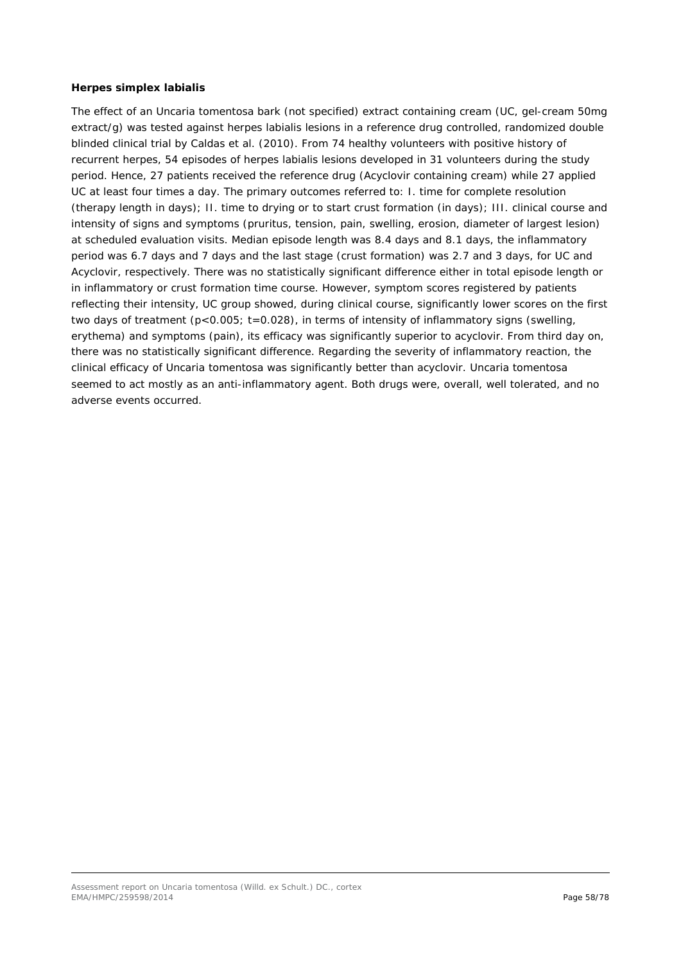### *Herpes simplex labialis*

The effect of an *Uncaria tomentosa* bark (not specified) extract containing cream (UC, gel-cream 50mg extract/g) was tested against herpes labialis lesions in a reference drug controlled, randomized double blinded clinical trial by Caldas *et al.* (2010). From 74 healthy volunteers with positive history of recurrent herpes, 54 episodes of *herpes labialis* lesions developed in 31 volunteers during the study period. Hence, 27 patients received the reference drug (Acyclovir containing cream) while 27 applied UC at least four times a day. The primary outcomes referred to: I. time for complete resolution (therapy length in days); II. time to drying or to start crust formation (in days); III. clinical course and intensity of signs and symptoms (pruritus, tension, pain, swelling, erosion, diameter of largest lesion) at scheduled evaluation visits. Median episode length was 8.4 days and 8.1 days, the inflammatory period was 6.7 days and 7 days and the last stage (crust formation) was 2.7 and 3 days, for UC and Acyclovir, respectively. There was no statistically significant difference either in total episode length or in inflammatory or crust formation time course. However, symptom scores registered by patients reflecting their intensity, UC group showed, during clinical course, significantly lower scores on the first two days of treatment  $(p<0.005; t=0.028)$ , in terms of intensity of inflammatory signs (swelling, erythema) and symptoms (pain), its efficacy was significantly superior to acyclovir. From third day on, there was no statistically significant difference. Regarding the severity of inflammatory reaction, the clinical efficacy of *Uncaria tomentosa* was significantly better than acyclovir. *Uncaria tomentosa* seemed to act mostly as an anti-inflammatory agent. Both drugs were, overall, well tolerated, and no adverse events occurred.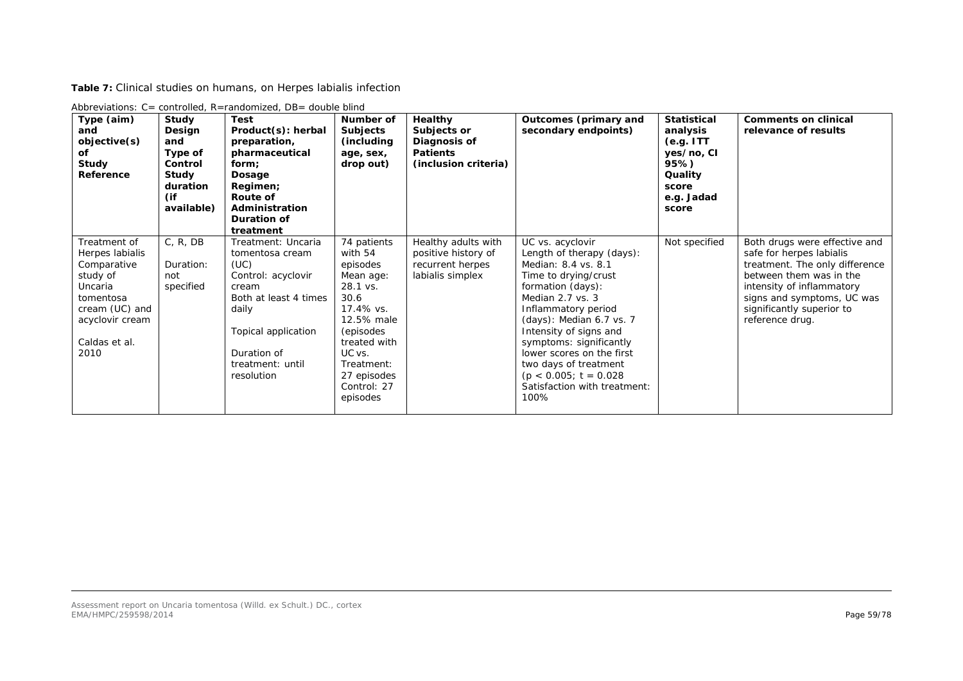**Table 7:** Clinical studies on humans, on *Herpes labialis* infection

| Type (aim)<br>and<br>objective(s)<br>оf<br><b>Study</b><br>Reference                                                                             | Study<br>Design<br>and<br>Type of<br>Control<br>Study<br>duration<br>(if<br>available) | <b>Test</b><br>Product(s): herbal<br>preparation,<br>pharmaceutical<br>form:<br>Dosage<br>Regimen;<br>Route of<br>Administration<br>Duration of<br>treatment                                  | Number of<br><b>Subjects</b><br>(including)<br>age, sex,<br>drop out)                                                                                                                         | Healthy<br>Subjects or<br>Diagnosis of<br><b>Patients</b><br>(inclusion criteria)  | Outcomes (primary and<br>secondary endpoints)                                                                                                                                                                                                                                                                                                                           | <b>Statistical</b><br>analysis<br>(e.g. ITT)<br>yes/no, CI<br>95%)<br>Quality<br>score<br>e.g. Jadad<br>score | <b>Comments on clinical</b><br>relevance of results                                                                                                                                                                               |
|--------------------------------------------------------------------------------------------------------------------------------------------------|----------------------------------------------------------------------------------------|-----------------------------------------------------------------------------------------------------------------------------------------------------------------------------------------------|-----------------------------------------------------------------------------------------------------------------------------------------------------------------------------------------------|------------------------------------------------------------------------------------|-------------------------------------------------------------------------------------------------------------------------------------------------------------------------------------------------------------------------------------------------------------------------------------------------------------------------------------------------------------------------|---------------------------------------------------------------------------------------------------------------|-----------------------------------------------------------------------------------------------------------------------------------------------------------------------------------------------------------------------------------|
| Treatment of<br>Herpes labialis<br>Comparative<br>study of<br>Uncaria<br>tomentosa<br>cream (UC) and<br>acyclovir cream<br>Caldas et al.<br>2010 | C, R, DB<br>Duration:<br>not<br>specified                                              | Treatment: Uncaria<br><i>tomentosa</i> cream<br>(UC)<br>Control: acyclovir<br>cream<br>Both at least 4 times<br>daily<br>Topical application<br>Duration of<br>treatment: until<br>resolution | 74 patients<br>with 54<br>episodes<br>Mean age:<br>28.1 vs.<br>30.6<br>17.4% vs.<br>12.5% male<br>(episodes<br>treated with<br>UC vs.<br>Treatment:<br>27 episodes<br>Control: 27<br>episodes | Healthy adults with<br>positive history of<br>recurrent herpes<br>labialis simplex | UC vs. acyclovir<br>Length of therapy (days):<br>Median: 8.4 vs. 8.1<br>Time to drying/crust<br>formation (days):<br>Median 2.7 vs. 3<br>Inflammatory period<br>(days): Median 6.7 vs. 7<br>Intensity of signs and<br>symptoms: significantly<br>lower scores on the first<br>two days of treatment<br>$(p < 0.005; t = 0.028)$<br>Satisfaction with treatment:<br>100% | Not specified                                                                                                 | Both drugs were effective and<br>safe for herpes labialis<br>treatment. The only difference<br>between them was in the<br>intensity of inflammatory<br>signs and symptoms, UC was<br>significantly superior to<br>reference drug. |

Abbreviations: C= controlled, R=randomized, DB= double blind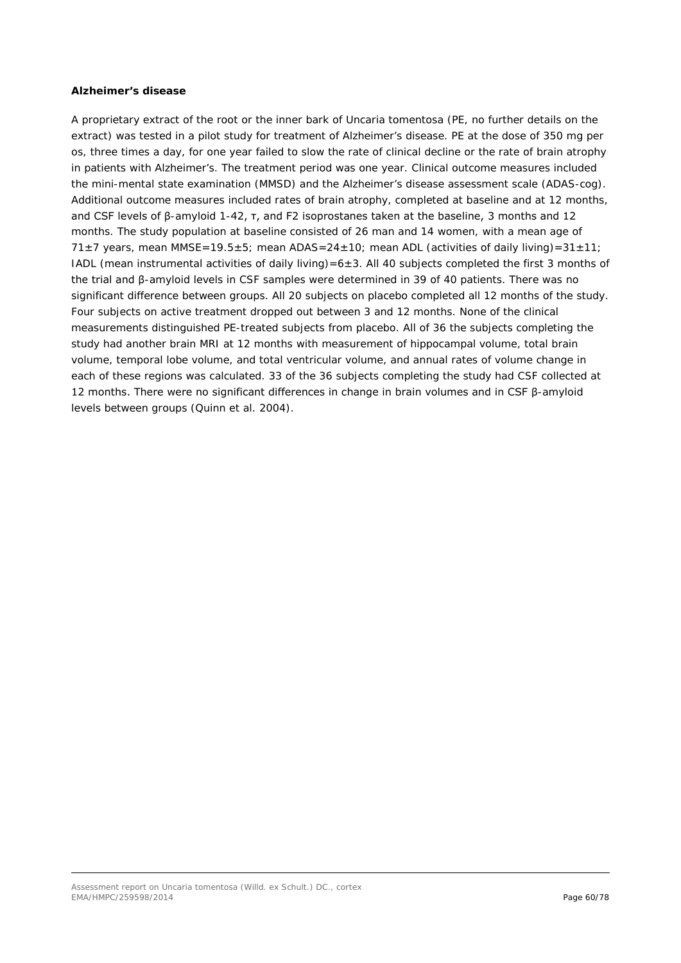### *Alzheimer's disease*

A proprietary extract of the root or the inner bark of *Uncaria tomentosa* (PE, no further details on the extract) was tested in a pilot study for treatment of Alzheimer's disease. PE at the dose of 350 mg *per os*, three times a day, for one year failed to slow the rate of clinical decline or the rate of brain atrophy in patients with Alzheimer's. The treatment period was one year. Clinical outcome measures included the mini-mental state examination (MMSD) and the Alzheimer's disease assessment scale (ADAS-cog). Additional outcome measures included rates of brain atrophy, completed at baseline and at 12 months, and CSF levels of β-amyloid 1-42, τ, and F2 isoprostanes taken at the baseline, 3 months and 12 months. The study population at baseline consisted of 26 man and 14 women, with a mean age of  $71±7$  years, mean MMSE=19.5±5; mean ADAS=24±10; mean ADL (activities of daily living)=31±11; IADL (mean instrumental activities of daily living)=6±3. All 40 subjects completed the first 3 months of the trial and β-amyloid levels in CSF samples were determined in 39 of 40 patients. There was no significant difference between groups. All 20 subjects on placebo completed all 12 months of the study. Four subjects on active treatment dropped out between 3 and 12 months. None of the clinical measurements distinguished PE-treated subjects from placebo. All of 36 the subjects completing the study had another brain MRI at 12 months with measurement of hippocampal volume, total brain volume, temporal lobe volume, and total ventricular volume, and annual rates of volume change in each of these regions was calculated. 33 of the 36 subjects completing the study had CSF collected at 12 months. There were no significant differences in change in brain volumes and in CSF β-amyloid levels between groups (Quinn *et al.* 2004).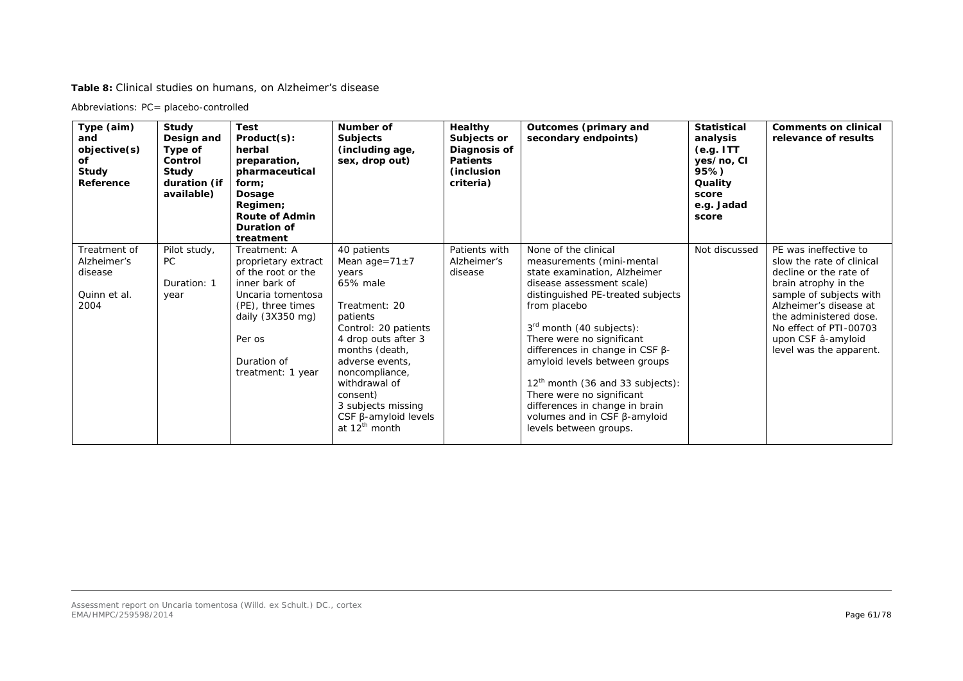**Table 8:** Clinical studies on humans, on Alzheimer's disease

Abbreviations: PC= placebo-controlled

| Type (aim)<br>and<br>objective(s)<br>оf<br>Study<br>Reference  | Study<br>Design and<br>Type of<br>Control<br>Study<br>duration (if<br>available) | <b>Test</b><br>Product(s):<br>herbal<br>preparation,<br>pharmaceutical<br>form;<br>Dosage<br>Regimen;<br><b>Route of Admin</b><br>Duration of<br>treatment                                       | Number of<br><b>Subjects</b><br>(including age,<br>sex, drop out)                                                                                                                                                                                                                                            | <b>Healthy</b><br>Subjects or<br>Diagnosis of<br><b>Patients</b><br>(inclusion<br>criteria) | Outcomes (primary and<br>secondary endpoints)                                                                                                                                                                                                                                                                                                                                                                                                                            | <b>Statistical</b><br>analysis<br>(e.g. ITT)<br>yes/no, CI<br>95%)<br>Quality<br>score<br>e.g. Jadad<br>score | <b>Comments on clinical</b><br>relevance of results                                                                                                                                                                                                            |
|----------------------------------------------------------------|----------------------------------------------------------------------------------|--------------------------------------------------------------------------------------------------------------------------------------------------------------------------------------------------|--------------------------------------------------------------------------------------------------------------------------------------------------------------------------------------------------------------------------------------------------------------------------------------------------------------|---------------------------------------------------------------------------------------------|--------------------------------------------------------------------------------------------------------------------------------------------------------------------------------------------------------------------------------------------------------------------------------------------------------------------------------------------------------------------------------------------------------------------------------------------------------------------------|---------------------------------------------------------------------------------------------------------------|----------------------------------------------------------------------------------------------------------------------------------------------------------------------------------------------------------------------------------------------------------------|
| Treatment of<br>Alzheimer's<br>disease<br>Quinn et al.<br>2004 | Pilot study,<br>PC.<br>Duration: 1<br>year                                       | Treatment: A<br>proprietary extract<br>of the root or the<br>inner bark of<br>Uncaria tomentosa<br>(PE), three times<br>daily $(3X350 \text{ mg})$<br>Per os<br>Duration of<br>treatment: 1 year | 40 patients<br>Mean age= $71 \pm 7$<br>years<br>65% male<br>Treatment: 20<br>patients<br>Control: 20 patients<br>4 drop outs after 3<br>months (death,<br>adverse events.<br>noncompliance,<br>withdrawal of<br>consent)<br>3 subjects missing<br>$CSF$ $\beta$ -amyloid levels<br>at 12 <sup>th</sup> month | Patients with<br>Alzheimer's<br>disease                                                     | None of the clinical<br>measurements (mini-mental<br>state examination, Alzheimer<br>disease assessment scale)<br>distinguished PE-treated subjects<br>from placebo<br>$3rd$ month (40 subjects):<br>There were no significant<br>differences in change in CSF $\beta$ -<br>amyloid levels between groups<br>$12th$ month (36 and 33 subjects):<br>There were no significant<br>differences in change in brain<br>volumes and in CSF β-amyloid<br>levels between groups. | Not discussed                                                                                                 | PE was ineffective to<br>slow the rate of clinical<br>decline or the rate of<br>brain atrophy in the<br>sample of subjects with<br>Alzheimer's disease at<br>the administered dose.<br>No effect of PTI-00703<br>upon CSF â-amyloid<br>level was the apparent. |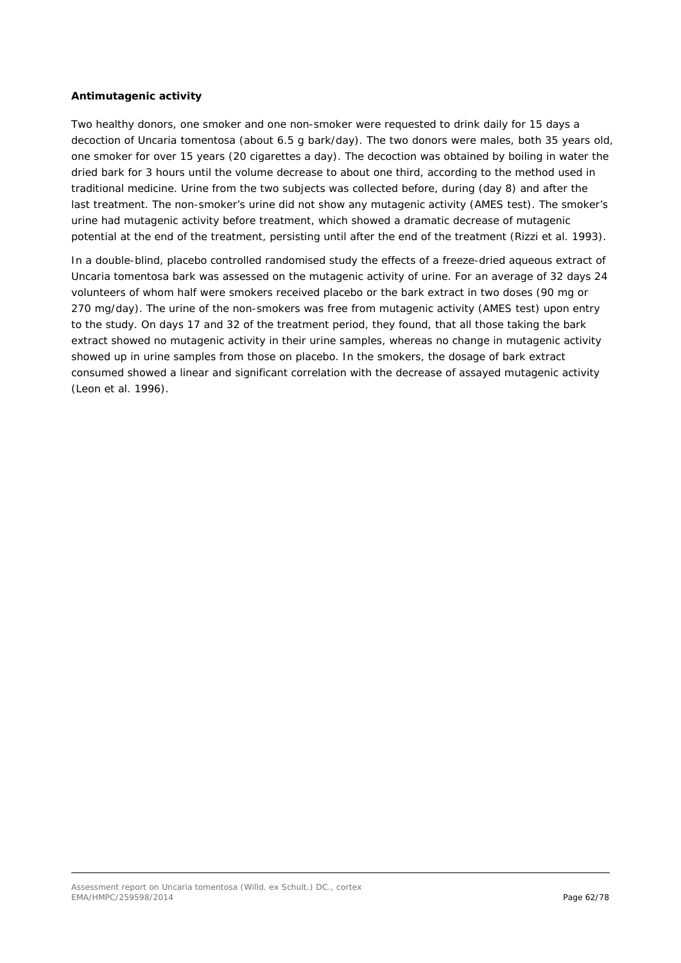### *Antimutagenic activity*

Two healthy donors, one smoker and one non-smoker were requested to drink daily for 15 days a decoction of *Uncaria tomentosa* (about 6.5 g bark/day). The two donors were males, both 35 years old, one smoker for over 15 years (20 cigarettes a day). The decoction was obtained by boiling in water the dried bark for 3 hours until the volume decrease to about one third, according to the method used in traditional medicine. Urine from the two subjects was collected before, during (day 8) and after the last treatment. The non-smoker's urine did not show any mutagenic activity (AMES test). The smoker's urine had mutagenic activity before treatment, which showed a dramatic decrease of mutagenic potential at the end of the treatment, persisting until after the end of the treatment (Rizzi *et al.* 1993).

In a double-blind, placebo controlled randomised study the effects of a freeze-dried aqueous extract of *Uncaria tomentosa* bark was assessed on the mutagenic activity of urine. For an average of 32 days 24 volunteers of whom half were smokers received placebo or the bark extract in two doses (90 mg or 270 mg/day). The urine of the non-smokers was free from mutagenic activity (AMES test) upon entry to the study. On days 17 and 32 of the treatment period, they found, that all those taking the bark extract showed no mutagenic activity in their urine samples, whereas no change in mutagenic activity showed up in urine samples from those on placebo. In the smokers, the dosage of bark extract consumed showed a linear and significant correlation with the decrease of assayed mutagenic activity (Leon *et al.* 1996).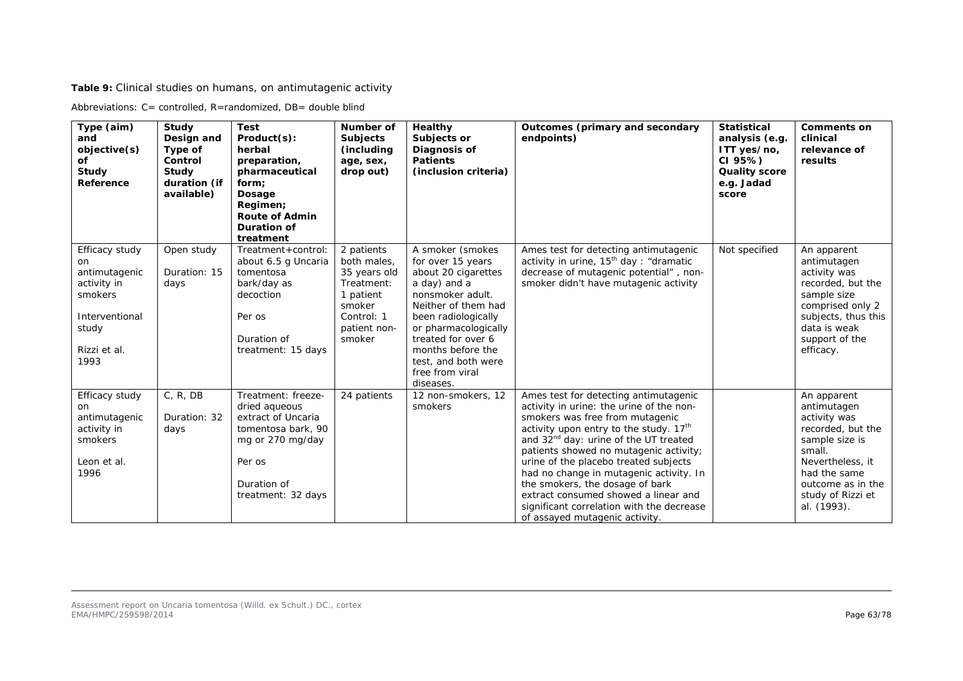**Table 9:** Clinical studies on humans, on antimutagenic activity

Abbreviations: C= controlled, R=randomized, DB= double blind

| Type (aim)<br>and<br>objective(s)<br>of<br>Study<br>Reference                                                      | Study<br>Design and<br>Type of<br>Control<br>Study<br>duration (if<br>available) | <b>Test</b><br>Product(s):<br>herbal<br>preparation,<br>pharmaceutical<br>form;<br>Dosage<br>Regimen;<br><b>Route of Admin</b><br><b>Duration of</b><br>treatment | Number of<br><b>Subjects</b><br>(including<br>age, sex,<br>drop out)                                                   | Healthy<br>Subjects or<br>Diagnosis of<br><b>Patients</b><br>(inclusion criteria)                                                                                                                                                                                        | Outcomes (primary and secondary<br>endpoints)                                                                                                                                                                                                                                                                                                                                                                                                                                                                           | <b>Statistical</b><br>analysis (e.g.<br>ITT yes/no,<br>CI 95%<br><b>Quality score</b><br>e.g. Jadad<br>score | <b>Comments on</b><br>clinical<br>relevance of<br>results                                                                                                                                |
|--------------------------------------------------------------------------------------------------------------------|----------------------------------------------------------------------------------|-------------------------------------------------------------------------------------------------------------------------------------------------------------------|------------------------------------------------------------------------------------------------------------------------|--------------------------------------------------------------------------------------------------------------------------------------------------------------------------------------------------------------------------------------------------------------------------|-------------------------------------------------------------------------------------------------------------------------------------------------------------------------------------------------------------------------------------------------------------------------------------------------------------------------------------------------------------------------------------------------------------------------------------------------------------------------------------------------------------------------|--------------------------------------------------------------------------------------------------------------|------------------------------------------------------------------------------------------------------------------------------------------------------------------------------------------|
| Efficacy study<br>on<br>antimutagenic<br>activity in<br>smokers<br>Interventional<br>study<br>Rizzi et al.<br>1993 | Open study<br>Duration: 15<br>days                                               | Treatment+control:<br>about 6.5 g Uncaria<br>tomentosa<br>bark/day as<br>decoction<br>Per os<br>Duration of<br>treatment: 15 days                                 | 2 patients<br>both males,<br>35 years old<br>Treatment:<br>1 patient<br>smoker<br>Control: 1<br>patient non-<br>smoker | A smoker (smokes<br>for over 15 years<br>about 20 cigarettes<br>a day) and a<br>nonsmoker adult.<br>Neither of them had<br>been radiologically<br>or pharmacologically<br>treated for over 6<br>months before the<br>test, and both were<br>free from viral<br>diseases. | Ames test for detecting antimutagenic<br>activity in urine, $15th$ day: "dramatic<br>decrease of mutagenic potential", non-<br>smoker didn't have mutagenic activity                                                                                                                                                                                                                                                                                                                                                    | Not specified                                                                                                | An apparent<br>antimutagen<br>activity was<br>recorded, but the<br>sample size<br>comprised only 2<br>subjects, thus this<br>data is weak<br>support of the<br>efficacy.                 |
| Efficacy study<br>on<br>antimutagenic<br>activity in<br>smokers<br>Leon et al.<br>1996                             | C, R, DB<br>Duration: 32<br>days                                                 | Treatment: freeze-<br>dried aqueous<br>extract of Uncaria<br>tomentosa bark, 90<br>mg or 270 mg/day<br>Per os<br>Duration of<br>treatment: 32 days                | 24 patients                                                                                                            | 12 non-smokers, 12<br>smokers                                                                                                                                                                                                                                            | Ames test for detecting antimutagenic<br>activity in urine: the urine of the non-<br>smokers was free from mutagenic<br>activity upon entry to the study. 17 <sup>th</sup><br>and 32 <sup>nd</sup> day: urine of the UT treated<br>patients showed no mutagenic activity;<br>urine of the placebo treated subjects<br>had no change in mutagenic activity. In<br>the smokers, the dosage of bark<br>extract consumed showed a linear and<br>significant correlation with the decrease<br>of assayed mutagenic activity. |                                                                                                              | An apparent<br>antimutagen<br>activity was<br>recorded, but the<br>sample size is<br>small.<br>Nevertheless, it<br>had the same<br>outcome as in the<br>study of Rizzi et<br>al. (1993). |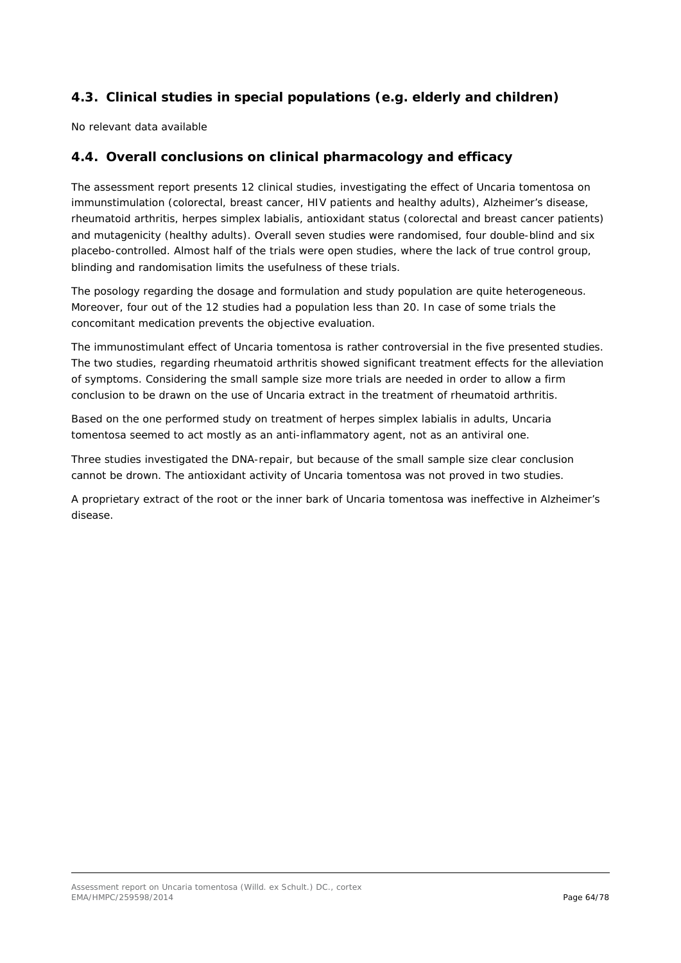# *4.3. Clinical studies in special populations (e.g. elderly and children)*

No relevant data available

# *4.4. Overall conclusions on clinical pharmacology and efficacy*

The assessment report presents 12 clinical studies, investigating the effect of *Uncaria tomentosa* on immunstimulation (colorectal, breast cancer, HIV patients and healthy adults), Alzheimer's disease, rheumatoid arthritis, herpes simplex labialis, antioxidant status (colorectal and breast cancer patients) and mutagenicity (healthy adults). Overall seven studies were randomised, four double-blind and six placebo-controlled. Almost half of the trials were open studies, where the lack of true control group, blinding and randomisation limits the usefulness of these trials.

The posology regarding the dosage and formulation and study population are quite heterogeneous. Moreover, four out of the 12 studies had a population less than 20. In case of some trials the concomitant medication prevents the objective evaluation.

The immunostimulant effect of *Uncaria tomentosa* is rather controversial in the five presented studies. The two studies, regarding rheumatoid arthritis showed significant treatment effects for the alleviation of symptoms. Considering the small sample size more trials are needed in order to allow a firm conclusion to be drawn on the use of *Uncaria* extract in the treatment of rheumatoid arthritis.

Based on the one performed study on treatment of *herpes simplex labialis* in adults, *Uncaria tomentosa* seemed to act mostly as an anti-inflammatory agent, not as an antiviral one.

Three studies investigated the DNA-repair, but because of the small sample size clear conclusion cannot be drown. The antioxidant activity of *Uncaria tomentosa* was not proved in two studies.

A proprietary extract of the root or the inner bark of *Uncaria tomentosa* was ineffective in Alzheimer's disease.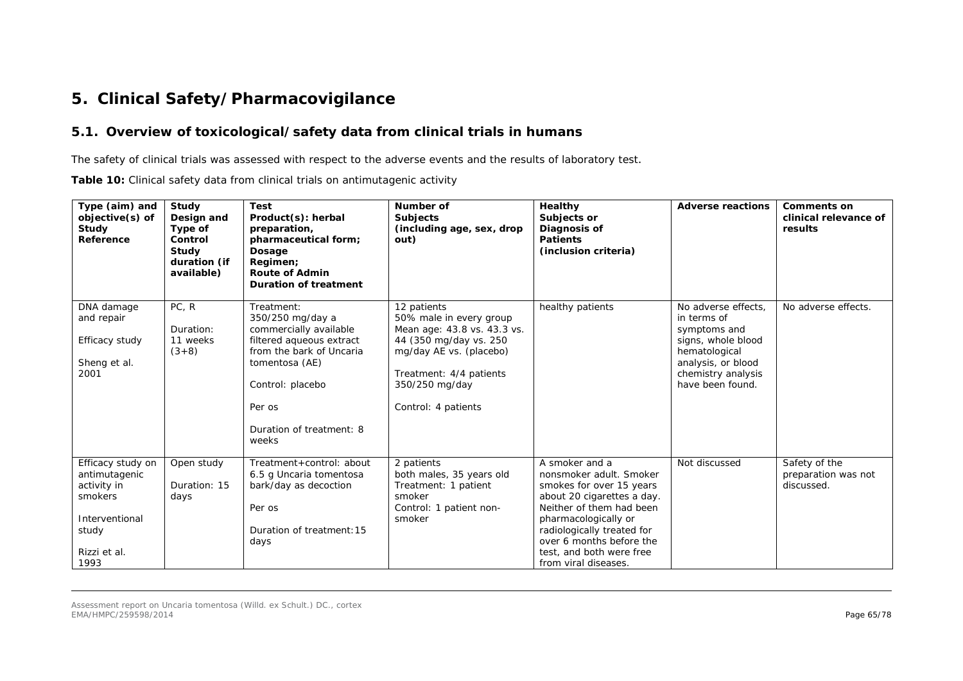# **5. Clinical Safety/Pharmacovigilance**

### *5.1. Overview of toxicological/safety data from clinical trials in humans*

The safety of clinical trials was assessed with respect to the adverse events and the results of laboratory test.

**Table 10:** Clinical safety data from clinical trials on antimutagenic activity

| duration (if<br>Regimen;<br><b>Route of Admin</b><br>available)<br><b>Duration of treatment</b><br>PC, R<br>12 patients<br>healthy patients<br>No adverse effects.<br>No adverse effects.<br>DNA damage<br>Treatment:<br>350/250 mg/day a<br>50% male in every group<br>in terms of<br>and repair<br>Duration:<br>commercially available<br>Mean age: 43.8 vs. 43.3 vs.<br>symptoms and<br>filtered aqueous extract<br>44 (350 mg/day vs. 250<br>Efficacy study<br>signs, whole blood<br>11 weeks<br>from the bark of Uncaria<br>$(3+8)$<br>mg/day AE vs. (placebo)<br>hematological<br>Sheng et al.<br>tomentosa (AE)<br>analysis, or blood<br>2001<br>Treatment: 4/4 patients<br>chemistry analysis<br>have been found.<br>350/250 mg/day<br>Control: placebo<br>Control: 4 patients<br>Per os<br>Duration of treatment: 8<br>weeks<br>Safety of the<br>Efficacy study on<br>2 patients<br>A smoker and a<br>Not discussed<br>Open study<br>Treatment+control: about<br>both males, 35 years old<br>antimutagenic<br>6.5 g Uncaria tomentosa<br>nonsmoker adult. Smoker<br>preparation was not<br>activity in<br>Duration: 15<br>bark/day as decoction<br>Treatment: 1 patient<br>smokes for over 15 years<br>discussed.<br>smokers<br>smoker<br>about 20 cigarettes a day.<br>days<br>Neither of them had been<br>Control: 1 patient non-<br>Per os<br>Interventional<br>smoker<br>pharmacologically or<br>Duration of treatment: 15<br>radiologically treated for<br>study<br>over 6 months before the<br>days<br>test, and both were free<br>Rizzi et al.<br>1993<br>from viral diseases. | Type (aim) and<br>objective(s) of<br>Study<br>Reference | Study<br>Design and<br>Type of<br>Control<br>Study | <b>Test</b><br>Product(s): herbal<br>preparation,<br>pharmaceutical form;<br>Dosage | Number of<br><b>Subjects</b><br>(including age, sex, drop<br>out) | Healthy<br>Subjects or<br>Diagnosis of<br><b>Patients</b><br>(inclusion criteria) | <b>Adverse reactions</b> | <b>Comments on</b><br>clinical relevance of<br>results |
|------------------------------------------------------------------------------------------------------------------------------------------------------------------------------------------------------------------------------------------------------------------------------------------------------------------------------------------------------------------------------------------------------------------------------------------------------------------------------------------------------------------------------------------------------------------------------------------------------------------------------------------------------------------------------------------------------------------------------------------------------------------------------------------------------------------------------------------------------------------------------------------------------------------------------------------------------------------------------------------------------------------------------------------------------------------------------------------------------------------------------------------------------------------------------------------------------------------------------------------------------------------------------------------------------------------------------------------------------------------------------------------------------------------------------------------------------------------------------------------------------------------------------------------------------------------------------------------------|---------------------------------------------------------|----------------------------------------------------|-------------------------------------------------------------------------------------|-------------------------------------------------------------------|-----------------------------------------------------------------------------------|--------------------------|--------------------------------------------------------|
|                                                                                                                                                                                                                                                                                                                                                                                                                                                                                                                                                                                                                                                                                                                                                                                                                                                                                                                                                                                                                                                                                                                                                                                                                                                                                                                                                                                                                                                                                                                                                                                                |                                                         |                                                    |                                                                                     |                                                                   |                                                                                   |                          |                                                        |
|                                                                                                                                                                                                                                                                                                                                                                                                                                                                                                                                                                                                                                                                                                                                                                                                                                                                                                                                                                                                                                                                                                                                                                                                                                                                                                                                                                                                                                                                                                                                                                                                |                                                         |                                                    |                                                                                     |                                                                   |                                                                                   |                          |                                                        |
|                                                                                                                                                                                                                                                                                                                                                                                                                                                                                                                                                                                                                                                                                                                                                                                                                                                                                                                                                                                                                                                                                                                                                                                                                                                                                                                                                                                                                                                                                                                                                                                                |                                                         |                                                    |                                                                                     |                                                                   |                                                                                   |                          |                                                        |
|                                                                                                                                                                                                                                                                                                                                                                                                                                                                                                                                                                                                                                                                                                                                                                                                                                                                                                                                                                                                                                                                                                                                                                                                                                                                                                                                                                                                                                                                                                                                                                                                |                                                         |                                                    |                                                                                     |                                                                   |                                                                                   |                          |                                                        |
|                                                                                                                                                                                                                                                                                                                                                                                                                                                                                                                                                                                                                                                                                                                                                                                                                                                                                                                                                                                                                                                                                                                                                                                                                                                                                                                                                                                                                                                                                                                                                                                                |                                                         |                                                    |                                                                                     |                                                                   |                                                                                   |                          |                                                        |
|                                                                                                                                                                                                                                                                                                                                                                                                                                                                                                                                                                                                                                                                                                                                                                                                                                                                                                                                                                                                                                                                                                                                                                                                                                                                                                                                                                                                                                                                                                                                                                                                |                                                         |                                                    |                                                                                     |                                                                   |                                                                                   |                          |                                                        |
|                                                                                                                                                                                                                                                                                                                                                                                                                                                                                                                                                                                                                                                                                                                                                                                                                                                                                                                                                                                                                                                                                                                                                                                                                                                                                                                                                                                                                                                                                                                                                                                                |                                                         |                                                    |                                                                                     |                                                                   |                                                                                   |                          |                                                        |
|                                                                                                                                                                                                                                                                                                                                                                                                                                                                                                                                                                                                                                                                                                                                                                                                                                                                                                                                                                                                                                                                                                                                                                                                                                                                                                                                                                                                                                                                                                                                                                                                |                                                         |                                                    |                                                                                     |                                                                   |                                                                                   |                          |                                                        |
|                                                                                                                                                                                                                                                                                                                                                                                                                                                                                                                                                                                                                                                                                                                                                                                                                                                                                                                                                                                                                                                                                                                                                                                                                                                                                                                                                                                                                                                                                                                                                                                                |                                                         |                                                    |                                                                                     |                                                                   |                                                                                   |                          |                                                        |
|                                                                                                                                                                                                                                                                                                                                                                                                                                                                                                                                                                                                                                                                                                                                                                                                                                                                                                                                                                                                                                                                                                                                                                                                                                                                                                                                                                                                                                                                                                                                                                                                |                                                         |                                                    |                                                                                     |                                                                   |                                                                                   |                          |                                                        |
|                                                                                                                                                                                                                                                                                                                                                                                                                                                                                                                                                                                                                                                                                                                                                                                                                                                                                                                                                                                                                                                                                                                                                                                                                                                                                                                                                                                                                                                                                                                                                                                                |                                                         |                                                    |                                                                                     |                                                                   |                                                                                   |                          |                                                        |
|                                                                                                                                                                                                                                                                                                                                                                                                                                                                                                                                                                                                                                                                                                                                                                                                                                                                                                                                                                                                                                                                                                                                                                                                                                                                                                                                                                                                                                                                                                                                                                                                |                                                         |                                                    |                                                                                     |                                                                   |                                                                                   |                          |                                                        |
|                                                                                                                                                                                                                                                                                                                                                                                                                                                                                                                                                                                                                                                                                                                                                                                                                                                                                                                                                                                                                                                                                                                                                                                                                                                                                                                                                                                                                                                                                                                                                                                                |                                                         |                                                    |                                                                                     |                                                                   |                                                                                   |                          |                                                        |
|                                                                                                                                                                                                                                                                                                                                                                                                                                                                                                                                                                                                                                                                                                                                                                                                                                                                                                                                                                                                                                                                                                                                                                                                                                                                                                                                                                                                                                                                                                                                                                                                |                                                         |                                                    |                                                                                     |                                                                   |                                                                                   |                          |                                                        |
|                                                                                                                                                                                                                                                                                                                                                                                                                                                                                                                                                                                                                                                                                                                                                                                                                                                                                                                                                                                                                                                                                                                                                                                                                                                                                                                                                                                                                                                                                                                                                                                                |                                                         |                                                    |                                                                                     |                                                                   |                                                                                   |                          |                                                        |
|                                                                                                                                                                                                                                                                                                                                                                                                                                                                                                                                                                                                                                                                                                                                                                                                                                                                                                                                                                                                                                                                                                                                                                                                                                                                                                                                                                                                                                                                                                                                                                                                |                                                         |                                                    |                                                                                     |                                                                   |                                                                                   |                          |                                                        |
|                                                                                                                                                                                                                                                                                                                                                                                                                                                                                                                                                                                                                                                                                                                                                                                                                                                                                                                                                                                                                                                                                                                                                                                                                                                                                                                                                                                                                                                                                                                                                                                                |                                                         |                                                    |                                                                                     |                                                                   |                                                                                   |                          |                                                        |
|                                                                                                                                                                                                                                                                                                                                                                                                                                                                                                                                                                                                                                                                                                                                                                                                                                                                                                                                                                                                                                                                                                                                                                                                                                                                                                                                                                                                                                                                                                                                                                                                |                                                         |                                                    |                                                                                     |                                                                   |                                                                                   |                          |                                                        |
|                                                                                                                                                                                                                                                                                                                                                                                                                                                                                                                                                                                                                                                                                                                                                                                                                                                                                                                                                                                                                                                                                                                                                                                                                                                                                                                                                                                                                                                                                                                                                                                                |                                                         |                                                    |                                                                                     |                                                                   |                                                                                   |                          |                                                        |
|                                                                                                                                                                                                                                                                                                                                                                                                                                                                                                                                                                                                                                                                                                                                                                                                                                                                                                                                                                                                                                                                                                                                                                                                                                                                                                                                                                                                                                                                                                                                                                                                |                                                         |                                                    |                                                                                     |                                                                   |                                                                                   |                          |                                                        |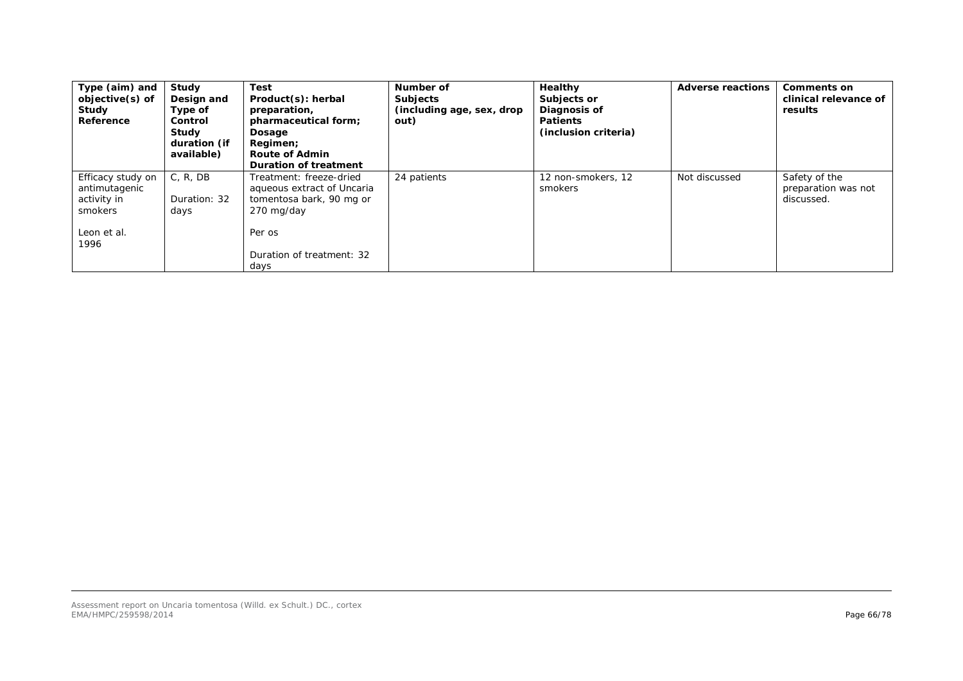| Type (aim) and<br>objective(s) of<br>Study<br>Reference                             | Study<br>Design and<br>Type of<br>Control<br>Study<br>duration (if<br>available) | <b>Test</b><br>Product(s): herbal<br>preparation,<br>pharmaceutical form;<br>Dosage<br>Regimen;<br><b>Route of Admin</b><br><b>Duration of treatment</b> | Number of<br><b>Subjects</b><br>(including age, sex, drop<br>out) | Healthy<br>Subjects or<br>Diagnosis of<br><b>Patients</b><br>(inclusion criteria) | <b>Adverse reactions</b> | <b>Comments on</b><br>clinical relevance of<br>results |
|-------------------------------------------------------------------------------------|----------------------------------------------------------------------------------|----------------------------------------------------------------------------------------------------------------------------------------------------------|-------------------------------------------------------------------|-----------------------------------------------------------------------------------|--------------------------|--------------------------------------------------------|
| Efficacy study on<br>antimutagenic<br>activity in<br>smokers<br>Leon et al.<br>1996 | C, R, DB<br>Duration: 32<br>days                                                 | Treatment: freeze-dried<br>aqueous extract of Uncaria<br><i>tomentosa</i> bark, 90 mg or<br>270 mg/day<br>Per os<br>Duration of treatment: 32<br>days    | 24 patients                                                       | 12 non-smokers, 12<br>smokers                                                     | Not discussed            | Safety of the<br>preparation was not<br>discussed.     |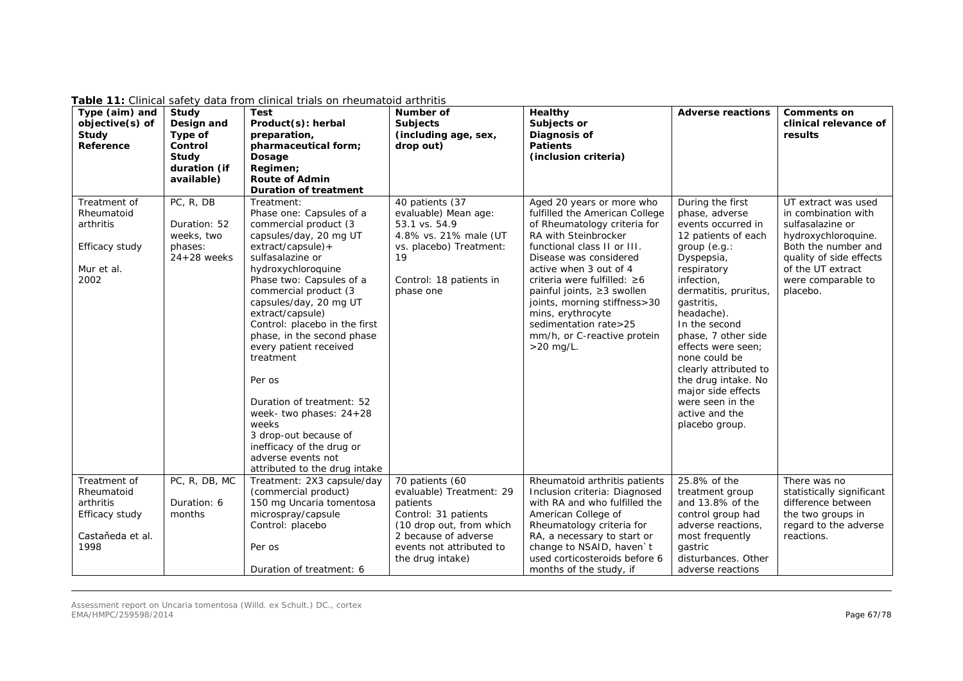| Type (aim) and<br>objective(s) of<br>Study<br>Reference                         | Study<br>Design and<br>Type of<br>Control<br>Study<br>duration (if  | <b>Test</b><br>Product(s): herbal<br>preparation,<br>pharmaceutical form;<br>Dosage<br>Regimen;                                                                                                                                                                                                                                                                                                                                                                                                                                                                 | Number of<br><b>Subjects</b><br>(including age, sex,<br>drop out)                                                                                          | Healthy<br>Subjects or<br>Diagnosis of<br><b>Patients</b><br>(inclusion criteria)                                                                                                                                                                                                                                                                                                               | <b>Adverse reactions</b>                                                                                                                                                                                                                                                                                                                                                                                     | <b>Comments on</b><br>clinical relevance of<br>results                                                                                                                                         |
|---------------------------------------------------------------------------------|---------------------------------------------------------------------|-----------------------------------------------------------------------------------------------------------------------------------------------------------------------------------------------------------------------------------------------------------------------------------------------------------------------------------------------------------------------------------------------------------------------------------------------------------------------------------------------------------------------------------------------------------------|------------------------------------------------------------------------------------------------------------------------------------------------------------|-------------------------------------------------------------------------------------------------------------------------------------------------------------------------------------------------------------------------------------------------------------------------------------------------------------------------------------------------------------------------------------------------|--------------------------------------------------------------------------------------------------------------------------------------------------------------------------------------------------------------------------------------------------------------------------------------------------------------------------------------------------------------------------------------------------------------|------------------------------------------------------------------------------------------------------------------------------------------------------------------------------------------------|
|                                                                                 | available)                                                          | <b>Route of Admin</b><br><b>Duration of treatment</b>                                                                                                                                                                                                                                                                                                                                                                                                                                                                                                           |                                                                                                                                                            |                                                                                                                                                                                                                                                                                                                                                                                                 |                                                                                                                                                                                                                                                                                                                                                                                                              |                                                                                                                                                                                                |
| Treatment of<br>Rheumatoid<br>arthritis<br>Efficacy study<br>Mur et al.<br>2002 | PC, R, DB<br>Duration: 52<br>weeks, two<br>phases:<br>$24+28$ weeks | Treatment:<br>Phase one: Capsules of a<br>commercial product (3<br>capsules/day, 20 mg UT<br>$extract/capsule$ ) +<br>sulfasalazine or<br>hydroxychloroquine<br>Phase two: Capsules of a<br>commercial product (3<br>capsules/day, 20 mg UT<br>extract/capsule)<br>Control: placebo in the first<br>phase, in the second phase<br>every patient received<br>treatment<br>Per os<br>Duration of treatment: 52<br>week- two phases: $24+28$<br>weeks<br>3 drop-out because of<br>inefficacy of the drug or<br>adverse events not<br>attributed to the drug intake | 40 patients (37<br>evaluable) Mean age:<br>53.1 vs. 54.9<br>4.8% vs. 21% male (UT<br>vs. placebo) Treatment:<br>19<br>Control: 18 patients in<br>phase one | Aged 20 years or more who<br>fulfilled the American College<br>of Rheumatology criteria for<br>RA with Steinbrocker<br>functional class II or III.<br>Disease was considered<br>active when 3 out of 4<br>criteria were fulfilled: ≥6<br>painful joints, ≥3 swollen<br>joints, morning stiffness>30<br>mins, erythrocyte<br>sedimentation rate>25<br>mm/h, or C-reactive protein<br>$>20$ mg/L. | During the first<br>phase, adverse<br>events occurred in<br>12 patients of each<br>group (e.g.:<br>Dyspepsia,<br>respiratory<br>infection,<br>dermatitis, pruritus,<br>gastritis,<br>headache).<br>In the second<br>phase, 7 other side<br>effects were seen:<br>none could be<br>clearly attributed to<br>the drug intake. No<br>major side effects<br>were seen in the<br>active and the<br>placebo group. | UT extract was used<br>in combination with<br>sulfasalazine or<br>hydroxychloroquine.<br>Both the number and<br>quality of side effects<br>of the UT extract<br>were comparable to<br>placebo. |
| Treatment of<br>Rheumatoid                                                      | PC, R, DB, MC                                                       | Treatment: 2X3 capsule/day<br>(commercial product)                                                                                                                                                                                                                                                                                                                                                                                                                                                                                                              | 70 patients (60<br>evaluable) Treatment: 29                                                                                                                | Rheumatoid arthritis patients<br>Inclusion criteria: Diagnosed                                                                                                                                                                                                                                                                                                                                  | 25.8% of the<br>treatment group                                                                                                                                                                                                                                                                                                                                                                              | There was no<br>statistically significant                                                                                                                                                      |
| arthritis<br>Efficacy study                                                     | Duration: 6<br>months                                               | 150 mg Uncaria tomentosa<br>microspray/capsule<br>Control: placebo                                                                                                                                                                                                                                                                                                                                                                                                                                                                                              | patients<br>Control: 31 patients<br>(10 drop out, from which                                                                                               | with RA and who fulfilled the<br>American College of<br>Rheumatology criteria for                                                                                                                                                                                                                                                                                                               | and 13.8% of the<br>control group had<br>adverse reactions,                                                                                                                                                                                                                                                                                                                                                  | difference between<br>the two groups in<br>regard to the adverse                                                                                                                               |
| Castaňeda et al.<br>1998                                                        |                                                                     | Per os                                                                                                                                                                                                                                                                                                                                                                                                                                                                                                                                                          | 2 because of adverse<br>events not attributed to<br>the drug intake)                                                                                       | RA, a necessary to start or<br>change to NSAID, haven't<br>used corticosteroids before 6                                                                                                                                                                                                                                                                                                        | most frequently<br>gastric<br>disturbances. Other                                                                                                                                                                                                                                                                                                                                                            | reactions.                                                                                                                                                                                     |
|                                                                                 |                                                                     | Duration of treatment: 6                                                                                                                                                                                                                                                                                                                                                                                                                                                                                                                                        |                                                                                                                                                            | months of the study, if                                                                                                                                                                                                                                                                                                                                                                         | adverse reactions                                                                                                                                                                                                                                                                                                                                                                                            |                                                                                                                                                                                                |

**Table 11:** Clinical safety data from clinical trials on rheumatoid arthritis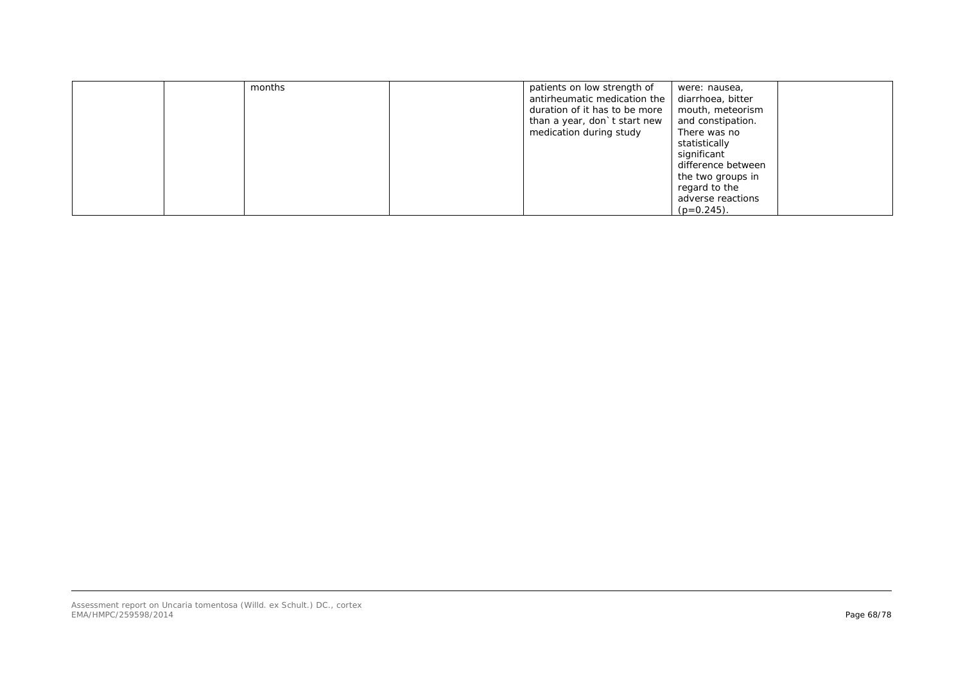| months | patients on low strength of<br>antirheumatic medication the<br>duration of it has to be more | were: nausea,<br>diarrhoea, bitter<br>mouth, meteorism |
|--------|----------------------------------------------------------------------------------------------|--------------------------------------------------------|
|        | than a year, don't start new<br>medication during study                                      | and constipation.<br>There was no                      |
|        |                                                                                              | statistically                                          |
|        |                                                                                              | significant                                            |
|        |                                                                                              | difference between                                     |
|        |                                                                                              | the two groups in                                      |
|        |                                                                                              | regard to the                                          |
|        |                                                                                              | adverse reactions                                      |
|        |                                                                                              | $(p=0.245)$ .                                          |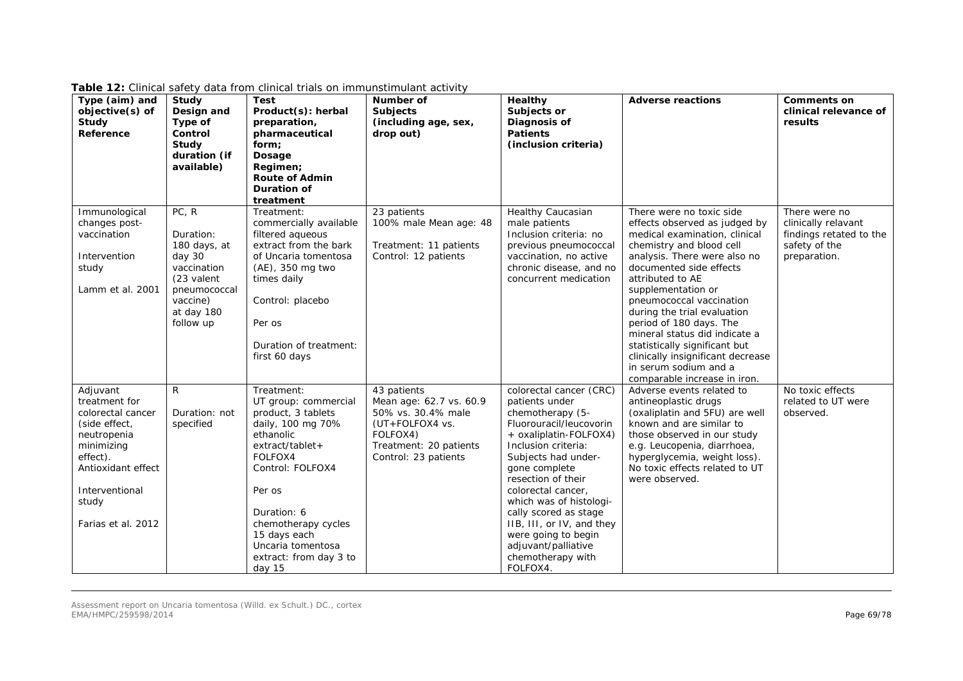| Type (aim) and<br>objective(s) of<br>Study<br>Reference                                                                                                                         | Study<br>Design and<br>Type of<br>Control<br>Study<br>duration (if<br>available)                                                 | Test<br>Product(s): herbal<br>preparation,<br>pharmaceutical<br>form;<br>Dosage<br>Regimen;<br><b>Route of Admin</b><br>Duration of<br>treatment                                                                                                                        | Number of<br><b>Subjects</b><br>(including age, sex,<br>drop out)                                                                             | Healthy<br>Subjects or<br>Diagnosis of<br><b>Patients</b><br>(inclusion criteria)                                                                                                                                                                                                                                                                                                             | <b>Adverse reactions</b>                                                                                                                                                                                                                                                                                                                                                                                                                                                          | <b>Comments on</b><br>clinical relevance of<br>results                                           |
|---------------------------------------------------------------------------------------------------------------------------------------------------------------------------------|----------------------------------------------------------------------------------------------------------------------------------|-------------------------------------------------------------------------------------------------------------------------------------------------------------------------------------------------------------------------------------------------------------------------|-----------------------------------------------------------------------------------------------------------------------------------------------|-----------------------------------------------------------------------------------------------------------------------------------------------------------------------------------------------------------------------------------------------------------------------------------------------------------------------------------------------------------------------------------------------|-----------------------------------------------------------------------------------------------------------------------------------------------------------------------------------------------------------------------------------------------------------------------------------------------------------------------------------------------------------------------------------------------------------------------------------------------------------------------------------|--------------------------------------------------------------------------------------------------|
| Immunological<br>changes post-<br>vaccination<br>Intervention<br>study<br>Lamm et al. 2001                                                                                      | PC, R<br>Duration:<br>180 days, at<br>day 30<br>vaccination<br>(23 valent<br>pneumococcal<br>vaccine)<br>at day 180<br>follow up | Treatment:<br>commercially available<br>filtered aqueous<br>extract from the bark<br>of Uncaria tomentosa<br>(AE), 350 mg two<br>times daily<br>Control: placebo<br>Per os<br>Duration of treatment:<br>first 60 days                                                   | 23 patients<br>100% male Mean age: 48<br>Treatment: 11 patients<br>Control: 12 patients                                                       | Healthy Caucasian<br>male patients<br>Inclusion criteria: no<br>previous pneumococcal<br>vaccination, no active<br>chronic disease, and no<br>concurrent medication                                                                                                                                                                                                                           | There were no toxic side<br>effects observed as judged by<br>medical examination, clinical<br>chemistry and blood cell<br>analysis. There were also no<br>documented side effects<br>attributed to AE<br>supplementation or<br>pneumococcal vaccination<br>during the trial evaluation<br>period of 180 days. The<br>mineral status did indicate a<br>statistically significant but<br>clinically insignificant decrease<br>in serum sodium and a<br>comparable increase in iron. | There were no<br>clinically relavant<br>findings retated to the<br>safety of the<br>preparation. |
| Adjuvant<br>treatment for<br>colorectal cancer<br>(side effect,<br>neutropenia<br>minimizing<br>effect).<br>Antioxidant effect<br>Interventional<br>study<br>Farias et al. 2012 | $\mathsf{R}$<br>Duration: not<br>specified                                                                                       | Treatment:<br>UT group: commercial<br>product, 3 tablets<br>daily, 100 mg 70%<br>ethanolic<br>$extract/tablet+$<br>FOLFOX4<br>Control: FOLFOX4<br>Per os<br>Duration: 6<br>chemotherapy cycles<br>15 days each<br>Uncaria tomentosa<br>extract: from day 3 to<br>day 15 | 43 patients<br>Mean age: 62.7 vs. 60.9<br>50% vs. 30.4% male<br>(UT+FOLFOX4 vs.<br>FOLFOX4)<br>Treatment: 20 patients<br>Control: 23 patients | colorectal cancer (CRC)<br>patients under<br>chemotherapy (5-<br>Fluorouracil/leucovorin<br>+ oxaliplatin-FOLFOX4)<br>Inclusion criteria:<br>Subjects had under-<br>gone complete<br>resection of their<br>colorectal cancer,<br>which was of histologi-<br>cally scored as stage<br>IIB, III, or IV, and they<br>were going to begin<br>adjuvant/palliative<br>chemotherapy with<br>FOLFOX4. | Adverse events related to<br>antineoplastic drugs<br>(oxaliplatin and 5FU) are well<br>known and are similar to<br>those observed in our study<br>e.g. Leucopenia, diarrhoea,<br>hyperglycemia, weight loss).<br>No toxic effects related to UT<br>were observed.                                                                                                                                                                                                                 | No toxic effects<br>related to UT were<br>observed.                                              |

**Table 12:** Clinical safety data from clinical trials on immunstimulant activity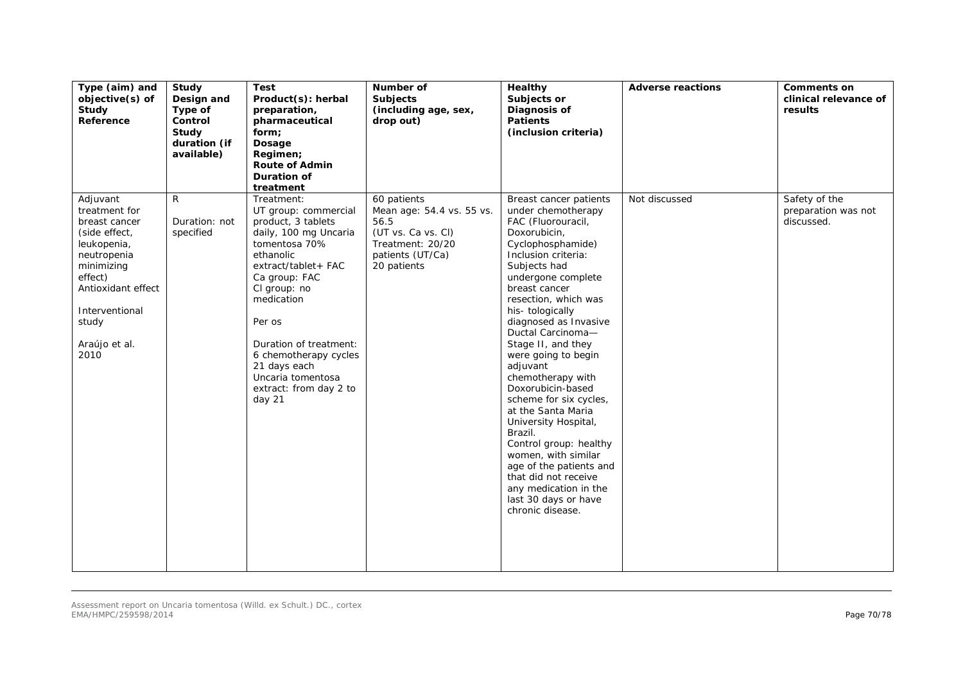| Type (aim) and<br>objective(s) of<br>Study<br>Reference                                                                                                                                      | Study<br>Design and<br>Type of<br>Control<br>Study<br>duration (if<br>available) | <b>Test</b><br>Product(s): herbal<br>preparation,<br>pharmaceutical<br>form;<br>Dosage<br>Regimen;<br><b>Route of Admin</b><br>Duration of<br>treatment                                                                                                                                                                    | Number of<br>Subjects<br>(including age, sex,<br>drop out)                                                                    | <b>Healthy</b><br>Subjects or<br>Diagnosis of<br><b>Patients</b><br>(inclusion criteria)                                                                                                                                                                                                                                                                                                                                                                                                                                                                                                                                                      | <b>Adverse reactions</b> | <b>Comments on</b><br>clinical relevance of<br>results |
|----------------------------------------------------------------------------------------------------------------------------------------------------------------------------------------------|----------------------------------------------------------------------------------|----------------------------------------------------------------------------------------------------------------------------------------------------------------------------------------------------------------------------------------------------------------------------------------------------------------------------|-------------------------------------------------------------------------------------------------------------------------------|-----------------------------------------------------------------------------------------------------------------------------------------------------------------------------------------------------------------------------------------------------------------------------------------------------------------------------------------------------------------------------------------------------------------------------------------------------------------------------------------------------------------------------------------------------------------------------------------------------------------------------------------------|--------------------------|--------------------------------------------------------|
| Adjuvant<br>treatment for<br>breast cancer<br>(side effect,<br>leukopenia,<br>neutropenia<br>minimizing<br>effect)<br>Antioxidant effect<br>Interventional<br>study<br>Araújo et al.<br>2010 | R<br>Duration: not<br>specified                                                  | Treatment:<br>UT group: commercial<br>product, 3 tablets<br>daily, 100 mg Uncaria<br>tomentosa 70%<br>ethanolic<br>extract/tablet+FAC<br>Ca group: FAC<br>CI group: no<br>medication<br>Per os<br>Duration of treatment:<br>6 chemotherapy cycles<br>21 days each<br>Uncaria tomentosa<br>extract: from day 2 to<br>day 21 | 60 patients<br>Mean age: 54.4 vs. 55 vs.<br>56.5<br>(UT vs. Ca vs. Cl)<br>Treatment: 20/20<br>patients (UT/Ca)<br>20 patients | Breast cancer patients<br>under chemotherapy<br>FAC (Fluorouracil,<br>Doxorubicin,<br>Cyclophosphamide)<br>Inclusion criteria:<br>Subjects had<br>undergone complete<br>breast cancer<br>resection, which was<br>his-tologically<br>diagnosed as Invasive<br>Ductal Carcinoma-<br>Stage II, and they<br>were going to begin<br>adjuvant<br>chemotherapy with<br>Doxorubicin-based<br>scheme for six cycles,<br>at the Santa Maria<br>University Hospital,<br>Brazil.<br>Control group: healthy<br>women, with similar<br>age of the patients and<br>that did not receive<br>any medication in the<br>last 30 days or have<br>chronic disease. | Not discussed            | Safety of the<br>preparation was not<br>discussed.     |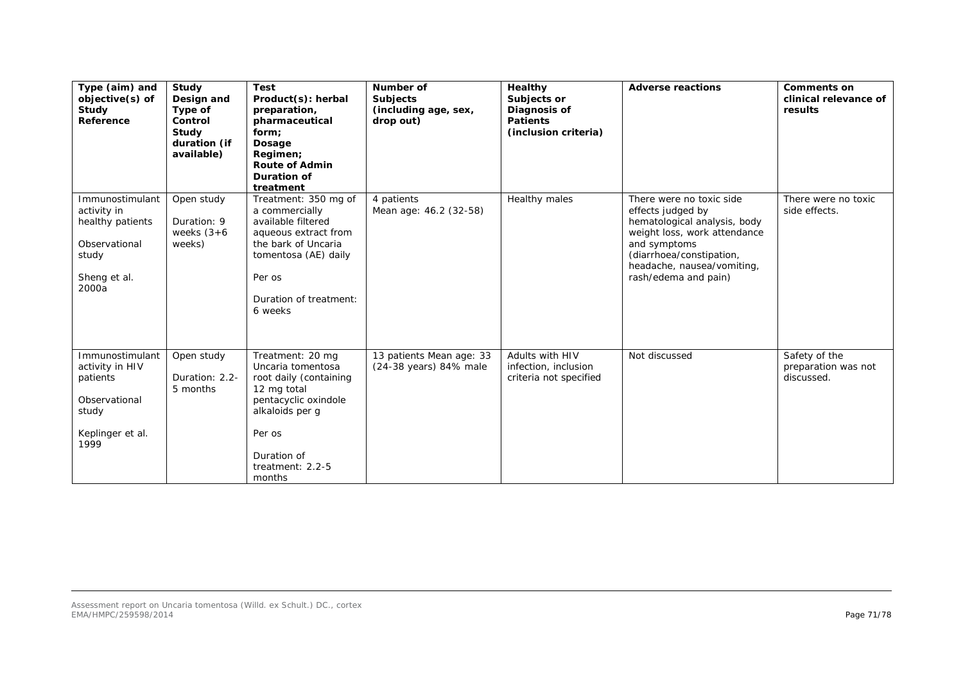| Type (aim) and<br>objective(s) of<br>Study<br>Reference                                               | Study<br>Design and<br>Type of<br>Control<br>Study<br>duration (if<br>available) | <b>Test</b><br>Product(s): herbal<br>preparation,<br>pharmaceutical<br>form;<br>Dosage<br>Regimen;<br><b>Route of Admin</b><br>Duration of<br>treatment                            | Number of<br>Subjects<br>(including age, sex,<br>drop out) | Healthy<br>Subjects or<br>Diagnosis of<br><b>Patients</b><br>(inclusion criteria) | <b>Adverse reactions</b>                                                                                                                                                                                        | <b>Comments on</b><br>clinical relevance of<br>results |
|-------------------------------------------------------------------------------------------------------|----------------------------------------------------------------------------------|------------------------------------------------------------------------------------------------------------------------------------------------------------------------------------|------------------------------------------------------------|-----------------------------------------------------------------------------------|-----------------------------------------------------------------------------------------------------------------------------------------------------------------------------------------------------------------|--------------------------------------------------------|
| Immunostimulant<br>activity in<br>healthy patients<br>Observational<br>study<br>Sheng et al.<br>2000a | Open study<br>Duration: 9<br>weeks $(3+6)$<br>weeks)                             | Treatment: 350 mg of<br>a commercially<br>available filtered<br>aqueous extract from<br>the bark of Uncaria<br>tomentosa (AE) daily<br>Per os<br>Duration of treatment:<br>6 weeks | 4 patients<br>Mean age: 46.2 (32-58)                       | Healthy males                                                                     | There were no toxic side<br>effects judged by<br>hematological analysis, body<br>weight loss, work attendance<br>and symptoms<br>(diarrhoea/constipation,<br>headache, nausea/vomiting,<br>rash/edema and pain) | There were no toxic<br>side effects.                   |
| Immunostimulant<br>activity in HIV<br>patients<br>Observational<br>study<br>Keplinger et al.<br>1999  | Open study<br>Duration: 2.2-<br>5 months                                         | Treatment: 20 mg<br>Uncaria tomentosa<br>root daily (containing<br>12 mg total<br>pentacyclic oxindole<br>alkaloids per g<br>Per os<br>Duration of<br>treatment: 2.2-5<br>months   | 13 patients Mean age: 33<br>(24-38 years) 84% male         | Adults with HIV<br>infection, inclusion<br>criteria not specified                 | Not discussed                                                                                                                                                                                                   | Safety of the<br>preparation was not<br>discussed.     |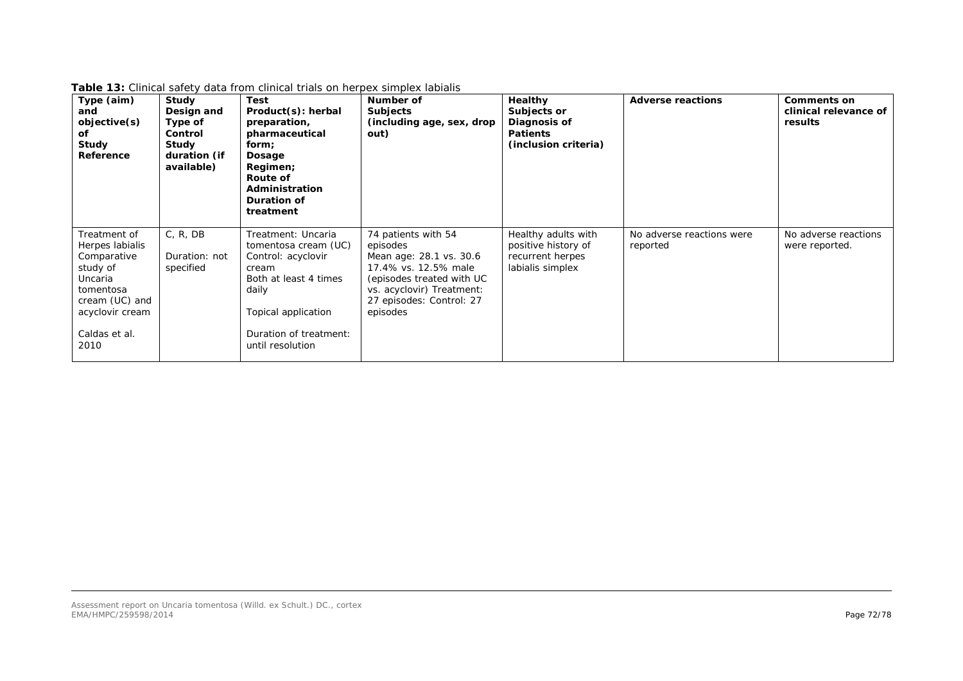| Type (aim)<br>and<br>objective(s)<br>οf<br>Study<br>Reference                                                                                    | Study<br>Design and<br>Type of<br>Control<br>Study<br>duration (if<br>available) | <b>Test</b><br>Product(s): herbal<br>preparation,<br>pharmaceutical<br>form;<br>Dosage<br>Regimen;<br>Route of<br>Administration<br>Duration of<br>treatment                            | Number of<br><b>Subjects</b><br>(including age, sex, drop<br>out)                                                                                                                    | Healthy<br>Subjects or<br>Diagnosis of<br><b>Patients</b><br>(inclusion criteria)  | <b>Adverse reactions</b>              | <b>Comments on</b><br>clinical relevance of<br>results |
|--------------------------------------------------------------------------------------------------------------------------------------------------|----------------------------------------------------------------------------------|-----------------------------------------------------------------------------------------------------------------------------------------------------------------------------------------|--------------------------------------------------------------------------------------------------------------------------------------------------------------------------------------|------------------------------------------------------------------------------------|---------------------------------------|--------------------------------------------------------|
| Treatment of<br>Herpes labialis<br>Comparative<br>study of<br>Uncaria<br>tomentosa<br>cream (UC) and<br>acyclovir cream<br>Caldas et al.<br>2010 | C, R, DB<br>Duration: not<br>specified                                           | Treatment: Uncaria<br><i>tomentosa</i> cream (UC)<br>Control: acyclovir<br>cream<br>Both at least 4 times<br>daily<br>Topical application<br>Duration of treatment:<br>until resolution | 74 patients with 54<br>episodes<br>Mean age: 28.1 vs. 30.6<br>17.4% vs. 12.5% male<br>(episodes treated with UC<br>vs. acyclovir) Treatment:<br>27 episodes: Control: 27<br>episodes | Healthy adults with<br>positive history of<br>recurrent herpes<br>labialis simplex | No adverse reactions were<br>reported | No adverse reactions<br>were reported.                 |

**Table 13:** Clinical safety data from clinical trials on herpex simplex labialis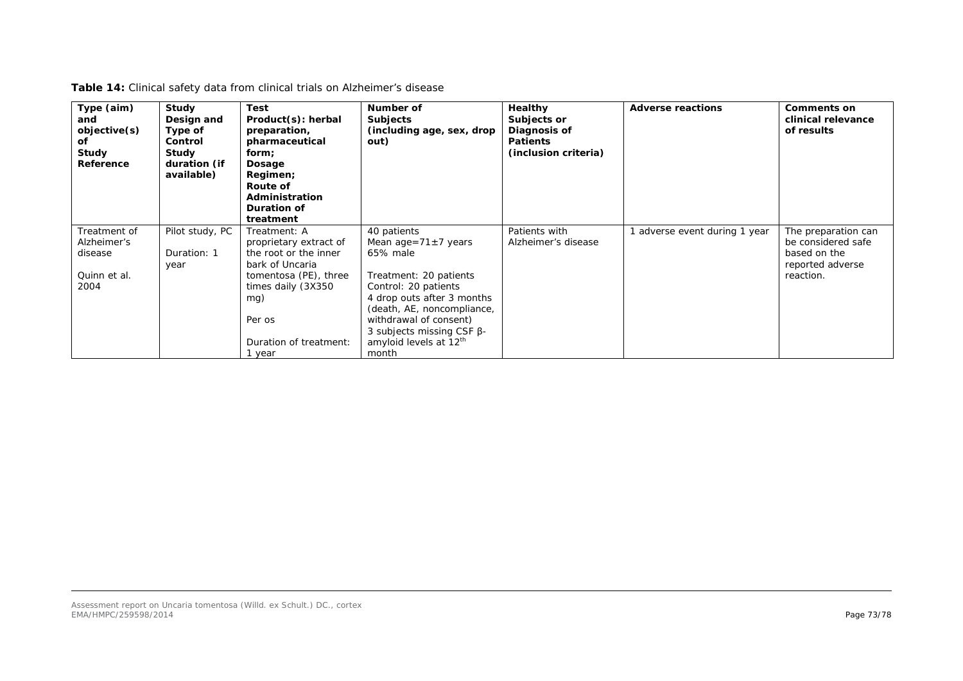| Type (aim)<br>and<br>objective(s)<br>оf<br>Study<br>Reference  | Study<br>Design and<br>Type of<br>Control<br>Study<br>duration (if<br>available) | <b>Test</b><br>Product(s): herbal<br>preparation,<br>pharmaceutical<br>form;<br>Dosage<br>Regimen;<br>Route of<br>Administration<br>Duration of<br>treatment                                 | Number of<br>Subjects<br>(including age, sex, drop<br>out)                                                                                                                                                                                                                       | Healthy<br>Subjects or<br>Diagnosis of<br><b>Patients</b><br>(inclusion criteria) | <b>Adverse reactions</b>    | <b>Comments on</b><br>clinical relevance<br>of results                                     |
|----------------------------------------------------------------|----------------------------------------------------------------------------------|----------------------------------------------------------------------------------------------------------------------------------------------------------------------------------------------|----------------------------------------------------------------------------------------------------------------------------------------------------------------------------------------------------------------------------------------------------------------------------------|-----------------------------------------------------------------------------------|-----------------------------|--------------------------------------------------------------------------------------------|
| Treatment of<br>Alzheimer's<br>disease<br>Quinn et al.<br>2004 | Pilot study, PC<br>Duration: 1<br>year                                           | Treatment: A<br>proprietary extract of<br>the root or the inner<br>bark of Uncaria<br><i>tomentosa</i> (PE), three<br>times daily (3X350)<br>mg)<br>Per os<br>Duration of treatment:<br>year | 40 patients<br>Mean age= $71 \pm 7$ years<br>65% male<br>Treatment: 20 patients<br>Control: 20 patients<br>4 drop outs after 3 months<br>(death, AE, noncompliance,<br>withdrawal of consent)<br>3 subjects missing CSF $\beta$ -<br>amyloid levels at 12 <sup>th</sup><br>month | Patients with<br>Alzheimer's disease                                              | adverse event during 1 year | The preparation can<br>be considered safe<br>based on the<br>reported adverse<br>reaction. |

**Table 14:** Clinical safety data from clinical trials on Alzheimer's disease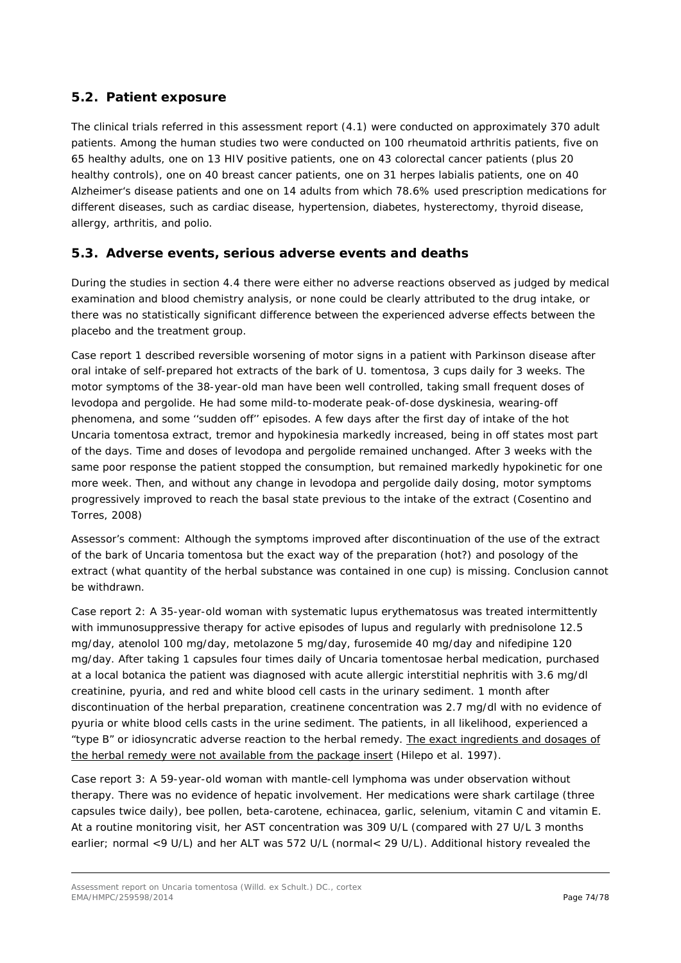## *5.2. Patient exposure*

The clinical trials referred in this assessment report (4.1) were conducted on approximately 370 adult patients. Among the human studies two were conducted on 100 rheumatoid arthritis patients, five on 65 healthy adults, one on 13 HIV positive patients, one on 43 colorectal cancer patients (plus 20 healthy controls), one on 40 breast cancer patients, one on 31 *herpes labialis* patients, one on 40 Alzheimer's disease patients and one on 14 adults from which 78.6% used prescription medications for different diseases, such as cardiac disease, hypertension, diabetes, hysterectomy, thyroid disease, allergy, arthritis, and polio.

### *5.3. Adverse events, serious adverse events and deaths*

During the studies in section 4.4 there were either no adverse reactions observed as judged by medical examination and blood chemistry analysis, or none could be clearly attributed to the drug intake, or there was no statistically significant difference between the experienced adverse effects between the placebo and the treatment group.

Case report 1 described reversible worsening of motor signs in a patient with Parkinson disease after oral intake of self-prepared hot extracts of the bark of *U. tomentosa*, 3 cups daily for 3 weeks. The motor symptoms of the 38-year-old man have been well controlled, taking small frequent doses of levodopa and pergolide. He had some mild-to-moderate peak-of-dose dyskinesia, wearing-off phenomena, and some ''sudden off'' episodes. A few days after the first day of intake of the hot *Uncaria tomentosa* extract, tremor and hypokinesia markedly increased, being in off states most part of the days. Time and doses of levodopa and pergolide remained unchanged. After 3 weeks with the same poor response the patient stopped the consumption, but remained markedly hypokinetic for one more week. Then, and without any change in levodopa and pergolide daily dosing, motor symptoms progressively improved to reach the basal state previous to the intake of the extract (Cosentino and Torres, 2008)

*Assessor's comment:* Although *t*he symptoms improved after discontinuation of the use of the extract of the bark of *Uncaria tomentosa* but the exact way of the preparation (hot?) and posology of the extract (what quantity of the herbal substance was contained in one cup) is missing. Conclusion cannot be withdrawn.

Case report 2: A 35-year-old woman with systematic lupus erythematosus was treated intermittently with immunosuppressive therapy for active episodes of lupus and regularly with prednisolone 12.5 mg/day, atenolol 100 mg/day, metolazone 5 mg/day, furosemide 40 mg/day and nifedipine 120 mg/day. After taking 1 capsules four times daily of *Uncaria* tomentosae herbal medication, purchased at a local botanica the patient was diagnosed with acute allergic interstitial nephritis with 3.6 mg/dl creatinine, pyuria, and red and white blood cell casts in the urinary sediment. 1 month after discontinuation of the herbal preparation, creatinene concentration was 2.7 mg/dl with no evidence of pyuria or white blood cells casts in the urine sediment. The patients, in all likelihood, experienced a "type B" or idiosyncratic adverse reaction to the herbal remedy. The exact ingredients and dosages of the herbal remedy were not available from the package insert (Hilepo *et al.* 1997).

Case report 3: A 59-year-old woman with mantle-cell lymphoma was under observation without therapy. There was no evidence of hepatic involvement. Her medications were shark cartilage (three capsules twice daily), bee pollen, beta-carotene, echinacea, garlic, selenium, vitamin C and vitamin E. At a routine monitoring visit, her AST concentration was 309 U/L (compared with 27 U/L 3 months earlier; normal <9 U/L) and her ALT was 572 U/L (normal< 29 U/L). Additional history revealed the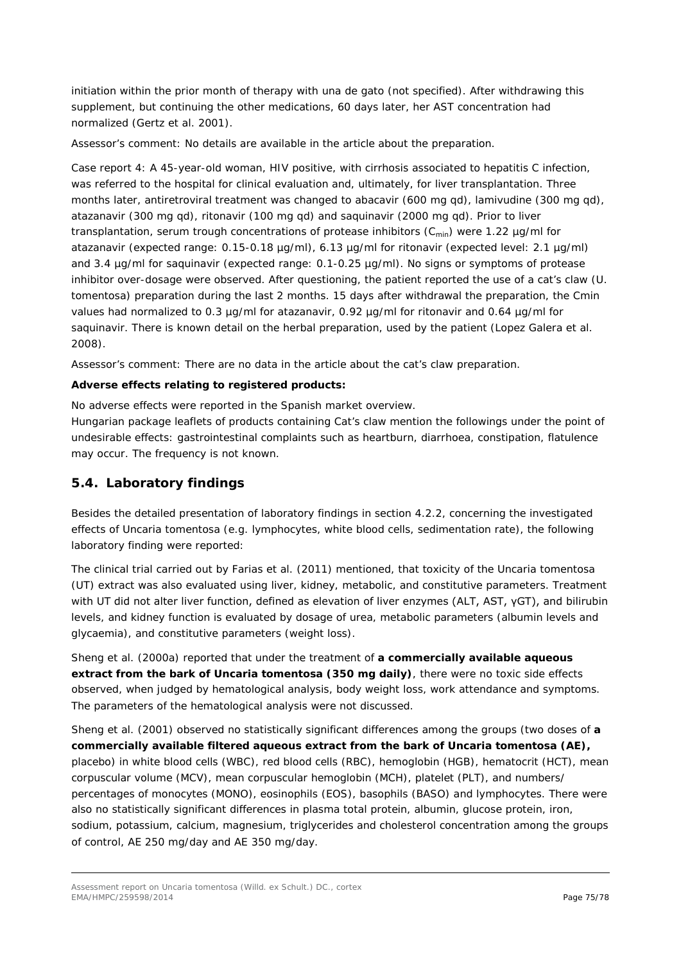initiation within the prior month of therapy with una de gato (not specified). After withdrawing this supplement, but continuing the other medications, 60 days later, her AST concentration had normalized (Gertz *et al.* 2001).

*Assessor's comment:* No details are available in the article about the preparation.

Case report 4: A 45-year-old woman, HIV positive, with cirrhosis associated to hepatitis C infection, was referred to the hospital for clinical evaluation and, ultimately, for liver transplantation. Three months later, antiretroviral treatment was changed to abacavir (600 mg qd), lamivudine (300 mg qd), atazanavir (300 mg qd), ritonavir (100 mg qd) and saquinavir (2000 mg qd). Prior to liver transplantation, serum trough concentrations of protease inhibitors  $(C_{min})$  were 1.22 µg/ml for atazanavir (expected range: 0.15-0.18 µg/ml), 6.13 µg/ml for ritonavir (expected level: 2.1 µg/ml) and 3.4 µg/ml for saquinavir (expected range: 0.1-0.25 µg/ml). No signs or symptoms of protease inhibitor over-dosage were observed. After questioning, the patient reported the use of a cat's claw (*U. tomentosa*) preparation during the last 2 months. 15 days after withdrawal the preparation, the Cmin values had normalized to 0.3 µg/ml for atazanavir, 0.92 µg/ml for ritonavir and 0.64 µg/ml for saquinavir. There is known detail on the herbal preparation, used by the patient (Lopez Galera *et al.* 2008).

*Assessor's comment:* There are no data in the article about the cat's claw preparation.

#### **Adverse effects relating to registered products:**

No adverse effects were reported in the Spanish market overview.

Hungarian package leaflets of products containing Cat's claw mention the followings under the point of undesirable effects: gastrointestinal complaints such as heartburn, diarrhoea, constipation, flatulence may occur. The frequency is not known.

#### *5.4. Laboratory findings*

Besides the detailed presentation of laboratory findings in section 4.2.2, concerning the investigated effects of *Uncaria tomentosa* (e.g. lymphocytes, white blood cells, sedimentation rate), the following laboratory finding were reported:

The clinical trial carried out by Farias *et al.* (2011) mentioned, that toxicity of the *Uncaria tomentosa*  (UT) extract was also evaluated using liver, kidney, metabolic, and constitutive parameters. Treatment with UT did not alter liver function, defined as elevation of liver enzymes (ALT, AST, γGT), and bilirubin levels, and kidney function is evaluated by dosage of urea, metabolic parameters (albumin levels and glycaemia), and constitutive parameters (weight loss).

Sheng *et al.* (2000a) reported that under the treatment of **a commercially available aqueous extract from the bark of** *Uncaria tomentosa* **(350 mg daily)**, there were no toxic side effects observed, when judged by hematological analysis, body weight loss, work attendance and symptoms. The parameters of the hematological analysis were not discussed.

Sheng *et al.* (2001) observed no statistically significant differences among the groups (two doses of **a commercially available filtered aqueous extract from the bark of** *Uncaria tomentosa* **(AE),** placebo) in white blood cells (WBC), red blood cells (RBC), hemoglobin (HGB), hematocrit (HCT), mean corpuscular volume (MCV), mean corpuscular hemoglobin (MCH), platelet (PLT), and numbers/ percentages of monocytes (MONO), eosinophils (EOS), basophils (BASO) and lymphocytes. There were also no statistically significant differences in plasma total protein, albumin, glucose protein, iron, sodium, potassium, calcium, magnesium, triglycerides and cholesterol concentration among the groups of control, AE 250 mg/day and AE 350 mg/day.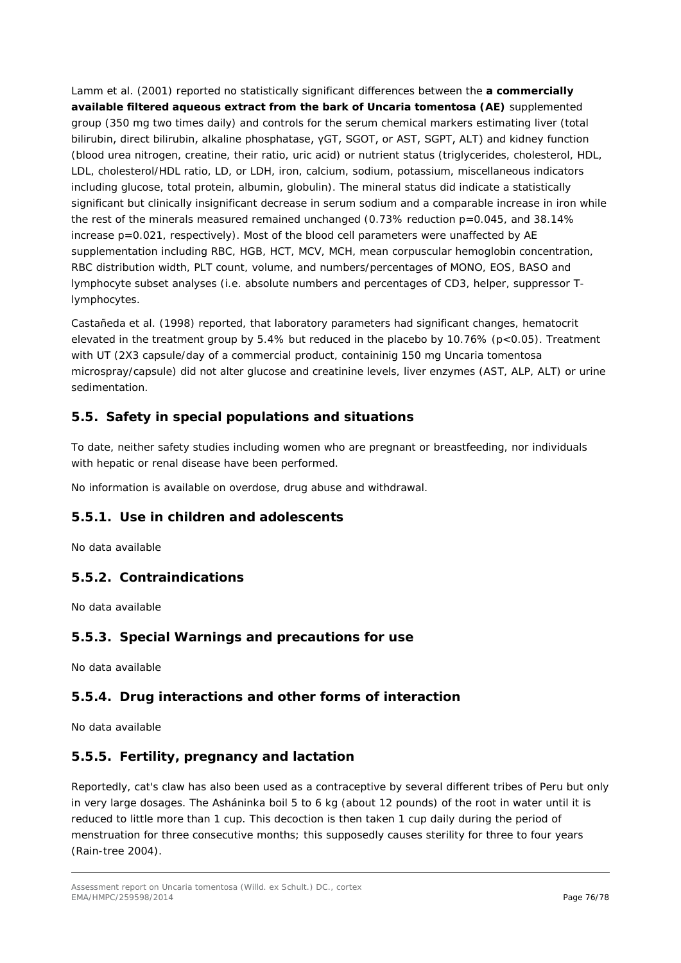Lamm *et al.* (2001) reported no statistically significant differences between the **a commercially available filtered aqueous extract from the bark of** *Uncaria tomentosa* **(AE)** supplemented group (350 mg two times daily) and controls for the serum chemical markers estimating liver (total bilirubin, direct bilirubin, alkaline phosphatase, γGT, SGOT, or AST, SGPT, ALT) and kidney function (blood urea nitrogen, creatine, their ratio, uric acid) or nutrient status (triglycerides, cholesterol, HDL, LDL, cholesterol/HDL ratio, LD, or LDH, iron, calcium, sodium, potassium, miscellaneous indicators including glucose, total protein, albumin, globulin). The mineral status did indicate a statistically significant but clinically insignificant decrease in serum sodium and a comparable increase in iron while the rest of the minerals measured remained unchanged (0.73% reduction p=0.045, and 38.14% increase  $p=0.021$ , respectively). Most of the blood cell parameters were unaffected by AE supplementation including RBC, HGB, HCT, MCV, MCH, mean corpuscular hemoglobin concentration, RBC distribution width, PLT count, volume, and numbers/percentages of MONO, EOS, BASO and lymphocyte subset analyses (i.e. absolute numbers and percentages of CD3, helper, suppressor Tlymphocytes.

Castañeda *et al*. (1998) reported, that laboratory parameters had significant changes, hematocrit elevated in the treatment group by 5.4% but reduced in the placebo by 10.76% (p<0.05). Treatment with UT (2X3 capsule/day of a commercial product, containinig 150 mg *Uncaria tomentosa* microspray/capsule) did not alter glucose and creatinine levels, liver enzymes (AST, ALP, ALT) or urine sedimentation.

## *5.5. Safety in special populations and situations*

To date, neither safety studies including women who are pregnant or breastfeeding, nor individuals with hepatic or renal disease have been performed.

No information is available on overdose, drug abuse and withdrawal.

#### **5.5.1. Use in children and adolescents**

No data available

#### **5.5.2. Contraindications**

No data available

#### **5.5.3. Special Warnings and precautions for use**

No data available

#### **5.5.4. Drug interactions and other forms of interaction**

No data available

#### **5.5.5. Fertility, pregnancy and lactation**

Reportedly, cat's claw has also been used as a contraceptive by several different tribes of Peru but only in very large dosages. The Asháninka boil 5 to 6 kg (about 12 pounds) of the root in water until it is reduced to little more than 1 cup. This decoction is then taken 1 cup daily during the period of menstruation for three consecutive months; this supposedly causes sterility for three to four years (Rain-tree 2004).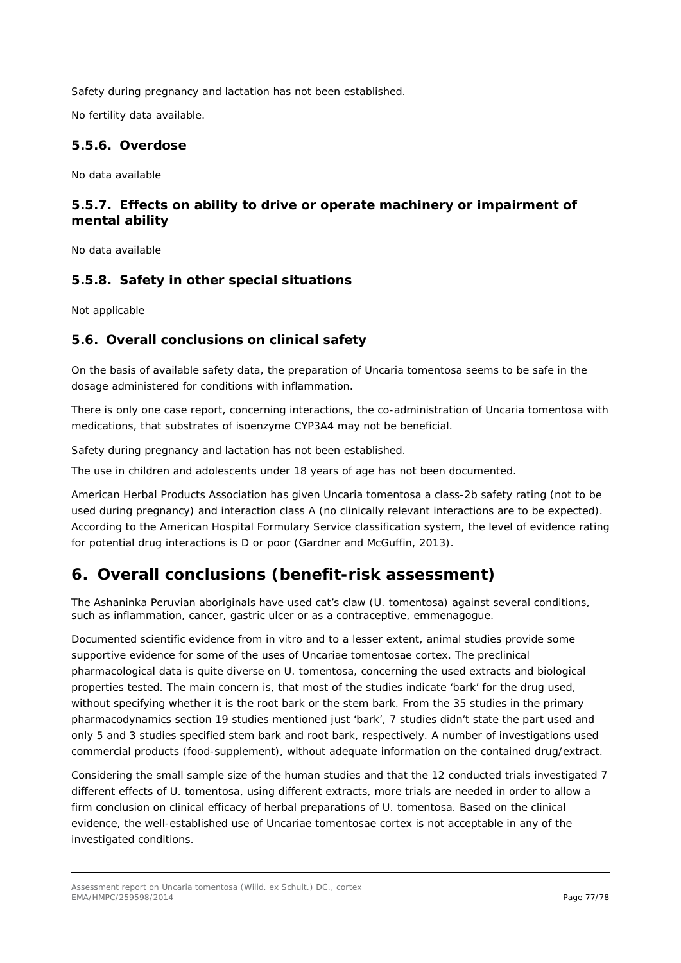Safety during pregnancy and lactation has not been established.

No fertility data available.

#### **5.5.6. Overdose**

No data available

## **5.5.7. Effects on ability to drive or operate machinery or impairment of mental ability**

No data available

#### **5.5.8. Safety in other special situations**

Not applicable

## *5.6. Overall conclusions on clinical safety*

On the basis of available safety data, the preparation of *Uncaria tomentosa* seems to be safe in the dosage administered for conditions with inflammation.

There is only one case report, concerning interactions, the co-administration of *Uncaria tomentosa* with medications, that substrates of isoenzyme CYP3A4 may not be beneficial.

Safety during pregnancy and lactation has not been established.

The use in children and adolescents under 18 years of age has not been documented.

American Herbal Products Association has given *Uncaria tomentosa* a class-2b safety rating (not to be used during pregnancy) and interaction class A (no clinically relevant interactions are to be expected). According to the American Hospital Formulary Service classification system, the level of evidence rating for potential drug interactions is D or poor (Gardner and McGuffin, 2013).

# **6. Overall conclusions (benefit-risk assessment)**

The Ashaninka Peruvian aboriginals have used cat's claw (*U. tomentosa*) against several conditions, such as inflammation, cancer, gastric ulcer or as a contraceptive, emmenagogue.

Documented scientific evidence from *in vitro* and to a lesser extent, animal studies provide some supportive evidence for some of the uses of Uncariae tomentosae cortex. The preclinical pharmacological data is quite diverse on *U. tomentosa*, concerning the used extracts and biological properties tested. The main concern is, that most of the studies indicate 'bark' for the drug used, without specifying whether it is the root bark or the stem bark. From the 35 studies in the primary pharmacodynamics section 19 studies mentioned just 'bark', 7 studies didn't state the part used and only 5 and 3 studies specified stem bark and root bark, respectively. A number of investigations used commercial products (food-supplement), without adequate information on the contained drug/extract.

Considering the small sample size of the human studies and that the 12 conducted trials investigated 7 different effects of *U. tomentosa*, using different extracts, more trials are needed in order to allow a firm conclusion on clinical efficacy of herbal preparations of *U. tomentosa.* Based on the clinical evidence, the well-established use of Uncariae tomentosae cortex is not acceptable in any of the investigated conditions.